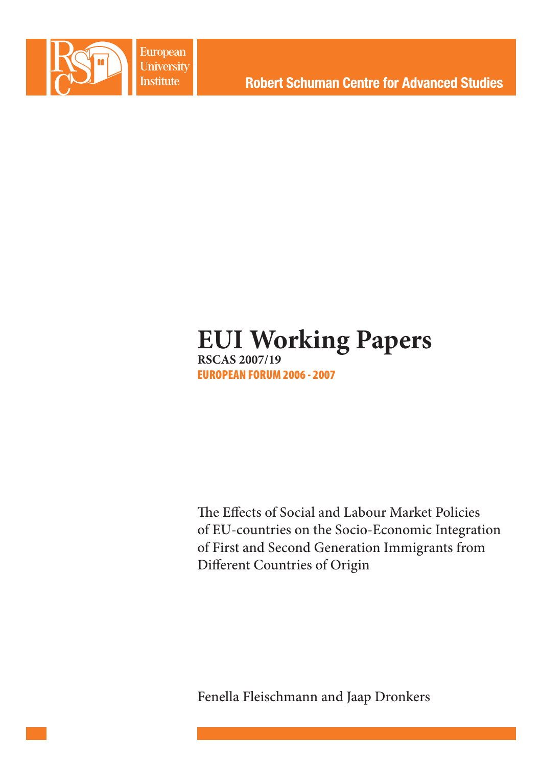

**European University Institute** 

# **EUI Working Papers RSCAS 2007/19** EUROPEAN FORUM 2006 - 2007

The Effects of Social and Labour Market Policies of EU-countries on the Socio-Economic Integration of First and Second Generation Immigrants from Different Countries of Origin

Fenella Fleischmann and Jaap Dronkers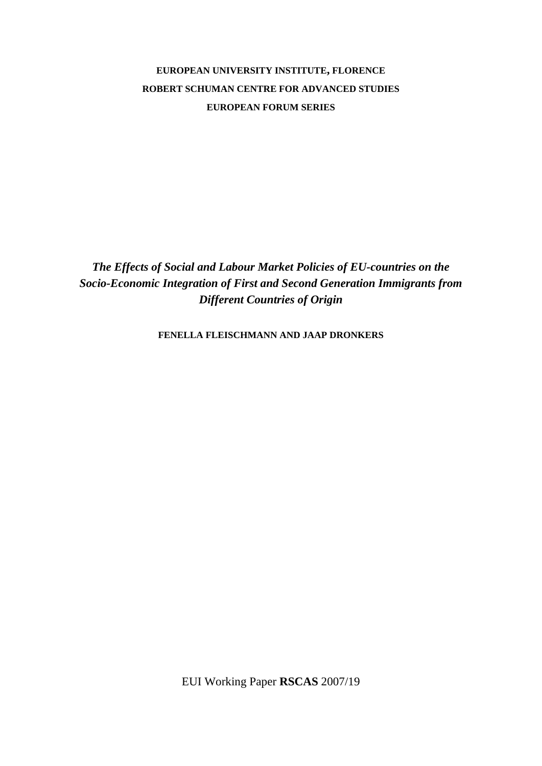## **EUROPEAN UNIVERSITY INSTITUTE, FLORENCE ROBERT SCHUMAN CENTRE FOR ADVANCED STUDIES EUROPEAN FORUM SERIES**

*The Effects of Social and Labour Market Policies of EU-countries on the Socio-Economic Integration of First and Second Generation Immigrants from Different Countries of Origin* 

**FENELLA FLEISCHMANN AND JAAP DRONKERS**

EUI Working Paper **RSCAS** 2007/19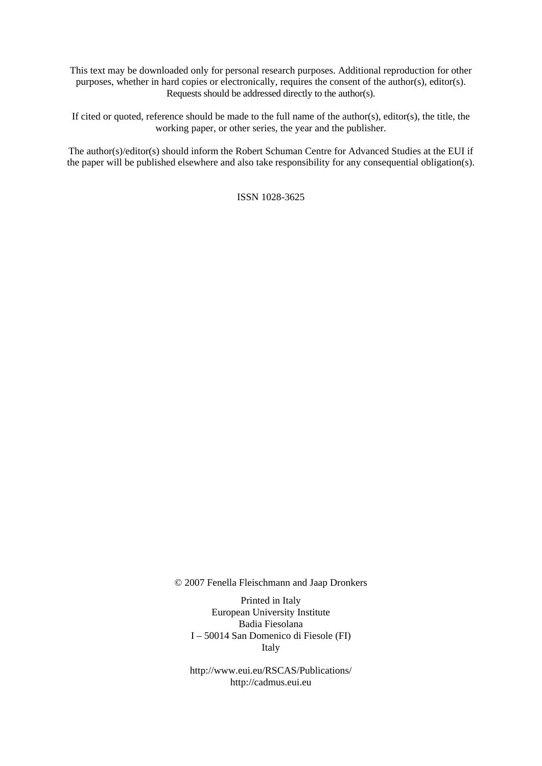This text may be downloaded only for personal research purposes. Additional reproduction for other purposes, whether in hard copies or electronically, requires the consent of the author(s), editor(s). Requests should be addressed directly to the author(s).

If cited or quoted, reference should be made to the full name of the author(s), editor(s), the title, the working paper, or other series, the year and the publisher.

The author(s)/editor(s) should inform the Robert Schuman Centre for Advanced Studies at the EUI if the paper will be published elsewhere and also take responsibility for any consequential obligation(s).

ISSN 1028-3625

© 2007 Fenella Fleischmann and Jaap Dronkers

Printed in Italy European University Institute Badia Fiesolana I – 50014 San Domenico di Fiesole (FI) Italy

http://www.eui.eu/RSCAS/Publications/ http://cadmus.eui.eu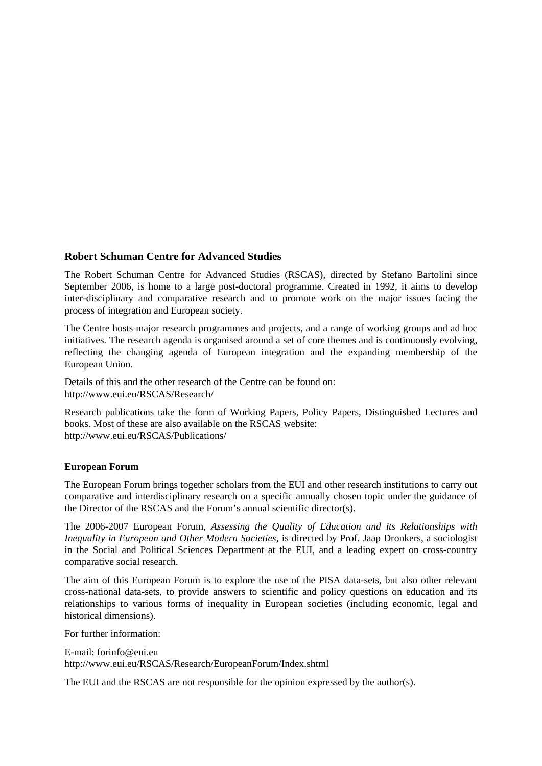## **Robert Schuman Centre for Advanced Studies**

The Robert Schuman Centre for Advanced Studies (RSCAS), directed by Stefano Bartolini since September 2006, is home to a large post-doctoral programme. Created in 1992, it aims to develop inter-disciplinary and comparative research and to promote work on the major issues facing the process of integration and European society.

The Centre hosts major research programmes and projects, and a range of working groups and ad hoc initiatives. The research agenda is organised around a set of core themes and is continuously evolving, reflecting the changing agenda of European integration and the expanding membership of the European Union.

Details of this and the other research of the Centre can be found on: http://www.eui.eu/RSCAS/Research/

Research publications take the form of Working Papers, Policy Papers, Distinguished Lectures and books. Most of these are also available on the RSCAS website: http://www.eui.eu/RSCAS/Publications/

## **European Forum**

The European Forum brings together scholars from the EUI and other research institutions to carry out comparative and interdisciplinary research on a specific annually chosen topic under the guidance of the Director of the RSCAS and the Forum's annual scientific director(s).

The 2006-2007 European Forum, *Assessing the Quality of Education and its Relationships with Inequality in European and Other Modern Societies,* is directed by Prof. Jaap Dronkers, a sociologist in the Social and Political Sciences Department at the EUI, and a leading expert on cross-country comparative social research.

The aim of this European Forum is to explore the use of the PISA data-sets, but also other relevant cross-national data-sets, to provide answers to scientific and policy questions on education and its relationships to various forms of inequality in European societies (including economic, legal and historical dimensions).

For further information:

E-mail: forinfo@eui.eu http://www.eui.eu/RSCAS/Research/EuropeanForum/Index.shtml

The EUI and the RSCAS are not responsible for the opinion expressed by the author(s).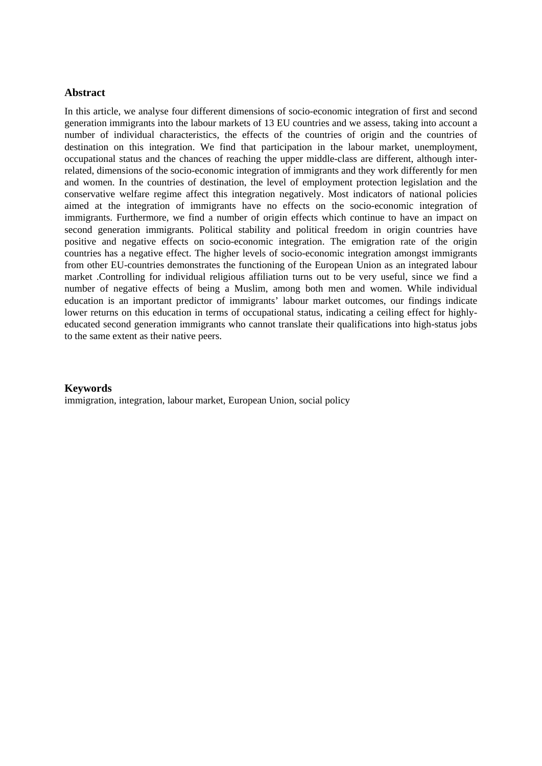## **Abstract**

In this article, we analyse four different dimensions of socio-economic integration of first and second generation immigrants into the labour markets of 13 EU countries and we assess, taking into account a number of individual characteristics, the effects of the countries of origin and the countries of destination on this integration. We find that participation in the labour market, unemployment, occupational status and the chances of reaching the upper middle-class are different, although interrelated, dimensions of the socio-economic integration of immigrants and they work differently for men and women. In the countries of destination, the level of employment protection legislation and the conservative welfare regime affect this integration negatively. Most indicators of national policies aimed at the integration of immigrants have no effects on the socio-economic integration of immigrants. Furthermore, we find a number of origin effects which continue to have an impact on second generation immigrants. Political stability and political freedom in origin countries have positive and negative effects on socio-economic integration. The emigration rate of the origin countries has a negative effect. The higher levels of socio-economic integration amongst immigrants from other EU-countries demonstrates the functioning of the European Union as an integrated labour market .Controlling for individual religious affiliation turns out to be very useful, since we find a number of negative effects of being a Muslim, among both men and women. While individual education is an important predictor of immigrants' labour market outcomes, our findings indicate lower returns on this education in terms of occupational status, indicating a ceiling effect for highlyeducated second generation immigrants who cannot translate their qualifications into high-status jobs to the same extent as their native peers.

#### **Keywords**

immigration, integration, labour market, European Union, social policy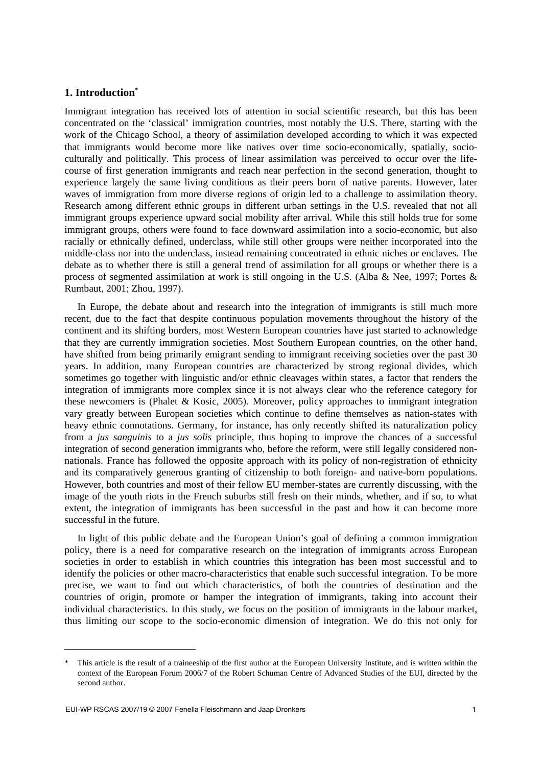## **1. Introduction\***

Immigrant integration has received lots of attention in social scientific research, but this has been concentrated on the 'classical' immigration countries, most notably the U.S. There, starting with the work of the Chicago School, a theory of assimilation developed according to which it was expected that immigrants would become more like natives over time socio-economically, spatially, socioculturally and politically. This process of linear assimilation was perceived to occur over the lifecourse of first generation immigrants and reach near perfection in the second generation, thought to experience largely the same living conditions as their peers born of native parents. However, later waves of immigration from more diverse regions of origin led to a challenge to assimilation theory. Research among different ethnic groups in different urban settings in the U.S. revealed that not all immigrant groups experience upward social mobility after arrival. While this still holds true for some immigrant groups, others were found to face downward assimilation into a socio-economic, but also racially or ethnically defined, underclass, while still other groups were neither incorporated into the middle-class nor into the underclass, instead remaining concentrated in ethnic niches or enclaves. The debate as to whether there is still a general trend of assimilation for all groups or whether there is a process of segmented assimilation at work is still ongoing in the U.S. (Alba & Nee, 1997; Portes & Rumbaut, 2001; Zhou, 1997).

In Europe, the debate about and research into the integration of immigrants is still much more recent, due to the fact that despite continuous population movements throughout the history of the continent and its shifting borders, most Western European countries have just started to acknowledge that they are currently immigration societies. Most Southern European countries, on the other hand, have shifted from being primarily emigrant sending to immigrant receiving societies over the past 30 years. In addition, many European countries are characterized by strong regional divides, which sometimes go together with linguistic and/or ethnic cleavages within states, a factor that renders the integration of immigrants more complex since it is not always clear who the reference category for these newcomers is (Phalet & Kosic, 2005). Moreover, policy approaches to immigrant integration vary greatly between European societies which continue to define themselves as nation-states with heavy ethnic connotations. Germany, for instance, has only recently shifted its naturalization policy from a *jus sanguinis* to a *jus solis* principle, thus hoping to improve the chances of a successful integration of second generation immigrants who, before the reform, were still legally considered nonnationals. France has followed the opposite approach with its policy of non-registration of ethnicity and its comparatively generous granting of citizenship to both foreign- and native-born populations. However, both countries and most of their fellow EU member-states are currently discussing, with the image of the youth riots in the French suburbs still fresh on their minds, whether, and if so, to what extent, the integration of immigrants has been successful in the past and how it can become more successful in the future.

In light of this public debate and the European Union's goal of defining a common immigration policy, there is a need for comparative research on the integration of immigrants across European societies in order to establish in which countries this integration has been most successful and to identify the policies or other macro-characteristics that enable such successful integration. To be more precise, we want to find out which characteristics, of both the countries of destination and the countries of origin, promote or hamper the integration of immigrants, taking into account their individual characteristics. In this study, we focus on the position of immigrants in the labour market, thus limiting our scope to the socio-economic dimension of integration. We do this not only for

-

This article is the result of a traineeship of the first author at the European University Institute, and is written within the context of the European Forum 2006/7 of the Robert Schuman Centre of Advanced Studies of the EUI, directed by the second author.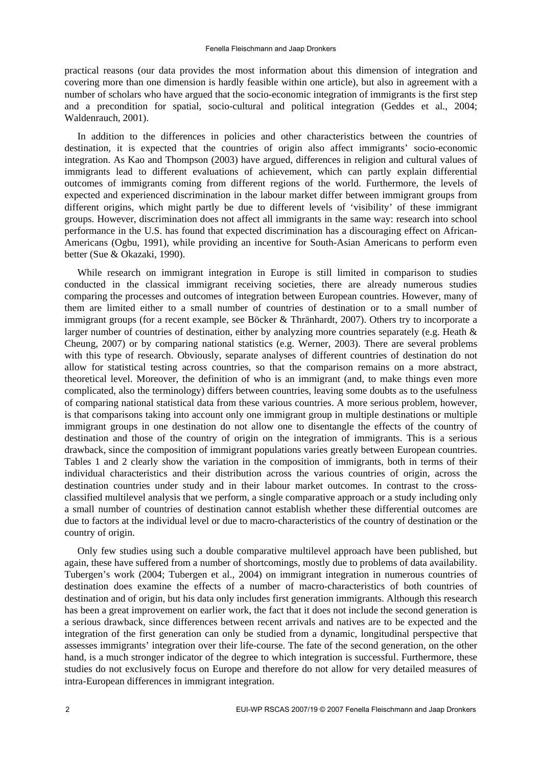practical reasons (our data provides the most information about this dimension of integration and covering more than one dimension is hardly feasible within one article), but also in agreement with a number of scholars who have argued that the socio-economic integration of immigrants is the first step and a precondition for spatial, socio-cultural and political integration (Geddes et al., 2004; Waldenrauch, 2001).

In addition to the differences in policies and other characteristics between the countries of destination, it is expected that the countries of origin also affect immigrants' socio-economic integration. As Kao and Thompson (2003) have argued, differences in religion and cultural values of immigrants lead to different evaluations of achievement, which can partly explain differential outcomes of immigrants coming from different regions of the world. Furthermore, the levels of expected and experienced discrimination in the labour market differ between immigrant groups from different origins, which might partly be due to different levels of 'visibility' of these immigrant groups. However, discrimination does not affect all immigrants in the same way: research into school performance in the U.S. has found that expected discrimination has a discouraging effect on African-Americans (Ogbu, 1991), while providing an incentive for South-Asian Americans to perform even better (Sue & Okazaki, 1990).

While research on immigrant integration in Europe is still limited in comparison to studies conducted in the classical immigrant receiving societies, there are already numerous studies comparing the processes and outcomes of integration between European countries. However, many of them are limited either to a small number of countries of destination or to a small number of immigrant groups (for a recent example, see Böcker & Thränhardt, 2007). Others try to incorporate a larger number of countries of destination, either by analyzing more countries separately (e.g. Heath & Cheung, 2007) or by comparing national statistics (e.g. Werner, 2003). There are several problems with this type of research. Obviously, separate analyses of different countries of destination do not allow for statistical testing across countries, so that the comparison remains on a more abstract, theoretical level. Moreover, the definition of who is an immigrant (and, to make things even more complicated, also the terminology) differs between countries, leaving some doubts as to the usefulness of comparing national statistical data from these various countries. A more serious problem, however, is that comparisons taking into account only one immigrant group in multiple destinations or multiple immigrant groups in one destination do not allow one to disentangle the effects of the country of destination and those of the country of origin on the integration of immigrants. This is a serious drawback, since the composition of immigrant populations varies greatly between European countries. Tables 1 and 2 clearly show the variation in the composition of immigrants, both in terms of their individual characteristics and their distribution across the various countries of origin, across the destination countries under study and in their labour market outcomes. In contrast to the crossclassified multilevel analysis that we perform, a single comparative approach or a study including only a small number of countries of destination cannot establish whether these differential outcomes are due to factors at the individual level or due to macro-characteristics of the country of destination or the country of origin.

Only few studies using such a double comparative multilevel approach have been published, but again, these have suffered from a number of shortcomings, mostly due to problems of data availability. Tubergen's work (2004; Tubergen et al., 2004) on immigrant integration in numerous countries of destination does examine the effects of a number of macro-characteristics of both countries of destination and of origin, but his data only includes first generation immigrants. Although this research has been a great improvement on earlier work, the fact that it does not include the second generation is a serious drawback, since differences between recent arrivals and natives are to be expected and the integration of the first generation can only be studied from a dynamic, longitudinal perspective that assesses immigrants' integration over their life-course. The fate of the second generation, on the other hand, is a much stronger indicator of the degree to which integration is successful. Furthermore, these studies do not exclusively focus on Europe and therefore do not allow for very detailed measures of intra-European differences in immigrant integration.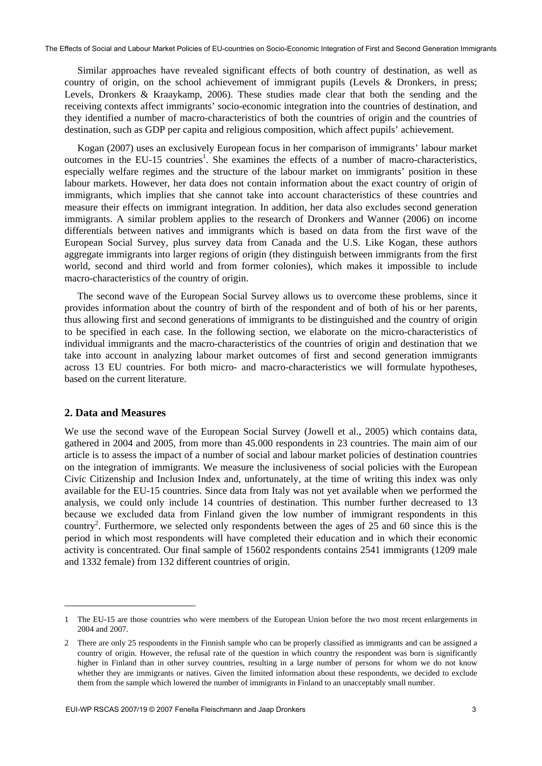Similar approaches have revealed significant effects of both country of destination, as well as country of origin, on the school achievement of immigrant pupils (Levels & Dronkers, in press; Levels, Dronkers & Kraaykamp, 2006). These studies made clear that both the sending and the receiving contexts affect immigrants' socio-economic integration into the countries of destination, and they identified a number of macro-characteristics of both the countries of origin and the countries of destination, such as GDP per capita and religious composition, which affect pupils' achievement.

Kogan (2007) uses an exclusively European focus in her comparison of immigrants' labour market outcomes in the EU-15 countries<sup>1</sup>. She examines the effects of a number of macro-characteristics, especially welfare regimes and the structure of the labour market on immigrants' position in these labour markets. However, her data does not contain information about the exact country of origin of immigrants, which implies that she cannot take into account characteristics of these countries and measure their effects on immigrant integration. In addition, her data also excludes second generation immigrants. A similar problem applies to the research of Dronkers and Wanner (2006) on income differentials between natives and immigrants which is based on data from the first wave of the European Social Survey, plus survey data from Canada and the U.S. Like Kogan, these authors aggregate immigrants into larger regions of origin (they distinguish between immigrants from the first world, second and third world and from former colonies), which makes it impossible to include macro-characteristics of the country of origin.

The second wave of the European Social Survey allows us to overcome these problems, since it provides information about the country of birth of the respondent and of both of his or her parents, thus allowing first and second generations of immigrants to be distinguished and the country of origin to be specified in each case. In the following section, we elaborate on the micro-characteristics of individual immigrants and the macro-characteristics of the countries of origin and destination that we take into account in analyzing labour market outcomes of first and second generation immigrants across 13 EU countries. For both micro- and macro-characteristics we will formulate hypotheses, based on the current literature.

## **2. Data and Measures**

1

We use the second wave of the European Social Survey (Jowell et al., 2005) which contains data, gathered in 2004 and 2005, from more than 45.000 respondents in 23 countries. The main aim of our article is to assess the impact of a number of social and labour market policies of destination countries on the integration of immigrants. We measure the inclusiveness of social policies with the European Civic Citizenship and Inclusion Index and, unfortunately, at the time of writing this index was only available for the EU-15 countries. Since data from Italy was not yet available when we performed the analysis, we could only include 14 countries of destination. This number further decreased to 13 because we excluded data from Finland given the low number of immigrant respondents in this country<sup>2</sup>. Furthermore, we selected only respondents between the ages of 25 and 60 since this is the period in which most respondents will have completed their education and in which their economic activity is concentrated. Our final sample of 15602 respondents contains 2541 immigrants (1209 male and 1332 female) from 132 different countries of origin.

<sup>1</sup> The EU-15 are those countries who were members of the European Union before the two most recent enlargements in 2004 and 2007.

There are only 25 respondents in the Finnish sample who can be properly classified as immigrants and can be assigned a country of origin. However, the refusal rate of the question in which country the respondent was born is significantly higher in Finland than in other survey countries, resulting in a large number of persons for whom we do not know whether they are immigrants or natives. Given the limited information about these respondents, we decided to exclude them from the sample which lowered the number of immigrants in Finland to an unacceptably small number.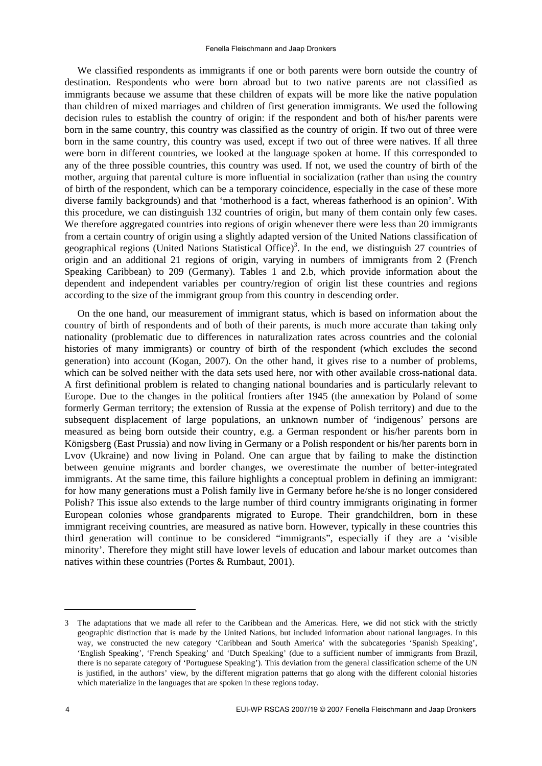We classified respondents as immigrants if one or both parents were born outside the country of destination. Respondents who were born abroad but to two native parents are not classified as immigrants because we assume that these children of expats will be more like the native population than children of mixed marriages and children of first generation immigrants. We used the following decision rules to establish the country of origin: if the respondent and both of his/her parents were born in the same country, this country was classified as the country of origin. If two out of three were born in the same country, this country was used, except if two out of three were natives. If all three were born in different countries, we looked at the language spoken at home. If this corresponded to any of the three possible countries, this country was used. If not, we used the country of birth of the mother, arguing that parental culture is more influential in socialization (rather than using the country of birth of the respondent, which can be a temporary coincidence, especially in the case of these more diverse family backgrounds) and that 'motherhood is a fact, whereas fatherhood is an opinion'. With this procedure, we can distinguish 132 countries of origin, but many of them contain only few cases. We therefore aggregated countries into regions of origin whenever there were less than 20 immigrants from a certain country of origin using a slightly adapted version of the United Nations classification of geographical regions (United Nations Statistical Office)<sup>3</sup>. In the end, we distinguish 27 countries of origin and an additional 21 regions of origin, varying in numbers of immigrants from 2 (French Speaking Caribbean) to 209 (Germany). Tables 1 and 2.b, which provide information about the dependent and independent variables per country/region of origin list these countries and regions according to the size of the immigrant group from this country in descending order.

On the one hand, our measurement of immigrant status, which is based on information about the country of birth of respondents and of both of their parents, is much more accurate than taking only nationality (problematic due to differences in naturalization rates across countries and the colonial histories of many immigrants) or country of birth of the respondent (which excludes the second generation) into account (Kogan, 2007). On the other hand, it gives rise to a number of problems, which can be solved neither with the data sets used here, nor with other available cross-national data. A first definitional problem is related to changing national boundaries and is particularly relevant to Europe. Due to the changes in the political frontiers after 1945 (the annexation by Poland of some formerly German territory; the extension of Russia at the expense of Polish territory) and due to the subsequent displacement of large populations, an unknown number of 'indigenous' persons are measured as being born outside their country, e.g. a German respondent or his/her parents born in Königsberg (East Prussia) and now living in Germany or a Polish respondent or his/her parents born in Lvov (Ukraine) and now living in Poland. One can argue that by failing to make the distinction between genuine migrants and border changes, we overestimate the number of better-integrated immigrants. At the same time, this failure highlights a conceptual problem in defining an immigrant: for how many generations must a Polish family live in Germany before he/she is no longer considered Polish? This issue also extends to the large number of third country immigrants originating in former European colonies whose grandparents migrated to Europe. Their grandchildren, born in these immigrant receiving countries, are measured as native born. However, typically in these countries this third generation will continue to be considered "immigrants", especially if they are a 'visible minority'. Therefore they might still have lower levels of education and labour market outcomes than natives within these countries (Portes & Rumbaut, 2001).

1

<sup>3</sup> The adaptations that we made all refer to the Caribbean and the Americas. Here, we did not stick with the strictly geographic distinction that is made by the United Nations, but included information about national languages. In this way, we constructed the new category 'Caribbean and South America' with the subcategories 'Spanish Speaking', 'English Speaking', 'French Speaking' and 'Dutch Speaking' (due to a sufficient number of immigrants from Brazil, there is no separate category of 'Portuguese Speaking'). This deviation from the general classification scheme of the UN is justified, in the authors' view, by the different migration patterns that go along with the different colonial histories which materialize in the languages that are spoken in these regions today.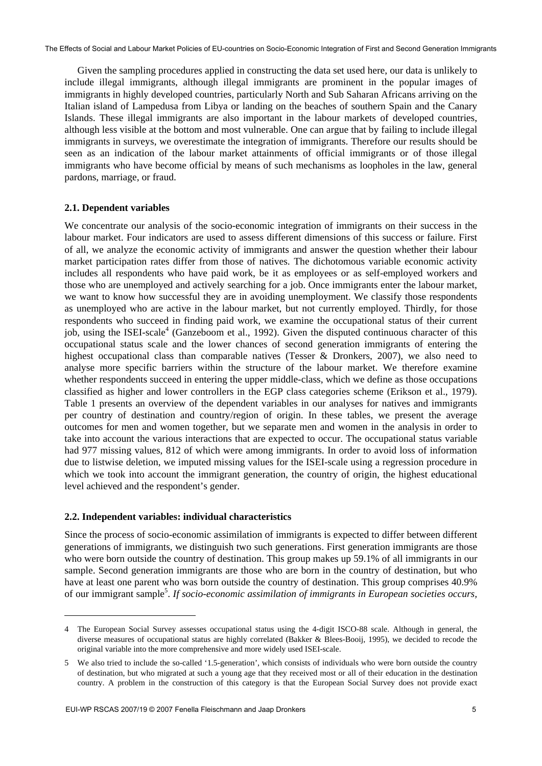Given the sampling procedures applied in constructing the data set used here, our data is unlikely to include illegal immigrants, although illegal immigrants are prominent in the popular images of immigrants in highly developed countries, particularly North and Sub Saharan Africans arriving on the Italian island of Lampedusa from Libya or landing on the beaches of southern Spain and the Canary Islands. These illegal immigrants are also important in the labour markets of developed countries, although less visible at the bottom and most vulnerable. One can argue that by failing to include illegal immigrants in surveys, we overestimate the integration of immigrants. Therefore our results should be seen as an indication of the labour market attainments of official immigrants or of those illegal immigrants who have become official by means of such mechanisms as loopholes in the law, general pardons, marriage, or fraud.

## **2.1. Dependent variables**

We concentrate our analysis of the socio-economic integration of immigrants on their success in the labour market. Four indicators are used to assess different dimensions of this success or failure. First of all, we analyze the economic activity of immigrants and answer the question whether their labour market participation rates differ from those of natives. The dichotomous variable economic activity includes all respondents who have paid work, be it as employees or as self-employed workers and those who are unemployed and actively searching for a job. Once immigrants enter the labour market, we want to know how successful they are in avoiding unemployment. We classify those respondents as unemployed who are active in the labour market, but not currently employed. Thirdly, for those respondents who succeed in finding paid work, we examine the occupational status of their current job, using the ISEI-scale<sup>4</sup> (Ganzeboom et al., 1992). Given the disputed continuous character of this occupational status scale and the lower chances of second generation immigrants of entering the highest occupational class than comparable natives (Tesser & Dronkers, 2007), we also need to analyse more specific barriers within the structure of the labour market. We therefore examine whether respondents succeed in entering the upper middle-class, which we define as those occupations classified as higher and lower controllers in the EGP class categories scheme (Erikson et al., 1979). Table 1 presents an overview of the dependent variables in our analyses for natives and immigrants per country of destination and country/region of origin. In these tables, we present the average outcomes for men and women together, but we separate men and women in the analysis in order to take into account the various interactions that are expected to occur. The occupational status variable had 977 missing values, 812 of which were among immigrants. In order to avoid loss of information due to listwise deletion, we imputed missing values for the ISEI-scale using a regression procedure in which we took into account the immigrant generation, the country of origin, the highest educational level achieved and the respondent's gender.

#### **2.2. Independent variables: individual characteristics**

l

Since the process of socio-economic assimilation of immigrants is expected to differ between different generations of immigrants, we distinguish two such generations. First generation immigrants are those who were born outside the country of destination. This group makes up 59.1% of all immigrants in our sample. Second generation immigrants are those who are born in the country of destination, but who have at least one parent who was born outside the country of destination. This group comprises 40.9% of our immigrant sample<sup>5</sup>. If socio-economic assimilation of immigrants in European societies occurs,

<sup>4</sup> The European Social Survey assesses occupational status using the 4-digit ISCO-88 scale. Although in general, the diverse measures of occupational status are highly correlated (Bakker & Blees-Booij, 1995), we decided to recode the original variable into the more comprehensive and more widely used ISEI-scale.

<sup>5</sup> We also tried to include the so-called '1.5-generation', which consists of individuals who were born outside the country of destination, but who migrated at such a young age that they received most or all of their education in the destination country. A problem in the construction of this category is that the European Social Survey does not provide exact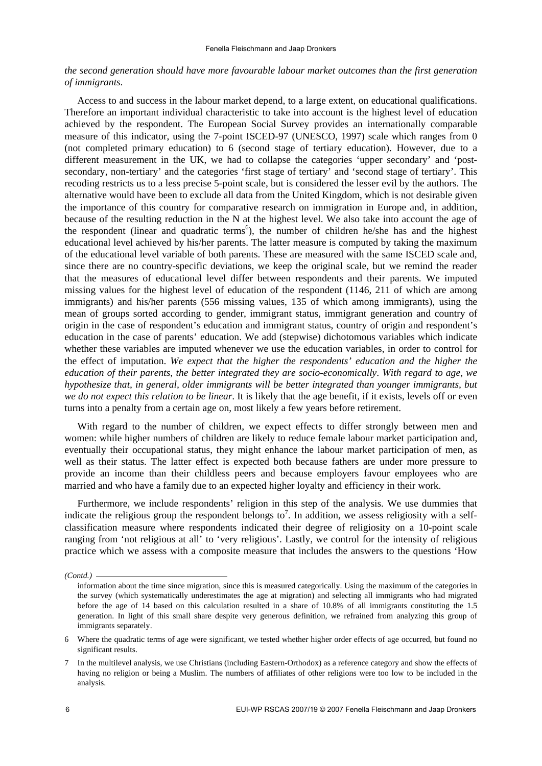## *the second generation should have more favourable labour market outcomes than the first generation of immigrants*.

Access to and success in the labour market depend, to a large extent, on educational qualifications. Therefore an important individual characteristic to take into account is the highest level of education achieved by the respondent. The European Social Survey provides an internationally comparable measure of this indicator, using the 7-point ISCED-97 (UNESCO, 1997) scale which ranges from 0 (not completed primary education) to 6 (second stage of tertiary education). However, due to a different measurement in the UK, we had to collapse the categories 'upper secondary' and 'postsecondary, non-tertiary' and the categories 'first stage of tertiary' and 'second stage of tertiary'. This recoding restricts us to a less precise 5-point scale, but is considered the lesser evil by the authors. The alternative would have been to exclude all data from the United Kingdom, which is not desirable given the importance of this country for comparative research on immigration in Europe and, in addition, because of the resulting reduction in the N at the highest level. We also take into account the age of the respondent (linear and quadratic terms<sup>6</sup>), the number of children he/she has and the highest educational level achieved by his/her parents. The latter measure is computed by taking the maximum of the educational level variable of both parents. These are measured with the same ISCED scale and, since there are no country-specific deviations, we keep the original scale, but we remind the reader that the measures of educational level differ between respondents and their parents. We imputed missing values for the highest level of education of the respondent (1146, 211 of which are among immigrants) and his/her parents (556 missing values, 135 of which among immigrants), using the mean of groups sorted according to gender, immigrant status, immigrant generation and country of origin in the case of respondent's education and immigrant status, country of origin and respondent's education in the case of parents' education. We add (stepwise) dichotomous variables which indicate whether these variables are imputed whenever we use the education variables, in order to control for the effect of imputation. *We expect that the higher the respondents' education and the higher the education of their parents, the better integrated they are socio-economically*. *With regard to age, we hypothesize that, in general, older immigrants will be better integrated than younger immigrants, but we do not expect this relation to be linear*. It is likely that the age benefit, if it exists, levels off or even turns into a penalty from a certain age on, most likely a few years before retirement.

With regard to the number of children, we expect effects to differ strongly between men and women: while higher numbers of children are likely to reduce female labour market participation and, eventually their occupational status, they might enhance the labour market participation of men, as well as their status. The latter effect is expected both because fathers are under more pressure to provide an income than their childless peers and because employers favour employees who are married and who have a family due to an expected higher loyalty and efficiency in their work.

Furthermore, we include respondents' religion in this step of the analysis. We use dummies that indicate the religious group the respondent belongs to<sup>7</sup>. In addition, we assess religiosity with a selfclassification measure where respondents indicated their degree of religiosity on a 10-point scale ranging from 'not religious at all' to 'very religious'. Lastly, we control for the intensity of religious practice which we assess with a composite measure that includes the answers to the questions 'How

*<sup>(</sup>Contd.)* 

information about the time since migration, since this is measured categorically. Using the maximum of the categories in the survey (which systematically underestimates the age at migration) and selecting all immigrants who had migrated before the age of 14 based on this calculation resulted in a share of 10.8% of all immigrants constituting the 1.5 generation. In light of this small share despite very generous definition, we refrained from analyzing this group of immigrants separately.

<sup>6</sup> Where the quadratic terms of age were significant, we tested whether higher order effects of age occurred, but found no significant results.

<sup>7</sup> In the multilevel analysis, we use Christians (including Eastern-Orthodox) as a reference category and show the effects of having no religion or being a Muslim. The numbers of affiliates of other religions were too low to be included in the analysis.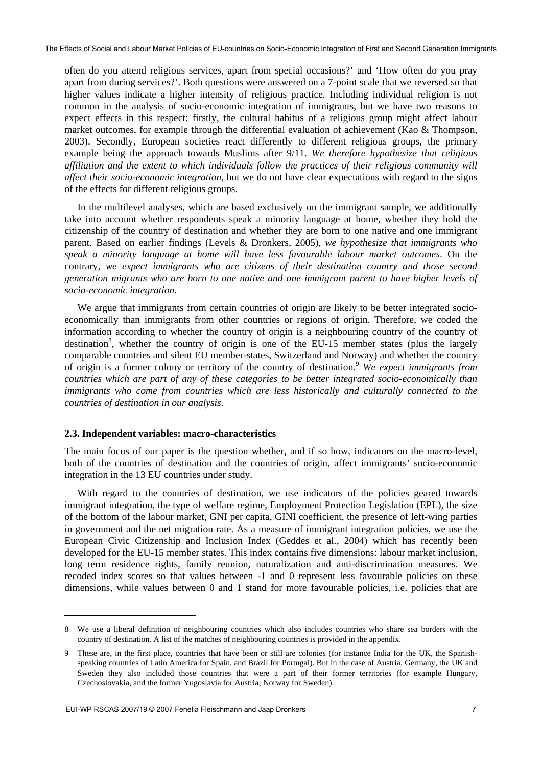often do you attend religious services, apart from special occasions?' and 'How often do you pray apart from during services?'. Both questions were answered on a 7-point scale that we reversed so that higher values indicate a higher intensity of religious practice. Including individual religion is not common in the analysis of socio-economic integration of immigrants, but we have two reasons to expect effects in this respect: firstly, the cultural habitus of a religious group might affect labour market outcomes, for example through the differential evaluation of achievement (Kao & Thompson, 2003). Secondly, European societies react differently to different religious groups, the primary example being the approach towards Muslims after 9/11. *We therefore hypothesize that religious affiliation and the extent to which individuals follow the practices of their religious community will affect their socio-economic integration*, but we do not have clear expectations with regard to the signs of the effects for different religious groups.

In the multilevel analyses, which are based exclusively on the immigrant sample, we additionally take into account whether respondents speak a minority language at home, whether they hold the citizenship of the country of destination and whether they are born to one native and one immigrant parent. Based on earlier findings (Levels & Dronkers, 2005), *we hypothesize that immigrants who speak a minority language at home will have less favourable labour market outcomes*. On the contrary, *we expect immigrants who are citizens of their destination country and those second generation migrants who are born to one native and one immigrant parent to have higher levels of socio-economic integration*.

We argue that immigrants from certain countries of origin are likely to be better integrated socioeconomically than immigrants from other countries or regions of origin. Therefore, we coded the information according to whether the country of origin is a neighbouring country of the country of destination<sup>8</sup>, whether the country of origin is one of the EU-15 member states (plus the largely comparable countries and silent EU member-states, Switzerland and Norway) and whether the country of origin is a former colony or territory of the country of destination.9 *We expect immigrants from countries which are part of any of these categories to be better integrated socio-economically than immigrants who come from countries which are less historically and culturally connected to the countries of destination in our analysis*.

#### **2.3. Independent variables: macro-characteristics**

The main focus of our paper is the question whether, and if so how, indicators on the macro-level, both of the countries of destination and the countries of origin, affect immigrants' socio-economic integration in the 13 EU countries under study.

With regard to the countries of destination, we use indicators of the policies geared towards immigrant integration, the type of welfare regime, Employment Protection Legislation (EPL), the size of the bottom of the labour market, GNI per capita, GINI coefficient, the presence of left-wing parties in government and the net migration rate. As a measure of immigrant integration policies, we use the European Civic Citizenship and Inclusion Index (Geddes et al., 2004) which has recently been developed for the EU-15 member states. This index contains five dimensions: labour market inclusion, long term residence rights, family reunion, naturalization and anti-discrimination measures. We recoded index scores so that values between -1 and 0 represent less favourable policies on these dimensions, while values between 0 and 1 stand for more favourable policies, i.e. policies that are

l

<sup>8</sup> We use a liberal definition of neighbouring countries which also includes countries who share sea borders with the country of destination. A list of the matches of neighbouring countries is provided in the appendix.

<sup>9</sup> These are, in the first place, countries that have been or still are colonies (for instance India for the UK, the Spanishspeaking countries of Latin America for Spain, and Brazil for Portugal). But in the case of Austria, Germany, the UK and Sweden they also included those countries that were a part of their former territories (for example Hungary, Czechoslovakia, and the former Yugoslavia for Austria; Norway for Sweden).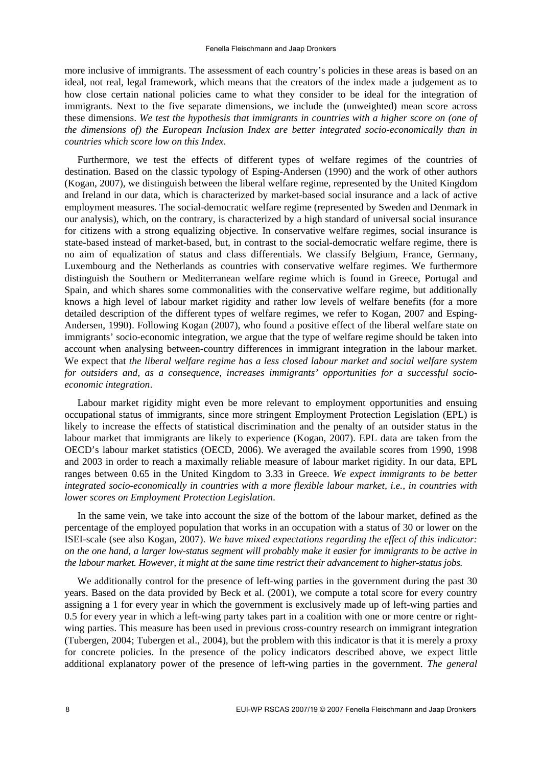more inclusive of immigrants. The assessment of each country's policies in these areas is based on an ideal, not real, legal framework, which means that the creators of the index made a judgement as to how close certain national policies came to what they consider to be ideal for the integration of immigrants. Next to the five separate dimensions, we include the (unweighted) mean score across these dimensions. *We test the hypothesis that immigrants in countries with a higher score on (one of the dimensions of) the European Inclusion Index are better integrated socio-economically than in countries which score low on this Index*.

Furthermore, we test the effects of different types of welfare regimes of the countries of destination. Based on the classic typology of Esping-Andersen (1990) and the work of other authors (Kogan, 2007), we distinguish between the liberal welfare regime, represented by the United Kingdom and Ireland in our data, which is characterized by market-based social insurance and a lack of active employment measures. The social-democratic welfare regime (represented by Sweden and Denmark in our analysis), which, on the contrary, is characterized by a high standard of universal social insurance for citizens with a strong equalizing objective. In conservative welfare regimes, social insurance is state-based instead of market-based, but, in contrast to the social-democratic welfare regime, there is no aim of equalization of status and class differentials. We classify Belgium, France, Germany, Luxembourg and the Netherlands as countries with conservative welfare regimes. We furthermore distinguish the Southern or Mediterranean welfare regime which is found in Greece, Portugal and Spain, and which shares some commonalities with the conservative welfare regime, but additionally knows a high level of labour market rigidity and rather low levels of welfare benefits (for a more detailed description of the different types of welfare regimes, we refer to Kogan, 2007 and Esping-Andersen, 1990). Following Kogan (2007), who found a positive effect of the liberal welfare state on immigrants' socio-economic integration, we argue that the type of welfare regime should be taken into account when analysing between-country differences in immigrant integration in the labour market. We expect that *the liberal welfare regime has a less closed labour market and social welfare system for outsiders and, as a consequence, increases immigrants' opportunities for a successful socioeconomic integration*.

Labour market rigidity might even be more relevant to employment opportunities and ensuing occupational status of immigrants, since more stringent Employment Protection Legislation (EPL) is likely to increase the effects of statistical discrimination and the penalty of an outsider status in the labour market that immigrants are likely to experience (Kogan, 2007). EPL data are taken from the OECD's labour market statistics (OECD, 2006). We averaged the available scores from 1990, 1998 and 2003 in order to reach a maximally reliable measure of labour market rigidity. In our data, EPL ranges between 0.65 in the United Kingdom to 3.33 in Greece. *We expect immigrants to be better integrated socio-economically in countries with a more flexible labour market, i.e., in countries with lower scores on Employment Protection Legislation*.

In the same vein, we take into account the size of the bottom of the labour market, defined as the percentage of the employed population that works in an occupation with a status of 30 or lower on the ISEI-scale (see also Kogan, 2007). *We have mixed expectations regarding the effect of this indicator: on the one hand, a larger low-status segment will probably make it easier for immigrants to be active in the labour market. However, it might at the same time restrict their advancement to higher-status jobs.*

We additionally control for the presence of left-wing parties in the government during the past 30 years. Based on the data provided by Beck et al. (2001), we compute a total score for every country assigning a 1 for every year in which the government is exclusively made up of left-wing parties and 0.5 for every year in which a left-wing party takes part in a coalition with one or more centre or rightwing parties. This measure has been used in previous cross-country research on immigrant integration (Tubergen, 2004; Tubergen et al., 2004), but the problem with this indicator is that it is merely a proxy for concrete policies. In the presence of the policy indicators described above, we expect little additional explanatory power of the presence of left-wing parties in the government. *The general*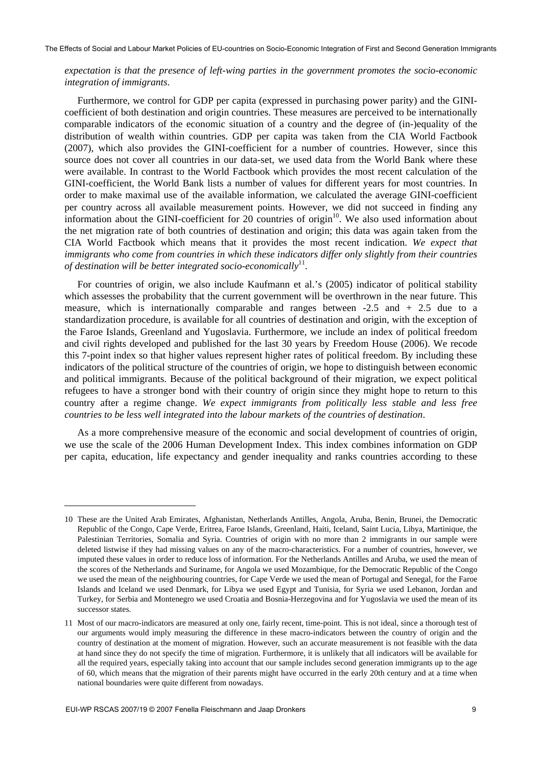## *expectation is that the presence of left-wing parties in the government promotes the socio-economic integration of immigrants*.

Furthermore, we control for GDP per capita (expressed in purchasing power parity) and the GINIcoefficient of both destination and origin countries. These measures are perceived to be internationally comparable indicators of the economic situation of a country and the degree of (in-)equality of the distribution of wealth within countries. GDP per capita was taken from the CIA World Factbook (2007), which also provides the GINI-coefficient for a number of countries. However, since this source does not cover all countries in our data-set, we used data from the World Bank where these were available. In contrast to the World Factbook which provides the most recent calculation of the GINI-coefficient, the World Bank lists a number of values for different years for most countries. In order to make maximal use of the available information, we calculated the average GINI-coefficient per country across all available measurement points. However, we did not succeed in finding any information about the GINI-coefficient for 20 countries of origin $10$ . We also used information about the net migration rate of both countries of destination and origin; this data was again taken from the CIA World Factbook which means that it provides the most recent indication. *We expect that immigrants who come from countries in which these indicators differ only slightly from their countries of destination will be better integrated socio-economically*11.

For countries of origin, we also include Kaufmann et al.'s (2005) indicator of political stability which assesses the probability that the current government will be overthrown in the near future. This measure, which is internationally comparable and ranges between  $-2.5$  and  $+2.5$  due to a standardization procedure, is available for all countries of destination and origin, with the exception of the Faroe Islands, Greenland and Yugoslavia. Furthermore, we include an index of political freedom and civil rights developed and published for the last 30 years by Freedom House (2006). We recode this 7-point index so that higher values represent higher rates of political freedom. By including these indicators of the political structure of the countries of origin, we hope to distinguish between economic and political immigrants. Because of the political background of their migration, we expect political refugees to have a stronger bond with their country of origin since they might hope to return to this country after a regime change. *We expect immigrants from politically less stable and less free countries to be less well integrated into the labour markets of the countries of destination*.

As a more comprehensive measure of the economic and social development of countries of origin, we use the scale of the 2006 Human Development Index. This index combines information on GDP per capita, education, life expectancy and gender inequality and ranks countries according to these

1

<sup>10</sup> These are the United Arab Emirates, Afghanistan, Netherlands Antilles, Angola, Aruba, Benin, Brunei, the Democratic Republic of the Congo, Cape Verde, Eritrea, Faroe Islands, Greenland, Haiti, Iceland, Saint Lucia, Libya, Martinique, the Palestinian Territories, Somalia and Syria. Countries of origin with no more than 2 immigrants in our sample were deleted listwise if they had missing values on any of the macro-characteristics. For a number of countries, however, we imputed these values in order to reduce loss of information. For the Netherlands Antilles and Aruba, we used the mean of the scores of the Netherlands and Suriname, for Angola we used Mozambique, for the Democratic Republic of the Congo we used the mean of the neighbouring countries, for Cape Verde we used the mean of Portugal and Senegal, for the Faroe Islands and Iceland we used Denmark, for Libya we used Egypt and Tunisia, for Syria we used Lebanon, Jordan and Turkey, for Serbia and Montenegro we used Croatia and Bosnia-Herzegovina and for Yugoslavia we used the mean of its successor states.

<sup>11</sup> Most of our macro-indicators are measured at only one, fairly recent, time-point. This is not ideal, since a thorough test of our arguments would imply measuring the difference in these macro-indicators between the country of origin and the country of destination at the moment of migration. However, such an accurate measurement is not feasible with the data at hand since they do not specify the time of migration. Furthermore, it is unlikely that all indicators will be available for all the required years, especially taking into account that our sample includes second generation immigrants up to the age of 60, which means that the migration of their parents might have occurred in the early 20th century and at a time when national boundaries were quite different from nowadays.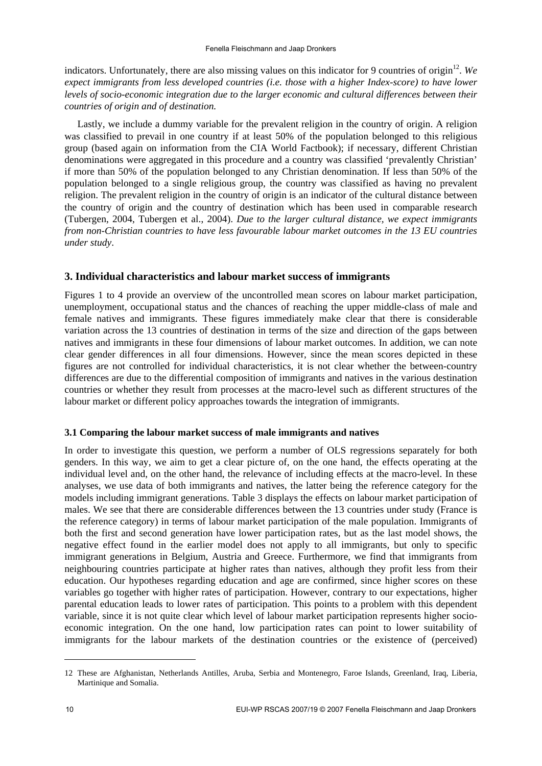indicators. Unfortunately, there are also missing values on this indicator for 9 countries of origin<sup>12</sup>. We *expect immigrants from less developed countries (i.e. those with a higher Index-score) to have lower levels of socio-economic integration due to the larger economic and cultural differences between their countries of origin and of destination.*

Lastly, we include a dummy variable for the prevalent religion in the country of origin. A religion was classified to prevail in one country if at least 50% of the population belonged to this religious group (based again on information from the CIA World Factbook); if necessary, different Christian denominations were aggregated in this procedure and a country was classified 'prevalently Christian' if more than 50% of the population belonged to any Christian denomination. If less than 50% of the population belonged to a single religious group, the country was classified as having no prevalent religion. The prevalent religion in the country of origin is an indicator of the cultural distance between the country of origin and the country of destination which has been used in comparable research (Tubergen, 2004, Tubergen et al., 2004). *Due to the larger cultural distance, we expect immigrants from non-Christian countries to have less favourable labour market outcomes in the 13 EU countries under study*.

## **3. Individual characteristics and labour market success of immigrants**

Figures 1 to 4 provide an overview of the uncontrolled mean scores on labour market participation, unemployment, occupational status and the chances of reaching the upper middle-class of male and female natives and immigrants. These figures immediately make clear that there is considerable variation across the 13 countries of destination in terms of the size and direction of the gaps between natives and immigrants in these four dimensions of labour market outcomes. In addition, we can note clear gender differences in all four dimensions. However, since the mean scores depicted in these figures are not controlled for individual characteristics, it is not clear whether the between-country differences are due to the differential composition of immigrants and natives in the various destination countries or whether they result from processes at the macro-level such as different structures of the labour market or different policy approaches towards the integration of immigrants.

## **3.1 Comparing the labour market success of male immigrants and natives**

In order to investigate this question, we perform a number of OLS regressions separately for both genders. In this way, we aim to get a clear picture of, on the one hand, the effects operating at the individual level and, on the other hand, the relevance of including effects at the macro-level. In these analyses, we use data of both immigrants and natives, the latter being the reference category for the models including immigrant generations. Table 3 displays the effects on labour market participation of males. We see that there are considerable differences between the 13 countries under study (France is the reference category) in terms of labour market participation of the male population. Immigrants of both the first and second generation have lower participation rates, but as the last model shows, the negative effect found in the earlier model does not apply to all immigrants, but only to specific immigrant generations in Belgium, Austria and Greece. Furthermore, we find that immigrants from neighbouring countries participate at higher rates than natives, although they profit less from their education. Our hypotheses regarding education and age are confirmed, since higher scores on these variables go together with higher rates of participation. However, contrary to our expectations, higher parental education leads to lower rates of participation. This points to a problem with this dependent variable, since it is not quite clear which level of labour market participation represents higher socioeconomic integration. On the one hand, low participation rates can point to lower suitability of immigrants for the labour markets of the destination countries or the existence of (perceived)

1

<sup>12</sup> These are Afghanistan, Netherlands Antilles, Aruba, Serbia and Montenegro, Faroe Islands, Greenland, Iraq, Liberia, Martinique and Somalia.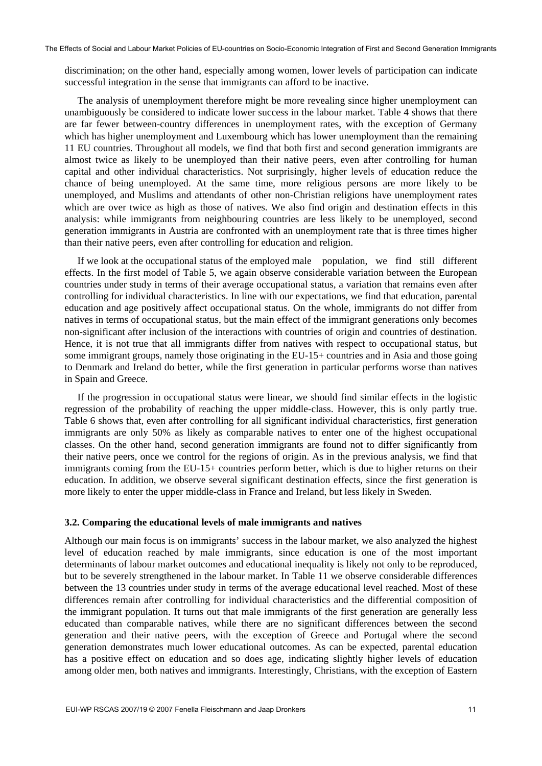discrimination; on the other hand, especially among women, lower levels of participation can indicate successful integration in the sense that immigrants can afford to be inactive.

The analysis of unemployment therefore might be more revealing since higher unemployment can unambiguously be considered to indicate lower success in the labour market. Table 4 shows that there are far fewer between-country differences in unemployment rates, with the exception of Germany which has higher unemployment and Luxembourg which has lower unemployment than the remaining 11 EU countries. Throughout all models, we find that both first and second generation immigrants are almost twice as likely to be unemployed than their native peers, even after controlling for human capital and other individual characteristics. Not surprisingly, higher levels of education reduce the chance of being unemployed. At the same time, more religious persons are more likely to be unemployed, and Muslims and attendants of other non-Christian religions have unemployment rates which are over twice as high as those of natives. We also find origin and destination effects in this analysis: while immigrants from neighbouring countries are less likely to be unemployed, second generation immigrants in Austria are confronted with an unemployment rate that is three times higher than their native peers, even after controlling for education and religion.

If we look at the occupational status of the employed male population, we find still different effects. In the first model of Table 5, we again observe considerable variation between the European countries under study in terms of their average occupational status, a variation that remains even after controlling for individual characteristics. In line with our expectations, we find that education, parental education and age positively affect occupational status. On the whole, immigrants do not differ from natives in terms of occupational status, but the main effect of the immigrant generations only becomes non-significant after inclusion of the interactions with countries of origin and countries of destination. Hence, it is not true that all immigrants differ from natives with respect to occupational status, but some immigrant groups, namely those originating in the EU-15+ countries and in Asia and those going to Denmark and Ireland do better, while the first generation in particular performs worse than natives in Spain and Greece.

If the progression in occupational status were linear, we should find similar effects in the logistic regression of the probability of reaching the upper middle-class. However, this is only partly true. Table 6 shows that, even after controlling for all significant individual characteristics, first generation immigrants are only 50% as likely as comparable natives to enter one of the highest occupational classes. On the other hand, second generation immigrants are found not to differ significantly from their native peers, once we control for the regions of origin. As in the previous analysis, we find that immigrants coming from the EU-15+ countries perform better, which is due to higher returns on their education. In addition, we observe several significant destination effects, since the first generation is more likely to enter the upper middle-class in France and Ireland, but less likely in Sweden.

#### **3.2. Comparing the educational levels of male immigrants and natives**

Although our main focus is on immigrants' success in the labour market, we also analyzed the highest level of education reached by male immigrants, since education is one of the most important determinants of labour market outcomes and educational inequality is likely not only to be reproduced, but to be severely strengthened in the labour market. In Table 11 we observe considerable differences between the 13 countries under study in terms of the average educational level reached. Most of these differences remain after controlling for individual characteristics and the differential composition of the immigrant population. It turns out that male immigrants of the first generation are generally less educated than comparable natives, while there are no significant differences between the second generation and their native peers, with the exception of Greece and Portugal where the second generation demonstrates much lower educational outcomes. As can be expected, parental education has a positive effect on education and so does age, indicating slightly higher levels of education among older men, both natives and immigrants. Interestingly, Christians, with the exception of Eastern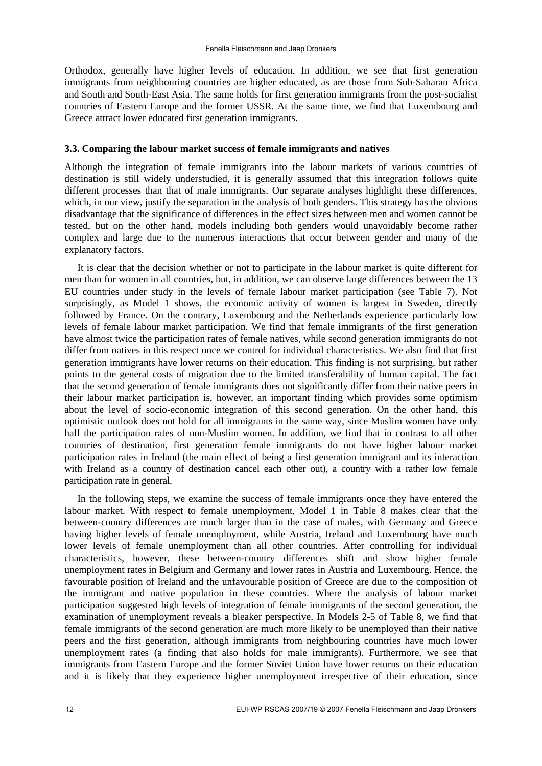Orthodox, generally have higher levels of education. In addition, we see that first generation immigrants from neighbouring countries are higher educated, as are those from Sub-Saharan Africa and South and South-East Asia. The same holds for first generation immigrants from the post-socialist countries of Eastern Europe and the former USSR. At the same time, we find that Luxembourg and Greece attract lower educated first generation immigrants.

#### **3.3. Comparing the labour market success of female immigrants and natives**

Although the integration of female immigrants into the labour markets of various countries of destination is still widely understudied, it is generally assumed that this integration follows quite different processes than that of male immigrants. Our separate analyses highlight these differences, which, in our view, justify the separation in the analysis of both genders. This strategy has the obvious disadvantage that the significance of differences in the effect sizes between men and women cannot be tested, but on the other hand, models including both genders would unavoidably become rather complex and large due to the numerous interactions that occur between gender and many of the explanatory factors.

It is clear that the decision whether or not to participate in the labour market is quite different for men than for women in all countries, but, in addition, we can observe large differences between the 13 EU countries under study in the levels of female labour market participation (see Table 7). Not surprisingly, as Model 1 shows, the economic activity of women is largest in Sweden, directly followed by France. On the contrary, Luxembourg and the Netherlands experience particularly low levels of female labour market participation. We find that female immigrants of the first generation have almost twice the participation rates of female natives, while second generation immigrants do not differ from natives in this respect once we control for individual characteristics. We also find that first generation immigrants have lower returns on their education. This finding is not surprising, but rather points to the general costs of migration due to the limited transferability of human capital. The fact that the second generation of female immigrants does not significantly differ from their native peers in their labour market participation is, however, an important finding which provides some optimism about the level of socio-economic integration of this second generation. On the other hand, this optimistic outlook does not hold for all immigrants in the same way, since Muslim women have only half the participation rates of non-Muslim women. In addition, we find that in contrast to all other countries of destination, first generation female immigrants do not have higher labour market participation rates in Ireland (the main effect of being a first generation immigrant and its interaction with Ireland as a country of destination cancel each other out), a country with a rather low female participation rate in general.

In the following steps, we examine the success of female immigrants once they have entered the labour market. With respect to female unemployment, Model 1 in Table 8 makes clear that the between-country differences are much larger than in the case of males, with Germany and Greece having higher levels of female unemployment, while Austria, Ireland and Luxembourg have much lower levels of female unemployment than all other countries. After controlling for individual characteristics, however, these between-country differences shift and show higher female unemployment rates in Belgium and Germany and lower rates in Austria and Luxembourg. Hence, the favourable position of Ireland and the unfavourable position of Greece are due to the composition of the immigrant and native population in these countries. Where the analysis of labour market participation suggested high levels of integration of female immigrants of the second generation, the examination of unemployment reveals a bleaker perspective. In Models 2-5 of Table 8, we find that female immigrants of the second generation are much more likely to be unemployed than their native peers and the first generation, although immigrants from neighbouring countries have much lower unemployment rates (a finding that also holds for male immigrants). Furthermore, we see that immigrants from Eastern Europe and the former Soviet Union have lower returns on their education and it is likely that they experience higher unemployment irrespective of their education, since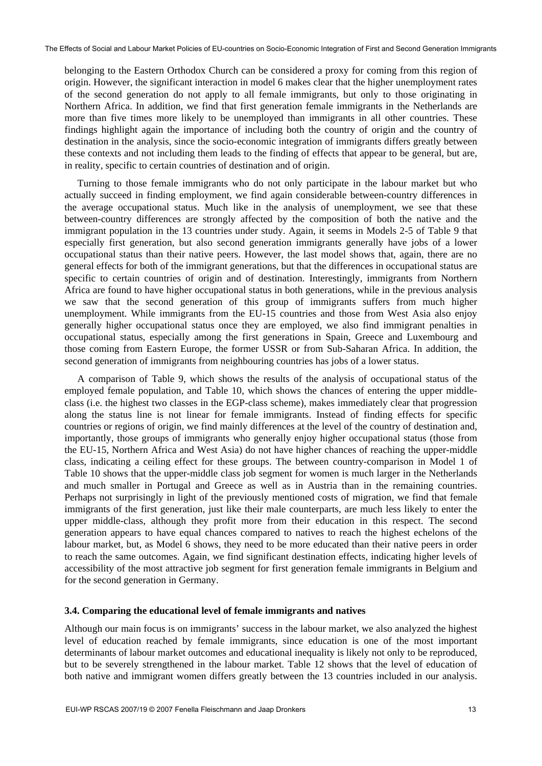belonging to the Eastern Orthodox Church can be considered a proxy for coming from this region of origin. However, the significant interaction in model 6 makes clear that the higher unemployment rates of the second generation do not apply to all female immigrants, but only to those originating in Northern Africa. In addition, we find that first generation female immigrants in the Netherlands are more than five times more likely to be unemployed than immigrants in all other countries. These findings highlight again the importance of including both the country of origin and the country of destination in the analysis, since the socio-economic integration of immigrants differs greatly between these contexts and not including them leads to the finding of effects that appear to be general, but are, in reality, specific to certain countries of destination and of origin.

Turning to those female immigrants who do not only participate in the labour market but who actually succeed in finding employment, we find again considerable between-country differences in the average occupational status. Much like in the analysis of unemployment, we see that these between-country differences are strongly affected by the composition of both the native and the immigrant population in the 13 countries under study. Again, it seems in Models 2-5 of Table 9 that especially first generation, but also second generation immigrants generally have jobs of a lower occupational status than their native peers. However, the last model shows that, again, there are no general effects for both of the immigrant generations, but that the differences in occupational status are specific to certain countries of origin and of destination. Interestingly, immigrants from Northern Africa are found to have higher occupational status in both generations, while in the previous analysis we saw that the second generation of this group of immigrants suffers from much higher unemployment. While immigrants from the EU-15 countries and those from West Asia also enjoy generally higher occupational status once they are employed, we also find immigrant penalties in occupational status, especially among the first generations in Spain, Greece and Luxembourg and those coming from Eastern Europe, the former USSR or from Sub-Saharan Africa. In addition, the second generation of immigrants from neighbouring countries has jobs of a lower status.

A comparison of Table 9, which shows the results of the analysis of occupational status of the employed female population, and Table 10, which shows the chances of entering the upper middleclass (i.e. the highest two classes in the EGP-class scheme), makes immediately clear that progression along the status line is not linear for female immigrants. Instead of finding effects for specific countries or regions of origin, we find mainly differences at the level of the country of destination and, importantly, those groups of immigrants who generally enjoy higher occupational status (those from the EU-15, Northern Africa and West Asia) do not have higher chances of reaching the upper-middle class, indicating a ceiling effect for these groups. The between country-comparison in Model 1 of Table 10 shows that the upper-middle class job segment for women is much larger in the Netherlands and much smaller in Portugal and Greece as well as in Austria than in the remaining countries. Perhaps not surprisingly in light of the previously mentioned costs of migration, we find that female immigrants of the first generation, just like their male counterparts, are much less likely to enter the upper middle-class, although they profit more from their education in this respect. The second generation appears to have equal chances compared to natives to reach the highest echelons of the labour market, but, as Model 6 shows, they need to be more educated than their native peers in order to reach the same outcomes. Again, we find significant destination effects, indicating higher levels of accessibility of the most attractive job segment for first generation female immigrants in Belgium and for the second generation in Germany.

#### **3.4. Comparing the educational level of female immigrants and natives**

Although our main focus is on immigrants' success in the labour market, we also analyzed the highest level of education reached by female immigrants, since education is one of the most important determinants of labour market outcomes and educational inequality is likely not only to be reproduced, but to be severely strengthened in the labour market. Table 12 shows that the level of education of both native and immigrant women differs greatly between the 13 countries included in our analysis.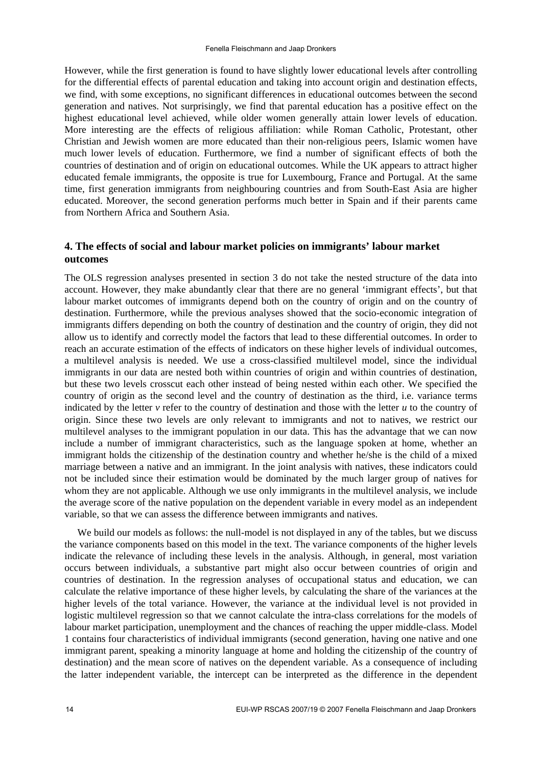However, while the first generation is found to have slightly lower educational levels after controlling for the differential effects of parental education and taking into account origin and destination effects, we find, with some exceptions, no significant differences in educational outcomes between the second generation and natives. Not surprisingly, we find that parental education has a positive effect on the highest educational level achieved, while older women generally attain lower levels of education. More interesting are the effects of religious affiliation: while Roman Catholic, Protestant, other Christian and Jewish women are more educated than their non-religious peers, Islamic women have much lower levels of education. Furthermore, we find a number of significant effects of both the countries of destination and of origin on educational outcomes. While the UK appears to attract higher educated female immigrants, the opposite is true for Luxembourg, France and Portugal. At the same time, first generation immigrants from neighbouring countries and from South-East Asia are higher educated. Moreover, the second generation performs much better in Spain and if their parents came from Northern Africa and Southern Asia.

## **4. The effects of social and labour market policies on immigrants' labour market outcomes**

The OLS regression analyses presented in section 3 do not take the nested structure of the data into account. However, they make abundantly clear that there are no general 'immigrant effects', but that labour market outcomes of immigrants depend both on the country of origin and on the country of destination. Furthermore, while the previous analyses showed that the socio-economic integration of immigrants differs depending on both the country of destination and the country of origin, they did not allow us to identify and correctly model the factors that lead to these differential outcomes. In order to reach an accurate estimation of the effects of indicators on these higher levels of individual outcomes, a multilevel analysis is needed. We use a cross-classified multilevel model, since the individual immigrants in our data are nested both within countries of origin and within countries of destination, but these two levels crosscut each other instead of being nested within each other. We specified the country of origin as the second level and the country of destination as the third, i.e. variance terms indicated by the letter  $\nu$  refer to the country of destination and those with the letter  $\nu$  to the country of origin. Since these two levels are only relevant to immigrants and not to natives, we restrict our multilevel analyses to the immigrant population in our data. This has the advantage that we can now include a number of immigrant characteristics, such as the language spoken at home, whether an immigrant holds the citizenship of the destination country and whether he/she is the child of a mixed marriage between a native and an immigrant. In the joint analysis with natives, these indicators could not be included since their estimation would be dominated by the much larger group of natives for whom they are not applicable. Although we use only immigrants in the multilevel analysis, we include the average score of the native population on the dependent variable in every model as an independent variable, so that we can assess the difference between immigrants and natives.

We build our models as follows: the null-model is not displayed in any of the tables, but we discuss the variance components based on this model in the text. The variance components of the higher levels indicate the relevance of including these levels in the analysis. Although, in general, most variation occurs between individuals, a substantive part might also occur between countries of origin and countries of destination. In the regression analyses of occupational status and education, we can calculate the relative importance of these higher levels, by calculating the share of the variances at the higher levels of the total variance. However, the variance at the individual level is not provided in logistic multilevel regression so that we cannot calculate the intra-class correlations for the models of labour market participation, unemployment and the chances of reaching the upper middle-class. Model 1 contains four characteristics of individual immigrants (second generation, having one native and one immigrant parent, speaking a minority language at home and holding the citizenship of the country of destination) and the mean score of natives on the dependent variable. As a consequence of including the latter independent variable, the intercept can be interpreted as the difference in the dependent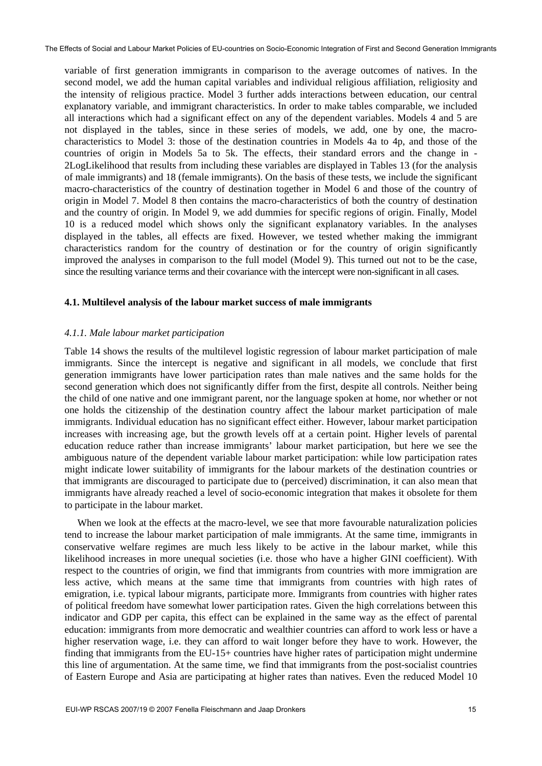variable of first generation immigrants in comparison to the average outcomes of natives. In the second model, we add the human capital variables and individual religious affiliation, religiosity and the intensity of religious practice. Model 3 further adds interactions between education, our central explanatory variable, and immigrant characteristics. In order to make tables comparable, we included all interactions which had a significant effect on any of the dependent variables. Models 4 and 5 are not displayed in the tables, since in these series of models, we add, one by one, the macrocharacteristics to Model 3: those of the destination countries in Models 4a to 4p, and those of the countries of origin in Models 5a to 5k. The effects, their standard errors and the change in - 2LogLikelihood that results from including these variables are displayed in Tables 13 (for the analysis of male immigrants) and 18 (female immigrants). On the basis of these tests, we include the significant macro-characteristics of the country of destination together in Model 6 and those of the country of origin in Model 7. Model 8 then contains the macro-characteristics of both the country of destination and the country of origin. In Model 9, we add dummies for specific regions of origin. Finally, Model 10 is a reduced model which shows only the significant explanatory variables. In the analyses displayed in the tables, all effects are fixed. However, we tested whether making the immigrant characteristics random for the country of destination or for the country of origin significantly improved the analyses in comparison to the full model (Model 9). This turned out not to be the case, since the resulting variance terms and their covariance with the intercept were non-significant in all cases.

## **4.1. Multilevel analysis of the labour market success of male immigrants**

## *4.1.1. Male labour market participation*

Table 14 shows the results of the multilevel logistic regression of labour market participation of male immigrants. Since the intercept is negative and significant in all models, we conclude that first generation immigrants have lower participation rates than male natives and the same holds for the second generation which does not significantly differ from the first, despite all controls. Neither being the child of one native and one immigrant parent, nor the language spoken at home, nor whether or not one holds the citizenship of the destination country affect the labour market participation of male immigrants. Individual education has no significant effect either. However, labour market participation increases with increasing age, but the growth levels off at a certain point. Higher levels of parental education reduce rather than increase immigrants' labour market participation, but here we see the ambiguous nature of the dependent variable labour market participation: while low participation rates might indicate lower suitability of immigrants for the labour markets of the destination countries or that immigrants are discouraged to participate due to (perceived) discrimination, it can also mean that immigrants have already reached a level of socio-economic integration that makes it obsolete for them to participate in the labour market.

When we look at the effects at the macro-level, we see that more favourable naturalization policies tend to increase the labour market participation of male immigrants. At the same time, immigrants in conservative welfare regimes are much less likely to be active in the labour market, while this likelihood increases in more unequal societies (i.e. those who have a higher GINI coefficient). With respect to the countries of origin, we find that immigrants from countries with more immigration are less active, which means at the same time that immigrants from countries with high rates of emigration, i.e. typical labour migrants, participate more. Immigrants from countries with higher rates of political freedom have somewhat lower participation rates. Given the high correlations between this indicator and GDP per capita, this effect can be explained in the same way as the effect of parental education: immigrants from more democratic and wealthier countries can afford to work less or have a higher reservation wage, i.e. they can afford to wait longer before they have to work. However, the finding that immigrants from the EU-15+ countries have higher rates of participation might undermine this line of argumentation. At the same time, we find that immigrants from the post-socialist countries of Eastern Europe and Asia are participating at higher rates than natives. Even the reduced Model 10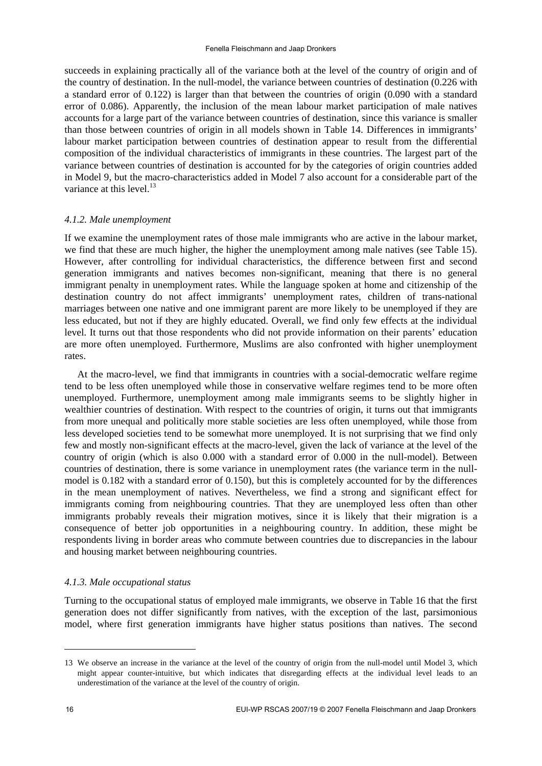succeeds in explaining practically all of the variance both at the level of the country of origin and of the country of destination. In the null-model, the variance between countries of destination (0.226 with a standard error of 0.122) is larger than that between the countries of origin (0.090 with a standard error of 0.086). Apparently, the inclusion of the mean labour market participation of male natives accounts for a large part of the variance between countries of destination, since this variance is smaller than those between countries of origin in all models shown in Table 14. Differences in immigrants' labour market participation between countries of destination appear to result from the differential composition of the individual characteristics of immigrants in these countries. The largest part of the variance between countries of destination is accounted for by the categories of origin countries added in Model 9, but the macro-characteristics added in Model 7 also account for a considerable part of the variance at this level. $^{13}$ 

## *4.1.2. Male unemployment*

If we examine the unemployment rates of those male immigrants who are active in the labour market, we find that these are much higher, the higher the unemployment among male natives (see Table 15). However, after controlling for individual characteristics, the difference between first and second generation immigrants and natives becomes non-significant, meaning that there is no general immigrant penalty in unemployment rates. While the language spoken at home and citizenship of the destination country do not affect immigrants' unemployment rates, children of trans-national marriages between one native and one immigrant parent are more likely to be unemployed if they are less educated, but not if they are highly educated. Overall, we find only few effects at the individual level. It turns out that those respondents who did not provide information on their parents' education are more often unemployed. Furthermore, Muslims are also confronted with higher unemployment rates.

At the macro-level, we find that immigrants in countries with a social-democratic welfare regime tend to be less often unemployed while those in conservative welfare regimes tend to be more often unemployed. Furthermore, unemployment among male immigrants seems to be slightly higher in wealthier countries of destination. With respect to the countries of origin, it turns out that immigrants from more unequal and politically more stable societies are less often unemployed, while those from less developed societies tend to be somewhat more unemployed. It is not surprising that we find only few and mostly non-significant effects at the macro-level, given the lack of variance at the level of the country of origin (which is also 0.000 with a standard error of 0.000 in the null-model). Between countries of destination, there is some variance in unemployment rates (the variance term in the nullmodel is 0.182 with a standard error of 0.150), but this is completely accounted for by the differences in the mean unemployment of natives. Nevertheless, we find a strong and significant effect for immigrants coming from neighbouring countries. That they are unemployed less often than other immigrants probably reveals their migration motives, since it is likely that their migration is a consequence of better job opportunities in a neighbouring country. In addition, these might be respondents living in border areas who commute between countries due to discrepancies in the labour and housing market between neighbouring countries.

#### *4.1.3. Male occupational status*

Turning to the occupational status of employed male immigrants, we observe in Table 16 that the first generation does not differ significantly from natives, with the exception of the last, parsimonious model, where first generation immigrants have higher status positions than natives. The second

-

<sup>13</sup> We observe an increase in the variance at the level of the country of origin from the null-model until Model 3, which might appear counter-intuitive, but which indicates that disregarding effects at the individual level leads to an underestimation of the variance at the level of the country of origin.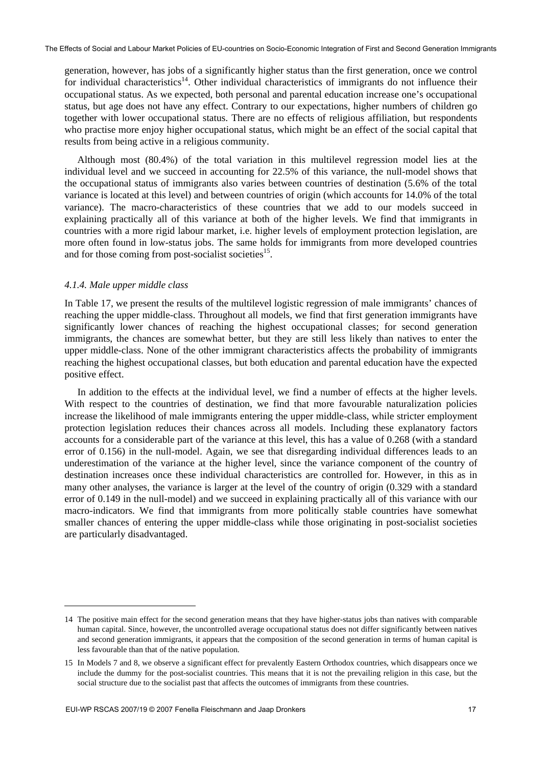generation, however, has jobs of a significantly higher status than the first generation, once we control for individual characteristics<sup>14</sup>. Other individual characteristics of immigrants do not influence their occupational status. As we expected, both personal and parental education increase one's occupational status, but age does not have any effect. Contrary to our expectations, higher numbers of children go together with lower occupational status. There are no effects of religious affiliation, but respondents who practise more enjoy higher occupational status, which might be an effect of the social capital that results from being active in a religious community.

Although most (80.4%) of the total variation in this multilevel regression model lies at the individual level and we succeed in accounting for 22.5% of this variance, the null-model shows that the occupational status of immigrants also varies between countries of destination (5.6% of the total variance is located at this level) and between countries of origin (which accounts for 14.0% of the total variance). The macro-characteristics of these countries that we add to our models succeed in explaining practically all of this variance at both of the higher levels. We find that immigrants in countries with a more rigid labour market, i.e. higher levels of employment protection legislation, are more often found in low-status jobs. The same holds for immigrants from more developed countries and for those coming from post-socialist societies<sup>15</sup>.

#### *4.1.4. Male upper middle class*

1

In Table 17, we present the results of the multilevel logistic regression of male immigrants' chances of reaching the upper middle-class. Throughout all models, we find that first generation immigrants have significantly lower chances of reaching the highest occupational classes; for second generation immigrants, the chances are somewhat better, but they are still less likely than natives to enter the upper middle-class. None of the other immigrant characteristics affects the probability of immigrants reaching the highest occupational classes, but both education and parental education have the expected positive effect.

In addition to the effects at the individual level, we find a number of effects at the higher levels. With respect to the countries of destination, we find that more favourable naturalization policies increase the likelihood of male immigrants entering the upper middle-class, while stricter employment protection legislation reduces their chances across all models. Including these explanatory factors accounts for a considerable part of the variance at this level, this has a value of 0.268 (with a standard error of 0.156) in the null-model. Again, we see that disregarding individual differences leads to an underestimation of the variance at the higher level, since the variance component of the country of destination increases once these individual characteristics are controlled for. However, in this as in many other analyses, the variance is larger at the level of the country of origin (0.329 with a standard error of 0.149 in the null-model) and we succeed in explaining practically all of this variance with our macro-indicators. We find that immigrants from more politically stable countries have somewhat smaller chances of entering the upper middle-class while those originating in post-socialist societies are particularly disadvantaged.

<sup>14</sup> The positive main effect for the second generation means that they have higher-status jobs than natives with comparable human capital. Since, however, the uncontrolled average occupational status does not differ significantly between natives and second generation immigrants, it appears that the composition of the second generation in terms of human capital is less favourable than that of the native population.

<sup>15</sup> In Models 7 and 8, we observe a significant effect for prevalently Eastern Orthodox countries, which disappears once we include the dummy for the post-socialist countries. This means that it is not the prevailing religion in this case, but the social structure due to the socialist past that affects the outcomes of immigrants from these countries.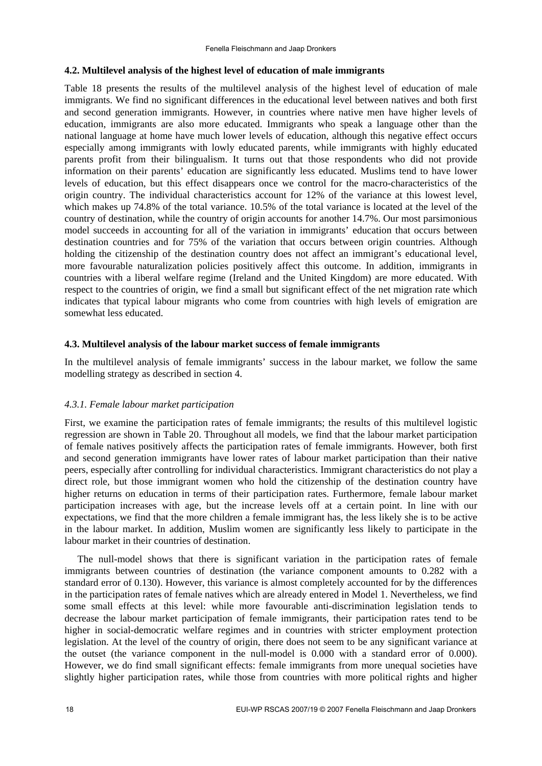#### **4.2. Multilevel analysis of the highest level of education of male immigrants**

Table 18 presents the results of the multilevel analysis of the highest level of education of male immigrants. We find no significant differences in the educational level between natives and both first and second generation immigrants. However, in countries where native men have higher levels of education, immigrants are also more educated. Immigrants who speak a language other than the national language at home have much lower levels of education, although this negative effect occurs especially among immigrants with lowly educated parents, while immigrants with highly educated parents profit from their bilingualism. It turns out that those respondents who did not provide information on their parents' education are significantly less educated. Muslims tend to have lower levels of education, but this effect disappears once we control for the macro-characteristics of the origin country. The individual characteristics account for 12% of the variance at this lowest level, which makes up 74.8% of the total variance. 10.5% of the total variance is located at the level of the country of destination, while the country of origin accounts for another 14.7%. Our most parsimonious model succeeds in accounting for all of the variation in immigrants' education that occurs between destination countries and for 75% of the variation that occurs between origin countries. Although holding the citizenship of the destination country does not affect an immigrant's educational level, more favourable naturalization policies positively affect this outcome. In addition, immigrants in countries with a liberal welfare regime (Ireland and the United Kingdom) are more educated. With respect to the countries of origin, we find a small but significant effect of the net migration rate which indicates that typical labour migrants who come from countries with high levels of emigration are somewhat less educated.

#### **4.3. Multilevel analysis of the labour market success of female immigrants**

In the multilevel analysis of female immigrants' success in the labour market, we follow the same modelling strategy as described in section 4.

#### *4.3.1. Female labour market participation*

First, we examine the participation rates of female immigrants; the results of this multilevel logistic regression are shown in Table 20. Throughout all models, we find that the labour market participation of female natives positively affects the participation rates of female immigrants. However, both first and second generation immigrants have lower rates of labour market participation than their native peers, especially after controlling for individual characteristics. Immigrant characteristics do not play a direct role, but those immigrant women who hold the citizenship of the destination country have higher returns on education in terms of their participation rates. Furthermore, female labour market participation increases with age, but the increase levels off at a certain point. In line with our expectations, we find that the more children a female immigrant has, the less likely she is to be active in the labour market. In addition, Muslim women are significantly less likely to participate in the labour market in their countries of destination.

The null-model shows that there is significant variation in the participation rates of female immigrants between countries of destination (the variance component amounts to 0.282 with a standard error of 0.130). However, this variance is almost completely accounted for by the differences in the participation rates of female natives which are already entered in Model 1. Nevertheless, we find some small effects at this level: while more favourable anti-discrimination legislation tends to decrease the labour market participation of female immigrants, their participation rates tend to be higher in social-democratic welfare regimes and in countries with stricter employment protection legislation. At the level of the country of origin, there does not seem to be any significant variance at the outset (the variance component in the null-model is 0.000 with a standard error of 0.000). However, we do find small significant effects: female immigrants from more unequal societies have slightly higher participation rates, while those from countries with more political rights and higher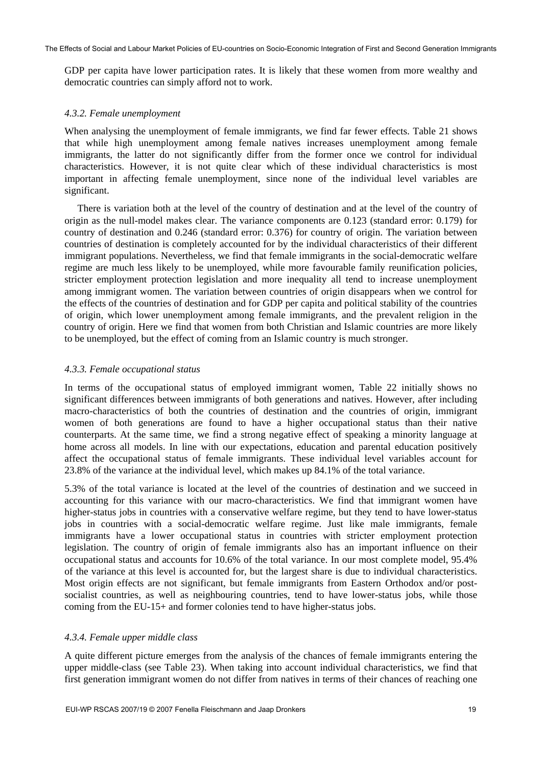GDP per capita have lower participation rates. It is likely that these women from more wealthy and democratic countries can simply afford not to work.

#### *4.3.2. Female unemployment*

When analysing the unemployment of female immigrants, we find far fewer effects. Table 21 shows that while high unemployment among female natives increases unemployment among female immigrants, the latter do not significantly differ from the former once we control for individual characteristics. However, it is not quite clear which of these individual characteristics is most important in affecting female unemployment, since none of the individual level variables are significant.

There is variation both at the level of the country of destination and at the level of the country of origin as the null-model makes clear. The variance components are 0.123 (standard error: 0.179) for country of destination and 0.246 (standard error: 0.376) for country of origin. The variation between countries of destination is completely accounted for by the individual characteristics of their different immigrant populations. Nevertheless, we find that female immigrants in the social-democratic welfare regime are much less likely to be unemployed, while more favourable family reunification policies, stricter employment protection legislation and more inequality all tend to increase unemployment among immigrant women. The variation between countries of origin disappears when we control for the effects of the countries of destination and for GDP per capita and political stability of the countries of origin, which lower unemployment among female immigrants, and the prevalent religion in the country of origin. Here we find that women from both Christian and Islamic countries are more likely to be unemployed, but the effect of coming from an Islamic country is much stronger.

#### *4.3.3. Female occupational status*

In terms of the occupational status of employed immigrant women, Table 22 initially shows no significant differences between immigrants of both generations and natives. However, after including macro-characteristics of both the countries of destination and the countries of origin, immigrant women of both generations are found to have a higher occupational status than their native counterparts. At the same time, we find a strong negative effect of speaking a minority language at home across all models. In line with our expectations, education and parental education positively affect the occupational status of female immigrants. These individual level variables account for 23.8% of the variance at the individual level, which makes up 84.1% of the total variance.

5.3% of the total variance is located at the level of the countries of destination and we succeed in accounting for this variance with our macro-characteristics. We find that immigrant women have higher-status jobs in countries with a conservative welfare regime, but they tend to have lower-status jobs in countries with a social-democratic welfare regime. Just like male immigrants, female immigrants have a lower occupational status in countries with stricter employment protection legislation. The country of origin of female immigrants also has an important influence on their occupational status and accounts for 10.6% of the total variance. In our most complete model, 95.4% of the variance at this level is accounted for, but the largest share is due to individual characteristics. Most origin effects are not significant, but female immigrants from Eastern Orthodox and/or postsocialist countries, as well as neighbouring countries, tend to have lower-status jobs, while those coming from the EU-15+ and former colonies tend to have higher-status jobs.

#### *4.3.4. Female upper middle class*

A quite different picture emerges from the analysis of the chances of female immigrants entering the upper middle-class (see Table 23). When taking into account individual characteristics, we find that first generation immigrant women do not differ from natives in terms of their chances of reaching one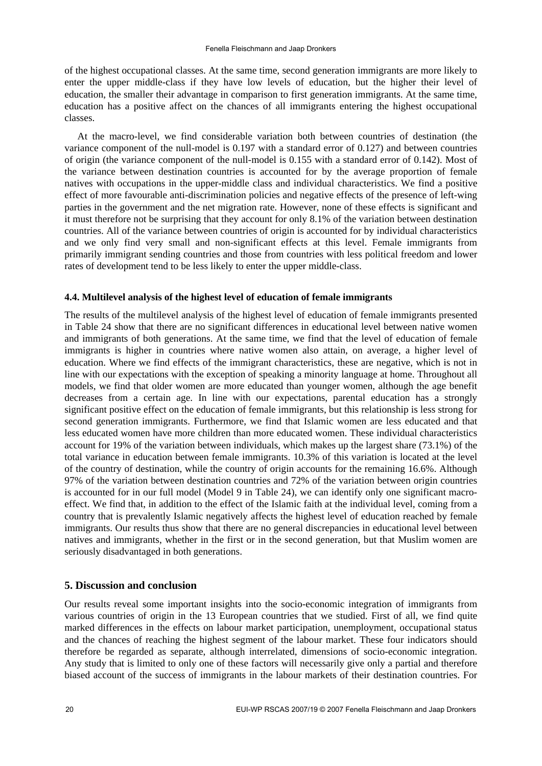of the highest occupational classes. At the same time, second generation immigrants are more likely to enter the upper middle-class if they have low levels of education, but the higher their level of education, the smaller their advantage in comparison to first generation immigrants. At the same time, education has a positive affect on the chances of all immigrants entering the highest occupational classes.

At the macro-level, we find considerable variation both between countries of destination (the variance component of the null-model is 0.197 with a standard error of 0.127) and between countries of origin (the variance component of the null-model is 0.155 with a standard error of 0.142). Most of the variance between destination countries is accounted for by the average proportion of female natives with occupations in the upper-middle class and individual characteristics. We find a positive effect of more favourable anti-discrimination policies and negative effects of the presence of left-wing parties in the government and the net migration rate. However, none of these effects is significant and it must therefore not be surprising that they account for only 8.1% of the variation between destination countries. All of the variance between countries of origin is accounted for by individual characteristics and we only find very small and non-significant effects at this level. Female immigrants from primarily immigrant sending countries and those from countries with less political freedom and lower rates of development tend to be less likely to enter the upper middle-class.

## **4.4. Multilevel analysis of the highest level of education of female immigrants**

The results of the multilevel analysis of the highest level of education of female immigrants presented in Table 24 show that there are no significant differences in educational level between native women and immigrants of both generations. At the same time, we find that the level of education of female immigrants is higher in countries where native women also attain, on average, a higher level of education. Where we find effects of the immigrant characteristics, these are negative, which is not in line with our expectations with the exception of speaking a minority language at home. Throughout all models, we find that older women are more educated than younger women, although the age benefit decreases from a certain age. In line with our expectations, parental education has a strongly significant positive effect on the education of female immigrants, but this relationship is less strong for second generation immigrants. Furthermore, we find that Islamic women are less educated and that less educated women have more children than more educated women. These individual characteristics account for 19% of the variation between individuals, which makes up the largest share (73.1%) of the total variance in education between female immigrants. 10.3% of this variation is located at the level of the country of destination, while the country of origin accounts for the remaining 16.6%. Although 97% of the variation between destination countries and 72% of the variation between origin countries is accounted for in our full model (Model 9 in Table 24), we can identify only one significant macroeffect. We find that, in addition to the effect of the Islamic faith at the individual level, coming from a country that is prevalently Islamic negatively affects the highest level of education reached by female immigrants. Our results thus show that there are no general discrepancies in educational level between natives and immigrants, whether in the first or in the second generation, but that Muslim women are seriously disadvantaged in both generations.

## **5. Discussion and conclusion**

Our results reveal some important insights into the socio-economic integration of immigrants from various countries of origin in the 13 European countries that we studied. First of all, we find quite marked differences in the effects on labour market participation, unemployment, occupational status and the chances of reaching the highest segment of the labour market. These four indicators should therefore be regarded as separate, although interrelated, dimensions of socio-economic integration. Any study that is limited to only one of these factors will necessarily give only a partial and therefore biased account of the success of immigrants in the labour markets of their destination countries. For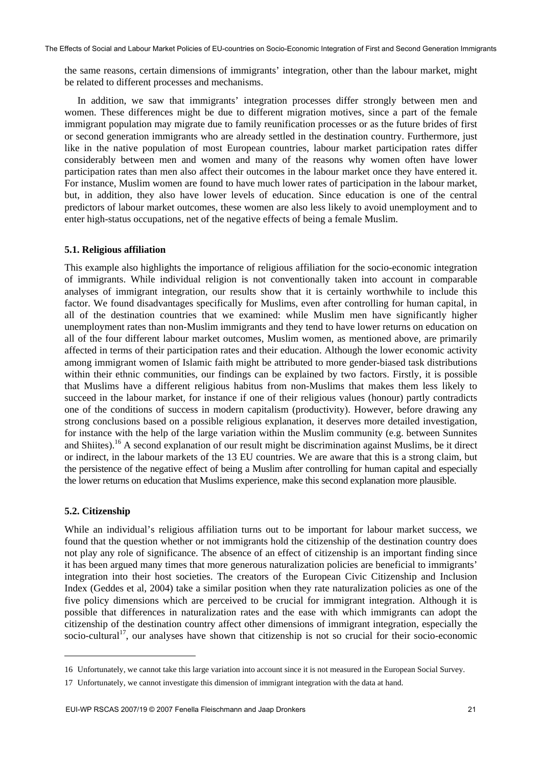the same reasons, certain dimensions of immigrants' integration, other than the labour market, might be related to different processes and mechanisms.

In addition, we saw that immigrants' integration processes differ strongly between men and women. These differences might be due to different migration motives, since a part of the female immigrant population may migrate due to family reunification processes or as the future brides of first or second generation immigrants who are already settled in the destination country. Furthermore, just like in the native population of most European countries, labour market participation rates differ considerably between men and women and many of the reasons why women often have lower participation rates than men also affect their outcomes in the labour market once they have entered it. For instance, Muslim women are found to have much lower rates of participation in the labour market, but, in addition, they also have lower levels of education. Since education is one of the central predictors of labour market outcomes, these women are also less likely to avoid unemployment and to enter high-status occupations, net of the negative effects of being a female Muslim.

#### **5.1. Religious affiliation**

This example also highlights the importance of religious affiliation for the socio-economic integration of immigrants. While individual religion is not conventionally taken into account in comparable analyses of immigrant integration, our results show that it is certainly worthwhile to include this factor. We found disadvantages specifically for Muslims, even after controlling for human capital, in all of the destination countries that we examined: while Muslim men have significantly higher unemployment rates than non-Muslim immigrants and they tend to have lower returns on education on all of the four different labour market outcomes, Muslim women, as mentioned above, are primarily affected in terms of their participation rates and their education. Although the lower economic activity among immigrant women of Islamic faith might be attributed to more gender-biased task distributions within their ethnic communities, our findings can be explained by two factors. Firstly, it is possible that Muslims have a different religious habitus from non-Muslims that makes them less likely to succeed in the labour market, for instance if one of their religious values (honour) partly contradicts one of the conditions of success in modern capitalism (productivity). However, before drawing any strong conclusions based on a possible religious explanation, it deserves more detailed investigation, for instance with the help of the large variation within the Muslim community (e.g. between Sunnites and Shiites).16 A second explanation of our result might be discrimination against Muslims, be it direct or indirect, in the labour markets of the 13 EU countries. We are aware that this is a strong claim, but the persistence of the negative effect of being a Muslim after controlling for human capital and especially the lower returns on education that Muslims experience, make this second explanation more plausible.

#### **5.2. Citizenship**

1

While an individual's religious affiliation turns out to be important for labour market success, we found that the question whether or not immigrants hold the citizenship of the destination country does not play any role of significance. The absence of an effect of citizenship is an important finding since it has been argued many times that more generous naturalization policies are beneficial to immigrants' integration into their host societies. The creators of the European Civic Citizenship and Inclusion Index (Geddes et al, 2004) take a similar position when they rate naturalization policies as one of the five policy dimensions which are perceived to be crucial for immigrant integration. Although it is possible that differences in naturalization rates and the ease with which immigrants can adopt the citizenship of the destination country affect other dimensions of immigrant integration, especially the socio-cultural<sup>17</sup>, our analyses have shown that citizenship is not so crucial for their socio-economic

<sup>16</sup> Unfortunately, we cannot take this large variation into account since it is not measured in the European Social Survey.

<sup>17</sup> Unfortunately, we cannot investigate this dimension of immigrant integration with the data at hand.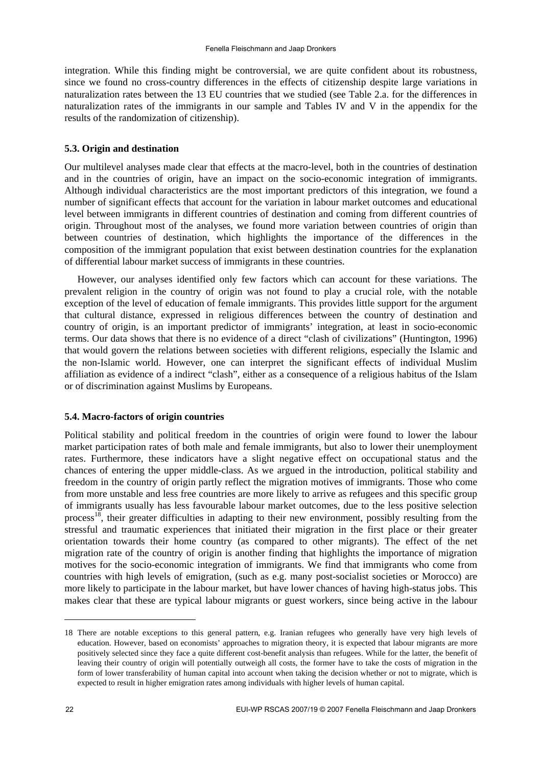integration. While this finding might be controversial, we are quite confident about its robustness, since we found no cross-country differences in the effects of citizenship despite large variations in naturalization rates between the 13 EU countries that we studied (see Table 2.a. for the differences in naturalization rates of the immigrants in our sample and Tables IV and V in the appendix for the results of the randomization of citizenship).

## **5.3. Origin and destination**

Our multilevel analyses made clear that effects at the macro-level, both in the countries of destination and in the countries of origin, have an impact on the socio-economic integration of immigrants. Although individual characteristics are the most important predictors of this integration, we found a number of significant effects that account for the variation in labour market outcomes and educational level between immigrants in different countries of destination and coming from different countries of origin. Throughout most of the analyses, we found more variation between countries of origin than between countries of destination, which highlights the importance of the differences in the composition of the immigrant population that exist between destination countries for the explanation of differential labour market success of immigrants in these countries.

However, our analyses identified only few factors which can account for these variations. The prevalent religion in the country of origin was not found to play a crucial role, with the notable exception of the level of education of female immigrants. This provides little support for the argument that cultural distance, expressed in religious differences between the country of destination and country of origin, is an important predictor of immigrants' integration, at least in socio-economic terms. Our data shows that there is no evidence of a direct "clash of civilizations" (Huntington, 1996) that would govern the relations between societies with different religions, especially the Islamic and the non-Islamic world. However, one can interpret the significant effects of individual Muslim affiliation as evidence of a indirect "clash", either as a consequence of a religious habitus of the Islam or of discrimination against Muslims by Europeans.

## **5.4. Macro-factors of origin countries**

Political stability and political freedom in the countries of origin were found to lower the labour market participation rates of both male and female immigrants, but also to lower their unemployment rates. Furthermore, these indicators have a slight negative effect on occupational status and the chances of entering the upper middle-class. As we argued in the introduction, political stability and freedom in the country of origin partly reflect the migration motives of immigrants. Those who come from more unstable and less free countries are more likely to arrive as refugees and this specific group of immigrants usually has less favourable labour market outcomes, due to the less positive selection process<sup>18</sup>, their greater difficulties in adapting to their new environment, possibly resulting from the stressful and traumatic experiences that initiated their migration in the first place or their greater orientation towards their home country (as compared to other migrants). The effect of the net migration rate of the country of origin is another finding that highlights the importance of migration motives for the socio-economic integration of immigrants. We find that immigrants who come from countries with high levels of emigration, (such as e.g. many post-socialist societies or Morocco) are more likely to participate in the labour market, but have lower chances of having high-status jobs. This makes clear that these are typical labour migrants or guest workers, since being active in the labour

1

<sup>18</sup> There are notable exceptions to this general pattern, e.g. Iranian refugees who generally have very high levels of education. However, based on economists' approaches to migration theory, it is expected that labour migrants are more positively selected since they face a quite different cost-benefit analysis than refugees. While for the latter, the benefit of leaving their country of origin will potentially outweigh all costs, the former have to take the costs of migration in the form of lower transferability of human capital into account when taking the decision whether or not to migrate, which is expected to result in higher emigration rates among individuals with higher levels of human capital.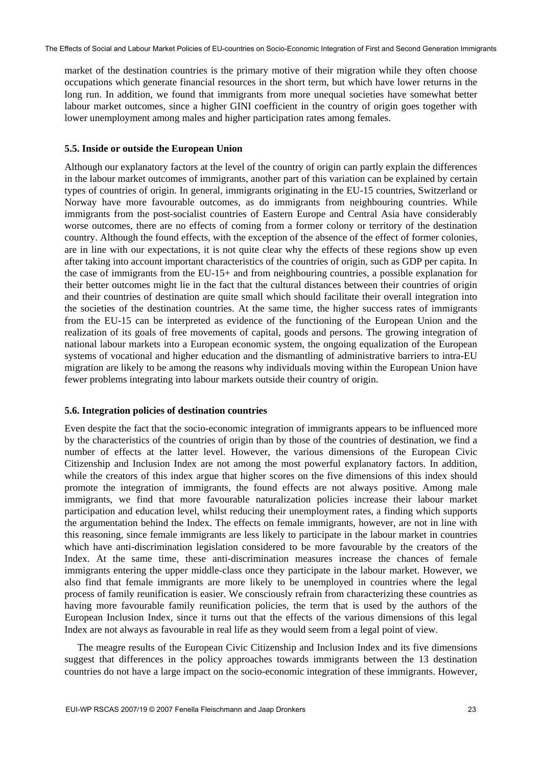market of the destination countries is the primary motive of their migration while they often choose occupations which generate financial resources in the short term, but which have lower returns in the long run. In addition, we found that immigrants from more unequal societies have somewhat better labour market outcomes, since a higher GINI coefficient in the country of origin goes together with lower unemployment among males and higher participation rates among females.

#### **5.5. Inside or outside the European Union**

Although our explanatory factors at the level of the country of origin can partly explain the differences in the labour market outcomes of immigrants, another part of this variation can be explained by certain types of countries of origin. In general, immigrants originating in the EU-15 countries, Switzerland or Norway have more favourable outcomes, as do immigrants from neighbouring countries. While immigrants from the post-socialist countries of Eastern Europe and Central Asia have considerably worse outcomes, there are no effects of coming from a former colony or territory of the destination country. Although the found effects, with the exception of the absence of the effect of former colonies, are in line with our expectations, it is not quite clear why the effects of these regions show up even after taking into account important characteristics of the countries of origin, such as GDP per capita. In the case of immigrants from the EU-15+ and from neighbouring countries, a possible explanation for their better outcomes might lie in the fact that the cultural distances between their countries of origin and their countries of destination are quite small which should facilitate their overall integration into the societies of the destination countries. At the same time, the higher success rates of immigrants from the EU-15 can be interpreted as evidence of the functioning of the European Union and the realization of its goals of free movements of capital, goods and persons. The growing integration of national labour markets into a European economic system, the ongoing equalization of the European systems of vocational and higher education and the dismantling of administrative barriers to intra-EU migration are likely to be among the reasons why individuals moving within the European Union have fewer problems integrating into labour markets outside their country of origin.

#### **5.6. Integration policies of destination countries**

Even despite the fact that the socio-economic integration of immigrants appears to be influenced more by the characteristics of the countries of origin than by those of the countries of destination, we find a number of effects at the latter level. However, the various dimensions of the European Civic Citizenship and Inclusion Index are not among the most powerful explanatory factors. In addition, while the creators of this index argue that higher scores on the five dimensions of this index should promote the integration of immigrants, the found effects are not always positive. Among male immigrants, we find that more favourable naturalization policies increase their labour market participation and education level, whilst reducing their unemployment rates, a finding which supports the argumentation behind the Index. The effects on female immigrants, however, are not in line with this reasoning, since female immigrants are less likely to participate in the labour market in countries which have anti-discrimination legislation considered to be more favourable by the creators of the Index. At the same time, these anti-discrimination measures increase the chances of female immigrants entering the upper middle-class once they participate in the labour market. However, we also find that female immigrants are more likely to be unemployed in countries where the legal process of family reunification is easier. We consciously refrain from characterizing these countries as having more favourable family reunification policies, the term that is used by the authors of the European Inclusion Index, since it turns out that the effects of the various dimensions of this legal Index are not always as favourable in real life as they would seem from a legal point of view.

The meagre results of the European Civic Citizenship and Inclusion Index and its five dimensions suggest that differences in the policy approaches towards immigrants between the 13 destination countries do not have a large impact on the socio-economic integration of these immigrants. However,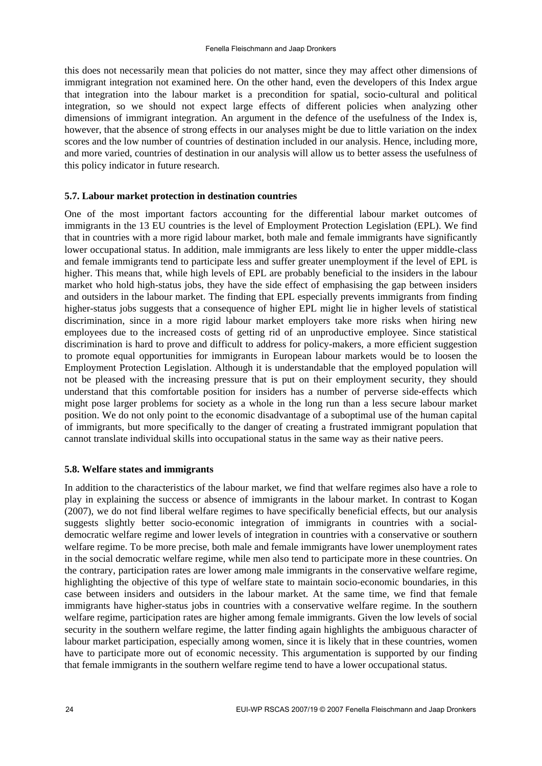this does not necessarily mean that policies do not matter, since they may affect other dimensions of immigrant integration not examined here. On the other hand, even the developers of this Index argue that integration into the labour market is a precondition for spatial, socio-cultural and political integration, so we should not expect large effects of different policies when analyzing other dimensions of immigrant integration. An argument in the defence of the usefulness of the Index is, however, that the absence of strong effects in our analyses might be due to little variation on the index scores and the low number of countries of destination included in our analysis. Hence, including more, and more varied, countries of destination in our analysis will allow us to better assess the usefulness of this policy indicator in future research.

## **5.7. Labour market protection in destination countries**

One of the most important factors accounting for the differential labour market outcomes of immigrants in the 13 EU countries is the level of Employment Protection Legislation (EPL). We find that in countries with a more rigid labour market, both male and female immigrants have significantly lower occupational status. In addition, male immigrants are less likely to enter the upper middle-class and female immigrants tend to participate less and suffer greater unemployment if the level of EPL is higher. This means that, while high levels of EPL are probably beneficial to the insiders in the labour market who hold high-status jobs, they have the side effect of emphasising the gap between insiders and outsiders in the labour market. The finding that EPL especially prevents immigrants from finding higher-status jobs suggests that a consequence of higher EPL might lie in higher levels of statistical discrimination, since in a more rigid labour market employers take more risks when hiring new employees due to the increased costs of getting rid of an unproductive employee. Since statistical discrimination is hard to prove and difficult to address for policy-makers, a more efficient suggestion to promote equal opportunities for immigrants in European labour markets would be to loosen the Employment Protection Legislation. Although it is understandable that the employed population will not be pleased with the increasing pressure that is put on their employment security, they should understand that this comfortable position for insiders has a number of perverse side-effects which might pose larger problems for society as a whole in the long run than a less secure labour market position. We do not only point to the economic disadvantage of a suboptimal use of the human capital of immigrants, but more specifically to the danger of creating a frustrated immigrant population that cannot translate individual skills into occupational status in the same way as their native peers.

## **5.8. Welfare states and immigrants**

In addition to the characteristics of the labour market, we find that welfare regimes also have a role to play in explaining the success or absence of immigrants in the labour market. In contrast to Kogan (2007), we do not find liberal welfare regimes to have specifically beneficial effects, but our analysis suggests slightly better socio-economic integration of immigrants in countries with a socialdemocratic welfare regime and lower levels of integration in countries with a conservative or southern welfare regime. To be more precise, both male and female immigrants have lower unemployment rates in the social democratic welfare regime, while men also tend to participate more in these countries. On the contrary, participation rates are lower among male immigrants in the conservative welfare regime, highlighting the objective of this type of welfare state to maintain socio-economic boundaries, in this case between insiders and outsiders in the labour market. At the same time, we find that female immigrants have higher-status jobs in countries with a conservative welfare regime. In the southern welfare regime, participation rates are higher among female immigrants. Given the low levels of social security in the southern welfare regime, the latter finding again highlights the ambiguous character of labour market participation, especially among women, since it is likely that in these countries, women have to participate more out of economic necessity. This argumentation is supported by our finding that female immigrants in the southern welfare regime tend to have a lower occupational status.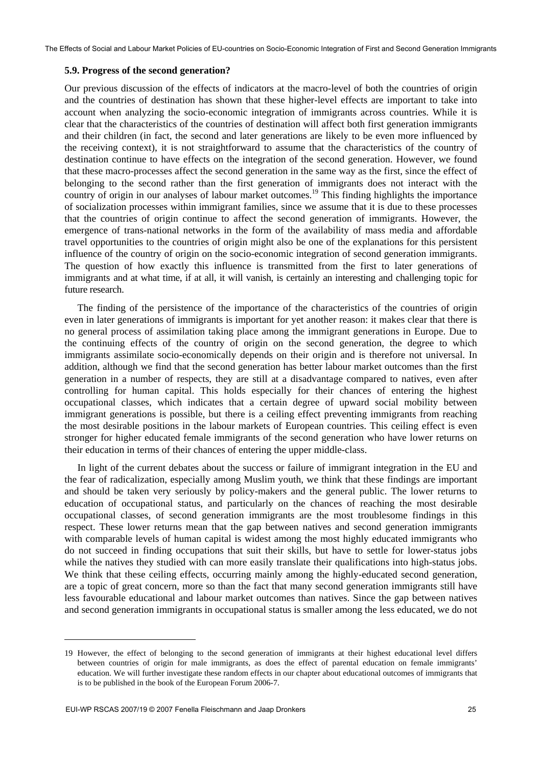The Effects of Social and Labour Market Policies of EU-countries on Socio-Economic Integration of First and Second Generation Immigrants

#### **5.9. Progress of the second generation?**

Our previous discussion of the effects of indicators at the macro-level of both the countries of origin and the countries of destination has shown that these higher-level effects are important to take into account when analyzing the socio-economic integration of immigrants across countries. While it is clear that the characteristics of the countries of destination will affect both first generation immigrants and their children (in fact, the second and later generations are likely to be even more influenced by the receiving context), it is not straightforward to assume that the characteristics of the country of destination continue to have effects on the integration of the second generation. However, we found that these macro-processes affect the second generation in the same way as the first, since the effect of belonging to the second rather than the first generation of immigrants does not interact with the country of origin in our analyses of labour market outcomes.<sup>19</sup> This finding highlights the importance of socialization processes within immigrant families, since we assume that it is due to these processes that the countries of origin continue to affect the second generation of immigrants. However, the emergence of trans-national networks in the form of the availability of mass media and affordable travel opportunities to the countries of origin might also be one of the explanations for this persistent influence of the country of origin on the socio-economic integration of second generation immigrants. The question of how exactly this influence is transmitted from the first to later generations of immigrants and at what time, if at all, it will vanish, is certainly an interesting and challenging topic for future research.

The finding of the persistence of the importance of the characteristics of the countries of origin even in later generations of immigrants is important for yet another reason: it makes clear that there is no general process of assimilation taking place among the immigrant generations in Europe. Due to the continuing effects of the country of origin on the second generation, the degree to which immigrants assimilate socio-economically depends on their origin and is therefore not universal. In addition, although we find that the second generation has better labour market outcomes than the first generation in a number of respects, they are still at a disadvantage compared to natives, even after controlling for human capital. This holds especially for their chances of entering the highest occupational classes, which indicates that a certain degree of upward social mobility between immigrant generations is possible, but there is a ceiling effect preventing immigrants from reaching the most desirable positions in the labour markets of European countries. This ceiling effect is even stronger for higher educated female immigrants of the second generation who have lower returns on their education in terms of their chances of entering the upper middle-class.

In light of the current debates about the success or failure of immigrant integration in the EU and the fear of radicalization, especially among Muslim youth, we think that these findings are important and should be taken very seriously by policy-makers and the general public. The lower returns to education of occupational status, and particularly on the chances of reaching the most desirable occupational classes, of second generation immigrants are the most troublesome findings in this respect. These lower returns mean that the gap between natives and second generation immigrants with comparable levels of human capital is widest among the most highly educated immigrants who do not succeed in finding occupations that suit their skills, but have to settle for lower-status jobs while the natives they studied with can more easily translate their qualifications into high-status jobs. We think that these ceiling effects, occurring mainly among the highly-educated second generation, are a topic of great concern, more so than the fact that many second generation immigrants still have less favourable educational and labour market outcomes than natives. Since the gap between natives and second generation immigrants in occupational status is smaller among the less educated, we do not

1

<sup>19</sup> However, the effect of belonging to the second generation of immigrants at their highest educational level differs between countries of origin for male immigrants, as does the effect of parental education on female immigrants' education. We will further investigate these random effects in our chapter about educational outcomes of immigrants that is to be published in the book of the European Forum 2006-7.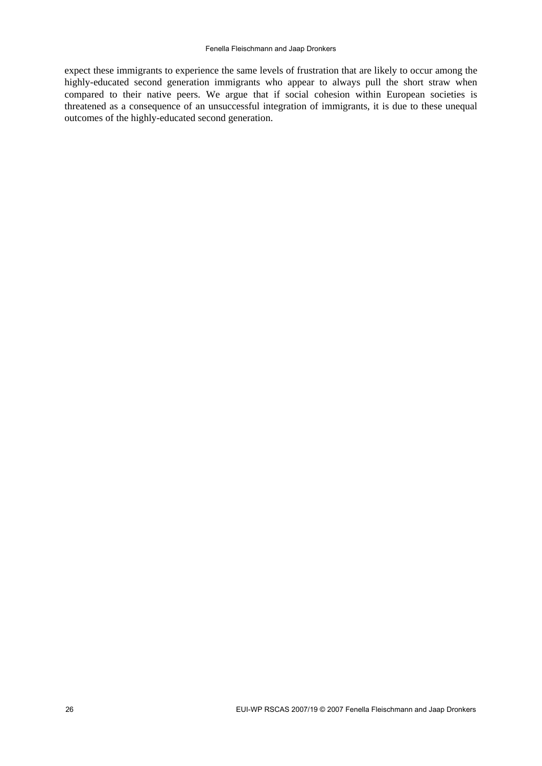expect these immigrants to experience the same levels of frustration that are likely to occur among the highly-educated second generation immigrants who appear to always pull the short straw when compared to their native peers. We argue that if social cohesion within European societies is threatened as a consequence of an unsuccessful integration of immigrants, it is due to these unequal outcomes of the highly-educated second generation.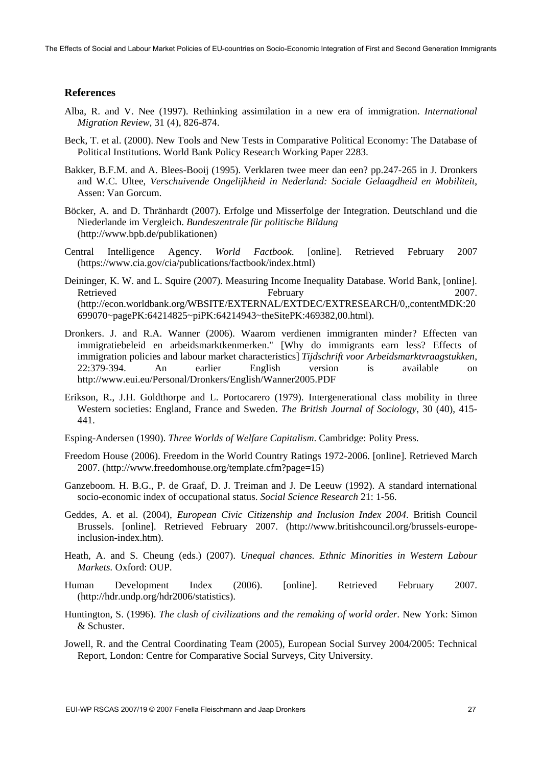#### **References**

- Alba, R. and V. Nee (1997). Rethinking assimilation in a new era of immigration. *International Migration Review*, 31 (4), 826-874.
- Beck, T. et al. (2000). New Tools and New Tests in Comparative Political Economy: The Database of Political Institutions. World Bank Policy Research Working Paper 2283.
- Bakker, B.F.M. and A. Blees-Booij (1995). Verklaren twee meer dan een? pp.247-265 in J. Dronkers and W.C. Ultee, *Verschuivende Ongelijkheid in Nederland: Sociale Gelaagdheid en Mobiliteit*, Assen: Van Gorcum.
- Böcker, A. and D. Thränhardt (2007). Erfolge und Misserfolge der Integration. Deutschland und die Niederlande im Vergleich. *Bundeszentrale für politische Bildung* (http://www.bpb.de/publikationen)
- Central Intelligence Agency. *World Factbook*. [online]. Retrieved February 2007 (https://www.cia.gov/cia/publications/factbook/index.html)
- Deininger, K. W. and L. Squire (2007). Measuring Income Inequality Database. World Bank, [online]. Retrieved February 2007. (http://econ.worldbank.org/WBSITE/EXTERNAL/EXTDEC/EXTRESEARCH/0,,contentMDK:20 699070~pagePK:64214825~piPK:64214943~theSitePK:469382,00.html).
- Dronkers. J. and R.A. Wanner (2006). Waarom verdienen immigranten minder? Effecten van immigratiebeleid en arbeidsmarktkenmerken." [Why do immigrants earn less? Effects of immigration policies and labour market characteristics] *Tijdschrift voor Arbeidsmarktvraagstukken*, 22:379-394. An earlier English version is available on http://www.eui.eu/Personal/Dronkers/English/Wanner2005.PDF
- Erikson, R., J.H. Goldthorpe and L. Portocarero (1979). Intergenerational class mobility in three Western societies: England, France and Sweden. *The British Journal of Sociology*, 30 (40), 415- 441.
- Esping-Andersen (1990). *Three Worlds of Welfare Capitalism*. Cambridge: Polity Press.
- Freedom House (2006). Freedom in the World Country Ratings 1972-2006. [online]. Retrieved March 2007. (http://www.freedomhouse.org/template.cfm?page=15)
- Ganzeboom. H. B.G., P. de Graaf, D. J. Treiman and J. De Leeuw (1992). A standard international socio-economic index of occupational status. *Social Science Research* 21: 1-56.
- Geddes, A. et al. (2004), *European Civic Citizenship and Inclusion Index 2004*. British Council Brussels. [online]. Retrieved February 2007. (http://www.britishcouncil.org/brussels-europeinclusion-index.htm).
- Heath, A. and S. Cheung (eds.) (2007). *Unequal chances. Ethnic Minorities in Western Labour Markets.* Oxford: OUP.
- Human Development Index (2006). [online]. Retrieved February 2007. (http://hdr.undp.org/hdr2006/statistics).
- Huntington, S. (1996). *The clash of civilizations and the remaking of world order*. New York: Simon & Schuster.
- Jowell, R. and the Central Coordinating Team (2005), European Social Survey 2004/2005: Technical Report, London: Centre for Comparative Social Surveys, City University.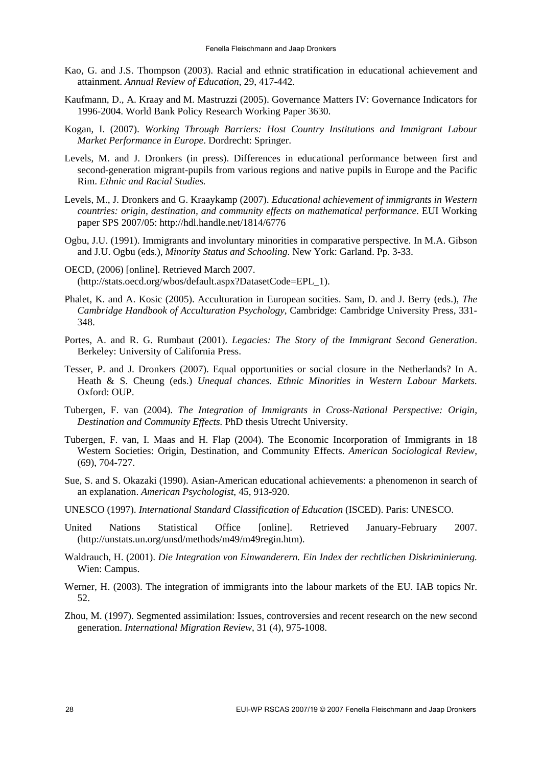- Kao, G. and J.S. Thompson (2003). Racial and ethnic stratification in educational achievement and attainment. *Annual Review of Education*, 29, 417-442.
- Kaufmann, D., A. Kraay and M. Mastruzzi (2005). Governance Matters IV: Governance Indicators for 1996-2004. World Bank Policy Research Working Paper 3630.
- Kogan, I. (2007). *Working Through Barriers: Host Country Institutions and Immigrant Labour Market Performance in Europe*. Dordrecht: Springer.
- Levels, M. and J. Dronkers (in press). Differences in educational performance between first and second-generation migrant-pupils from various regions and native pupils in Europe and the Pacific Rim. *Ethnic and Racial Studies.*
- Levels, M., J. Dronkers and G. Kraaykamp (2007). *Educational achievement of immigrants in Western countries: origin, destination, and community effects on mathematical performance*. EUI Working paper SPS 2007/05: http://hdl.handle.net/1814/6776
- Ogbu, J.U. (1991). Immigrants and involuntary minorities in comparative perspective. In M.A. Gibson and J.U. Ogbu (eds.), *Minority Status and Schooling*. New York: Garland. Pp. 3-33.
- OECD, (2006) [online]. Retrieved March 2007. (http://stats.oecd.org/wbos/default.aspx?DatasetCode=EPL\_1).
- Phalet, K. and A. Kosic (2005). Acculturation in European socities. Sam, D. and J. Berry (eds.), *The Cambridge Handbook of Acculturation Psychology*, Cambridge: Cambridge University Press, 331- 348.
- Portes, A. and R. G. Rumbaut (2001). *Legacies: The Story of the Immigrant Second Generation*. Berkeley: University of California Press.
- Tesser, P. and J. Dronkers (2007). Equal opportunities or social closure in the Netherlands? In A. Heath & S. Cheung (eds.) *Unequal chances. Ethnic Minorities in Western Labour Markets.* Oxford: OUP.
- Tubergen, F. van (2004). *The Integration of Immigrants in Cross-National Perspective: Origin, Destination and Community Effects.* PhD thesis Utrecht University.
- Tubergen, F. van, I. Maas and H. Flap (2004). The Economic Incorporation of Immigrants in 18 Western Societies: Origin, Destination, and Community Effects. *American Sociological Review*, (69), 704-727.
- Sue, S. and S. Okazaki (1990). Asian-American educational achievements: a phenomenon in search of an explanation. *American Psychologist*, 45, 913-920.
- UNESCO (1997). *International Standard Classification of Education* (ISCED). Paris: UNESCO.
- United Nations Statistical Office [online]. Retrieved January-February 2007. (http://unstats.un.org/unsd/methods/m49/m49regin.htm).
- Waldrauch, H. (2001). *Die Integration von Einwanderern. Ein Index der rechtlichen Diskriminierung.* Wien: Campus.
- Werner, H. (2003). The integration of immigrants into the labour markets of the EU. IAB topics Nr. 52.
- Zhou, M. (1997). Segmented assimilation: Issues, controversies and recent research on the new second generation. *International Migration Review*, 31 (4), 975-1008.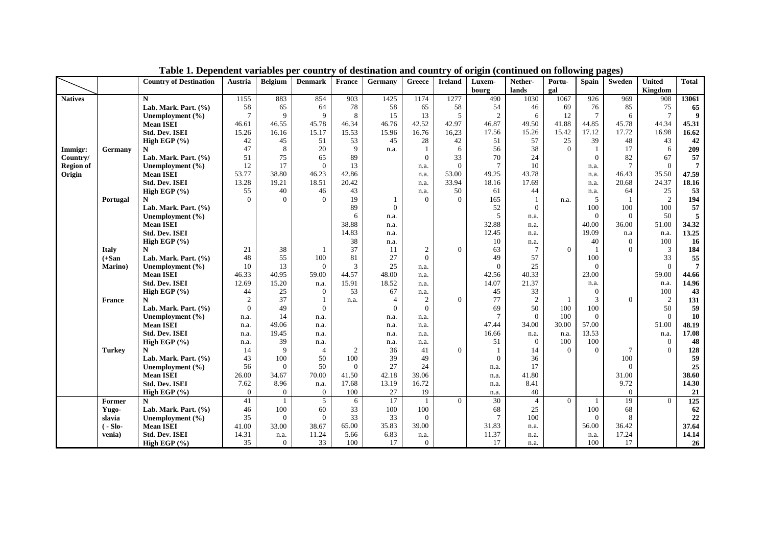|                  |               | <b>Country of Destination</b> | Austria          | <b>Belgium</b> | <b>Denmark</b> | <b>France</b> | Germany        | Greece         | <b>Ireland</b> | Luxem-         | Nether-        | Portu-   | <b>Spain</b>    | Sweden         | <b>United</b>  | <b>Total</b>     |
|------------------|---------------|-------------------------------|------------------|----------------|----------------|---------------|----------------|----------------|----------------|----------------|----------------|----------|-----------------|----------------|----------------|------------------|
|                  |               |                               |                  |                |                |               |                |                |                | bourg          | lands          | gal      |                 |                | Kingdom        |                  |
| <b>Natives</b>   |               | N                             | 1155             | 883            | 854            | 903           | 1425           | 1174           | 1277           | 490            | 1030           | 1067     | 926             | 969            | 908            | 13061            |
|                  |               | Lab. Mark. Part. (%)          | 58               | 65             | 64             | 78            | 58             | 65             | 58             | 54             | 46             | 69       | 76              | 85             | 75             | 65               |
|                  |               | Unemployment (%)              | $\overline{7}$   | 9              | 9              | 8             | 15             | 13             | 5              | $\overline{2}$ | 6              | 12       | $7\phantom{.0}$ | 6              | $\overline{7}$ | $\boldsymbol{9}$ |
|                  |               | <b>Mean ISEI</b>              | 46.61            | 46.55          | 45.78          | 46.34         | 46.76          | 42.52          | 42.97          | 46.87          | 49.50          | 41.88    | 44.85           | 45.78          | 44.34          | 45.31            |
|                  |               | <b>Std. Dev. ISEI</b>         | 15.26            | 16.16          | 15.17          | 15.53         | 15.96          | 16.76          | 16,23          | 17.56          | 15.26          | 15.42    | 17.12           | 17.72          | 16.98          | 16.62            |
|                  |               | High EGP $(\% )$              | 42               | 45             | 51             | 53            | 45             | 28             | 42             | 51             | 57             | 25       | 39              | 48             | 43             | 42               |
| Immigr:          | Germany       | N                             | 47               | 8              | 20             | 9             | n.a.           | -1             | 6              | 56             | 38             | $\Omega$ | $\mathbf{1}$    | 17             | 6              | 209              |
| Country/         |               | Lab. Mark. Part. (%)          | 51               | 75             | 65             | 89            |                | $\theta$       | 33             | 70             | 24             |          | $\overline{0}$  | 82             | 67             | 57               |
| <b>Region of</b> |               | Unemployment (%)              | 12               | 17             | $\overline{0}$ | 13            |                | n.a.           | $\Omega$       | $\overline{7}$ | 10             |          | n.a.            | $\overline{7}$ | $\Omega$       | $\overline{7}$   |
| Origin           |               | <b>Mean ISEI</b>              | 53.77            | 38.80          | 46.23          | 42.86         |                | n.a.           | 53.00          | 49.25          | 43.78          |          | n.a.            | 46.43          | 35.50          | 47.59            |
|                  |               | <b>Std. Dev. ISEI</b>         | 13.28            | 19.21          | 18.51          | 20.42         |                | n.a.           | 33.94          | 18.16          | 17.69          |          | n.a.            | 20.68          | 24.37          | 18.16            |
|                  |               | High EGP (%)                  | 55               | 40             | 46             | 43            |                | n.a.           | 50             | 61             | 44             |          | n.a.            | 64             | 25             | 53               |
|                  | Portugal      | N                             | $\Omega$         | $\Omega$       | $\Omega$       | 19            |                | $\theta$       | $\Omega$       | 165            | $\overline{1}$ | n.a.     | 5               | -1             | 2              | 194              |
|                  |               | Lab. Mark. Part. (%)          |                  |                |                | 89            | $\Omega$       |                |                | 52             | $\Omega$       |          | 100             | 100            | 100            | 57               |
|                  |               | Unemployment (%)              |                  |                |                | 6             | n.a.           |                |                | 5              | n.a.           |          | $\theta$        | $\Omega$       | 50             | 5                |
|                  |               | <b>Mean ISEI</b>              |                  |                |                | 38.88         | n.a.           |                |                | 32.88          | n.a.           |          | 40.00           | 36.00          | 51.00          | 34.32            |
|                  |               | <b>Std. Dev. ISEI</b>         |                  |                |                | 14.83         | n.a.           |                |                | 12.45          | n.a.           |          | 19.09           | n.a            | n.a.           | 13.25            |
|                  |               | High EGP $(\% )$              |                  |                |                | 38            | n.a.           |                |                | 10             | n.a.           |          | 40              | $\overline{0}$ | 100            | 16               |
|                  | <b>Italy</b>  | N                             | 21               | 38             |                | 37            | 11             | $\overline{c}$ | $\Omega$       | 63             | $\overline{7}$ | $\Omega$ |                 | $\Omega$       | 3              | 184              |
|                  | $(+San)$      | Lab. Mark. Part. (%)          | 48               | 55             | 100            | 81            | 27             | $\Omega$       |                | 49             | 57             |          | 100             |                | 33             | 55               |
|                  | Marino)       | Unemployment (%)              | 10               | 13             | $\Omega$       | 3             | 25             | n.a.           |                | $\Omega$       | 25             |          | $\theta$        |                | $\theta$       | $\overline{7}$   |
|                  |               | <b>Mean ISEI</b>              | 46.33            | 40.95          | 59.00          | 44.57         | 48.00          | n.a.           |                | 42.56          | 40.33          |          | 23.00           |                | 59.00          | 44.66            |
|                  |               | <b>Std. Dev. ISEI</b>         | 12.69            | 15.20          | n.a.           | 15.91         | 18.52          | n.a.           |                | 14.07          | 21.37          |          | n.a.            |                | n.a.           | 14.96            |
|                  |               | High EGP $(\% )$              | 44               | 25             | $\overline{0}$ | 53            | 67             | n.a.           |                | 45             | 33             |          | $\theta$        |                | 100            | 43               |
|                  | <b>France</b> | N                             | $\boldsymbol{2}$ | 37             | $\mathbf{1}$   | n.a.          | $\overline{4}$ | 2              | $\Omega$       | 77             | 2              |          | 3               | $\Omega$       | 2              | 131              |
|                  |               | Lab. Mark. Part. (%)          | $\mathbf{0}$     | 49             | $\overline{0}$ |               | $\theta$       | $\mathbf{0}$   |                | 69             | 50             | 100      | 100             |                | 50             | 59               |
|                  |               | Unemployment (%)              | n.a.             | 14             | n.a.           |               | n.a.           | n.a.           |                | $\overline{7}$ | $\Omega$       | 100      | $\Omega$        |                | $\Omega$       | 10               |
|                  |               | <b>Mean ISEI</b>              | n.a.             | 49.06          | n.a.           |               | n.a.           | n.a.           |                | 47.44          | 34.00          | 30.00    | 57.00           |                | 51.00          | 48.19            |
|                  |               | <b>Std. Dev. ISEI</b>         | n.a.             | 19.45          | n.a.           |               | n.a.           | n.a.           |                | 16.66          | n.a.           | n.a.     | 13.53           |                | n.a.           | 17.08            |
|                  |               | High EGP (%)                  | n.a.             | 39             | n.a.           |               | n.a.           | n.a.           |                | 51             | $\theta$       | 100      | 100             |                | $\mathbf{0}$   | 48               |
|                  | <b>Turkey</b> | N                             | 14               | 9              | $\overline{4}$ | 2             | 36             | 41             | $\Omega$       |                | 14             | $\Omega$ | $\Omega$        | $\tau$         | $\Omega$       | 128              |
|                  |               | Lab. Mark. Part. (%)          | 43               | 100            | 50             | 100           | 39             | 49             |                | $\Omega$       | 36             |          |                 | 100            |                | 59               |
|                  |               | Unemployment (%)              | 56               | $\Omega$       | 50             | $\theta$      | 27             | 24             |                | n.a.           | 17             |          |                 | $\Omega$       |                | 25               |
|                  |               | <b>Mean ISEI</b>              | 26.00            | 34.67          | 70.00          | 41.50         | 42.18          | 39.06          |                | n.a.           | 41.80          |          |                 | 31.00          |                | 38.60            |
|                  |               | <b>Std. Dev. ISEI</b>         | 7.62             | 8.96           | n.a.           | 17.68         | 13.19          | 16.72          |                | n.a.           | 8.41           |          |                 | 9.72           |                | 14.30            |
|                  |               | High EGP (%)                  | $\boldsymbol{0}$ | $\mathbf{0}$   | $\mathbf{0}$   | 100           | 27             | 19             |                | n.a.           | 40             |          |                 | $\overline{0}$ |                | 21               |
|                  | Former        | N                             | 41               | $\overline{1}$ | 5              | 6             | 17             | $\overline{1}$ | $\Omega$       | 30             | $\overline{4}$ | $\theta$ | $\overline{1}$  | 19             | $\Omega$       | 125              |
|                  | Yugo-         | Lab. Mark. Part. (%)          | 46               | 100            | 60             | 33            | 100            | 100            |                | 68             | 25             |          | 100             | 68             |                | 62               |
|                  | slavia        | Unemployment (%)              | 35               | $\mathbf{0}$   | $\mathbf{0}$   | 33            | 33             | $\overline{0}$ |                | $\overline{7}$ | 100            |          | $\theta$        | 8              |                | 22               |
|                  | $(-Slo -$     | <b>Mean ISEI</b>              | 41.00            | 33.00          | 38.67          | 65.00         | 35.83          | 39.00          |                | 31.83          | n.a.           |          | 56.00           | 36.42          |                | 37.64            |
|                  | venia)        | <b>Std. Dev. ISEI</b>         | 14.31            | n.a.           | 11.24          | 5.66          | 6.83           | n.a.           |                | 11.37          | n.a.           |          | n.a.            | 17.24          |                | 14.14            |
|                  |               | High EGP $(\% )$              | 35               | $\mathbf{0}$   | 33             | 100           | 17             | $\overline{0}$ |                | 17             | n.a.           |          | 100             | 17             |                | 26               |

**Table 1. Dependent variables per country of destination and country of origin (continued on following pages)**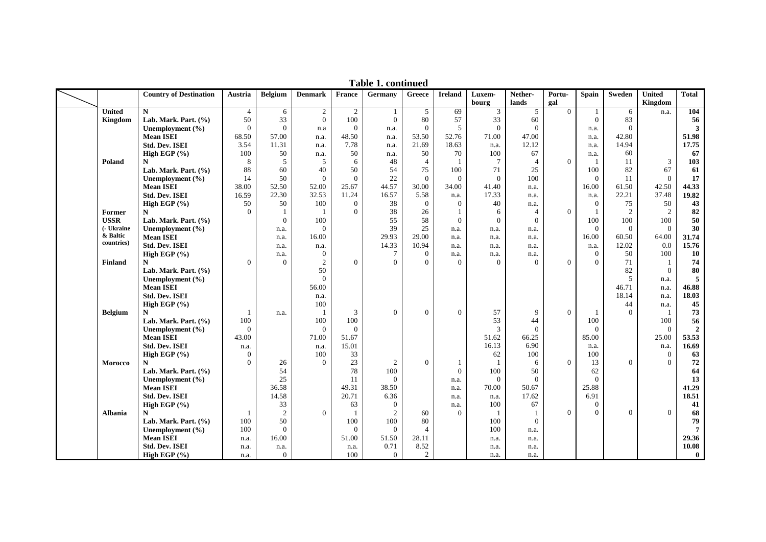|                |                                          |                  |                  |                        |                | Tavit 1. continue |                |                      |                  |                  |                |                      |                |                          |                |
|----------------|------------------------------------------|------------------|------------------|------------------------|----------------|-------------------|----------------|----------------------|------------------|------------------|----------------|----------------------|----------------|--------------------------|----------------|
|                | <b>Country of Destination</b>            | Austria          | <b>Belgium</b>   | <b>Denmark</b>         | France         | Germany           | Greece         | <b>Ireland</b>       | Luxem-<br>bourg  | Nether-<br>lands | Portu-<br>gal  | <b>Spain</b>         | Sweden         | <b>United</b><br>Kingdom | <b>Total</b>   |
| <b>United</b>  | $\mathbf N$                              | $\overline{4}$   | 6                | $\sqrt{2}$             | 2              | -1                | 5              | 69                   | 3                | 5                | $\overline{0}$ | $\mathbf{1}$         | 6              | n.a.                     | 104            |
| Kingdom        | Lab. Mark. Part. (%)                     | 50               | 33               | $\overline{0}$         | 100            | $\mathbf{0}$      | 80             | 57                   | 33               | 60               |                | $\Omega$             | 83             |                          | 56             |
|                | Unemployment (%)                         | $\overline{0}$   | $\mathbf{0}$     | n.a                    | $\mathbf{0}$   | n.a.              | $\overline{0}$ | 5                    | $\overline{0}$   | $\Omega$         |                | n.a.                 | $\Omega$       |                          | $\mathbf{3}$   |
|                | <b>Mean ISEI</b>                         | 68.50            | 57.00            | n.a.                   | 48.50          | n.a.              | 53.50          | 52.76                | 71.00            | 47.00            |                | n.a.                 | 42.80          |                          | 51.98          |
|                | <b>Std. Dev. ISEI</b>                    | 3.54             | 11.31            | n.a.                   | 7.78           | n.a.              | 21.69          | 18.63                | n.a.             | 12.12            |                | n.a.                 | 14.94          |                          | 17.75          |
|                | High EGP $(\% )$                         | 100              | 50               | n.a.                   | 50             | n.a.              | 50             | 70                   | 100              | 67               |                | n.a.                 | 60             |                          | 67             |
| Poland         | N                                        | 8                | 5                | 5                      | 6              | 48                | $\overline{4}$ |                      | 7                | $\overline{4}$   | $\mathbf{0}$   | 1                    | 11             | 3                        | 103            |
|                | Lab. Mark. Part. $(\% )$                 | 88               | 60               | 40                     | 50             | 54                | 75             | 100                  | 71               | 25               |                | 100                  | 82             | 67                       | 61             |
|                | Unemployment (%)                         | 14               | 50               | $\Omega$               | $\theta$       | 22                | $\Omega$       | $\Omega$             | $\theta$         | 100              |                | $\Omega$             | 11             | $\Omega$                 | 17             |
|                | <b>Mean ISEI</b>                         | 38.00            | 52.50            | 52.00                  | 25.67          | 44.57             | 30.00          | 34.00                | 41.40            | n.a.             |                | 16.00                | 61.50          | 42.50                    | 44.33          |
|                | <b>Std. Dev. ISEI</b>                    | 16.59            | 22.30            | 32.53                  | 11.24          | 16.57             | 5.58           | n.a.                 | 17.33            | n.a.             |                | n.a.                 | 22.21          | 37.48                    | 19.82          |
|                | High EGP (%)                             | 50               | 50               | 100                    | $\overline{0}$ | 38                | $\theta$       | $\overline{0}$       | 40               | n.a.             |                | $\mathbf{0}$         | 75             | 50                       | 43             |
| Former         | N                                        | $\Omega$         | $\overline{1}$   | $\mathbf{1}$           | $\Omega$       | 38                | 26             |                      | 6                | $\overline{4}$   | $\Omega$       | $\mathbf{1}$         | 2              | 2                        | 82             |
| <b>USSR</b>    | Lab. Mark. Part. $(\% )$                 |                  | $\mathbf{0}$     | 100                    |                | 55                | 58             | $\overline{0}$       | $\mathbf{0}$     | $\overline{0}$   |                | 100                  | 100            | 100                      | 50             |
| (- Ukraine     | Unemployment (%)                         |                  |                  | $\theta$               |                | 39                | 25             |                      |                  |                  |                | $\mathbf{0}$         | $\Omega$       | $\Omega$                 | 30             |
| & Baltic       | <b>Mean ISEI</b>                         |                  | n.a.<br>n.a.     | 16.00                  |                | 29.93             | 29.00          | n.a.<br>n.a.         | n.a.             | n.a.<br>n.a.     |                | 16.00                | 60.50          | 64.00                    | 31.74          |
| countries)     | <b>Std. Dev. ISEI</b>                    |                  |                  |                        |                | 14.33             | 10.94          |                      | n.a.             |                  |                |                      | 12.02          | 0.0                      | 15.76          |
|                | High EGP (%)                             |                  | n.a.             | n.a.<br>$\overline{0}$ |                | $\tau$            | $\overline{0}$ | n.a.                 | n.a.             | n.a.             |                | n.a.<br>$\mathbf{0}$ | 50             | 100                      | 10             |
| <b>Finland</b> | N                                        | $\Omega$         | n.a.<br>$\Omega$ | $\overline{2}$         | $\Omega$       | $\theta$          | $\theta$       | n.a.<br>$\Omega$     | n.a.<br>$\Omega$ | n.a.<br>$\Omega$ | $\Omega$       | $\Omega$             | 71             | -1                       | 74             |
|                | Lab. Mark. Part. $(\% )$                 |                  |                  | 50                     |                |                   |                |                      |                  |                  |                |                      | 82             | $\overline{0}$           | 80             |
|                |                                          |                  |                  | $\Omega$               |                |                   |                |                      |                  |                  |                |                      | 5              |                          | 5              |
|                | Unemployment $(\% )$<br><b>Mean ISEI</b> |                  |                  | 56.00                  |                |                   |                |                      |                  |                  |                |                      | 46.71          | n.a.                     | 46.88          |
|                | <b>Std. Dev. ISEI</b>                    |                  |                  |                        |                |                   |                |                      |                  |                  |                |                      | 18.14          | n.a.                     |                |
|                |                                          |                  |                  | n.a.<br>100            |                |                   |                |                      |                  |                  |                |                      |                | n.a.                     | 18.03<br>45    |
|                | High EGP (%)                             | $\overline{1}$   |                  | $\mathbf{1}$           | 3              | $\Omega$          | $\theta$       | $\overline{0}$       | 57               | 9                | $\mathbf{0}$   | $\mathbf{1}$         | 44<br>$\Omega$ | n.a.<br>$\mathbf{1}$     | 73             |
| <b>Belgium</b> | $\mathbf N$                              | 100              | n.a.             | 100                    | 100            |                   |                |                      | 53               | 44               |                | 100                  |                |                          | 56             |
|                | Lab. Mark. Part. (%)                     | $\overline{0}$   |                  | $\theta$               | $\Omega$       |                   |                |                      | 3                | $\Omega$         |                | $\Omega$             |                | 100<br>$\theta$          | $\overline{2}$ |
|                | Unemployment (%)<br><b>Mean ISEI</b>     | 43.00            |                  | 71.00                  | 51.67          |                   |                |                      | 51.62            | 66.25            |                | 85.00                |                | 25.00                    | 53.53          |
|                | <b>Std. Dev. ISEI</b>                    |                  |                  |                        | 15.01          |                   |                |                      | 16.13            | 6.90             |                |                      |                |                          | 16.69          |
|                | High EGP $(\% )$                         | n.a.<br>$\theta$ |                  | n.a.<br>100            | 33             |                   |                |                      | 62               | 100              |                | n.a.<br>100          |                | n.a.<br>$\overline{0}$   | 63             |
| <b>Morocco</b> | N                                        | $\Omega$         | 26               | $\Omega$               | 23             | 2                 | $\theta$       | 1                    |                  | 6                | $\Omega$       | 13                   | $\theta$       | $\Omega$                 | 72             |
|                | Lab. Mark. Part. $(\% )$                 |                  | 54               |                        | 78             | 100               |                | $\overline{0}$       | 100              | 50               |                | 62                   |                |                          | 64             |
|                | Unemployment $(\% )$                     |                  | 25               |                        | 11             | $\Omega$          |                | n.a.                 | $\Omega$         | $\Omega$         |                | $\Omega$             |                |                          | 13             |
|                | <b>Mean ISEI</b>                         |                  | 36.58            |                        | 49.31          | 38.50             |                | n.a.                 | 70.00            | 50.67            |                | 25.88                |                |                          | 41.29          |
|                | <b>Std. Dev. ISEI</b>                    |                  | 14.58            |                        | 20.71          | 6.36              |                | n.a.                 | n.a.             | 17.62            |                | 6.91                 |                |                          | 18.51          |
|                | High EGP (%)                             |                  | 33               |                        | 63             | $\mathbf{0}$      |                |                      | 100              | 67               |                | $\mathbf{0}$         |                |                          | 41             |
| <b>Albania</b> | N                                        | -1               | $\sqrt{2}$       | $\Omega$               |                | $\overline{c}$    | 60             | n.a.<br>$\mathbf{0}$ |                  | $\mathbf{1}$     | $\mathbf{0}$   | $\Omega$             | $\theta$       | $\overline{0}$           | 68             |
|                |                                          | 100              | 50               |                        | 100            | 100               | 80             |                      | 100              | $\mathbf{0}$     |                |                      |                |                          | 79             |
|                | Lab. Mark. Part. (%)<br>Unemployment (%) | 100              | $\mathbf{0}$     |                        | $\mathbf{0}$   | $\mathbf{0}$      | $\overline{4}$ |                      | 100              |                  |                |                      |                |                          | $\overline{7}$ |
|                | <b>Mean ISEI</b>                         |                  | 16.00            |                        | 51.00          | 51.50             | 28.11          |                      |                  | n.a.             |                |                      |                |                          | 29.36          |
|                | Std. Dev. ISEI                           | n.a.             |                  |                        |                | 0.71              |                |                      | n.a.             | n.a.             |                |                      |                |                          | 10.08          |
|                |                                          | n.a.             | n.a.             |                        | n.a.<br>100    | $\overline{0}$    | 8.52           |                      | n.a.             | n.a.             |                |                      |                |                          |                |
|                | High EGP $(\% )$                         | n.a.             | $\theta$         |                        |                |                   | $\overline{2}$ |                      | n.a.             | n.a.             |                |                      |                |                          | $\mathbf{0}$   |

**Table 1. continued**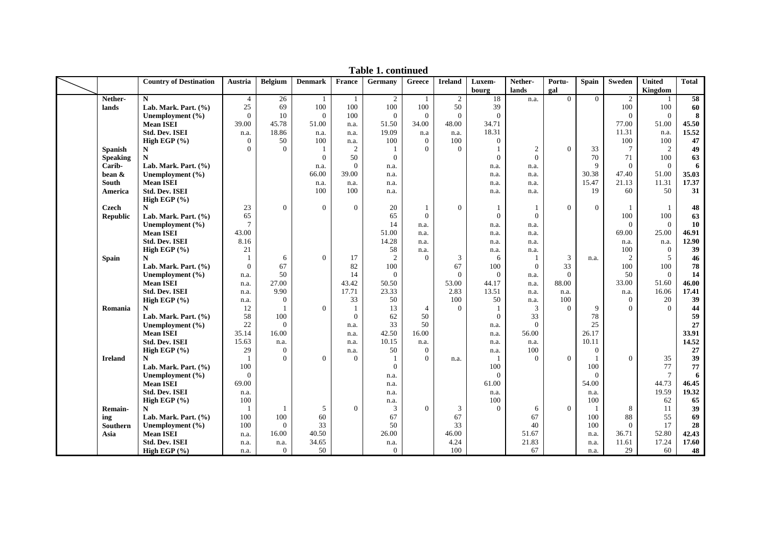|                                         | <b>Country of Destination</b>            | Austria           | <b>Belgium</b>    | <b>Denmark</b> | France         | Germany        | Greece         | <b>Ireland</b>   | Luxem-            | Nether-          | Portu-         | <b>Spain</b>    | <b>Sweden</b>   | <b>United</b>        | <b>Total</b> |
|-----------------------------------------|------------------------------------------|-------------------|-------------------|----------------|----------------|----------------|----------------|------------------|-------------------|------------------|----------------|-----------------|-----------------|----------------------|--------------|
|                                         |                                          |                   |                   |                |                |                |                |                  | bourg             | lands            | gal            |                 |                 | Kingdom              |              |
| Nether-                                 | $\mathbf N$                              | $\overline{4}$    | 26                | -1             | $\overline{1}$ | $\overline{2}$ | $\overline{1}$ | 2                | 18                | n.a.             | $\theta$       | $\theta$        | 2               |                      | 58           |
| lands                                   | Lab. Mark. Part. (%)                     | 25                | 69                | 100            | 100            | 100            | 100            | 50               | 39                |                  |                |                 | 100             | 100                  | 60           |
|                                         | Unemployment (%)                         | $\theta$          | 10                | $\theta$       | 100            | $\mathbf{0}$   | $\Omega$       | $\mathbf{0}$     | $\mathbf{0}$      |                  |                |                 | $\overline{0}$  | $\theta$             | 8            |
|                                         | <b>Mean ISEI</b>                         | 39.00             | 45.78             | 51.00          | n.a.           | 51.50          | 34.00          | 48.00            | 34.71             |                  |                |                 | 77.00           | 51.00                | 45.50        |
|                                         | <b>Std. Dev. ISEI</b>                    | n.a.              | 18.86             | n.a.           | n.a.           | 19.09          | n.a            | n.a.             | 18.31             |                  |                |                 | 11.31           | n.a.                 | 15.52        |
|                                         | High EGP $(\% )$                         | $\theta$          | 50                | 100            | n.a.           | 100            | $\overline{0}$ | 100              | $\overline{0}$    |                  |                |                 | 100             | 100                  | 47           |
| <b>Spanish</b>                          | N                                        | $\Omega$          | $\Omega$          | -1             | $\overline{2}$ | -1             | $\Omega$       | $\Omega$         | $\mathbf{1}$      | $\boldsymbol{2}$ | $\Omega$       | 33              | $7\phantom{.0}$ | $\overline{c}$       | 49           |
| <b>Speaking</b>                         | N                                        |                   |                   | $\theta$       | 50             | $\Omega$       |                |                  | $\overline{0}$    | $\Omega$         |                | 70              | 71              | 100                  | 63           |
| Carib-                                  | Lab. Mark. Part. (%)                     |                   |                   | n.a.           | $\theta$       | n.a.           |                |                  | n.a.              | n.a.             |                | 9               | $\theta$        | $\theta$             | 6            |
| bean &                                  | Unemployment (%)                         |                   |                   | 66.00          | 39.00          | n.a.           |                |                  | n.a.              | n.a.             |                | 30.38           | 47.40           | 51.00                | 35.03        |
| South                                   | <b>Mean ISEI</b>                         |                   |                   | n.a.           | n.a.           | n.a.           |                |                  | n.a.              | n.a.             |                | 15.47           | 21.13           | 11.31                | 17.37        |
| America                                 | <b>Std. Dev. ISEI</b>                    |                   |                   | 100            | 100            | n.a.           |                |                  | n.a.              | n.a.             |                | 19              | 60              | 50                   | 31           |
|                                         | High EGP $(% )$                          |                   |                   |                |                |                |                |                  |                   |                  |                |                 |                 |                      |              |
| Czech                                   | N                                        | 23                | $\mathbf{0}$      | $\overline{0}$ | $\overline{0}$ | 20             | $\overline{1}$ | $\boldsymbol{0}$ | -1                |                  | $\theta$       | $\mathbf{0}$    |                 | -1                   | 48           |
| Republic                                | Lab. Mark. Part. (%)                     | 65                |                   |                |                | 65             | $\Omega$       |                  | $\Omega$          | $\Omega$         |                |                 | 100             | 100                  | 63           |
|                                         | Unemployment (%)                         | $7\phantom{.0}$   |                   |                |                | 14             | n.a.           |                  | n.a.              | n.a.             |                |                 | $\Omega$        | $\theta$             | 10           |
|                                         | <b>Mean ISEI</b>                         | 43.00             |                   |                |                | 51.00          | n.a.           |                  | n.a.              | n.a.             |                |                 | 69.00           | 25.00                | 46.91        |
|                                         | <b>Std. Dev. ISEI</b>                    | 8.16              |                   |                |                | 14.28          | n.a.           |                  | n.a.              | n.a.             |                |                 | n.a.            | n.a.                 | 12.90        |
|                                         | High EGP $(\% )$                         | 21                |                   |                |                | 58             | n.a.           |                  | n.a.              | n.a.             |                |                 | 100             | $\overline{0}$       | 39           |
| <b>Spain</b>                            | N                                        | $\overline{1}$    | 6                 | $\overline{0}$ | 17             | $\overline{2}$ | $\Omega$       | 3                | 6                 | 1                | 3              | n.a.            | $\overline{2}$  | 5                    | 46           |
|                                         | Lab. Mark. Part. (%)                     | $\overline{0}$    | 67                |                | 82             | 100            |                | 67               | 100               | $\Omega$         | 33             |                 | 100             | 100                  | ${\bf 78}$   |
|                                         | Unemployment (%)                         | n.a.              | 50                |                | 14             | $\overline{0}$ |                | $\Omega$         | $\overline{0}$    | n.a.             | $\theta$       |                 | 50              | $\theta$             | 14           |
|                                         | <b>Mean ISEI</b>                         | n.a.              | 27.00             |                | 43.42          | 50.50          |                | 53.00            | 44.17             | n.a.             | 88.00          |                 | 33.00           | 51.60                | 46.00        |
|                                         | <b>Std. Dev. ISEI</b>                    | n.a.              | 9.90              |                | 17.71          | 23.33          |                | 2.83             | 13.51             | n.a.             | n.a.           |                 | n.a.            | 16.06                | 17.41        |
|                                         | High EGP (%)                             | n.a.              | $\mathbf{0}$      |                | 33             | 50             |                | 100              | 50                | n.a.             | 100            |                 | $\theta$        | $20\,$               | 39           |
| Romania                                 | N                                        | 12                | $\overline{1}$    | $\mathbf{0}$   | $\overline{1}$ | 13             | $\overline{4}$ | $\Omega$         | -1                | 3                | $\Omega$       | 9               | $\Omega$        | $\Omega$             | 44           |
|                                         | Lab. Mark. Part. (%)                     | 58                | 100               |                | $\theta$       | 62             | 50             |                  | $\mathbf{0}$      | 33               |                | 78              |                 |                      | 59           |
|                                         | Unemployment (%)                         | $22\,$            | $\Omega$          |                | n.a.           | 33             | 50             |                  | n.a.              | $\Omega$         |                | 25              |                 |                      | 27           |
|                                         | <b>Mean ISEI</b>                         | 35.14             | 16.00             |                | n.a.           | 42.50          | 16.00          |                  | n.a.              | 56.00            |                | 26.17           |                 |                      | 33.91        |
|                                         | <b>Std. Dev. ISEI</b>                    | 15.63             | n.a.              |                | n.a.           | 10.15          | n.a.           |                  | n.a.              | n.a.             |                | 10.11           |                 |                      | 14.52        |
|                                         | High EGP (%)                             | 29                | $\mathbf{0}$      |                | n.a.           | 50             | $\overline{0}$ |                  | n.a.              | 100              |                | $\mathbf{0}$    |                 |                      | 27           |
| <b>Ireland</b>                          | N                                        | $\overline{1}$    | $\overline{0}$    | $\Omega$       | $\Omega$       | -1             | $\Omega$       | n.a.             | $\mathbf{1}$      | $\Omega$         | $\overline{0}$ |                 | $\Omega$        | 35                   | 39           |
|                                         | Lab. Mark. Part. (%)                     | 100               |                   |                |                | $\Omega$       |                |                  | 100               |                  |                | 100<br>$\Omega$ |                 | 77<br>$\overline{7}$ | 77           |
|                                         | Unemployment (%)<br><b>Mean ISEI</b>     | $\theta$<br>69.00 |                   |                |                | n.a.           |                |                  | $\Omega$<br>61.00 |                  |                | 54.00           |                 | 44.73                | 6<br>46.45   |
|                                         |                                          |                   |                   |                |                | n.a.           |                |                  |                   |                  |                |                 |                 | 19.59                |              |
|                                         | <b>Std. Dev. ISEI</b>                    | n.a.<br>100       |                   |                |                | n.a.           |                |                  | n.a.<br>100       |                  |                | n.a.<br>100     |                 |                      | 19.32<br>65  |
|                                         | High EGP $(\% )$<br>N                    |                   | 1                 |                | $\Omega$       | n.a.<br>3      | $\Omega$       |                  | $\Omega$          | 6                | $\Omega$       |                 | 8               | 62<br>11             | 39           |
| Remain-                                 | Lab. Mark. Part. (%)                     | 100               | 100               | 5              |                | 67             |                | 3<br>67          |                   | 67               |                | 100             | 88              | 55                   | 69           |
| ing                                     |                                          | 100               |                   | 60<br>33       |                | 50             |                | 33               |                   | 40               |                | 100             | $\overline{0}$  | 17                   | 28           |
| $\textbf{Southern} \vspace{-0.00000cm}$ | Unemployment $(\% )$<br><b>Mean ISEI</b> |                   | $\theta$<br>16.00 |                |                | 26.00          |                | 46.00            |                   | 51.67            |                |                 | 36.71           |                      | 42.43        |
| Asia                                    | <b>Std. Dev. ISEI</b>                    | n.a.              |                   | 40.50          |                |                |                |                  |                   | 21.83            |                | n.a.            | 11.61           | 52.80<br>17.24       | 17.60        |
|                                         |                                          | n.a.              | n.a.              | 34.65          |                | n.a.           |                | 4.24             |                   |                  |                | n.a.            |                 |                      |              |
|                                         | High EGP $(%$                            | n.a.              | $\mathbf{0}$      | 50             |                | $\mathbf{0}$   |                | 100              |                   | 67               |                | n.a.            | 29              | 60                   | 48           |

**Table 1. continued**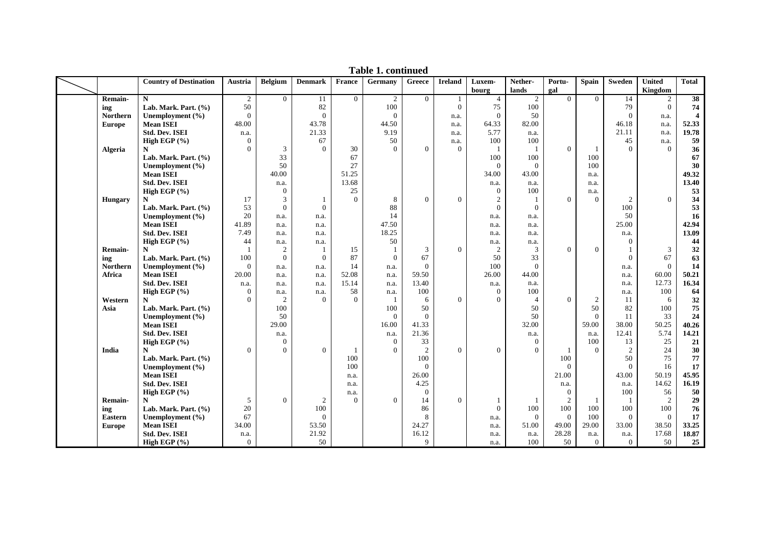|                 | <b>Country of Destination</b> | Austria        | <b>Belgium</b>   | <b>Denmark</b> | France         | Germany        | Greece         | <b>Ireland</b> | Luxem-         | Nether-        | Portu-         | <b>Spain</b>   | Sweden         | <b>United</b>  | <b>Total</b>            |
|-----------------|-------------------------------|----------------|------------------|----------------|----------------|----------------|----------------|----------------|----------------|----------------|----------------|----------------|----------------|----------------|-------------------------|
|                 |                               |                |                  |                |                |                |                |                | bourg          | lands          | gal            |                |                | Kingdom        |                         |
| <b>Remain-</b>  | N                             | $\overline{2}$ | $\overline{0}$   | 11             | $\Omega$       | $\overline{2}$ | $\Omega$       | $\mathbf{1}$   | $\overline{4}$ | $\overline{c}$ | $\Omega$       | $\Omega$       | 14             | 2              | $\overline{38}$         |
| ing             | Lab. Mark. Part. (%)          | 50             |                  | 82             |                | 100            |                | $\mathbf{0}$   | 75             | 100            |                |                | 79             | $\Omega$       | 74                      |
| <b>Northern</b> | Unemployment $(\% )$          | $\overline{0}$ |                  | $\Omega$       |                | $\mathbf{0}$   |                | n.a.           | $\mathbf{0}$   | 50             |                |                | $\mathbf{0}$   | n.a.           | $\overline{\mathbf{4}}$ |
| <b>Europe</b>   | <b>Mean ISEI</b>              | 48.00          |                  | 43.78          |                | 44.50          |                | n.a.           | 64.33          | 82.00          |                |                | 46.18          | n.a.           | 52.33                   |
|                 | <b>Std. Dev. ISEI</b>         | n.a.           |                  | 21.33          |                | 9.19           |                | n.a.           | 5.77           | n.a.           |                |                | 21.11          | n.a.           | 19.78                   |
|                 | High EGP (%)                  | $\overline{0}$ |                  | 67             |                | 50             |                | n.a.           | 100            | 100            |                |                | 45             | n.a.           | 59                      |
| <b>Algeria</b>  | N                             | $\Omega$       | 3                | $\Omega$       | 30             | $\Omega$       | $\theta$       | $\mathbf{0}$   | $\mathbf{1}$   | 1              | $\Omega$       | -1             | $\Omega$       | $\theta$       | 36                      |
|                 | Lab. Mark. Part. (%)          |                | 33               |                | 67             |                |                |                | 100            | 100            |                | 100            |                |                | 67                      |
|                 | Unemployment (%)              |                | 50               |                | 27             |                |                |                | $\overline{0}$ | $\overline{0}$ |                | 100            |                |                | 30                      |
|                 | <b>Mean ISEI</b>              |                | 40.00            |                | 51.25          |                |                |                | 34.00          | 43.00          |                | n.a.           |                |                | 49.32                   |
|                 | <b>Std. Dev. ISEI</b>         |                | n.a.             |                | 13.68          |                |                |                | n.a.           | n.a.           |                | n.a.           |                |                | 13.40                   |
|                 | High EGP (%)                  |                | $\mathbf{0}$     |                | 25             |                |                |                | $\mathbf{0}$   | 100            |                | n.a.           |                |                | 53                      |
| <b>Hungary</b>  | N                             | 17             | 3                |                | $\Omega$       | 8              | $\Omega$       | $\overline{0}$ | $\overline{c}$ | 1              | $\Omega$       | $\theta$       | 2              | $\Omega$       | 34                      |
|                 | Lab. Mark. Part. (%)          | 53             | $\boldsymbol{0}$ | $\Omega$       |                | 88             |                |                | $\overline{0}$ | $\Omega$       |                |                | 100            |                | 53                      |
|                 | Unemployment (%)              | 20             | n.a.             | n.a.           |                | 14             |                |                | n.a.           | n.a.           |                |                | 50             |                | 16                      |
|                 | <b>Mean ISEI</b>              | 41.89          | n.a.             | n.a.           |                | 47.50          |                |                | n.a.           | n.a.           |                |                | 25.00          |                | 42.94                   |
|                 | <b>Std. Dev. ISEI</b>         | 7.49           | n.a.             | n.a.           |                | 18.25          |                |                | n.a.           | n.a.           |                |                | n.a.           |                | 13.09                   |
|                 | High EGP $(\% )$              | 44             | n.a.             | n.a.           |                | 50             |                |                | n.a.           | n.a.           |                |                | $\Omega$       |                | 44                      |
| Remain-         | N                             | $\overline{1}$ | $\overline{c}$   |                | 15             | $\mathbf{1}$   | 3              | $\overline{0}$ | $\overline{c}$ | 3              | $\mathbf{0}$   | $\Omega$       | 1              | 3              | 32                      |
| ing             | Lab. Mark. Part. (%)          | 100            | $\overline{0}$   | $\theta$       | 87             | $\Omega$       | 67             |                | 50             | 33             |                |                | $\Omega$       | 67             | 63                      |
| <b>Northern</b> | Unemployment (%)              | $\overline{0}$ | n.a.             | n.a.           | 14             | n.a.           | $\Omega$       |                | 100            | $\Omega$       |                |                | n.a.           | $\Omega$       | 14                      |
| Africa          | <b>Mean ISEI</b>              | 20.00          | n.a.             | n.a.           | 52.08          | n.a.           | 59.50          |                | 26.00          | 44.00          |                |                | n.a.           | 60.00          | 50.21                   |
|                 | <b>Std. Dev. ISEI</b>         | n.a.           | n.a.             | n.a.           | 15.14          | n.a.           | 13.40          |                | n.a.           | n.a.           |                |                | n.a.           | 12.73          | 16.34                   |
|                 | High EGP $(\% )$              | $\Omega$       | n.a.             | n.a.           | 58             | n.a.           | 100            |                | $\overline{0}$ | 100            |                |                | n.a.           | 100            | 64                      |
| Western         | N                             | $\Omega$       | $\overline{c}$   | $\Omega$       | $\Omega$       | $\overline{1}$ | 6              | $\overline{0}$ | $\Omega$       | $\overline{4}$ | $\Omega$       | $\overline{c}$ | 11             | 6              | 32                      |
| Asia            | Lab. Mark. Part. (%)          |                | 100              |                |                | 100            | 50             |                |                | 50             |                | 50             | 82             | 100            | 75                      |
|                 | Unemployment (%)              |                | 50               |                |                | $\Omega$       | $\theta$       |                |                | 50             |                | $\Omega$       | 11             | 33             | 24                      |
|                 | <b>Mean ISEI</b>              |                | 29.00            |                |                | 16.00          | 41.33          |                |                | 32.00          |                | 59.00          | 38.00          | 50.25          | 40.26                   |
|                 | <b>Std. Dev. ISEI</b>         |                | n.a.             |                |                | n.a.           | 21.36          |                |                | n.a.           |                | n.a.           | 12.41          | 5.74           | 14.21                   |
|                 | High EGP (%)                  |                | $\mathbf{0}$     |                |                | $\mathbf{0}$   | 33             |                |                | $\mathbf{0}$   |                | 100            | 13             | 25             | 21                      |
| India           | N                             | $\overline{0}$ | $\Omega$         | $\Omega$       | 1              | $\Omega$       | 2              | $\Omega$       | $\Omega$       | $\Omega$       | $\overline{1}$ | $\Omega$       | 2              | 24             | 30                      |
|                 | Lab. Mark. Part. (%)          |                |                  |                | 100            |                | 100            |                |                |                | 100            |                | 50             | 75             | 77                      |
|                 | Unemployment $(\% )$          |                |                  |                | 100            |                | $\Omega$       |                |                |                | $\Omega$       |                | $\Omega$       | 16             | 17                      |
|                 | <b>Mean ISEI</b>              |                |                  |                | n.a.           |                | 26.00          |                |                |                | 21.00          |                | 43.00          | 50.19          | 45.95                   |
|                 | <b>Std. Dev. ISEI</b>         |                |                  |                | n.a.           |                | 4.25           |                |                |                | n.a.           |                | n.a.           | 14.62          | 16.19                   |
|                 | High EGP (%)                  |                |                  |                | n.a.           |                | $\overline{0}$ |                |                |                | $\mathbf{0}$   |                | 100            | 56             | 50                      |
| <b>Remain-</b>  | N                             | 5              | $\overline{0}$   | 2              | $\overline{0}$ | $\Omega$       | 14             | $\overline{0}$ |                | 1              | $\overline{2}$ | $\overline{1}$ |                | $\overline{2}$ | 29                      |
| ing             | Lab. Mark. Part. (%)          | 20             |                  | 100            |                |                | 86             |                | $\mathbf{0}$   | 100            | 100            | 100            | 100            | 100            | 76                      |
| <b>Eastern</b>  | Unemployment (%)              | 67             |                  | $\overline{0}$ |                |                | 8              |                | n.a.           | $\overline{0}$ | $\theta$       | 100            | $\overline{0}$ | $\overline{0}$ | 17                      |
| <b>Europe</b>   | <b>Mean ISEI</b>              | 34.00          |                  | 53.50          |                |                | 24.27          |                | n.a.           | 51.00          | 49.00          | 29.00          | 33.00          | 38.50          | 33.25                   |
|                 | <b>Std. Dev. ISEI</b>         | n.a.           |                  | 21.92          |                |                | 16.12          |                | n.a.           | n.a.           | 28.28          | n.a.           | n.a.           | 17.68          | 18.87                   |
|                 | High EGP $(% )$               | $\overline{0}$ |                  | 50             |                |                | 9              |                | n.a.           | 100            | 50             | $\overline{0}$ | $\overline{0}$ | 50             | 25                      |

**Table 1. continued**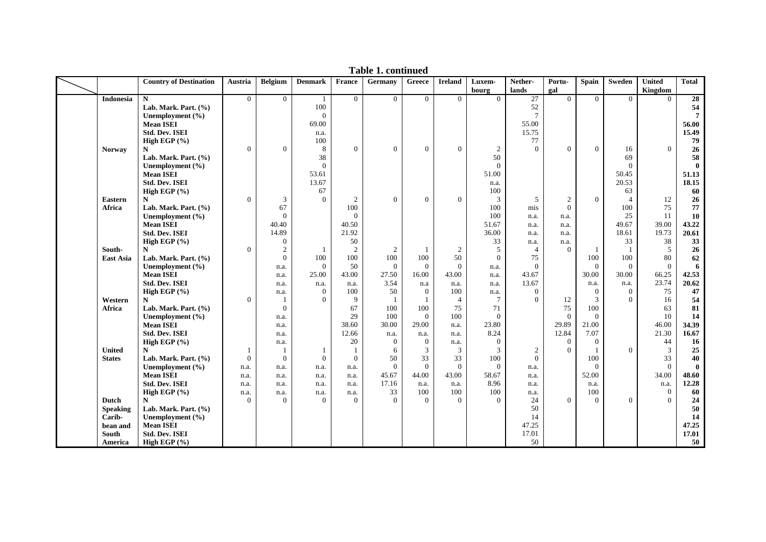|                  | <b>Country of Destination</b> | Austria          | <b>Belgium</b>   | <b>Denmark</b> | France         | Germany        | Greece         | <b>Ireland</b> | Luxem-         | Nether-          | Portu-         | <b>Spain</b> | <b>Sweden</b>  | <b>United</b>  | <b>Total</b>    |
|------------------|-------------------------------|------------------|------------------|----------------|----------------|----------------|----------------|----------------|----------------|------------------|----------------|--------------|----------------|----------------|-----------------|
|                  |                               |                  |                  |                |                |                |                |                | bourg          | lands            | gal            |              |                | Kingdom        |                 |
| <b>Indonesia</b> | $\mathbf N$                   | $\overline{0}$   | $\mathbf{0}$     |                | $\mathbf{0}$   | $\Omega$       | $\Omega$       | $\Omega$       | $\Omega$       | 27               | $\Omega$       | $\Omega$     | $\Omega$       | $\Omega$       | $\overline{28}$ |
|                  | Lab. Mark. Part. (%)          |                  |                  | 100            |                |                |                |                |                | 52               |                |              |                |                | 54              |
|                  | Unemployment (%)              |                  |                  | $\Omega$       |                |                |                |                |                | $\overline{7}$   |                |              |                |                | $\overline{7}$  |
|                  | <b>Mean ISEI</b>              |                  |                  | 69.00          |                |                |                |                |                | 55.00            |                |              |                |                | 56.00           |
|                  | <b>Std. Dev. ISEI</b>         |                  |                  | n.a.           |                |                |                |                |                | 15.75            |                |              |                |                | 15.49           |
|                  | High EGP (%)                  |                  |                  | 100            |                |                |                |                |                | 77               |                |              |                |                | 79              |
| <b>Norway</b>    | N                             | $\boldsymbol{0}$ | $\overline{0}$   | 8              | $\mathbf{0}$   | $\Omega$       | $\overline{0}$ | $\mathbf{0}$   | $\overline{c}$ | $\Omega$         | $\mathbf{0}$   | $\mathbf{0}$ | 16             | $\overline{0}$ | 26              |
|                  | Lab. Mark. Part. (%)          |                  |                  | 38             |                |                |                |                | 50             |                  |                |              | 69             |                | 58              |
|                  | Unemployment (%)              |                  |                  | $\Omega$       |                |                |                |                | $\overline{0}$ |                  |                |              | $\Omega$       |                | $\mathbf{0}$    |
|                  | <b>Mean ISEI</b>              |                  |                  | 53.61          |                |                |                |                | 51.00          |                  |                |              | 50.45          |                | 51.13           |
|                  | <b>Std. Dev. ISEI</b>         |                  |                  | 13.67          |                |                |                |                | n.a.           |                  |                |              | 20.53          |                | 18.15           |
|                  | High EGP $(\% )$              |                  |                  | 67             |                |                |                |                | 100            |                  |                |              | 63             |                | 60              |
| Eastern          | N                             | $\boldsymbol{0}$ | 3                | $\Omega$       | $\overline{2}$ | $\mathbf{0}$   | $\overline{0}$ | $\mathbf{0}$   | 3              | 5                | $\overline{2}$ | $\mathbf{0}$ | $\overline{4}$ | 12             | 26              |
| Africa           | Lab. Mark. Part. (%)          |                  | 67               |                | 100            |                |                |                | 100            | mis              | $\theta$       |              | 100            | 75             | 77              |
|                  | Unemployment (%)              |                  | $\Omega$         |                | $\mathbf{0}$   |                |                |                | 100            | n.a.             | n.a.           |              | 25             | 11             | 10              |
|                  | <b>Mean ISEI</b>              |                  | 40.40            |                | 40.50          |                |                |                | 51.67          | n.a.             | n.a.           |              | 49.67          | 39.00          | 43.22           |
|                  | <b>Std. Dev. ISEI</b>         |                  | 14.89            |                | 21.92          |                |                |                | 36.00          | n.a.             | n.a.           |              | 18.61          | 19.73          | 20.61           |
|                  | High EGP $(\% )$              |                  | $\boldsymbol{0}$ |                | 50             |                |                |                | 33             | n.a.             | n.a.           |              | 33             | 38             | 33              |
| South-           | N                             | $\overline{0}$   | $\mathfrak{2}$   |                | $\overline{2}$ | 2              |                | 2              | 5              | $\overline{4}$   | $\Omega$       | $\mathbf{1}$ | $\overline{1}$ | 5              | 26              |
| <b>East Asia</b> | Lab. Mark. Part. $(\%)$       |                  | $\overline{0}$   | 100            | 100            | 100            | 100            | 50             | $\mathbf{0}$   | 75               |                | 100          | 100            | 80             | 62              |
|                  | Unemployment (%)              |                  | n.a.             | $\theta$       | 50             | $\mathbf{0}$   | $\overline{0}$ | $\mathbf{0}$   | n.a.           | $\boldsymbol{0}$ |                | $\mathbf{0}$ | $\Omega$       | $\overline{0}$ | 6               |
|                  | <b>Mean ISEI</b>              |                  | n.a.             | 25.00          | 43.00          | 27.50          | 16.00          | 43.00          | n.a.           | 43.67            |                | 30.00        | 30.00          | 66.25          | 42.53           |
|                  | <b>Std. Dev. ISEI</b>         |                  | n.a.             | n.a.           | n.a.           | 3.54           | n.a            | n.a.           | n.a.           | 13.67            |                | n.a.         | n.a.           | 23.74          | 20.62           |
|                  | High EGP $(\% )$              |                  | n.a.             | $\Omega$       | 100            | 50             | $\Omega$       | 100            | n.a.           | $\Omega$         |                | $\mathbf{0}$ | $\Omega$       | 75             | 47              |
| Western          | N                             | $\overline{0}$   | 1                | $\Omega$       | 9              | $\overline{1}$ |                | $\overline{4}$ | $\tau$         | $\Omega$         | 12             | 3            | $\Omega$       | 16             | 54              |
| Africa           | Lab. Mark. Part. (%)          |                  | $\overline{0}$   |                | 67             | 100            | 100            | 75             | 71             |                  | 75             | 100          |                | 63             | 81              |
|                  | Unemployment (%)              |                  | n.a.             |                | 29             | 100            | $\theta$       | 100            | $\Omega$       |                  | $\Omega$       | $\Omega$     |                | 10             | 14              |
|                  | <b>Mean ISEI</b>              |                  | n.a.             |                | 38.60          | 30.00          | 29.00          | n.a.           | 23.80          |                  | 29.89          | 21.00        |                | 46.00          | 34.39           |
|                  | <b>Std. Dev. ISEI</b>         |                  | n.a.             |                | 12.66          | n.a.           | n.a.           | n.a.           | 8.24           |                  | 12.84          | 7.07         |                | 21.30          | 16.67           |
|                  | High EGP (%)                  |                  | n.a.             |                | 20             | $\Omega$       | $\overline{0}$ | n.a.           | $\mathbf{0}$   |                  | $\overline{0}$ | $\theta$     |                | 44             | 16              |
| <b>United</b>    | $\mathbf N$                   | 1                | 1                |                | $\overline{1}$ | 6              | 3              | 3              | 3              | $\overline{c}$   | $\Omega$       | $\mathbf{1}$ | $\Omega$       | $\mathfrak{Z}$ | 25              |
| <b>States</b>    | Lab. Mark. Part. (%)          | $\mathbf{0}$     | $\overline{0}$   | $\theta$       | $\mathbf{0}$   | 50             | 33             | 33             | 100            | $\Omega$         |                | 100          |                | 33             | 40              |
|                  | Unemployment $(\% )$          | n.a.             | n.a.             | n.a.           | n.a.           | $\Omega$       | $\theta$       | $\mathbf{0}$   | $\mathbf{0}$   | n.a.             |                | $\Omega$     |                | $\theta$       | $\mathbf{0}$    |
|                  | <b>Mean ISEI</b>              | n.a.             | n.a.             | n.a.           | n.a.           | 45.67          | 44.00          | 43.00          | 58.67          | n.a.             |                | 52.00        |                | 34.00          | 48.60           |
|                  | <b>Std. Dev. ISEI</b>         | n.a.             | n.a.             | n.a.           | n.a.           | 17.16          | n.a.           | n.a.           | 8.96           | n.a.             |                | n.a.         |                | n.a.           | 12.28           |
|                  | High EGP (%)                  | n.a.             | n.a.             | n.a.           | n.a.           | 33             | 100            | 100            | 100            | n.a.             |                | 100          |                | $\mathbf{0}$   | 60              |
| Dutch            | N                             | $\Omega$         | $\Omega$         | $\Omega$       | $\Omega$       | $\Omega$       | $\Omega$       | $\Omega$       | $\Omega$       | 24               | $\Omega$       | $\Omega$     | $\Omega$       | $\theta$       | 24              |
| <b>Speaking</b>  | Lab. Mark. Part. $(\%)$       |                  |                  |                |                |                |                |                |                | 50               |                |              |                |                | 50              |
| Carib-           | Unemployment (%)              |                  |                  |                |                |                |                |                |                | 14               |                |              |                |                | 14              |
| bean and         | <b>Mean ISEI</b>              |                  |                  |                |                |                |                |                |                | 47.25            |                |              |                |                | 47.25           |
| South            | <b>Std. Dev. ISEI</b>         |                  |                  |                |                |                |                |                |                | 17.01            |                |              |                |                | 17.01           |
| America          | High EGP $(\% )$              |                  |                  |                |                |                |                |                |                | 50               |                |              |                |                | 50              |

**Table 1. continued**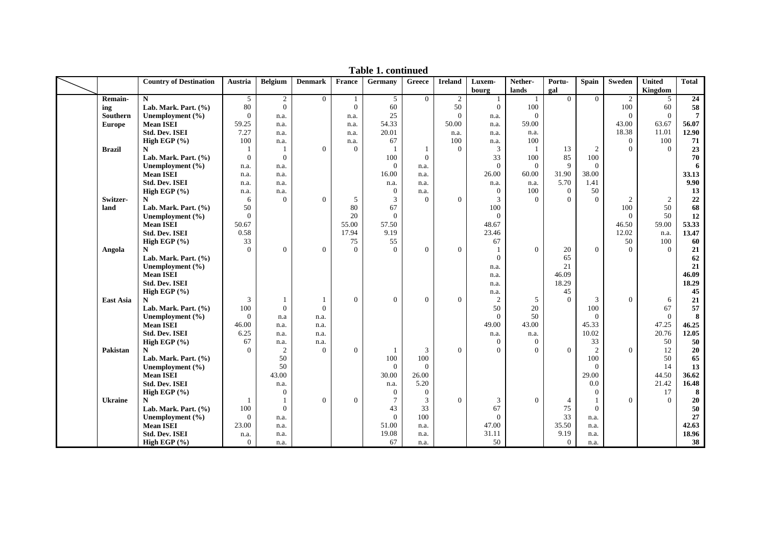|                | <b>Country of Destination</b> | Austria        | <b>Belgium</b> | <b>Denmark</b>   | <b>France</b>  | Germany         | ${\bf G}$ reece | <b>Ireland</b>   | Luxem-         | Nether-        | Portu-         | <b>Spain</b>   | Sweden         | <b>United</b>  | <b>Total</b>    |
|----------------|-------------------------------|----------------|----------------|------------------|----------------|-----------------|-----------------|------------------|----------------|----------------|----------------|----------------|----------------|----------------|-----------------|
|                |                               |                |                |                  |                |                 |                 |                  | bourg          | lands          | gal            |                |                | Kingdom        |                 |
| Remain-        | $\mathbf N$                   | 5 <sup>5</sup> | $\overline{2}$ | $\overline{0}$   | 1              | 5               | $\Omega$        | $\overline{2}$   | -1             | -1             | $\theta$       | $\Omega$       | $\overline{2}$ | 5              | $\overline{24}$ |
| ing            | Lab. Mark. Part. (%)          | 80             | $\overline{0}$ |                  | $\Omega$       | 60              |                 | 50               | $\Omega$       | 100            |                |                | 100            | 60             | 58              |
| Southern       | Unemployment $(\% )$          | $\overline{0}$ | n.a.           |                  | n.a.           | 25              |                 | $\overline{0}$   | n.a.           | $\overline{0}$ |                |                | $\Omega$       | $\overline{0}$ | $\overline{7}$  |
| <b>Europe</b>  | <b>Mean ISEI</b>              | 59.25          | n.a.           |                  | n.a.           | 54.33           |                 | 50.00            | n.a.           | 59.00          |                |                | 43.00          | 63.67          | 56.07           |
|                | <b>Std. Dev. ISEI</b>         | 7.27           | n.a.           |                  | n.a.           | 20.01           |                 | n.a.             | n.a.           | n.a.           |                |                | 18.38          | 11.01          | 12.90           |
|                | High EGP $(\% )$              | 100            | n.a.           |                  | n.a.           | 67              |                 | 100              | n.a.           | 100            |                |                | $\theta$       | 100            | 71              |
| <b>Brazil</b>  | N                             | $\mathbf{1}$   | $\mathbf{1}$   | $\overline{0}$   | $\theta$       | $\mathbf{1}$    | -1              | $\Omega$         | 3              | $\overline{1}$ | 13             | $\overline{2}$ | $\Omega$       | $\theta$       | 23              |
|                | Lab. Mark. Part. (%)          | $\overline{0}$ | $\overline{0}$ |                  |                | 100             | $\Omega$        |                  | 33             | 100            | 85             | 100            |                |                | 70              |
|                | Unemployment $(\% )$          | n.a.           | n.a.           |                  |                | $\overline{0}$  | n.a.            |                  | $\mathbf{0}$   | $\overline{0}$ | 9              | $\Omega$       |                |                | 6               |
|                | <b>Mean ISEI</b>              | n.a.           | n.a.           |                  |                | 16.00           | n.a.            |                  | 26.00          | 60.00          | 31.90          | 38.00          |                |                | 33.13           |
|                | Std. Dev. ISEI                | n.a.           | n.a.           |                  |                | n.a.            | n.a.            |                  | n.a.           | n.a.           | 5.70           | 1.41           |                |                | 9.90            |
|                | High EGP $(\% )$              | n.a.           | n.a.           |                  |                | $\theta$        | n.a.            |                  | $\mathbf{0}$   | 100            | $\overline{0}$ | 50             |                |                | 13              |
| Switzer-       | N                             | 6              | $\theta$       | $\Omega$         | 5              | 3               | $\Omega$        | $\overline{0}$   | 3              | $\Omega$       | $\Omega$       | $\Omega$       | $\mathfrak{2}$ | 2              | 22              |
| land           | Lab. Mark. Part. (%)          | 50             |                |                  | 80             | 67              |                 |                  | 100            |                |                |                | 100            | 50             | 68              |
|                | Unemployment $(\% )$          | $\mathbf{0}$   |                |                  | 20             | $\mathbf{0}$    |                 |                  | $\Omega$       |                |                |                | $\Omega$       | 50             | 12              |
|                | <b>Mean ISEI</b>              | 50.67          |                |                  | 55.00          | 57.50           |                 |                  | 48.67          |                |                |                | 46.50          | 59.00          | 53.33           |
|                | <b>Std. Dev. ISEI</b>         | 0.58           |                |                  | 17.94          | 9.19            |                 |                  | 23.46          |                |                |                | 12.02          | n.a.           | 13.47           |
|                | High EGP $(%$                 | 33             |                |                  | 75             | 55              |                 |                  | 67             |                |                |                | 50             | 100            | 60              |
| Angola         | N                             | $\Omega$       | $\mathbf{0}$   | $\Omega$         | $\Omega$       | $\Omega$        | $\Omega$        | $\overline{0}$   | $\overline{1}$ | $\Omega$       | 20             | $\Omega$       | $\Omega$       | $\theta$       | 21              |
|                | Lab. Mark. Part. (%)          |                |                |                  |                |                 |                 |                  | $\mathbf{0}$   |                | 65             |                |                |                | 62              |
|                | Unemployment (%)              |                |                |                  |                |                 |                 |                  | n.a.           |                | 21             |                |                |                | 21              |
|                | <b>Mean ISEI</b>              |                |                |                  |                |                 |                 |                  | n.a.           |                | 46.09          |                |                |                | 46.09           |
|                | <b>Std. Dev. ISEI</b>         |                |                |                  |                |                 |                 |                  | n.a.           |                | 18.29          |                |                |                | 18.29           |
|                | High EGP (%)                  |                |                |                  |                |                 |                 |                  | n.a.           |                | 45             |                |                |                | 45              |
| East Asia      | N                             | 3              | $\mathbf{1}$   | 1                | $\Omega$       | $\Omega$        | $\theta$        | $\Omega$         | 2              | 5              | $\Omega$       | 3              | $\Omega$       | 6              | 21              |
|                | Lab. Mark. Part. (%)          | 100            | $\mathbf{0}$   | $\boldsymbol{0}$ |                |                 |                 |                  | 50             | 20             |                | 100            |                | 67             | 57              |
|                | Unemployment $(\% )$          | $\theta$       | n.a            | n.a.             |                |                 |                 |                  | $\Omega$       | 50             |                | $\Omega$       |                | $\theta$       | 8               |
|                | <b>Mean ISEI</b>              | 46.00          | n.a.           | n.a.             |                |                 |                 |                  | 49.00          | 43.00          |                | 45.33          |                | 47.25          | 46.25           |
|                | <b>Std. Dev. ISEI</b>         | 6.25           | n.a.           | n.a.             |                |                 |                 |                  | n.a.           | n.a.           |                | 10.02          |                | 20.76          | 12.05           |
|                | High EGP (%)                  | 67             | n.a.           | n.a.             |                |                 |                 |                  | $\mathbf{0}$   | $\mathbf{0}$   |                | 33             |                | 50             | 50              |
| Pakistan       | N                             | $\Omega$       | 2              | $\Omega$         | $\Omega$       | $\mathbf{1}$    | 3               | $\Omega$         | $\Omega$       | $\Omega$       | $\Omega$       | $\overline{2}$ | $\Omega$       | 12             | 20              |
|                | Lab. Mark. Part. (%)          |                | 50             |                  |                | 100             | 100             |                  |                |                |                | 100            |                | 50             | 65              |
|                | Unemployment $(\% )$          |                | 50             |                  |                | $\mathbf{0}$    | $\overline{0}$  |                  |                |                |                | $\mathbf{0}$   |                | 14             | 13              |
|                | <b>Mean ISEI</b>              |                | 43.00          |                  |                | 30.00           | 26.00           |                  |                |                |                | 29.00          |                | 44.50          | 36.62           |
|                | <b>Std. Dev. ISEI</b>         |                | n.a.           |                  |                | n.a.            | 5.20            |                  |                |                |                | 0.0            |                | 21.42          | 16.48           |
|                | High EGP (%)                  |                | $\mathbf{0}$   |                  |                | $\theta$        | $\overline{0}$  |                  |                |                |                | $\mathbf{0}$   |                | 17             | 8               |
| <b>Ukraine</b> | N                             |                |                | $\overline{0}$   | $\overline{0}$ | $7\phantom{.0}$ | 3               | $\boldsymbol{0}$ | 3              | $\theta$       | $\overline{4}$ |                | $\overline{0}$ | $\theta$       | 20              |
|                | Lab. Mark. Part. (%)          | 100            | $\mathbf{0}$   |                  |                | 43              | 33              |                  | 67             |                | 75             | $\Omega$       |                |                | 50              |
|                | Unemployment $(\% )$          | $\mathbf{0}$   | n.a.           |                  |                | $\mathbf{0}$    | 100             |                  | $\mathbf{0}$   |                | 33             | n.a.           |                |                | 27              |
|                | <b>Mean ISEI</b>              | 23.00          | n.a.           |                  |                | 51.00           | n.a.            |                  | 47.00          |                | 35.50          | n.a.           |                |                | 42.63           |
|                | <b>Std. Dev. ISEI</b>         | n.a.           | n.a.           |                  |                | 19.08           | n.a.            |                  | 31.11          |                | 9.19           | n.a.           |                |                | 18.96           |
|                | High EGP $(% )$               | $\Omega$       | n.a.           |                  |                | 67              | n.a.            |                  | 50             |                | $\overline{0}$ | n.a.           |                |                | 38              |

**Table 1. continued**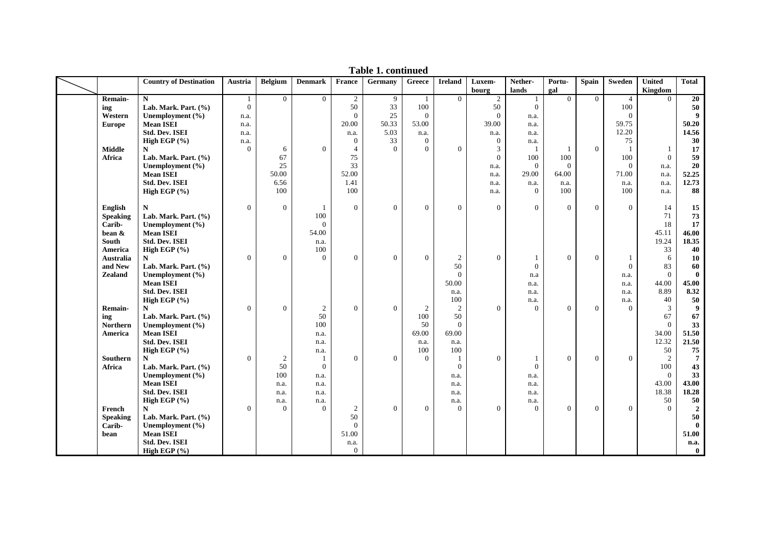|                 | <b>Country of Destination</b> | Austria                        | <b>Belgium</b> | <b>Denmark</b> | France           | Germany          | Greece          | <b>Ireland</b>                 | Luxem-<br>bourg | Nether-<br>lands    | Portu-<br>gal  | <b>Spain</b>     | Sweden         | <b>United</b><br>Kingdom | <b>Total</b>         |
|-----------------|-------------------------------|--------------------------------|----------------|----------------|------------------|------------------|-----------------|--------------------------------|-----------------|---------------------|----------------|------------------|----------------|--------------------------|----------------------|
| Remain-         | ${\bf N}$                     |                                | $\overline{0}$ | $\overline{0}$ | $\overline{2}$   | 9                | -1              | $\theta$                       | $\overline{c}$  |                     | $\Omega$       | $\overline{0}$   | $\overline{4}$ | $\Omega$                 | $\overline{20}$      |
| ing             | Lab. Mark. Part. (%)          | $\mathbf{1}$<br>$\overline{0}$ |                |                | 50               | 33               | 100             |                                | 50              | 1<br>$\overline{0}$ |                |                  | 100            |                          | 50                   |
| Western         | Unemployment (%)              |                                |                |                | $\theta$         | 25               | $\overline{0}$  |                                | $\mathbf{0}$    | n.a.                |                |                  | $\Omega$       |                          | $\boldsymbol{9}$     |
|                 | <b>Mean ISEI</b>              | n.a.<br>n.a.                   |                |                | 20.00            | 50.33            | 53.00           |                                | 39.00           | n.a.                |                |                  | 59.75          |                          | 50.20                |
| <b>Europe</b>   | <b>Std. Dev. ISEI</b>         | n.a.                           |                |                | n.a.             | 5.03             | n.a.            |                                | n.a.            | n.a.                |                |                  | 12.20          |                          | 14.56                |
|                 |                               | n.a.                           |                |                | $\mathbf{0}$     | 33               | $\overline{0}$  |                                | $\mathbf{0}$    | n.a.                |                |                  | 75             |                          | 30                   |
| <b>Middle</b>   | High EGP (%)<br>N             | $\overline{0}$                 | 6              | $\theta$       | $\overline{4}$   | $\Omega$         | $\Omega$        | $\overline{0}$                 | $\mathfrak{Z}$  |                     |                | $\mathbf{0}$     |                | -1                       | 17                   |
| Africa          | Lab. Mark. Part. (%)          |                                | 67             |                | 75               |                  |                 |                                | $\mathbf{0}$    | 100                 | 100            |                  | 100            | $\overline{0}$           | 59                   |
|                 | Unemployment (%)              |                                | 25             |                | 33               |                  |                 |                                | n.a.            | $\theta$            | $\theta$       |                  | $\Omega$       | n.a.                     | 20                   |
|                 | <b>Mean ISEI</b>              |                                | 50.00          |                | 52.00            |                  |                 |                                | n.a.            | 29.00               | 64.00          |                  | 71.00          | n.a.                     | 52.25                |
|                 | <b>Std. Dev. ISEI</b>         |                                | 6.56           |                | 1.41             |                  |                 |                                | n.a.            | n.a.                | n.a.           |                  | n.a.           | n.a.                     | 12.73                |
|                 | High EGP (%)                  |                                | 100            |                | 100              |                  |                 |                                | n.a.            | $\overline{0}$      | 100            |                  | 100            | n.a.                     | 88                   |
|                 |                               |                                |                |                |                  |                  |                 |                                |                 |                     |                |                  |                |                          |                      |
| English         | N                             | $\Omega$                       | $\mathbf{0}$   | $\mathbf{1}$   | $\theta$         | $\mathbf{0}$     | $\theta$        | $\overline{0}$                 | $\mathbf{0}$    | $\Omega$            | $\overline{0}$ | $\Omega$         | $\Omega$       | 14                       | 15                   |
| <b>Speaking</b> | Lab. Mark. Part. (%)          |                                |                | 100            |                  |                  |                 |                                |                 |                     |                |                  |                | 71                       | 73                   |
| Carib-          | Unemployment (%)              |                                |                | $\overline{0}$ |                  |                  |                 |                                |                 |                     |                |                  |                | 18                       | 17                   |
| bean &          | <b>Mean ISEI</b>              |                                |                | 54.00          |                  |                  |                 |                                |                 |                     |                |                  |                | 45.11                    | 46.00                |
| South           | <b>Std. Dev. ISEI</b>         |                                |                | n.a.           |                  |                  |                 |                                |                 |                     |                |                  |                | 19.24                    | 18.35                |
| America         | High EGP $(%$                 |                                |                | 100            |                  |                  |                 |                                |                 |                     |                |                  |                | 33                       | 40                   |
| Australia       | N                             | $\mathbf{0}$                   | $\mathbf{0}$   | $\overline{0}$ | $\boldsymbol{0}$ | $\boldsymbol{0}$ | $\overline{0}$  | 2                              | $\mathbf{0}$    |                     | $\mathbf{0}$   | $\boldsymbol{0}$ |                | 6                        | 10                   |
| and New         | Lab. Mark. Part. (%)          |                                |                |                |                  |                  |                 | 50                             |                 | $\overline{0}$      |                |                  | $\theta$       | 83                       | 60                   |
| <b>Zealand</b>  | Unemployment (%)              |                                |                |                |                  |                  |                 | $\overline{0}$                 |                 | n.a                 |                |                  | n.a.           | $\overline{0}$           | $\bf{0}$             |
|                 | <b>Mean ISEI</b>              |                                |                |                |                  |                  |                 | 50.00                          |                 | n.a.                |                |                  | n.a.           | 44.00                    | 45.00                |
|                 | <b>Std. Dev. ISEI</b>         |                                |                |                |                  |                  |                 | n.a.                           |                 | n.a.                |                |                  | n.a.           | 8.89                     | 8.32                 |
|                 | High EGP (%)                  |                                |                |                |                  |                  |                 | 100                            |                 | n.a.                |                |                  | n.a.           | 40                       | 50                   |
| Remain-         | N                             | $\mathbf{0}$                   | $\mathbf{0}$   | 2              | $\theta$         | $\mathbf{0}$     | 2               | 2                              | $\mathbf{0}$    | $\overline{0}$      | $\theta$       | $\mathbf{0}$     | $\theta$       | 3                        | $\boldsymbol{9}$     |
| ing             | Lab. Mark. Part. (%)          |                                |                | 50             |                  |                  | 100             | 50                             |                 |                     |                |                  |                | 67                       | 67                   |
| Northern        | Unemployment (%)              |                                |                | 100            |                  |                  | 50              | $\theta$                       |                 |                     |                |                  |                | $\theta$                 | 33                   |
| America         | <b>Mean ISEI</b>              |                                |                | n.a.           |                  |                  | 69.00           | 69.00                          |                 |                     |                |                  |                | 34.00                    | 51.50                |
|                 | <b>Std. Dev. ISEI</b>         |                                |                | n.a.           |                  |                  | n.a.            | n.a.                           |                 |                     |                |                  |                | 12.32                    | 21.50                |
| Southern        | High EGP (%)<br>N             | $\mathbf{0}$                   | $\overline{c}$ | n.a.<br>1      | $\theta$         | $\theta$         | 100<br>$\theta$ | 100                            | $\mathbf{0}$    | $\mathbf{1}$        | $\mathbf{0}$   | $\mathbf{0}$     | $\theta$       | 50<br>2                  | 75                   |
| Africa          | Lab. Mark. Part. (%)          |                                | 50             | $\mathbf{0}$   |                  |                  |                 | $\mathbf{1}$<br>$\overline{0}$ |                 | $\Omega$            |                |                  |                | 100                      | $\overline{7}$<br>43 |
|                 | Unemployment (%)              |                                | 100            | n.a.           |                  |                  |                 | n.a.                           |                 | n.a.                |                |                  |                | $\theta$                 | 33                   |
|                 | <b>Mean ISEI</b>              |                                | n.a.           | n.a.           |                  |                  |                 | n.a.                           |                 | n.a.                |                |                  |                | 43.00                    | 43.00                |
|                 | <b>Std. Dev. ISEI</b>         |                                | n.a.           | n.a.           |                  |                  |                 | n.a.                           |                 | n.a.                |                |                  |                | 18.38                    | 18.28                |
|                 | High EGP (%)                  |                                | n.a.           | n.a.           |                  |                  |                 | n.a.                           |                 | n.a.                |                |                  |                | 50                       | ${\bf 50}$           |
| French          | N                             | $\mathbf{0}$                   | $\overline{0}$ | $\Omega$       | $\sqrt{2}$       | $\mathbf{0}$     | $\mathbf{0}$    | $\overline{0}$                 | $\Omega$        | $\Omega$            | $\mathbf{0}$   | $\mathbf{0}$     | $\mathbf{0}$   | $\theta$                 | $\boldsymbol{2}$     |
| <b>Speaking</b> | Lab. Mark. Part. (%)          |                                |                |                | 50               |                  |                 |                                |                 |                     |                |                  |                |                          | 50                   |
| Carib-          | Unemployment $(\% )$          |                                |                |                | $\boldsymbol{0}$ |                  |                 |                                |                 |                     |                |                  |                |                          | $\bf{0}$             |
| bean            | <b>Mean ISEI</b>              |                                |                |                | 51.00            |                  |                 |                                |                 |                     |                |                  |                |                          | 51.00                |
|                 | <b>Std. Dev. ISEI</b>         |                                |                |                | n.a.             |                  |                 |                                |                 |                     |                |                  |                |                          | n.a.                 |
|                 | High EGP $(\% )$              |                                |                |                | $\boldsymbol{0}$ |                  |                 |                                |                 |                     |                |                  |                |                          | $\mathbf{0}$         |

**Table 1. continued**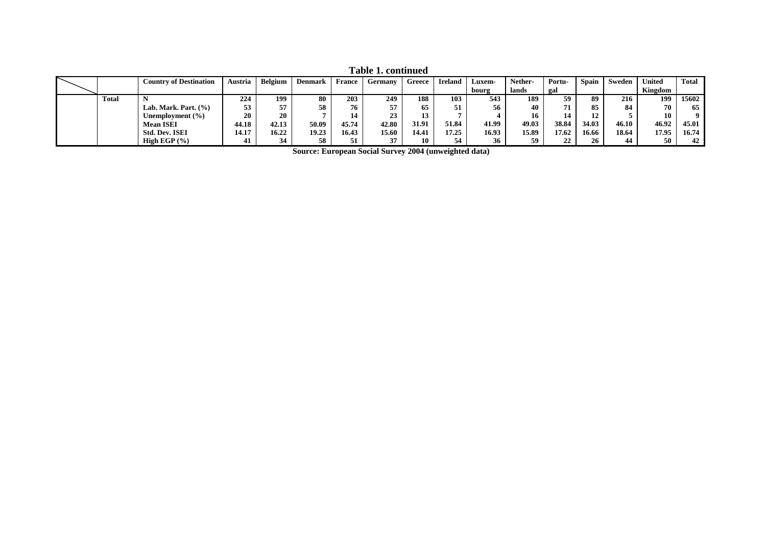|              | <b>Country of Destination</b> | Austria | Belgium | <b>Denmark</b> | <b>France</b> | Germany | Greece | <b>Ireland</b> | Luxem- | Nether- | Portu- | Spain | Sweden | <b>United</b> | <b>Total</b> |
|--------------|-------------------------------|---------|---------|----------------|---------------|---------|--------|----------------|--------|---------|--------|-------|--------|---------------|--------------|
|              |                               |         |         |                |               |         |        |                | bourg  | lands   | gal    |       |        | Kingdom       |              |
| <b>Total</b> |                               | 224     | 199     | 80             | 203           | 249     | 188    | 103            | 543    | 189     | 59     | 89    | 216    | 199           | 15602        |
|              | Lab. Mark. Part. $(\%)$       | 53      | 57      | 58             | 76            |         | 65     | 51             | 56     | 40      |        | 85    | 84     | 70            | 65           |
|              | Unemployment (%)              | 20      | 20      |                | 14            |         | 13     |                |        | 16      |        | 12    |        | 10            | $\mathbf{o}$ |
|              | <b>Mean ISEI</b>              | 44.18   | 42.13   | 50.09          | 45.74         | 42.80   | 31.91  | 51.84          | 41.99  | 49.03   | 38.84  | 34.03 | 46.10  | 46.92         | 45.01        |
|              | <b>Std. Dev. ISEI</b>         | 14.17   | 16.22   | 19.23          | 16.43         | 15.60   | 14.41  | 17.25          | 16.93  | 15.89   | 17.62  | 16.66 | 18.64  | 17.95         | 16.74        |
|              | High EGP $(\% )$              | 41      | 34      | 58             | 51            |         | 10     | 54             | 36     | 59      | 22     | 26    | 44     | 50            | 42           |

**Table 1. continued**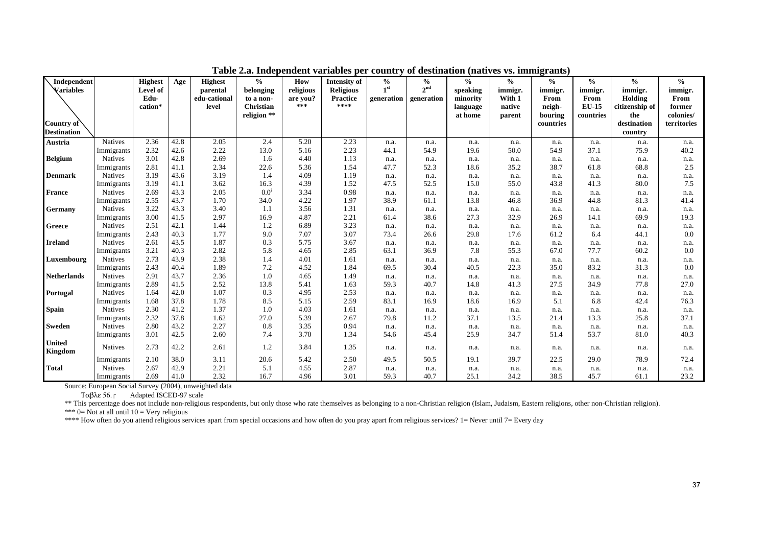| Independent        |                              | <b>Highest</b>  | Age          | <b>Highest</b>        | $\frac{0}{0}$          | How             | <b>Intensity of</b>     | $\frac{0}{0}$   | $\frac{6}{6}$   | $\%$                 | $\frac{0}{0}$    | $\frac{0}{0}$  | $\frac{1}{2}$        | $\frac{6}{6}$             | $\frac{0}{0}$  |
|--------------------|------------------------------|-----------------|--------------|-----------------------|------------------------|-----------------|-------------------------|-----------------|-----------------|----------------------|------------------|----------------|----------------------|---------------------------|----------------|
| <b>Variables</b>   |                              | Level of        |              | parental              | belonging              | religious       | <b>Religious</b>        | 1 <sup>st</sup> | 2 <sup>nd</sup> | speaking             | immigr.          | immigr.        | immigr.              | immigr.                   | immigr.        |
|                    |                              | Edu-<br>cation* |              | edu-cational<br>level | to a non-<br>Christian | are you?<br>*** | <b>Practice</b><br>**** | generation      | generation      | minority<br>language | With 1<br>native | From<br>neigh- | From<br><b>EU-15</b> | Holding<br>citizenship of | From<br>former |
|                    |                              |                 |              |                       | religion **            |                 |                         |                 |                 | at home              | parent           | bouring        | countries            | the                       | colonies/      |
| Country of         |                              |                 |              |                       |                        |                 |                         |                 |                 |                      |                  | countries      |                      | destination               | territories    |
| <b>Destination</b> |                              |                 |              |                       |                        |                 |                         |                 |                 |                      |                  |                |                      | country                   |                |
| Austria            | <b>Natives</b>               | 2.36            | 42.8         | 2.05                  | 2.4                    | 5.20            | 2.23                    | n.a.            | n.a.            | n.a.                 | n.a.             | n.a.           | n.a.                 | n.a.                      | n.a.           |
|                    | Immigrants                   | 2.32            | 42.6         | 2.22                  | 13.0                   | 5.16            | 2.23                    | 44.1            | 54.9            | 19.6                 | 50.0             | 54.9           | 37.1                 | 75.9                      | 40.2           |
| <b>Belgium</b>     | <b>Natives</b>               | 3.01            | 42.8         | 2.69                  | 1.6                    | 4.40            | 1.13                    | n.a.            | n.a.            | n.a.                 | n.a.             | n.a.           | n.a.                 | n.a.                      | n.a.           |
|                    | Immigrants                   | 2.81            | 41.1         | 2.34                  | 22.6                   | 5.36            | 1.54                    | 47.7            | 52.3            | 18.6                 | 35.2             | 38.7           | 61.8                 | 68.8                      | 2.5            |
| <b>Denmark</b>     | <b>Natives</b>               | 3.19            | 43.6         | 3.19                  | 1.4                    | 4.09            | 1.19                    | n.a.            | n.a.            | n.a.                 | n.a.             | n.a.           | n.a.                 | n.a.                      | n.a.           |
|                    | Immigrants                   | 3.19            | 41.1         | 3.62                  | 16.3                   | 4.39            | 1.52                    | 47.5            | 52.5            | 15.0                 | 55.0             | 43.8           | 41.3                 | 80.0                      | 7.5            |
| <b>France</b>      | Natives                      | 2.69            | 43.3         | 2.05                  | $0.0^{\mathrm{i}}$     | 3.34            | 0.98                    | n.a.            | n.a.            | n.a.                 | n.a.             | n.a.           | n.a.                 | n.a.                      | n.a.           |
|                    | Immigrants                   | 2.55            | 43.7         | 1.70                  | 34.0                   | 4.22            | 1.97                    | 38.9            | 61.1            | 13.8                 | 46.8             | 36.9           | 44.8                 | 81.3                      | 41.4           |
| Germany            | <b>Natives</b>               | 3.22            | 43.3         | 3.40                  | 1.1                    | 3.56            | 1.31                    | n.a.            | n.a.            | n.a.                 | n.a.             | n.a.           | n.a.                 | n.a.                      | n.a.           |
|                    | Immigrants                   | 3.00            | 41.5         | 2.97                  | 16.9                   | 4.87            | 2.21                    | 61.4            | 38.6            | 27.3                 | 32.9             | 26.9           | 14.1                 | 69.9                      | 19.3           |
| Greece             | <b>Natives</b>               | 2.51            | 42.1         | 1.44                  | 1.2                    | 6.89            | 3.23                    | n.a.            | n.a.            | n.a.                 | n.a.             | n.a.           | n.a.                 | n.a.                      | n.a.           |
|                    | Immigrants                   | 2.43            | 40.3         | 1.77                  | 9.0                    | 7.07            | 3.07                    | 73.4            | 26.6            | 29.8                 | 17.6             | 61.2           | 6.4                  | 44.1                      | 0.0            |
| <b>Ireland</b>     | <b>Natives</b>               | 2.61            | 43.5         | 1.87                  | 0.3                    | 5.75            | 3.67                    | n.a.            | n.a.            | n.a.                 | n.a.             | n.a.           | n.a.                 | n.a.                      | n.a.           |
|                    | Immigrants                   | 3.21            | 40.3         | 2.82                  | 5.8                    | 4.65            | 2.85                    | 63.1            | 36.9            | 7.8                  | 55.3             | 67.0           | 77.7                 | 60.2                      | 0.0            |
| Luxembourg         | <b>Natives</b>               | 2.73            | 43.9         | 2.38                  | 1.4                    | 4.01            | 1.61                    | n.a.            | n.a.            | n.a.                 | n.a.             | n.a.           | n.a.                 | n.a.                      | n.a.           |
|                    | Immigrants                   | 2.43<br>2.91    | 40.4<br>43.7 | 1.89<br>2.36          | 7.2<br>1.0             | 4.52<br>4.65    | 1.84<br>1.49            | 69.5            | 30.4            | 40.5                 | 22.3             | 35.0           | 83.2                 | 31.3                      | 0.0            |
| <b>Netherlands</b> | Natives                      | 2.89            | 41.5         |                       |                        |                 | 1.63                    | n.a.            | n.a.<br>40.7    | n.a.                 | n.a.<br>41.3     | n.a.<br>27.5   | n.a.<br>34.9         | n.a.<br>77.8              | n.a.           |
|                    | Immigrants<br><b>Natives</b> | 1.64            | 42.0         | 2.52<br>1.07          | 13.8<br>0.3            | 5.41<br>4.95    | 2.53                    | 59.3            |                 | 14.8                 |                  |                |                      |                           | 27.0           |
| Portugal           |                              | 1.68            | 37.8         | 1.78                  | 8.5                    | 5.15            | 2.59                    | n.a.<br>83.1    | n.a.<br>16.9    | n.a.<br>18.6         | n.a.<br>16.9     | n.a.<br>5.1    | n.a.<br>6.8          | n.a.<br>42.4              | n.a.<br>76.3   |
| <b>Spain</b>       | Immigrants<br><b>Natives</b> | 2.30            | 41.2         | 1.37                  | 1.0                    | 4.03            | 1.61                    | n.a.            | n.a.            | n.a.                 | n.a.             | n.a.           | n.a.                 |                           | n.a.           |
|                    | Immigrants                   | 2.32            | 37.8         | 1.62                  | 27.0                   | 5.39            | 2.67                    | 79.8            | 11.2            | 37.1                 | 13.5             | 21.4           | 13.3                 | n.a.<br>25.8              | 37.1           |
| <b>Sweden</b>      | <b>Natives</b>               | 2.80            | 43.2         | 2.27                  | 0.8                    | 3.35            | 0.94                    | n.a.            | n.a.            | n.a.                 | n.a.             | n.a.           | n.a.                 | n.a.                      | n.a.           |
|                    | Immigrants                   | 3.01            | 42.5         | 2.60                  | 7.4                    | 3.70            | 1.34                    | 54.6            | 45.4            | 25.9                 | 34.7             | 51.4           | 53.7                 | 81.0                      | 40.3           |
| <b>United</b>      |                              |                 |              |                       |                        |                 |                         |                 |                 |                      |                  |                |                      |                           |                |
| Kingdom            | <b>Natives</b>               | 2.73            | 42.2         | 2.61                  | 1.2                    | 3.84            | 1.35                    | n.a.            | n.a.            | n.a.                 | n.a.             | n.a.           | n.a.                 | n.a.                      | n.a.           |
|                    | Immigrants                   | 2.10            | 38.0         | 3.11                  | 20.6                   | 5.42            | 2.50                    | 49.5            | 50.5            | 19.1                 | 39.7             | 22.5           | 29.0                 | 78.9                      | 72.4           |
| <b>Total</b>       | <b>Natives</b>               | 2.67            | 42.9         | 2.21                  | 5.1                    | 4.55            | 2.87                    | n.a.            | n.a.            | n.a.                 | n.a.             | n.a.           | n.a.                 | n.a.                      | n.a.           |
|                    | Immigrants                   | 2.69            | 41.0         | 2.32                  | 16.7                   | 4.96            | 3.01                    | 59.3            | 40.7            | 25.1                 | 34.2             | 38.5           | 45.7                 | 61.1                      | 23.2           |

**Table 2.a. Independent variables per country of destination (natives vs. immigrants)** 

Ταβλε 56. Adapted ISCED-97 scale

\*\* This percentage does not include non-religious respondents, but only those who rate themselves as belonging to a non-Christian religion (Islam, Judaism, Eastern religions, other non-Christian religion).

\*\*\*  $0=$  Not at all until  $10=$  Very religious

\*\*\*\* How often do you attend religious services apart from special occasions and how often do you pray apart from religious services? 1= Never until 7= Every day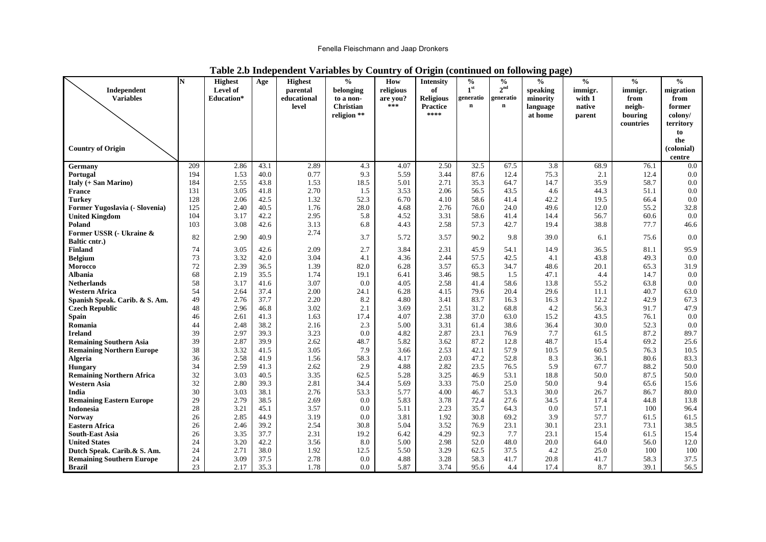## Fenella Fleischmann and Jaap Dronkers

|                                                         | N          | <b>Highest</b>                | Age          | <b>Highest</b>          | $\frac{0}{0}$          | How             | <b>Intensity</b>       | $\frac{0}{0}$                | $\frac{6}{6}$                | $\frac{0}{0}$        | $\frac{0}{0}$     | $\frac{0}{0}$  | $\frac{0}{0}$     |
|---------------------------------------------------------|------------|-------------------------------|--------------|-------------------------|------------------------|-----------------|------------------------|------------------------------|------------------------------|----------------------|-------------------|----------------|-------------------|
| Independent<br><b>Variables</b>                         |            | Level of<br><b>Education*</b> |              | parental<br>educational | belonging              | religious       | of<br><b>Religious</b> | 1 <sup>st</sup><br>generatio | 2 <sup>nd</sup><br>generatio | speaking<br>minority | immigr.<br>with 1 | immigr.        | migration<br>from |
|                                                         |            |                               |              | level                   | to a non-<br>Christian | are you?<br>*** | <b>Practice</b>        | $\mathbf n$                  | $\mathbf n$                  | language             | native            | from<br>neigh- | former            |
|                                                         |            |                               |              |                         | religion **            |                 | ****                   |                              |                              | at home              | parent            | bouring        | colony/           |
|                                                         |            |                               |              |                         |                        |                 |                        |                              |                              |                      |                   | countries      | territory         |
|                                                         |            |                               |              |                         |                        |                 |                        |                              |                              |                      |                   |                | to                |
|                                                         |            |                               |              |                         |                        |                 |                        |                              |                              |                      |                   |                | the               |
| <b>Country of Origin</b>                                |            |                               |              |                         |                        |                 |                        |                              |                              |                      |                   |                | (colonial)        |
|                                                         |            |                               |              |                         |                        |                 |                        |                              |                              |                      |                   |                | centre            |
| Germany                                                 | 209        | 2.86                          | 43.1         | 2.89                    | 4.3                    | 4.07            | 2.50                   | 32.5                         | 67.5                         | 3.8                  | 68.9              | 76.1           | 0.0               |
| Portugal                                                | 194        | 1.53                          | 40.0         | 0.77                    | 9.3                    | 5.59            | 3.44                   | 87.6                         | 12.4                         | 75.3                 | 2.1               | 12.4           | $0.0\,$           |
| <b>Italy (+ San Marino)</b>                             | 184        | 2.55                          | 43.8         | 1.53                    | 18.5                   | 5.01            | 2.71                   | 35.3                         | 64.7                         | 14.7                 | 35.9              | 58.7           | $0.0\,$<br>0.0    |
| <b>France</b><br><b>Turkey</b>                          | 131<br>128 | 3.05<br>2.06                  | 41.8<br>42.5 | 2.70<br>1.32            | 1.5<br>52.3            | 3.53<br>6.70    | 2.06<br>4.10           | 56.5<br>58.6                 | 43.5<br>41.4                 | 4.6<br>42.2          | 44.3<br>19.5      | 51.1<br>66.4   | $0.0\,$           |
| Former Yugoslavia (- Slovenia)                          | 125        | 2.40                          | 40.5         | 1.76                    | 28.0                   | 4.68            | 2.76                   | 76.0                         | 24.0                         | 49.6                 | 12.0              | 55.2           | 32.8              |
| <b>United Kingdom</b>                                   | 104        | 3.17                          | 42.2         | 2.95                    | 5.8                    | 4.52            | 3.31                   | 58.6                         | 41.4                         | 14.4                 | 56.7              | 60.6           | 0.0               |
| Poland                                                  | 103        | 3.08                          | 42.6         | 3.13                    | 6.8                    | 4.43            | 2.58                   | 57.3                         | 42.7                         | 19.4                 | 38.8              | 77.7           | 46.6              |
| Former USSR (- Ukraine &                                |            |                               |              | 2.74                    |                        |                 |                        |                              |                              |                      |                   |                |                   |
| Baltic cntr.)                                           | 82         | 2.90                          | 40.9         |                         | 3.7                    | 5.72            | 3.57                   | 90.2                         | 9.8                          | 39.0                 | 6.1               | 75.6           | 0.0               |
| <b>Finland</b>                                          | 74         | 3.05                          | 42.6         | 2.09                    | 2.7                    | 3.84            | 2.31                   | 45.9                         | 54.1                         | 14.9                 | 36.5              | 81.1           | 95.9              |
| Belgium                                                 | 73         | 3.32                          | 42.0         | 3.04                    | 4.1                    | 4.36            | 2.44                   | 57.5                         | 42.5                         | 4.1                  | 43.8              | 49.3           | 0.0               |
| Morocco                                                 | 72         | 2.39                          | 36.5         | 1.39                    | 82.0                   | 6.28            | 3.57                   | 65.3                         | 34.7                         | 48.6                 | 20.1              | 65.3           | 31.9              |
| Albania                                                 | 68         | 2.19                          | 35.5         | 1.74                    | 19.1                   | 6.41            | 3.46                   | 98.5                         | 1.5                          | 47.1                 | 4.4               | 14.7           | $0.0\,$           |
| <b>Netherlands</b>                                      | 58         | 3.17                          | 41.6         | 3.07                    | 0.0                    | 4.05            | 2.58                   | 41.4                         | 58.6                         | 13.8                 | 55.2              | 63.8           | $0.0\,$           |
| <b>Western Africa</b>                                   | 54         | 2.64                          | 37.4<br>37.7 | 2.00                    | 24.1                   | 6.28            | 4.15                   | 79.6                         | 20.4                         | 29.6                 | 11.1              | 40.7           | 63.0              |
| Spanish Speak. Carib. & S. Am.<br><b>Czech Republic</b> | 49<br>48   | 2.76<br>2.96                  | 46.8         | 2.20<br>3.02            | 8.2<br>2.1             | 4.80<br>3.69    | 3.41<br>2.51           | 83.7<br>31.2                 | 16.3<br>68.8                 | 16.3<br>4.2          | 12.2<br>56.3      | 42.9<br>91.7   | 67.3<br>47.9      |
| Spain                                                   | 46         | 2.61                          | 41.3         | 1.63                    | 17.4                   | 4.07            | 2.38                   | 37.0                         | 63.0                         | 15.2                 | 43.5              | 76.1           | 0.0               |
| Romania                                                 | 44         | 2.48                          | 38.2         | 2.16                    | 2.3                    | 5.00            | 3.31                   | 61.4                         | 38.6                         | 36.4                 | 30.0              | 52.3           | $0.0\,$           |
| Ireland                                                 | 39         | 2.97                          | 39.3         | 3.23                    | 0.0                    | 4.82            | 2.87                   | 23.1                         | 76.9                         | 7.7                  | 61.5              | 87.2           | 89.7              |
| <b>Remaining Southern Asia</b>                          | 39         | 2.87                          | 39.9         | 2.62                    | 48.7                   | 5.82            | 3.62                   | 87.2                         | 12.8                         | 48.7                 | 15.4              | 69.2           | 25.6              |
| <b>Remaining Northern Europe</b>                        | 38         | 3.32                          | 41.5         | 3.05                    | 7.9                    | 3.66            | 2.53                   | 42.1                         | 57.9                         | 10.5                 | 60.5              | 76.3           | 10.5              |
| <b>Algeria</b>                                          | 36         | 2.58                          | 41.9         | 1.56                    | 58.3                   | 4.17            | 2.03                   | 47.2                         | 52.8                         | 8.3                  | 36.1              | 80.6           | 83.3              |
| <b>Hungary</b>                                          | 34         | 2.59                          | 41.3         | 2.62                    | 2.9                    | 4.88            | 2.82                   | 23.5                         | 76.5                         | 5.9                  | 67.7              | 88.2           | 50.0              |
| <b>Remaining Northern Africa</b>                        | 32         | 3.03                          | 40.5         | 3.35                    | 62.5                   | 5.28            | 3.25                   | 46.9                         | 53.1                         | 18.8                 | 50.0              | 87.5           | 50.0              |
| Western Asia                                            | 32         | 2.80                          | 39.3         | 2.81                    | 34.4                   | 5.69            | 3.33                   | 75.0                         | 25.0                         | 50.0                 | 9.4               | 65.6           | 15.6              |
| India                                                   | 30         | 3.03                          | 38.1         | 2.76                    | 53.3                   | 5.77            | 4.00                   | 46.7                         | 53.3                         | 30.0                 | 26.7              | 86.7           | 80.0              |
| <b>Remaining Eastern Europe</b><br>Indonesia            | 29<br>28   | 2.79<br>3.21                  | 38.5<br>45.1 | 2.69<br>3.57            | 0.0<br>0.0             | 5.83<br>5.11    | 3.78<br>2.23           | 72.4<br>35.7                 | 27.6<br>64.3                 | 34.5<br>0.0          | 17.4<br>57.1      | 44.8<br>100    | 13.8<br>96.4      |
| <b>Norway</b>                                           | 26         | 2.85                          | 44.9         | 3.19                    | 0.0                    | 3.81            | 1.92                   | 30.8                         | 69.2                         | 3.9                  | 57.7              | 61.5           | 61.5              |
| Eastern Africa                                          | 26         | 2.46                          | 39.2         | 2.54                    | 30.8                   | 5.04            | 3.52                   | 76.9                         | 23.1                         | 30.1                 | 23.1              | 73.1           | 38.5              |
| <b>South-East Asia</b>                                  | 26         | 3.35                          | 37.7         | 2.31                    | 19.2                   | 6.42            | 4.29                   | 92.3                         | 7.7                          | 23.1                 | 15.4              | 61.5           | 15.4              |
| <b>United States</b>                                    | 24         | 3.20                          | 42.2         | 3.56                    | 8.0                    | 5.00            | 2.98                   | 52.0                         | 48.0                         | 20.0                 | 64.0              | 56.0           | 12.0              |
| Dutch Speak. Carib.& S. Am.                             | 24         | 2.71                          | 38.0         | 1.92                    | 12.5                   | 5.50            | 3.29                   | 62.5                         | 37.5                         | 4.2                  | 25.0              | 100            | 100               |
| <b>Remaining Southern Europe</b>                        | 24         | 3.09                          | 37.5         | 2.78                    | 0.0                    | 4.88            | 3.28                   | 58.3                         | 41.7                         | 20.8                 | 41.7              | 58.3           | 37.5              |
| <b>Brazil</b>                                           | 23         | 2.17                          | 35.3         | 1.78                    | $0.0\,$                | 5.87            | 3.74                   | 95.6                         | 4.4                          | 17.4                 | 8.7               | 39.1           | 56.5              |

## **Table 2.b Independent Variables by Country of Origin (continued on following page)**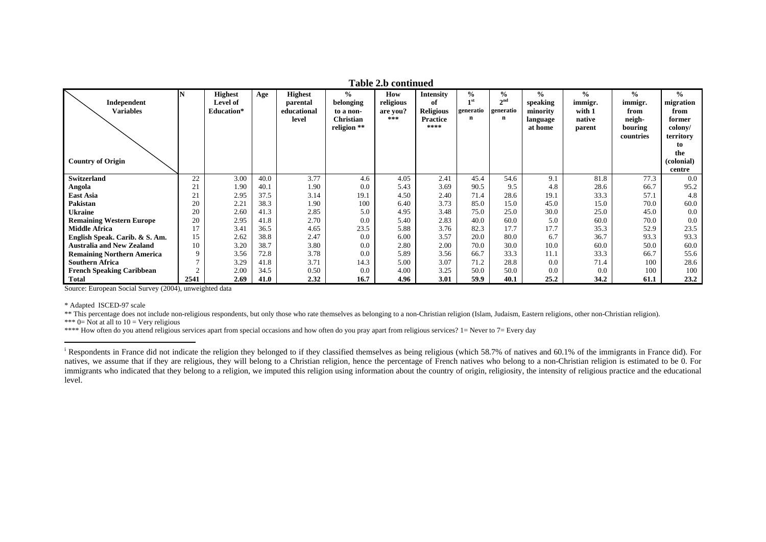|                                   |      |                |      |                |                  | Table 2.b continued |                  |                   |                 |          |               |               |               |
|-----------------------------------|------|----------------|------|----------------|------------------|---------------------|------------------|-------------------|-----------------|----------|---------------|---------------|---------------|
|                                   | N    | <b>Highest</b> | Age  | <b>Highest</b> | $\frac{6}{6}$    | How                 | <b>Intensity</b> | $\frac{0}{0}$     | $\frac{0}{0}$   | $\%$     | $\frac{0}{0}$ | $\frac{6}{9}$ | $\frac{0}{0}$ |
| Independent                       |      | Level of       |      | parental       | belonging        | religious           | оf               | $\blacksquare$ st | 2 <sup>nd</sup> | speaking | immigr.       | immigr.       | migration     |
| <b>Variables</b>                  |      | Education*     |      | educational    | to a non-        | are you?            | <b>Religious</b> | generatio         | generatio       | minority | with 1        | from          | from          |
|                                   |      |                |      | level          | <b>Christian</b> | ***                 | <b>Practice</b>  | n                 | n               | language | native        | neigh-        | former        |
|                                   |      |                |      |                | religion **      |                     | ****             |                   |                 | at home  | parent        | bouring       | colony/       |
|                                   |      |                |      |                |                  |                     |                  |                   |                 |          |               | countries     | territory     |
|                                   |      |                |      |                |                  |                     |                  |                   |                 |          |               |               | to            |
|                                   |      |                |      |                |                  |                     |                  |                   |                 |          |               |               | the           |
| <b>Country of Origin</b>          |      |                |      |                |                  |                     |                  |                   |                 |          |               |               | (colonial)    |
|                                   |      |                |      |                |                  |                     |                  |                   |                 |          |               |               | centre        |
| <b>Switzerland</b>                | 22   | 3.00           | 40.0 | 3.77           | 4.6              | 4.05                | 2.41             | 45.4              | 54.6            | 9.1      | 81.8          | 77.3          | 0.0           |
| Angola                            | 21   | 1.90           | 40.1 | 1.90           | 0.0              | 5.43                | 3.69             | 90.5              | 9.5             | 4.8      | 28.6          | 66.7          | 95.2          |
| East Asia                         | 21   | 2.95           | 37.5 | 3.14           | 19.1             | 4.50                | 2.40             | 71.4              | 28.6            | 19.1     | 33.3          | 57.1          | 4.8           |
| Pakistan                          | 20   | 2.21           | 38.3 | 1.90           | 100              | 6.40                | 3.73             | 85.0              | 15.0            | 45.0     | 15.0          | 70.0          | 60.0          |
| Ukraine                           | 20   | 2.60           | 41.3 | 2.85           | 5.0              | 4.95                | 3.48             | 75.0              | 25.0            | 30.0     | 25.0          | 45.0          | 0.0           |
| <b>Remaining Western Europe</b>   | 20   | 2.95           | 41.8 | 2.70           | 0.0              | 5.40                | 2.83             | 40.0              | 60.0            | 5.0      | 60.0          | 70.0          | 0.0           |
| <b>Middle Africa</b>              | 17   | 3.41           | 36.5 | 4.65           | 23.5             | 5.88                | 3.76             | 82.3              | 17.7            | 17.7     | 35.3          | 52.9          | 23.5          |
| English Speak. Carib. & S. Am.    | 15   | 2.62           | 38.8 | 2.47           | 0.0              | 6.00                | 3.57             | 20.0              | 80.0            | 6.7      | 36.7          | 93.3          | 93.3          |
| <b>Australia and New Zealand</b>  | 10   | 3.20           | 38.7 | 3.80           | 0.0              | 2.80                | 2.00             | 70.0              | 30.0            | 10.0     | 60.0          | 50.0          | 60.0          |
| <b>Remaining Northern America</b> | 9    | 3.56           | 72.8 | 3.78           | 0.0              | 5.89                | 3.56             | 66.7              | 33.3            | 11.1     | 33.3          | 66.7          | 55.6          |
| <b>Southern Africa</b>            |      | 3.29           | 41.8 | 3.71           | 14.3             | 5.00                | 3.07             | 71.2              | 28.8            | 0.0      | 71.4          | 100           | 28.6          |
| <b>French Speaking Caribbean</b>  |      | 2.00           | 34.5 | 0.50           | 0.0              | 4.00                | 3.25             | 50.0              | 50.0            | 0.0      | 0.0           | 100           | 100           |
| Total                             | 2541 | 2.69           | 41.0 | 2.32           | 16.7             | 4.96                | 3.01             | 59.9              | 40.1            | 25.2     | 34.2          | 61.1          | 23.2          |

\* Adapted ISCED-97 scale

\*\* This percentage does not include non-religious respondents, but only those who rate themselves as belonging to a non-Christian religion (Islam, Judaism, Eastern religions, other non-Christian religion).

\*\*\*  $0=$  Not at all to  $10=$  Very religious

\*\*\*\* How often do you attend religious services apart from special occasions and how often do you pray apart from religious services? 1= Never to 7= Every day

<sup>&</sup>lt;sup>i</sup> Respondents in France did not indicate the religion they belonged to if they classified themselves as being religious (which 58.7% of natives and 60.1% of the immigrants in France did). For natives, we assume that if they are religious, they will belong to a Christian religion, hence the percentage of French natives who belong to a non-Christian religion is estimated to be 0. For immigrants who indicated that they belong to a religion, we imputed this religion using information about the country of origin, religiosity, the intensity of religious practice and the educational level.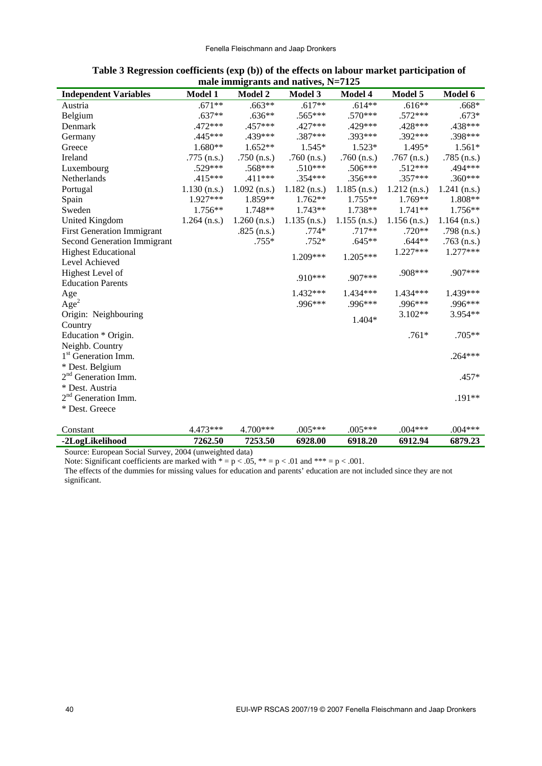| <b>Independent Variables</b>                 | Model 1        | Model 2        | <b>Model 3</b> | Model 4        | Model 5        | Model 6        |
|----------------------------------------------|----------------|----------------|----------------|----------------|----------------|----------------|
| Austria                                      | $.671**$       | $.663**$       | $.617**$       | $.614**$       | $.616**$       | $.668*$        |
| Belgium                                      | $.637**$       | $.636**$       | .565***        | .570***        | $.572***$      | $.673*$        |
| Denmark                                      | .472***        | .457***        | .427***        | .429***        | .428***        | .438***        |
| Germany                                      | .445***        | .439***        | .387***        | .393***        | .392***        | .398***        |
| Greece                                       | 1.680**        | $1.652**$      | 1.545*         | $1.523*$       | 1.495*         | $1.561*$       |
| Ireland                                      | .775 $(n.s.)$  | .750 $(n.s.)$  | .760 $(n.s.)$  | .760 $(n.s.)$  | .767 $(n.s.)$  | $.785$ (n.s.)  |
| Luxembourg                                   | $.529***$      | $.568***$      | $.510***$      | .506***        | $.512***$      | .494***        |
| Netherlands                                  | $.415***$      | $.411***$      | $.354***$      | $.356***$      | $.357***$      | $.360***$      |
| Portugal                                     | $1.130$ (n.s.) | $1.092$ (n.s.) | $1.182$ (n.s.) | $1.185$ (n.s.) | $1.212$ (n.s.) | $1.241$ (n.s.) |
| Spain                                        | 1.927***       | 1.859**        | $1.762**$      | $1.755**$      | $1.769**$      | 1.808**        |
| Sweden                                       | 1.756**        | 1.748**        | $1.743**$      | 1.738**        | $1.741**$      | 1.756**        |
| <b>United Kingdom</b>                        | $1.264$ (n.s.) | $1.260$ (n.s.) | $1.135$ (n.s.) | $1.155$ (n.s.) | $1.156$ (n.s.) | $1.164$ (n.s.) |
| <b>First Generation Immigrant</b>            |                | $.825$ (n.s.)  | $.774*$        | $.717**$       | $.720**$       | .798 $(n.s.)$  |
| <b>Second Generation Immigrant</b>           |                | $.755*$        | $.752*$        | $.645**$       | $.644**$       | $.763$ (n.s.)  |
| <b>Highest Educational</b><br>Level Achieved |                |                | 1.209***       | 1.205***       | 1.227***       | $1.277***$     |
| Highest Level of<br><b>Education Parents</b> |                |                | .910***        | .907***        | .908***        | .907***        |
|                                              |                |                | 1.432***       | 1.434***       | 1.434***       | 1.439***       |
| Age<br>Age <sup>2</sup>                      |                |                | .996***        | .996***        | .996***        | .996***        |
| Origin: Neighbouring                         |                |                |                |                | 3.102**        | 3.954**        |
| Country                                      |                |                |                | 1.404*         |                |                |
| Education * Origin.                          |                |                |                |                | $.761*$        | .705**         |
| Neighb. Country                              |                |                |                |                |                |                |
| 1 <sup>st</sup> Generation Imm.              |                |                |                |                |                | $.264***$      |
| * Dest. Belgium                              |                |                |                |                |                |                |
| 2 <sup>nd</sup> Generation Imm.              |                |                |                |                |                | $.457*$        |
| * Dest. Austria                              |                |                |                |                |                |                |
| 2 <sup>nd</sup> Generation Imm.              |                |                |                |                |                | .191**         |
| * Dest. Greece                               |                |                |                |                |                |                |
| Constant                                     | 4.473***       | 4.700***       | $.005***$      | $.005***$      | $.004***$      | $.004***$      |
| -2LogLikelihood                              | 7262.50        | 7253.50        | 6928.00        | 6918.20        | 6912.94        | 6879.23        |

## **Table 3 Regression coefficients (exp (b)) of the effects on labour market participation of male immigrants and natives, N=7125**

Source: European Social Survey, 2004 (unweighted data)

Note: Significant coefficients are marked with  $* = p < .05$ ,  $** = p < .01$  and  $*** = p < .001$ .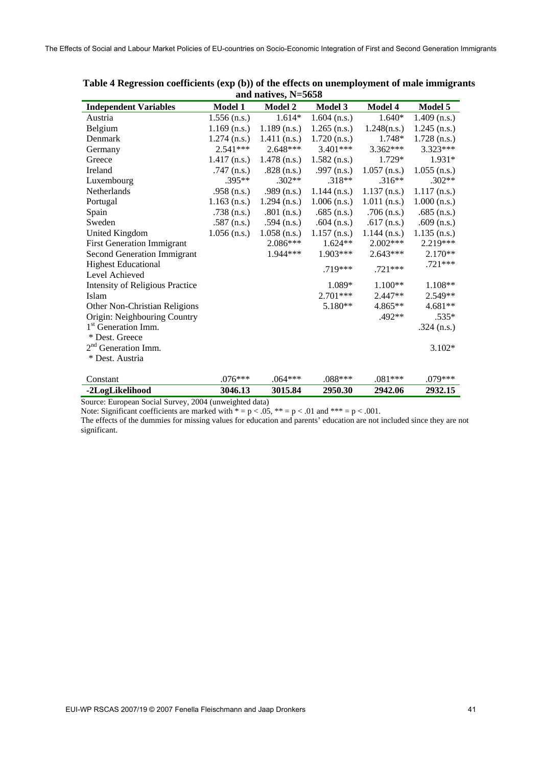|                                        |                | and natryes, $11 - 3030$ |                |                |                |
|----------------------------------------|----------------|--------------------------|----------------|----------------|----------------|
| <b>Independent Variables</b>           | Model 1        | <b>Model 2</b>           | Model 3        | <b>Model 4</b> | Model 5        |
| Austria                                | $1.556$ (n.s.) | $1.614*$                 | $1.604$ (n.s.) | $1.640*$       | $1.409$ (n.s.) |
| Belgium                                | $1.169$ (n.s.) | $1.189$ (n.s.)           | $1.265$ (n.s.) | 1.248(n.s.)    | $1.245$ (n.s.) |
| Denmark                                | $1.274$ (n.s.) | $1.411$ (n.s.)           | $1.720$ (n.s.) | $1.748*$       | $1.728$ (n.s.) |
| Germany                                | $2.541***$     | $2.648***$               | 3.401***       | $3.362***$     | 3.323***       |
| Greece                                 | $1.417$ (n.s.) | $1.478$ (n.s.)           | $1.582$ (n.s.) | 1.729*         | $1.931*$       |
| Ireland                                | $.747$ (n.s.)  | $.828$ (n.s.)            | .997 $(n.s.)$  | $1.057$ (n.s.) | $1.055$ (n.s.) |
| Luxembourg                             | $.395**$       | $.302**$                 | $.318**$       | $.316**$       | $.302**$       |
| Netherlands                            | .958 $(n.s.)$  | .989 $(n.s.)$            | $1.144$ (n.s.) | $1.137$ (n.s.) | $1.117$ (n.s.) |
| Portugal                               | $1.163$ (n.s.) | $1.294$ (n.s.)           | $1.006$ (n.s.) | $1.011$ (n.s.) | $1.000$ (n.s.) |
| Spain                                  | $.738$ (n.s.)  | $.801$ (n.s.)            | $.685$ (n.s.)  | $.706$ (n.s.)  | $.685$ (n.s.)  |
| Sweden                                 | .587 $(n.s.)$  | .594 $(n.s.)$            | .604 $(n.s.)$  | .617 $(n.s.)$  | .609 $(n.s.)$  |
| United Kingdom                         | $1.056$ (n.s.) | $1.058$ (n.s.)           | $1.157$ (n.s.) | $1.144$ (n.s.) | $1.135$ (n.s.) |
| <b>First Generation Immigrant</b>      |                | $2.086***$               | $1.624**$      | $2.002***$     | 2.219***       |
| Second Generation Immigrant            |                | 1.944***                 | 1.903***       | $2.643***$     | $2.170**$      |
| <b>Highest Educational</b>             |                |                          | $.719***$      | $.721***$      | .721***        |
| Level Achieved                         |                |                          |                |                |                |
| <b>Intensity of Religious Practice</b> |                |                          | 1.089*         | $1.100**$      | $1.108**$      |
| Islam                                  |                |                          | 2.701***       | 2.447**        | $2.549**$      |
| Other Non-Christian Religions          |                |                          | 5.180**        | 4.865**        | $4.681**$      |
| Origin: Neighbouring Country           |                |                          |                | .492**         | $.535*$        |
| 1 <sup>st</sup> Generation Imm.        |                |                          |                |                | .324 $(n.s.)$  |
| * Dest. Greece                         |                |                          |                |                |                |
| 2 <sup>nd</sup> Generation Imm.        |                |                          |                |                | $3.102*$       |
| * Dest. Austria                        |                |                          |                |                |                |
| Constant                               | $.076***$      | $.064***$                | $.088***$      | $.081***$      | $.079***$      |
| -2LogLikelihood                        | 3046.13        | 3015.84                  | 2950.30        | 2942.06        | 2932.15        |

**Table 4 Regression coefficients (exp (b)) of the effects on unemployment of male immigrants and natives, N=5658** 

Source: European Social Survey, 2004 (unweighted data)

Note: Significant coefficients are marked with  $* = p < .05$ ,  $** = p < .01$  and  $*** = p < .001$ .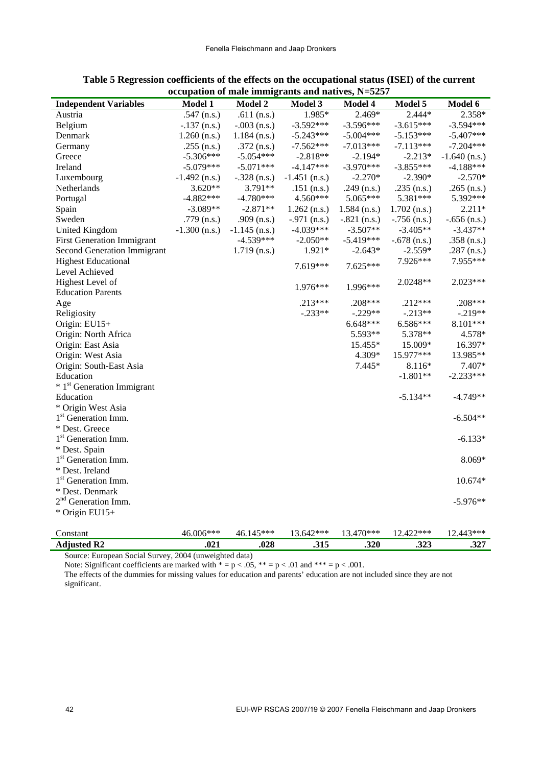|                                        | occupation of mail miningrants and natives, $11-3237$ |                 |                 |                |                |                 |
|----------------------------------------|-------------------------------------------------------|-----------------|-----------------|----------------|----------------|-----------------|
| <b>Independent Variables</b>           | <b>Model 1</b>                                        | <b>Model 2</b>  | Model 3         | Model 4        | Model 5        | Model 6         |
| Austria                                | .547 $(n.s.)$                                         | .611 $(n.s.)$   | 1.985*          | $2.469*$       | $2.444*$       | 2.358*          |
| Belgium                                | $-.137$ (n.s.)                                        | $-.003$ (n.s.)  | $-3.592***$     | $-3.596***$    | $-3.615***$    | $-3.594***$     |
| Denmark                                | $1.260$ (n.s.)                                        | $1.184$ (n.s.)  | $-5.243***$     | $-5.004***$    | $-5.153***$    | $-5.407***$     |
| Germany                                | .255 $(n.s.)$                                         | $.372$ (n.s.)   | $-7.562***$     | $-7.013***$    | $-7.113***$    | $-7.204***$     |
| Greece                                 | $-5.306***$                                           | $-5.054***$     | $-2.818**$      | $-2.194*$      | $-2.213*$      | $-1.640$ (n.s.) |
| Ireland                                | $-5.079***$                                           | $-5.071***$     | $-4.147***$     | $-3.970***$    | $-3.855***$    | $-4.188***$     |
| Luxembourg                             | $-1.492$ (n.s.)                                       | $-.328$ (n.s.)  | $-1.451$ (n.s.) | $-2.270*$      | $-2.390*$      | $-2.570*$       |
| Netherlands                            | $3.620**$                                             | 3.791**         | $.151$ (n.s.)   | .249 $(n.s.)$  | .235 $(n.s.)$  | .265 $(n.s.)$   |
| Portugal                               | $-4.882***$                                           | $-4.780***$     | 4.560***        | 5.065***       | 5.381***       | 5.392***        |
| Spain                                  | $-3.089**$                                            | $-2.871**$      | $1.262$ (n.s.)  | $1.584$ (n.s.) | $1.702$ (n.s.) | $2.211*$        |
| Sweden                                 | .779 $(n.s.)$                                         | .909 $(n.s.)$   | $-.971$ (n.s.)  | $-.821$ (n.s.) | $-.756$ (n.s.) | $-.656$ (n.s.)  |
| <b>United Kingdom</b>                  | $-1.300$ (n.s.)                                       | $-1.145$ (n.s.) | $-4.039***$     | $-3.507**$     | $-3.405**$     | $-3.437**$      |
| <b>First Generation Immigrant</b>      |                                                       | $-4.539***$     | $-2.050**$      | $-5.419***$    | $-.678$ (n.s.) | .358 $(n.s.)$   |
| <b>Second Generation Immigrant</b>     |                                                       | $1.719$ (n.s.)  | 1.921*          | $-2.643*$      | $-2.559*$      | .287 $(n.s.)$   |
| <b>Highest Educational</b>             |                                                       |                 | 7.619***        | 7.625***       | 7.926***       | 7.955***        |
| Level Achieved                         |                                                       |                 |                 |                |                |                 |
| Highest Level of                       |                                                       |                 |                 | $1.996***$     | 2.0248**       | 2.023***        |
| <b>Education Parents</b>               |                                                       |                 | $1.976***$      |                |                |                 |
| Age                                    |                                                       |                 | $.213***$       | .208***        | $.212***$      | .208***         |
| Religiosity                            |                                                       |                 | $-.233**$       | $-.229**$      | $-.213**$      | $-.219**$       |
| Origin: EU15+                          |                                                       |                 |                 | $6.648***$     | 6.586***       | 8.101***        |
| Origin: North Africa                   |                                                       |                 |                 | 5.593**        | 5.378**        | 4.578*          |
| Origin: East Asia                      |                                                       |                 |                 | 15.455*        | 15.009*        | 16.397*         |
| Origin: West Asia                      |                                                       |                 |                 | 4.309*         | 15.977***      | 13.985**        |
| Origin: South-East Asia                |                                                       |                 |                 | $7.445*$       | 8.116*         | 7.407*          |
| Education                              |                                                       |                 |                 |                | $-1.801**$     | $-2.233***$     |
| * 1 <sup>st</sup> Generation Immigrant |                                                       |                 |                 |                |                |                 |
| Education                              |                                                       |                 |                 |                | $-5.134**$     | $-4.749**$      |
| * Origin West Asia                     |                                                       |                 |                 |                |                |                 |
| 1 <sup>st</sup> Generation Imm.        |                                                       |                 |                 |                |                | $-6.504**$      |
| * Dest. Greece                         |                                                       |                 |                 |                |                |                 |
| 1 <sup>st</sup> Generation Imm.        |                                                       |                 |                 |                |                | $-6.133*$       |
| * Dest. Spain                          |                                                       |                 |                 |                |                |                 |
| 1 <sup>st</sup> Generation Imm.        |                                                       |                 |                 |                |                | 8.069*          |
| * Dest. Ireland                        |                                                       |                 |                 |                |                |                 |
| 1 <sup>st</sup> Generation Imm.        |                                                       |                 |                 |                |                | 10.674*         |
| * Dest. Denmark                        |                                                       |                 |                 |                |                |                 |
| 2 <sup>nd</sup> Generation Imm.        |                                                       |                 |                 |                |                | $-5.976**$      |
| * Origin EU15+                         |                                                       |                 |                 |                |                |                 |
|                                        |                                                       |                 |                 |                |                |                 |
| Constant                               | 46.006***                                             | 46.145***       | 13.642***       | 13.470***      | 12.422***      | 12.443***       |
| <b>Adjusted R2</b>                     | .021                                                  | .028            | .315            | .320           | .323           | .327            |

| Table 5 Regression coefficients of the effects on the occupational status (ISEI) of the current |
|-------------------------------------------------------------------------------------------------|
| occupation of male immigrants and natives, $N=5257$                                             |

Note: Significant coefficients are marked with  $* = p < .05$ ,  $** = p < .01$  and  $*** = p < .001$ .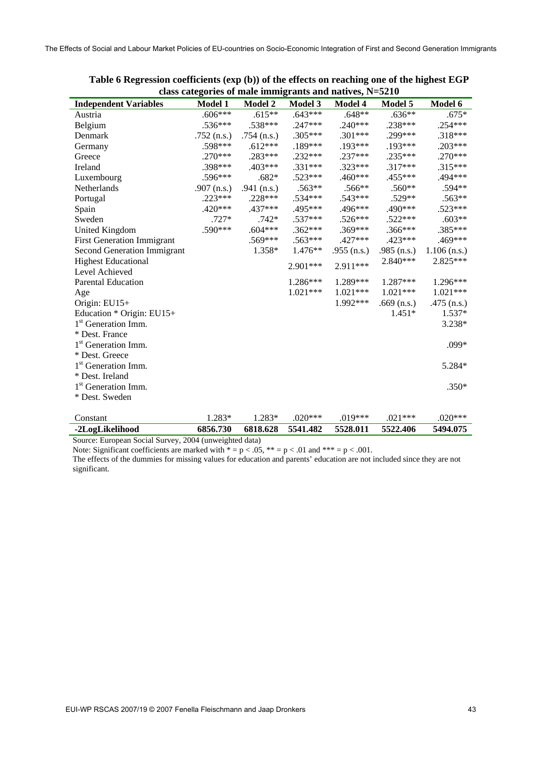| class categories of male immigrants and natives, N=5210 |               |                |            |               |               |                |  |  |  |  |  |
|---------------------------------------------------------|---------------|----------------|------------|---------------|---------------|----------------|--|--|--|--|--|
| <b>Independent Variables</b>                            | Model 1       | <b>Model 2</b> | Model 3    | Model 4       | Model 5       | Model 6        |  |  |  |  |  |
| Austria                                                 | $.606***$     | $.615**$       | $.643***$  | $.648**$      | $.636**$      | $.675*$        |  |  |  |  |  |
| Belgium                                                 | $.536***$     | .538***        | $.247***$  | $.240***$     | .238***       | .254***        |  |  |  |  |  |
| Denmark                                                 | $.752$ (n.s.) | .754 $(n.s.)$  | $.305***$  | $.301***$     | .299***       | $.318***$      |  |  |  |  |  |
| Germany                                                 | .598***       | $.612***$      | .189***    | .193***       | .193***       | .203***        |  |  |  |  |  |
| Greece                                                  | $.270***$     | .283***        | $.232***$  | $.237***$     | $.235***$     | $.270***$      |  |  |  |  |  |
| Ireland                                                 | .398***       | $.403***$      | $.331***$  | $.323***$     | $.317***$     | $.315***$      |  |  |  |  |  |
| Luxembourg                                              | .596***       | $.682*$        | $.523***$  | $.460***$     | .455***       | .494 ***       |  |  |  |  |  |
| Netherlands                                             | .907 $(n.s.)$ | .941 $(n.s.)$  | .563**     | .566**        | .560**        | .594**         |  |  |  |  |  |
| Portugal                                                | $.223***$     | .228***        | $.534***$  | $.543***$     | $.529**$      | $.563**$       |  |  |  |  |  |
| Spain                                                   | .420***       | .437***        | .495***    | .496***       | .490***       | $.523***$      |  |  |  |  |  |
| Sweden                                                  | $.727*$       | $.742*$        | .537***    | .526***       | $.522***$     | $.603**$       |  |  |  |  |  |
| United Kingdom                                          | .590***       | $.604***$      | .362***    | $.369***$     | .366***       | .385***        |  |  |  |  |  |
| <b>First Generation Immigrant</b>                       |               | $.569***$      | $.563***$  | $.427***$     | .423***       | .469***        |  |  |  |  |  |
| <b>Second Generation Immigrant</b>                      |               | 1.358*         | $1.476**$  | .955 $(n.s.)$ | $.985$ (n.s.) | $1.106$ (n.s.) |  |  |  |  |  |
| <b>Highest Educational</b>                              |               |                | 2.901***   | 2.911***      | 2.840***      | 2.825***       |  |  |  |  |  |
| Level Achieved                                          |               |                |            |               |               |                |  |  |  |  |  |
| <b>Parental Education</b>                               |               |                | 1.286***   | 1.289***      | $1.287***$    | 1.296***       |  |  |  |  |  |
| Age                                                     |               |                | $1.021***$ | $1.021***$    | $1.021***$    | $1.021***$     |  |  |  |  |  |
| Origin: EU15+                                           |               |                |            | 1.992***      | $.669$ (n.s.) | .475 $(n.s.)$  |  |  |  |  |  |
| Education * Origin: EU15+                               |               |                |            |               | $1.451*$      | $1.537*$       |  |  |  |  |  |
| 1 <sup>st</sup> Generation Imm.                         |               |                |            |               |               | 3.238*         |  |  |  |  |  |
| * Dest. France                                          |               |                |            |               |               |                |  |  |  |  |  |
| 1 <sup>st</sup> Generation Imm.                         |               |                |            |               |               | .099*          |  |  |  |  |  |
| * Dest. Greece                                          |               |                |            |               |               |                |  |  |  |  |  |
| 1 <sup>st</sup> Generation Imm.                         |               |                |            |               |               | 5.284*         |  |  |  |  |  |
| * Dest. Ireland                                         |               |                |            |               |               |                |  |  |  |  |  |
| 1 <sup>st</sup> Generation Imm.                         |               |                |            |               |               | $.350*$        |  |  |  |  |  |
| * Dest. Sweden                                          |               |                |            |               |               |                |  |  |  |  |  |
|                                                         |               |                |            |               |               |                |  |  |  |  |  |
| Constant                                                | 1.283*        | 1.283*         | $.020***$  | $.019***$     | $.021***$     | $.020***$      |  |  |  |  |  |
| -2LogLikelihood                                         | 6856.730      | 6818.628       | 5541.482   | 5528.011      | 5522.406      | 5494.075       |  |  |  |  |  |

**Table 6 Regression coefficients (exp (b)) of the effects on reaching one of the highest EGP class categories of male immigrants and natives, N=5210** 

Source: European Social Survey, 2004 (unweighted data) Note: Significant coefficients are marked with  $* = p < .05$ ,  $** = p < .01$  and  $*** = p < .001$ .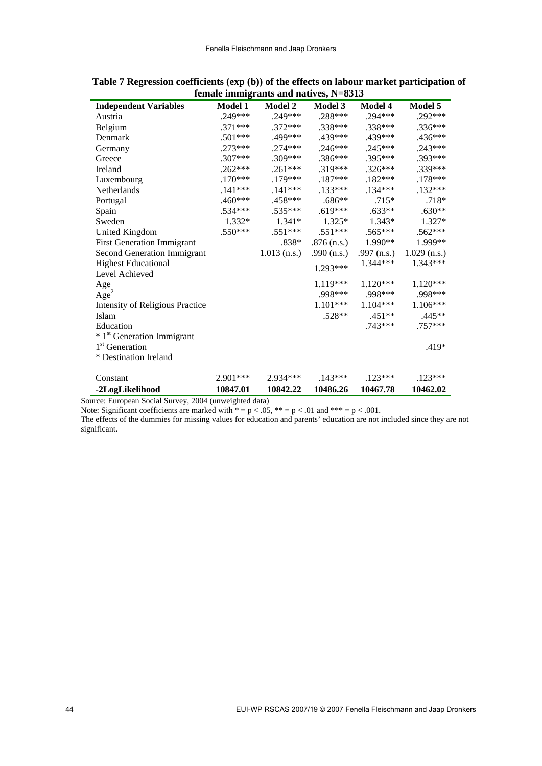| <b>Independent Variables</b>           | Model 1   | <b>Model 2</b> | Model 3       | <b>Model 4</b> | Model 5        |
|----------------------------------------|-----------|----------------|---------------|----------------|----------------|
| Austria                                | .249***   | .249***        | $.288***$     | $.294***$      | .292***        |
| Belgium                                | .371***   | $.372***$      | .338***       | $.338***$      | .336***        |
| Denmark                                | .501***   | .499***        | .439***       | .439***        | .436***        |
| Germany                                | $.273***$ | $.274***$      | $.246***$     | $.245***$      | .243***        |
| Greece                                 | $.307***$ | .309***        | .386***       | $.395***$      | .393***        |
| Ireland                                | $.262***$ | $.261***$      | .319***       | $.326***$      | .339***        |
| Luxembourg                             | $.170***$ | .179***        | $.187***$     | $.182***$      | $.178***$      |
| Netherlands                            | $.141***$ | $.141***$      | $.133***$     | $.134***$      | $.132***$      |
| Portugal                               | .460***   | .458***        | $.686**$      | $.715*$        | $.718*$        |
| Spain                                  | .534***   | $.535***$      | $.619***$     | $.633**$       | $.630**$       |
| Sweden                                 | 1.332*    | 1.341*         | 1.325*        | $1.343*$       | 1.327*         |
| <b>United Kingdom</b>                  | .550***   | $.551***$      | $.551***$     | $.565***$      | $.562***$      |
| <b>First Generation Immigrant</b>      |           | .838*          | $.876$ (n.s.) | 1.990**        | 1.999**        |
| <b>Second Generation Immigrant</b>     |           | $1.013$ (n.s.) | .990 $(n.s.)$ | .997 $(n.s.)$  | $1.029$ (n.s.) |
| <b>Highest Educational</b>             |           |                | $1.293***$    | 1.344***       | 1.343***       |
| Level Achieved                         |           |                |               |                |                |
| Age                                    |           |                | 1.119***      | 1.120***       | 1.120***       |
| Age <sup>2</sup>                       |           |                | .998***       | .998***        | .998***        |
| <b>Intensity of Religious Practice</b> |           |                | $1.101***$    | $1.104***$     | 1.106***       |
| Islam                                  |           |                | $.528**$      | $.451**$       | .445**         |
| Education                              |           |                |               | .743***        | .757***        |
| * 1 <sup>st</sup> Generation Immigrant |           |                |               |                |                |
| 1 <sup>st</sup> Generation             |           |                |               |                | .419*          |
| * Destination Ireland                  |           |                |               |                |                |
|                                        |           |                |               |                |                |
| Constant                               | 2.901***  | 2.934***       | $.143***$     | $.123***$      | $.123***$      |
| -2LogLikelihood                        | 10847.01  | 10842.22       | 10486.26      | 10467.78       | 10462.02       |

**Table 7 Regression coefficients (exp (b)) of the effects on labour market participation of female immigrants and natives, N=8313** 

Note: Significant coefficients are marked with  $* = p < .05$ ,  $** = p < .01$  and  $*** = p < .001$ .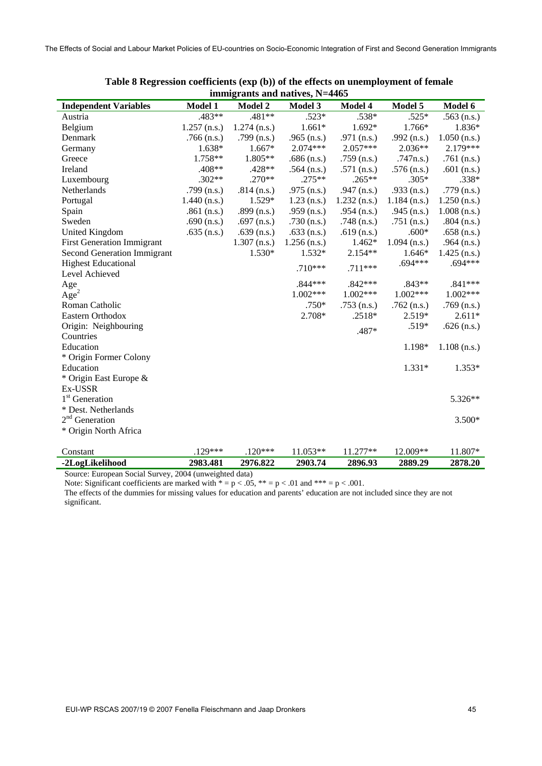| $\mu$ <sub>111111121</sub> and $\mu$ <sub>11411</sub> $\lambda$ <sub>5</sub> , $\mu$ <sup>-44</sup> 03 |                |                |                |                |                |                |  |  |  |  |  |
|--------------------------------------------------------------------------------------------------------|----------------|----------------|----------------|----------------|----------------|----------------|--|--|--|--|--|
| <b>Independent Variables</b>                                                                           | <b>Model 1</b> | <b>Model 2</b> | <b>Model 3</b> | Model 4        | Model 5        | Model 6        |  |  |  |  |  |
| Austria                                                                                                | .483**         | .481**         | $.523*$        | .538*          | $.525*$        | $.563$ (n.s.)  |  |  |  |  |  |
| Belgium                                                                                                | $1.257$ (n.s.) | $1.274$ (n.s.) | $1.661*$       | 1.692*         | 1.766*         | 1.836*         |  |  |  |  |  |
| Denmark                                                                                                | $.766$ (n.s.)  | .799 $(n.s.)$  | .965 $(n.s.)$  | .971 $(n.s.)$  | .992 $(n.s.)$  | $1.050$ (n.s.) |  |  |  |  |  |
| Germany                                                                                                | 1.638*         | 1.667*         | 2.074***       | 2.057***       | $2.036**$      | 2.179***       |  |  |  |  |  |
| Greece                                                                                                 | 1.758**        | $1.805**$      | $.686$ (n.s.)  | .759 $(n.s.)$  | .747n.s.)      | .761 $(n.s.)$  |  |  |  |  |  |
| Ireland                                                                                                | .408**         | .428**         | .564 $(n.s.)$  | .571 $(n.s.)$  | $.576$ (n.s.)  | .601 $(n.s.)$  |  |  |  |  |  |
| Luxembourg                                                                                             | $.302**$       | $.270**$       | $.275**$       | $.265**$       | $.305*$        | $.338*$        |  |  |  |  |  |
| Netherlands                                                                                            | .799 $(n.s.)$  | $.814$ (n.s.)  | .975 $(n.s.)$  | .947 $(n.s.)$  | .933 $(n.s.)$  | .779 $(n.s.)$  |  |  |  |  |  |
| Portugal                                                                                               | $1.440$ (n.s.) | 1.529*         | $1.23$ (n.s.)  | $1.232$ (n.s.) | $1.184$ (n.s.) | $1.250$ (n.s.) |  |  |  |  |  |
| Spain                                                                                                  | .861 $(n.s.)$  | $.899$ (n.s.)  | .959 $(n.s.)$  | .954 $(n.s.)$  | .945 $(n.s.)$  | $1.008$ (n.s.) |  |  |  |  |  |
| Sweden                                                                                                 | .690 $(n.s.)$  | .697 $(n.s.)$  | .730 $(n.s.)$  | .748 $(n.s.)$  | .751 $(n.s.)$  | .804 $(n.s.)$  |  |  |  |  |  |
| United Kingdom                                                                                         | .635 $(n.s.)$  | .639 $(n.s.)$  | .633 $(n.s.)$  | .619 $(n.s.)$  | $.600*$        | $.658$ (n.s.)  |  |  |  |  |  |
| <b>First Generation Immigrant</b>                                                                      |                | $1.307$ (n.s.) | $1.256$ (n.s.) | $1.462*$       | $1.094$ (n.s.) | .964 $(n.s.)$  |  |  |  |  |  |
| Second Generation Immigrant                                                                            |                | 1.530*         | 1.532*         | 2.154**        | 1.646*         | $1.425$ (n.s.) |  |  |  |  |  |
| <b>Highest Educational</b>                                                                             |                |                | $.710***$      | $.711***$      | $.694***$      | .694 ***       |  |  |  |  |  |
| Level Achieved                                                                                         |                |                |                |                |                |                |  |  |  |  |  |
| Age                                                                                                    |                |                | .844 ***       | $.842***$      | $.843**$       | $.841***$      |  |  |  |  |  |
| Age <sup>2</sup>                                                                                       |                |                | 1.002***       | $1.002***$     | $1.002***$     | $1.002***$     |  |  |  |  |  |
| Roman Catholic                                                                                         |                |                | .750*          | $.753$ (n.s.)  | .762 $(n.s.)$  | $.769$ (n.s.)  |  |  |  |  |  |
| Eastern Orthodox                                                                                       |                |                | 2.708*         | $.2518*$       | 2.519*         | $2.611*$       |  |  |  |  |  |
| Origin: Neighbouring                                                                                   |                |                |                | .487*          | .519*          | $.626$ (n.s.)  |  |  |  |  |  |
| Countries                                                                                              |                |                |                |                |                |                |  |  |  |  |  |
| Education                                                                                              |                |                |                |                | 1.198*         | $1.108$ (n.s.) |  |  |  |  |  |
| * Origin Former Colony                                                                                 |                |                |                |                |                |                |  |  |  |  |  |
| Education                                                                                              |                |                |                |                | 1.331*         | $1.353*$       |  |  |  |  |  |
| * Origin East Europe &                                                                                 |                |                |                |                |                |                |  |  |  |  |  |
| Ex-USSR                                                                                                |                |                |                |                |                |                |  |  |  |  |  |
| 1 <sup>st</sup> Generation                                                                             |                |                |                |                |                | 5.326**        |  |  |  |  |  |
| * Dest. Netherlands                                                                                    |                |                |                |                |                |                |  |  |  |  |  |
| 2 <sup>nd</sup> Generation                                                                             |                |                |                |                |                | $3.500*$       |  |  |  |  |  |
| * Origin North Africa                                                                                  |                |                |                |                |                |                |  |  |  |  |  |
| Constant                                                                                               | $.129***$      | $.120***$      | 11.053**       | 11.277**       | 12.009**       | 11.807*        |  |  |  |  |  |
| -2LogLikelihood                                                                                        | 2983.481       | 2976.822       | 2903.74        | 2896.93        | 2889.29        | 2878.20        |  |  |  |  |  |

| Table 8 Regression coefficients (exp (b)) of the effects on unemployment of female |  |
|------------------------------------------------------------------------------------|--|
| immigrants and natives, N=4465                                                     |  |

Source: European Social Survey, 2004 (unweighted data) Note: Significant coefficients are marked with  $* = p < .05$ ,  $* = p < .01$  and  $** = p < .001$ .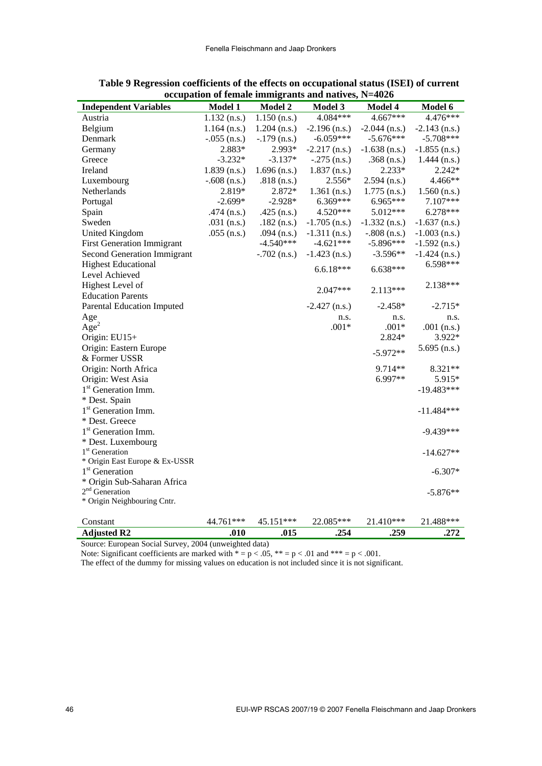| <b>Independent Variables</b>       | <b>Model 1</b> | <b>Model 2</b> | <b>Model 3</b>  | Model 4         | Model 6         |
|------------------------------------|----------------|----------------|-----------------|-----------------|-----------------|
| Austria                            | $1.132$ (n.s.) | $1.150$ (n.s.) | 4.084***        | 4.667***        | 4.476***        |
| Belgium                            | $1.164$ (n.s.) | $1.204$ (n.s.) | $-2.196$ (n.s.) | $-2.044$ (n.s.) | $-2.143$ (n.s.) |
| Denmark                            | $-.055$ (n.s.) | $-.179$ (n.s.) | $-6.059***$     | $-5.676***$     | $-5.708***$     |
| Germany                            | 2.883*         | 2.993*         | $-2.217$ (n.s.) | $-1.638$ (n.s.) | $-1.855$ (n.s.) |
| Greece                             | $-3.232*$      | $-3.137*$      | $-.275$ (n.s.)  | $.368$ (n.s.)   | $1.444$ (n.s.)  |
| Ireland                            | $1.839$ (n.s.) | $1.696$ (n.s.) | $1.837$ (n.s.)  | $2.233*$        | $2.242*$        |
| Luxembourg                         | $-.608$ (n.s.) | $.818$ (n.s.)  | 2.556*          | $2.594$ (n.s.)  | 4.466**         |
| Netherlands                        | 2.819*         | 2.872*         | $1.361$ (n.s.)  | $1.775$ (n.s.)  | $1.560$ (n.s.)  |
| Portugal                           | $-2.699*$      | $-2.928*$      | 6.369***        | 6.965***        | 7.107***        |
| Spain                              | $.474$ (n.s.)  | $.425$ (n.s.)  | 4.520***        | 5.012***        | 6.278***        |
| Sweden                             | .031 $(n.s.)$  | $.182$ (n.s.)  | $-1.705$ (n.s.) | $-1.332$ (n.s.) | $-1.637$ (n.s.) |
| <b>United Kingdom</b>              | $.055$ (n.s.)  | .094 $(n.s.)$  | $-1.311$ (n.s.) | $-.808$ (n.s.)  | $-1.003$ (n.s.) |
| <b>First Generation Immigrant</b>  |                | $-4.540***$    | $-4.621***$     | $-5.896***$     | $-1.592$ (n.s.) |
| <b>Second Generation Immigrant</b> |                | $-.702$ (n.s.) | $-1.423$ (n.s.) | $-3.596**$      | $-1.424$ (n.s.) |
| <b>Highest Educational</b>         |                |                | $6.6.18***$     | 6.638***        | 6.598***        |
| Level Achieved                     |                |                |                 |                 |                 |
| Highest Level of                   |                |                |                 |                 | 2.138***        |
| <b>Education Parents</b>           |                |                | $2.047***$      | 2.113***        |                 |
| <b>Parental Education Imputed</b>  |                |                | $-2.427$ (n.s.) | $-2.458*$       | $-2.715*$       |
| Age                                |                |                | n.s.            | n.s.            | n.s.            |
| Age <sup>2</sup>                   |                |                | $.001*$         | $.001*$         | .001 $(n.s.)$   |
| Origin: EU15+                      |                |                |                 | 2.824*          | 3.922*          |
| Origin: Eastern Europe             |                |                |                 | $-5.972**$      | $5.695$ (n.s.)  |
| & Former USSR                      |                |                |                 |                 |                 |
| Origin: North Africa               |                |                |                 | 9.714**         | 8.321**         |
| Origin: West Asia                  |                |                |                 | 6.997**         | 5.915*          |
| 1 <sup>st</sup> Generation Imm.    |                |                |                 |                 | $-19.483***$    |
| * Dest. Spain                      |                |                |                 |                 |                 |
| 1 <sup>st</sup> Generation Imm.    |                |                |                 |                 | $-11.484***$    |
| * Dest. Greece                     |                |                |                 |                 |                 |
| 1 <sup>st</sup> Generation Imm.    |                |                |                 |                 | $-9.439***$     |
| * Dest. Luxembourg                 |                |                |                 |                 |                 |
| 1 <sup>st</sup> Generation         |                |                |                 |                 | $-14.627**$     |
| * Origin East Europe & Ex-USSR     |                |                |                 |                 |                 |
| 1 <sup>st</sup> Generation         |                |                |                 |                 | $-6.307*$       |
| * Origin Sub-Saharan Africa        |                |                |                 |                 |                 |
| $2nd$ Generation                   |                |                |                 |                 | $-5.876**$      |
| * Origin Neighbouring Cntr.        |                |                |                 |                 |                 |
| Constant                           | 44.761***      | 45.151***      | 22.085***       | 21.410***       | 21.488***       |
| <b>Adjusted R2</b>                 | .010           | .015           | .254            | .259            | .272            |

| Table 9 Regression coefficients of the effects on occupational status (ISEI) of current |
|-----------------------------------------------------------------------------------------|
| occupation of female immigrants and natives, $N=4026$                                   |

Note: Significant coefficients are marked with  $* = p < .05$ ,  $* = p < .01$  and  $** = p < .001$ .

The effect of the dummy for missing values on education is not included since it is not significant.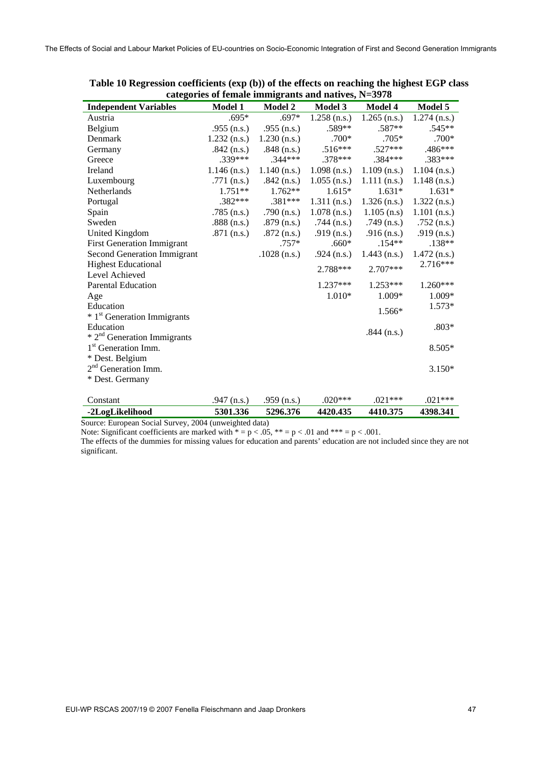| categories of female miningrams and natives, $19-3276$ |                |                |                |                |                |  |  |  |  |
|--------------------------------------------------------|----------------|----------------|----------------|----------------|----------------|--|--|--|--|
| <b>Independent Variables</b>                           | <b>Model 1</b> | <b>Model 2</b> | <b>Model 3</b> | <b>Model 4</b> | Model 5        |  |  |  |  |
| Austria                                                | .695*          | $.697*$        | $1.258$ (n.s.) | $1.265$ (n.s.) | $1.274$ (n.s.) |  |  |  |  |
| Belgium                                                | $.955$ (n.s.)  | .955 $(n.s.)$  | .589**         | .587**         | $.545**$       |  |  |  |  |
| Denmark                                                | $1.232$ (n.s.) | $1.230$ (n.s.) | $.700*$        | $.705*$        | $.700*$        |  |  |  |  |
| Germany                                                | .842 $(n.s.)$  | .848 $(n.s.)$  | $.516***$      | $.527***$      | .486***        |  |  |  |  |
| Greece                                                 | $.339***$      | $.344***$      | $.378***$      | .384***        | .383***        |  |  |  |  |
| Ireland                                                | $1.146$ (n.s.) | $1.140$ (n.s.) | $1.098$ (n.s.) | $1.109$ (n.s.) | $1.104$ (n.s.) |  |  |  |  |
| Luxembourg                                             | .771 $(n.s.)$  | .842 $(n.s.)$  | $1.055$ (n.s.) | $1.111$ (n.s.) | $1.148$ (n.s.) |  |  |  |  |
| Netherlands                                            | $1.751**$      | $1.762**$      | $1.615*$       | $1.631*$       | $1.631*$       |  |  |  |  |
| Portugal                                               | $.382***$      | $.381***$      | $1.311$ (n.s.) | $1.326$ (n.s.) | $1.322$ (n.s.) |  |  |  |  |
| Spain                                                  | $.785$ (n.s.)  | .790 $(n.s.)$  | $1.078$ (n.s.) | $1.105$ (n.s)  | $1.101$ (n.s.) |  |  |  |  |
| Sweden                                                 | $.888$ (n.s.)  | $.879$ (n.s.)  | $.744$ (n.s.)  | .749 $(n.s.)$  | .752 $(n.s.)$  |  |  |  |  |
| United Kingdom                                         | $.871$ (n.s.)  | $.872$ (n.s.)  | .919 $(n.s.)$  | .916 $(n.s.)$  | .919 $(n.s.)$  |  |  |  |  |
| <b>First Generation Immigrant</b>                      |                | $.757*$        | $.660*$        | $.154**$       | $.138**$       |  |  |  |  |
| <b>Second Generation Immigrant</b>                     |                | $.1028$ (n.s.) | .924 $(n.s.)$  | $1.443$ (n.s.) | $1.472$ (n.s.) |  |  |  |  |
| <b>Highest Educational</b>                             |                |                |                |                | 2.716***       |  |  |  |  |
| Level Achieved                                         |                |                | 2.788***       | $2.707***$     |                |  |  |  |  |
| <b>Parental Education</b>                              |                |                | $1.237***$     | $1.253***$     | 1.260***       |  |  |  |  |
| Age                                                    |                |                | $1.010*$       | 1.009*         | 1.009*         |  |  |  |  |
| Education                                              |                |                |                |                | 1.573*         |  |  |  |  |
| * 1 <sup>st</sup> Generation Immigrants                |                |                |                | 1.566*         |                |  |  |  |  |
| Education                                              |                |                |                |                | $.803*$        |  |  |  |  |
| $* 2nd$ Generation Immigrants                          |                |                |                | $.844$ (n.s.)  |                |  |  |  |  |
| 1 <sup>st</sup> Generation Imm.                        |                |                |                |                | 8.505*         |  |  |  |  |
| * Dest. Belgium                                        |                |                |                |                |                |  |  |  |  |
| 2 <sup>nd</sup> Generation Imm.                        |                |                |                |                | $3.150*$       |  |  |  |  |
| * Dest. Germany                                        |                |                |                |                |                |  |  |  |  |
|                                                        |                |                |                |                |                |  |  |  |  |
| Constant                                               | .947 $(n.s.)$  | .959 $(n.s.)$  | $.020***$      | $.021***$      | $.021***$      |  |  |  |  |
| -2LogLikelihood                                        | 5301.336       | 5296.376       | 4420.435       | 4410.375       | 4398.341       |  |  |  |  |

**Table 10 Regression coefficients (exp (b)) of the effects on reaching the highest EGP class categories of female immigrants and natives, N=3978** 

Source: European Social Survey, 2004 (unweighted data)

Note: Significant coefficients are marked with  $* = p < .05$ ,  $** = p < .01$  and  $*** = p < .001$ .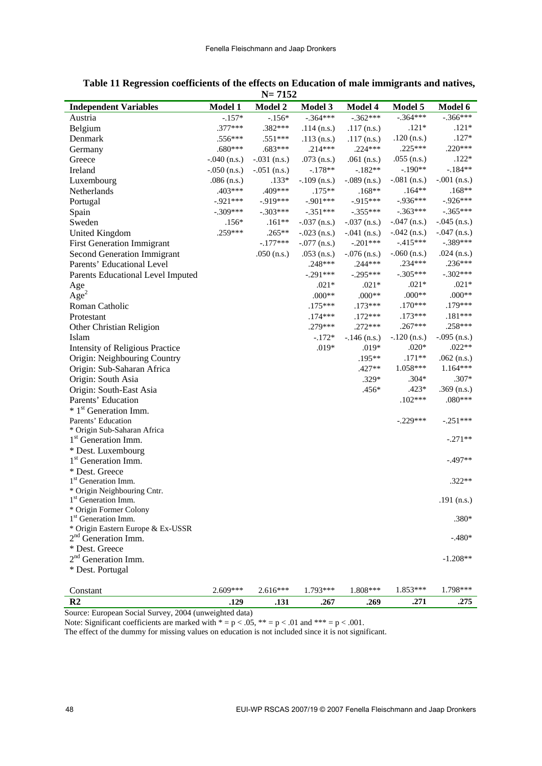|                                        |                | $1 - 1134$     |                |                |                |                |
|----------------------------------------|----------------|----------------|----------------|----------------|----------------|----------------|
| <b>Independent Variables</b>           | <b>Model 1</b> | <b>Model 2</b> | <b>Model 3</b> | Model 4        | Model 5        | Model 6        |
| Austria                                | $-.157*$       | $-.156*$       | $-.364***$     | $-.362***$     | $-.364***$     | $-.366***$     |
| Belgium                                | .377***        | .382***        | $.114$ (n.s.)  | $.117$ (n.s.)  | $.121*$        | $.121*$        |
| Denmark                                | .556***        | .551***        | $.113$ (n.s.)  | $.117$ (n.s.)  | $.120$ (n.s.)  | $.127*$        |
| Germany                                | .680***        | .683***        | .214***        | $.224***$      | $.225***$      | $.220***$      |
| Greece                                 | $-.040$ (n.s.) | $-.031$ (n.s.) | .073 $(n.s.)$  | .061 $(n.s.)$  | $.055$ (n.s.)  | $.122*$        |
| Ireland                                | $-.050$ (n.s.) | $-.051$ (n.s.) | $-.178**$      | $-182**$       | $-.190**$      | $-184**$       |
| Luxembourg                             | $.086$ (n.s.)  | $.133*$        | $-.109$ (n.s.) | $-.089$ (n.s.) | $-.081$ (n.s.) | $-.001$ (n.s.) |
| Netherlands                            | .403***        | .409***        | $.175**$       | $.168**$       | $.164**$       | $.168**$       |
| Portugal                               | $-.921***$     | $-919***$      | $-.901***$     | $-915***$      | $-.936***$     | $-.926***$     |
| Spain                                  | $-.309***$     | $-.303***$     | $-.351***$     | $-.355***$     | $-.363***$     | $-.365***$     |
| Sweden                                 | $.156*$        | $.161**$       | $-.037$ (n.s.) | $-.037$ (n.s.) | $-.047$ (n.s.) | $-.045$ (n.s.) |
| <b>United Kingdom</b>                  | .259***        | $.265**$       | $-.023$ (n.s.) | $-.041$ (n.s.) | $-.042$ (n.s.) | $-.047$ (n.s.) |
|                                        |                | $-.177***$     |                | $-.201***$     | $-415***$      | $-.389***$     |
| <b>First Generation Immigrant</b>      |                |                | $-.077$ (n.s.) |                |                |                |
| <b>Second Generation Immigrant</b>     |                | .050 $(n.s.)$  | $.053$ (n.s.)  | $-.076$ (n.s.) | $-.060$ (n.s.) | $.024$ (n.s.)  |
| Parents' Educational Level             |                |                | .248***        | $.244***$      | .234***        | .236***        |
| Parents Educational Level Imputed      |                |                | $-.291***$     | $-.295***$     | $-.305***$     | $-.302***$     |
| Age                                    |                |                | $.021*$        | $.021*$        | $.021*$        | $.021*$        |
| Age <sup>2</sup>                       |                |                | $.000**$       | $.000**$       | $.000**$       | $.000**$       |
| Roman Catholic                         |                |                | $.175***$      | $.173***$      | $.170***$      | .179***        |
| Protestant                             |                |                | $.174***$      | $.172***$      | $.173***$      | $.181***$      |
| Other Christian Religion               |                |                | .279***        | $.272***$      | .267***        | .258***        |
| Islam                                  |                |                | $-.172*$       | $-.146$ (n.s.) | $-.120$ (n.s.) | $-.095$ (n.s.) |
| <b>Intensity of Religious Practice</b> |                |                | $.019*$        | $.019*$        | $.020*$        | $.022**$       |
| Origin: Neighbouring Country           |                |                |                | .195**         | $.171**$       | .062 $(n.s.)$  |
| Origin: Sub-Saharan Africa             |                |                |                | .427**         | 1.058***       | 1.164***       |
| Origin: South Asia                     |                |                |                | .329*          | $.304*$        | .307*          |
| Origin: South-East Asia                |                |                |                | .456*          | $.423*$        | $.369$ (n.s.)  |
| Parents' Education                     |                |                |                |                | $.102***$      | $.080***$      |
| * 1 <sup>st</sup> Generation Imm.      |                |                |                |                |                |                |
| Parents' Education                     |                |                |                |                | $-.229***$     | $-.251***$     |
| * Origin Sub-Saharan Africa            |                |                |                |                |                |                |
| 1 <sup>st</sup> Generation Imm.        |                |                |                |                |                | $-.271**$      |
| * Dest. Luxembourg                     |                |                |                |                |                |                |
| 1 <sup>st</sup> Generation Imm.        |                |                |                |                |                | $-.497**$      |
| * Dest. Greece                         |                |                |                |                |                |                |
| 1 <sup>st</sup> Generation Imm.        |                |                |                |                |                | $.322**$       |
| * Origin Neighbouring Cntr.            |                |                |                |                |                |                |
| 1 <sup>st</sup> Generation Imm.        |                |                |                |                |                | .191 $(n.s.)$  |
| * Origin Former Colony                 |                |                |                |                |                |                |
| 1 <sup>st</sup> Generation Imm.        |                |                |                |                |                | .380*          |
| * Origin Eastern Europe & Ex-USSR      |                |                |                |                |                |                |
| 2 <sup>nd</sup> Generation Imm.        |                |                |                |                |                | $-.480*$       |
| * Dest. Greece                         |                |                |                |                |                |                |
| 2 <sup>nd</sup> Generation Imm.        |                |                |                |                |                | $-1.208**$     |
| * Dest. Portugal                       |                |                |                |                |                |                |
|                                        |                |                |                |                |                |                |
| Constant                               | $2.609***$     | $2.616***$     | 1.793***       | 1.808***       | 1.853***       | 1.798***       |
| R <sub>2</sub>                         | .129           | .131           | .267           | .269           | .271           | .275           |

**Table 11 Regression coefficients of the effects on Education of male immigrants and natives, N= 7152** 

Source: European Social Survey, 2004 (unweighted data)

Note: Significant coefficients are marked with  $* = p < .05$ ,  $* = p < .01$  and  $** = p < .001$ .

The effect of the dummy for missing values on education is not included since it is not significant.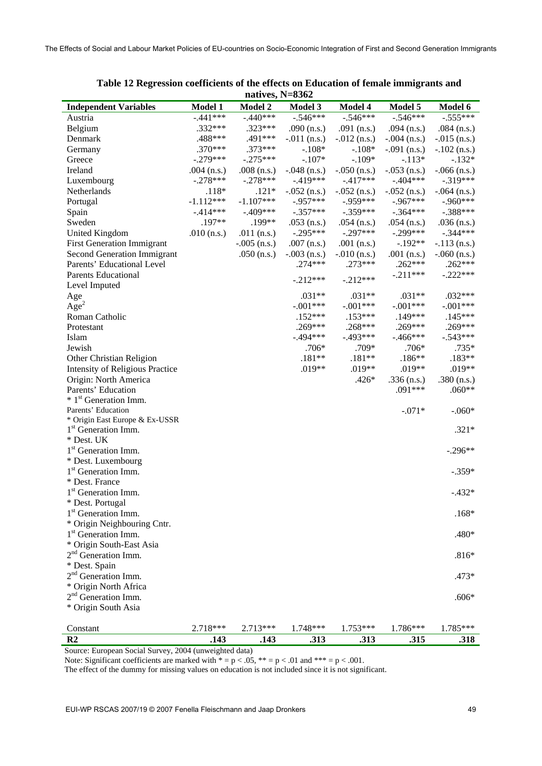|                                                          |               | $11dUVE3, 13-0JUZ$ |                |                |                |                |
|----------------------------------------------------------|---------------|--------------------|----------------|----------------|----------------|----------------|
| <b>Independent Variables</b>                             | Model 1       | <b>Model 2</b>     | <b>Model 3</b> | Model 4        | Model 5        | Model 6        |
| Austria                                                  | $-.441***$    | $-.440***$         | $-.546***$     | $-.546***$     | $-.546***$     | $-.555***$     |
| Belgium                                                  | .332***       | .323***            | .090 $(n.s.)$  | .091 $(n.s.)$  | .094 $(n.s.)$  | $.084$ (n.s.)  |
| Denmark                                                  | .488***       | .491***            | $-.011$ (n.s.) | $-.012$ (n.s.) | $-.004$ (n.s.) | $-.015$ (n.s.) |
| Germany                                                  | $.370***$     | $.373***$          | $-.108*$       | $-.108*$       | $-.091$ (n.s.) | $-.102$ (n.s.) |
| Greece                                                   | $-.279***$    | $-.275***$         | $-.107*$       | $-.109*$       | $-.113*$       | $-.132*$       |
| Ireland                                                  | .004 $(n.s.)$ | $.008$ (n.s.)      | $-.048$ (n.s.) | $-.050$ (n.s.) | $-.053$ (n.s.) | $-.066$ (n.s.) |
| Luxembourg                                               | $-.278***$    | $-.278***$         | $-.419***$     | $-.417***$     | $-.404***$     | $-319***$      |
| Netherlands                                              | $.118*$       | $.121*$            | $-.052$ (n.s.) | $-.052$ (n.s.) | $-.052$ (n.s.) | $-.064$ (n.s.) |
| Portugal                                                 | $-1.112***$   | $-1.107***$        | $-.957***$     | $-0.959***$    | $-.967***$     | $-.960***$     |
| Spain                                                    | $-.414***$    | $-.409***$         | $-.357***$     | $-.359***$     | $-.364***$     | $-.388***$     |
| Sweden                                                   | .197**        | .199**             | $.053$ (n.s.)  | .054 $(n.s.)$  | $.054$ (n.s.)  | $.036$ (n.s.)  |
| United Kingdom                                           | .010 $(n.s.)$ | .011 $(n.s.)$      | $-.295***$     | $-.297***$     | $-.299***$     | $-.344***$     |
| <b>First Generation Immigrant</b>                        |               | $-.005$ (n.s.)     | .007 $(n.s.)$  | .001 $(n.s.)$  | $-.192**$      | $-.113$ (n.s.) |
| <b>Second Generation Immigrant</b>                       |               | .050 $(n.s.)$      | $-.003$ (n.s.) | $-.010$ (n.s.) | .001 $(n.s.)$  | $-.060$ (n.s.) |
| Parents' Educational Level                               |               |                    | $.274***$      | $.273***$      | $.262***$      | $.262***$      |
|                                                          |               |                    |                |                |                | $-.222***$     |
| Parents Educational                                      |               |                    | $-.212***$     | $-.212***$     | $-.211***$     |                |
| Level Imputed                                            |               |                    |                |                |                |                |
| Age                                                      |               |                    | $.031**$       | $.031**$       | $.031**$       | $.032***$      |
| Age <sup>2</sup>                                         |               |                    | $-.001***$     | $-.001***$     | $-.001***$     | $-.001***$     |
| Roman Catholic                                           |               |                    | $.152***$      | $.153***$      | $.149***$      | $.145***$      |
| Protestant                                               |               |                    | .269***        | .268***        | $.269***$      | .269***        |
| Islam                                                    |               |                    | $-.494***$     | $-.493***$     | $-.466***$     | $-.543***$     |
| Jewish                                                   |               |                    | .706*          | .709*          | .706*          | .735*          |
| Other Christian Religion                                 |               |                    | $.181**$       | $.181**$       | $.186**$       | .183**         |
| <b>Intensity of Religious Practice</b>                   |               |                    | .019**         | .019**         | .019**         | .019**         |
| Origin: North America                                    |               |                    |                | $.426*$        | $.336$ (n.s.)  | .380 $(n.s.)$  |
| Parents' Education                                       |               |                    |                |                | $.091***$      | $.060**$       |
| * 1 <sup>st</sup> Generation Imm.                        |               |                    |                |                |                |                |
| Parents' Education                                       |               |                    |                |                | $-.071*$       | $-.060*$       |
| * Origin East Europe & Ex-USSR                           |               |                    |                |                |                |                |
| 1 <sup>st</sup> Generation Imm.                          |               |                    |                |                |                | $.321*$        |
| * Dest. UK                                               |               |                    |                |                |                |                |
| 1 <sup>st</sup> Generation Imm.                          |               |                    |                |                |                | $-.296**$      |
| * Dest. Luxembourg                                       |               |                    |                |                |                |                |
| 1 <sup>st</sup> Generation Imm.                          |               |                    |                |                |                | $-.359*$       |
| * Dest. France                                           |               |                    |                |                |                |                |
| 1 <sup>st</sup> Generation Imm.                          |               |                    |                |                |                | $-.432*$       |
| * Dest. Portugal                                         |               |                    |                |                |                |                |
| 1 <sup>st</sup> Generation Imm.                          |               |                    |                |                |                | $.168*$        |
| * Origin Neighbouring Cntr.                              |               |                    |                |                |                |                |
| 1 <sup>st</sup> Generation Imm.                          |               |                    |                |                |                | .480*          |
| * Origin South-East Asia                                 |               |                    |                |                |                |                |
| 2 <sup>nd</sup> Generation Imm.                          |               |                    |                |                |                | $.816*$        |
| * Dest. Spain                                            |               |                    |                |                |                |                |
| 2 <sup>nd</sup> Generation Imm.                          |               |                    |                |                |                | $.473*$        |
|                                                          |               |                    |                |                |                |                |
| * Origin North Africa<br>2 <sup>nd</sup> Generation Imm. |               |                    |                |                |                |                |
|                                                          |               |                    |                |                |                | $.606*$        |
| * Origin South Asia                                      |               |                    |                |                |                |                |
|                                                          |               |                    |                |                |                |                |
| Constant                                                 | 2.718***      | 2.713***           | 1.748***       | 1.753***       | 1.786***       | 1.785***       |
| R2                                                       | .143          | .143               | .313           | .313           | .315           | .318           |

| Table 12 Regression coefficients of the effects on Education of female immigrants and |  |                   |  |  |  |
|---------------------------------------------------------------------------------------|--|-------------------|--|--|--|
|                                                                                       |  | natives, $N=8362$ |  |  |  |

Note: Significant coefficients are marked with  $* = p < .05$ ,  $** = p < .01$  and  $*** = p < .001$ .

The effect of the dummy for missing values on education is not included since it is not significant.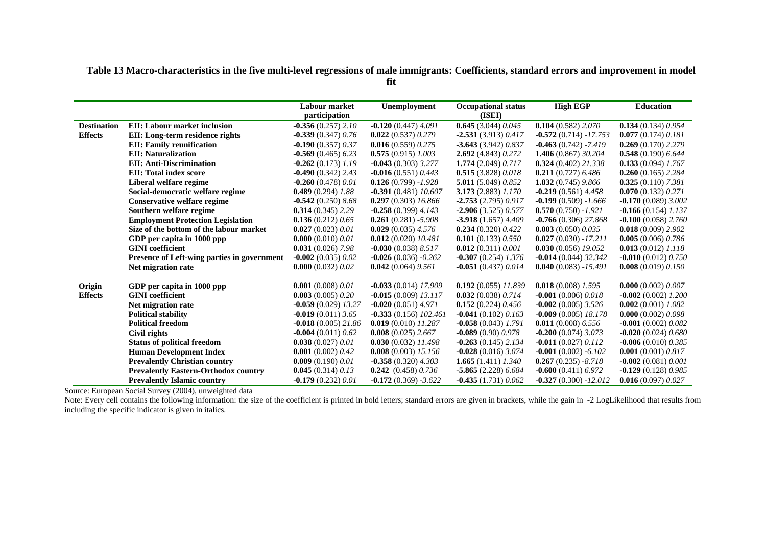**Table 13 Macro-characteristics in the five multi-level regressions of male immigrants: Coefficients, standard errors and improvement in model** 

**fit** 

|                    |                                             | <b>Labour market</b><br>participation | Unemployment              | <b>Occupational status</b><br>(ISEI) | <b>High EGP</b>         | <b>Education</b>        |
|--------------------|---------------------------------------------|---------------------------------------|---------------------------|--------------------------------------|-------------------------|-------------------------|
| <b>Destination</b> | <b>EII:</b> Labour market inclusion         | $-0.356(0.257)$ 2.10                  | $-0.120(0.447)4.091$      | 0.645(3.044)0.045                    | 0.104(0.582) 2.070      | 0.134(0.134)0.954       |
| <b>Effects</b>     | EII: Long-term residence rights             | $-0.339(0.347)0.76$                   | 0.022(0.537)0.279         | $-2.531(3.913)0.417$                 | $-0.572(0.714) -17.753$ | 0.077(0.174)0.181       |
|                    | <b>EII: Family reunification</b>            | $-0.190(0.357)0.37$                   | 0.016(0.559)0.275         | $-3.643(3.942)0.837$                 | $-0.463(0.742) - 7.419$ | 0.269(0.170)2.279       |
|                    | <b>EII: Naturalization</b>                  | $-0.569(0.465)$ 6.23                  | $0.575(0.915)$ 1.003      | 2.692 (4.843) 0.272                  | 1.406 (0.867) 30.204    | $0.548(0.190)$ 6.644    |
|                    | <b>EII: Anti-Discrimination</b>             | $-0.262(0.173)$ 1.19                  | $-0.043(0.303)$ 3.277     | 1.774(2.049)0.717                    | 0.324(0.402)21.338      | $0.133(0.094)$ 1.767    |
|                    | <b>EII: Total index score</b>               | $-0.490(0.342)$ 2.43                  | $-0.016(0.551)0.443$      | 0.515(3.828)0.018                    | $0.211(0.727)$ 6.486    | $0.260(0.165)$ 2.284    |
|                    | Liberal welfare regime                      | $-0.260(0.478)0.01$                   | $0.126(0.799) - 1.928$    | 5.011 (5.049) 0.852                  | 1.832(0.745)9.866       | $0.325(0.110)$ 7.381    |
|                    | Social-democratic welfare regime            | $0.489(0.294)$ 1.88                   | $-0.391(0.481)10.607$     | $3.173(2.883)$ $1.170$               | $-0.219(0.561)4.458$    | 0.070(0.132)0.271       |
|                    | Conservative welfare regime                 | $-0.542(0.250)8.68$                   | 0.297(0.303) 16.866       | $-2.753(2.795)0.917$                 | $-0.199(0.509) -1.666$  | $-0.170(0.089)3.002$    |
|                    | Southern welfare regime                     | $0.314(0.345)$ 2.29                   | $-0.258(0.399)$ 4.143     | $-2.906(3.525)0.577$                 | $0.570(0.750) - 1.921$  | $-0.166(0.154)$ 1.137   |
|                    | <b>Employment Protection Legislation</b>    | 0.136(0.212)0.65                      | $0.261(0.281) - 5.908$    | $-3.918(1.657)4.409$                 | $-0.766(0.306)$ 27.868  | $-0.100(0.058)$ 2.760   |
|                    | Size of the bottom of the labour market     | 0.027(0.023)0.01                      | $0.029(0.035)$ 4.576      | 0.234(0.320)0.422                    | 0.003(0.050)0.035       | $0.018(0.009)$ 2.902    |
|                    | GDP per capita in 1000 ppp                  | 0.000 $(0.010)$ $0.01$                | $0.012(0.020)$ $10.481$   | 0.101(0.133) 0.550                   | $0.027(0.030) -17.211$  | 0.005(0.006)0.786       |
|                    | <b>GINI</b> coefficient                     | $0.031(0.026)$ 7.98                   | $-0.030(0.038) 8.517$     | 0.012(0.311)0.001                    | $0.030(0.056)$ 19.052   | $0.013(0.012)$ 1.118    |
|                    | Presence of Left-wing parties in government | $-0.002(0.035)0.02$                   | $-0.026(0.036) -0.262$    | $-0.307(0.254)$ 1.376                | $-0.014(0.044)32.342$   | $-0.010(0.012)0.750$    |
|                    | Net migration rate                          | 0.000(0.032)0.02                      | $0.042(0.064)$ 9.561      | $-0.051(0.437)0.014$                 | $0.040(0.083) -15.491$  | 0.008 $(0.019)$ 0.150   |
| Origin             | GDP per capita in 1000 ppp                  | 0.001(0.008) 0.01                     | $-0.033(0.014)$ 17.909    | $0.192(0.055)$ 11.839                | $0.018(0.008)$ 1.595    | 0.000(0.002) 0.007      |
| <b>Effects</b>     | <b>GINI</b> coefficient                     | 0.003(0.005)0.20                      | $-0.015(0.009)$ 13.117    | 0.032(0.038)0.714                    | $-0.001(0.006)0.018$    | $-0.002(0.002)$ 1.200   |
|                    | Net migration rate                          | $-0.059(0.029)$ 13.27                 | $-0.020(0.051)4.971$      | 0.152(0.224)0.456                    | $-0.002(0.005)$ 3.526   | $0.002(0.001)$ 1.082    |
|                    | <b>Political stability</b>                  | $-0.019(0.011)$ 3.65                  | $-0.333(0.156)$ $102.461$ | $-0.041(0.102)0.163$                 | $-0.009(0.005)$ 18.178  | 0.000(0.002)0.098       |
|                    | <b>Political freedom</b>                    | $-0.018(0.005)21.86$                  | $0.019(0.010)$ $11.287$   | $-0.058(0.043)$ 1.791                | $0.011(0.008)$ 6.556    | $-0.001(0.002)0.082$    |
|                    | Civil rights                                | $-0.004(0.011)0.62$                   | 0.008(0.025)2.667         | $-0.089(0.90)0.978$                  | $-0.200$ (0.074) 3.073  | $-0.020(0.024)0.680$    |
|                    | <b>Status of political freedom</b>          | 0.038(0.027)0.01                      | $0.030(0.032)$ 11.498     | $-0.263(0.145)$ 2.134                | $-0.011(0.027)0.112$    | $-0.006(0.010) 0.385$   |
|                    | <b>Human Development Index</b>              | 0.001 $(0.002)$ 0.42                  | 0.008(0.003) 15.156       | $-0.028(0.016)3.074$                 | $-0.001(0.002) - 6.102$ | 0.001 $(0.001)$ $0.817$ |
|                    | <b>Prevalently Christian country</b>        | 0.009(0.190)0.01                      | $-0.358(0.320)$ 4.303     | 1.665 $(1.411)$ $1.340$              | $0.267(0.235) - 8.718$  | $-0.002(0.081)0.001$    |
|                    | <b>Prevalently Eastern-Orthodox country</b> | 0.045(0.314)0.13                      | $0.242$ (0.458) 0.736     | $-5.865(2.228)$ 6.684                | $-0.600(0.411)6.972$    | $-0.129(0.128)0.985$    |
|                    | <b>Prevalently Islamic country</b>          | $-0.179(0.232)0.01$                   | $-0.172(0.369) -3.622$    | $-0.435(1.731)0.062$                 | $-0.327(0.300) -12.012$ | 0.016(0.097)0.027       |

Source: European Social Survey (2004), unweighted data

Note: Every cell contains the following information: the size of the coefficient is printed in bold letters; standard errors are given in brackets, while the gain in -2 LogLikelihood that results from including the specific indicator is given in italics.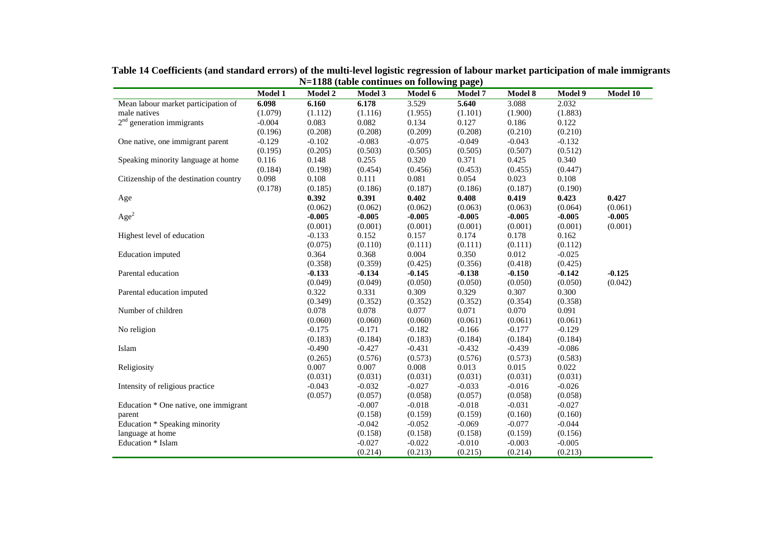|                                        | <b>Model 1</b> | <b>Model 2</b> | $1100$ (table commutes on rond $m_{\rm H}$ page)<br><b>Model 3</b> | Model 6  | <b>Model 7</b> | <b>Model 8</b> | Model 9  | Model 10 |
|----------------------------------------|----------------|----------------|--------------------------------------------------------------------|----------|----------------|----------------|----------|----------|
| Mean labour market participation of    | 6.098          | 6.160          | 6.178                                                              | 3.529    | 5.640          | 3.088          | 2.032    |          |
| male natives                           | (1.079)        | (1.112)        | (1.116)                                                            | (1.955)  | (1.101)        | (1.900)        | (1.883)  |          |
| $2nd$ generation immigrants            | $-0.004$       | 0.083          | 0.082                                                              | 0.134    | 0.127          | 0.186          | 0.122    |          |
|                                        |                |                |                                                                    |          |                |                |          |          |
|                                        | (0.196)        | (0.208)        | (0.208)                                                            | (0.209)  | (0.208)        | (0.210)        | (0.210)  |          |
| One native, one immigrant parent       | $-0.129$       | $-0.102$       | $-0.083$                                                           | $-0.075$ | $-0.049$       | $-0.043$       | $-0.132$ |          |
|                                        | (0.195)        | (0.205)        | (0.503)                                                            | (0.505)  | (0.505)        | (0.507)        | (0.512)  |          |
| Speaking minority language at home     | 0.116          | 0.148          | 0.255                                                              | 0.320    | 0.371          | 0.425          | 0.340    |          |
|                                        | (0.184)        | (0.198)        | (0.454)                                                            | (0.456)  | (0.453)        | (0.455)        | (0.447)  |          |
| Citizenship of the destination country | 0.098          | 0.108          | 0.111                                                              | 0.081    | 0.054          | 0.023          | 0.108    |          |
|                                        | (0.178)        | (0.185)        | (0.186)                                                            | (0.187)  | (0.186)        | (0.187)        | (0.190)  |          |
| Age                                    |                | 0.392          | 0.391                                                              | 0.402    | 0.408          | 0.419          | 0.423    | 0.427    |
|                                        |                | (0.062)        | (0.062)                                                            | (0.062)  | (0.063)        | (0.063)        | (0.064)  | (0.061)  |
| Age <sup>2</sup>                       |                | $-0.005$       | $-0.005$                                                           | $-0.005$ | $-0.005$       | $-0.005$       | $-0.005$ | $-0.005$ |
|                                        |                | (0.001)        | (0.001)                                                            | (0.001)  | (0.001)        | (0.001)        | (0.001)  | (0.001)  |
| Highest level of education             |                | $-0.133$       | 0.152                                                              | 0.157    | 0.174          | 0.178          | 0.162    |          |
|                                        |                | (0.075)        | (0.110)                                                            | (0.111)  | (0.111)        | (0.111)        | (0.112)  |          |
| Education imputed                      |                | 0.364          | 0.368                                                              | 0.004    | 0.350          | 0.012          | $-0.025$ |          |
|                                        |                | (0.358)        | (0.359)                                                            | (0.425)  | (0.356)        | (0.418)        | (0.425)  |          |
| Parental education                     |                | $-0.133$       | $-0.134$                                                           | $-0.145$ | $-0.138$       | $-0.150$       | $-0.142$ | $-0.125$ |
|                                        |                | (0.049)        | (0.049)                                                            | (0.050)  | (0.050)        | (0.050)        | (0.050)  | (0.042)  |
| Parental education imputed             |                | 0.322          | 0.331                                                              | 0.309    | 0.329          | 0.307          | 0.300    |          |
|                                        |                | (0.349)        | (0.352)                                                            | (0.352)  | (0.352)        | (0.354)        | (0.358)  |          |
| Number of children                     |                | 0.078          | 0.078                                                              | 0.077    | 0.071          | 0.070          | 0.091    |          |
|                                        |                | (0.060)        | (0.060)                                                            | (0.060)  | (0.061)        | (0.061)        | (0.061)  |          |
| No religion                            |                | $-0.175$       | $-0.171$                                                           | $-0.182$ | $-0.166$       | $-0.177$       | $-0.129$ |          |
|                                        |                | (0.183)        | (0.184)                                                            | (0.183)  | (0.184)        | (0.184)        | (0.184)  |          |
| Islam                                  |                | $-0.490$       | $-0.427$                                                           | $-0.431$ | $-0.432$       | $-0.439$       | $-0.086$ |          |
|                                        |                | (0.265)        | (0.576)                                                            | (0.573)  | (0.576)        | (0.573)        | (0.583)  |          |
|                                        |                | 0.007          | 0.007                                                              | 0.008    | 0.013          | 0.015          | 0.022    |          |
| Religiosity                            |                |                |                                                                    |          |                |                |          |          |
|                                        |                | (0.031)        | (0.031)                                                            | (0.031)  | (0.031)        | (0.031)        | (0.031)  |          |
| Intensity of religious practice        |                | $-0.043$       | $-0.032$                                                           | $-0.027$ | $-0.033$       | $-0.016$       | $-0.026$ |          |
|                                        |                | (0.057)        | (0.057)                                                            | (0.058)  | (0.057)        | (0.058)        | (0.058)  |          |
| Education * One native, one immigrant  |                |                | $-0.007$                                                           | $-0.018$ | $-0.018$       | $-0.031$       | $-0.027$ |          |
| parent                                 |                |                | (0.158)                                                            | (0.159)  | (0.159)        | (0.160)        | (0.160)  |          |
| Education * Speaking minority          |                |                | $-0.042$                                                           | $-0.052$ | $-0.069$       | $-0.077$       | $-0.044$ |          |
| language at home                       |                |                | (0.158)                                                            | (0.158)  | (0.158)        | (0.159)        | (0.156)  |          |
| Education * Islam                      |                |                | $-0.027$                                                           | $-0.022$ | $-0.010$       | $-0.003$       | $-0.005$ |          |
|                                        |                |                | (0.214)                                                            | (0.213)  | (0.215)        | (0.214)        | (0.213)  |          |

**Table 14 Coefficients (and standard errors) of the multi-level logistic regression of labour market participation of male immigrants N=1188 (table continues on following page)**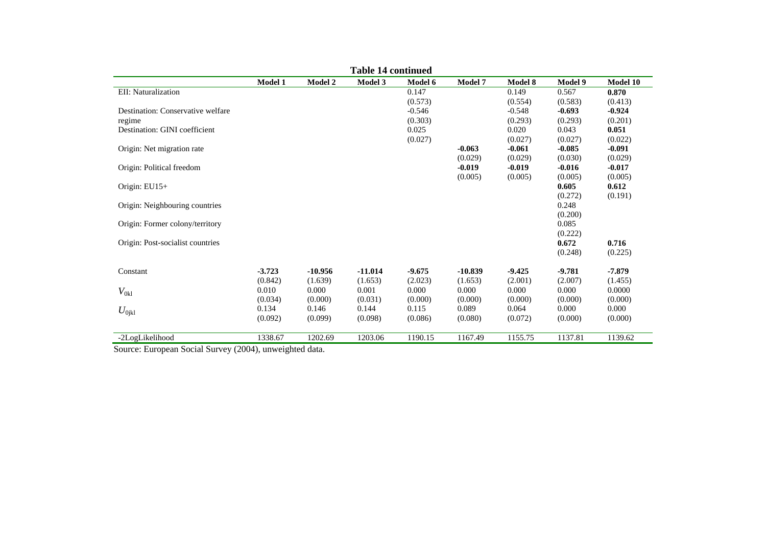| <b>Table 14 continued</b>         |                |                |           |          |           |                |                  |          |  |  |
|-----------------------------------|----------------|----------------|-----------|----------|-----------|----------------|------------------|----------|--|--|
|                                   | <b>Model 1</b> | <b>Model 2</b> | Model 3   | Model 6  | Model 7   | <b>Model 8</b> | <b>Model 9</b>   | Model 10 |  |  |
| EII: Naturalization               |                |                |           | 0.147    |           | 0.149          | 0.567            | 0.870    |  |  |
|                                   |                |                |           | (0.573)  |           | (0.554)        | (0.583)          | (0.413)  |  |  |
| Destination: Conservative welfare |                |                |           | $-0.546$ |           | $-0.548$       | $-0.693$         | $-0.924$ |  |  |
| regime                            |                |                |           | (0.303)  |           | (0.293)        | (0.293)          | (0.201)  |  |  |
| Destination: GINI coefficient     |                |                |           | 0.025    |           | 0.020          | 0.043            | 0.051    |  |  |
|                                   |                |                |           | (0.027)  |           | (0.027)        | (0.027)          | (0.022)  |  |  |
| Origin: Net migration rate        |                |                |           |          | $-0.063$  | $-0.061$       | $-0.085$         | $-0.091$ |  |  |
|                                   |                |                |           |          | (0.029)   | (0.029)        | (0.030)          | (0.029)  |  |  |
| Origin: Political freedom         |                |                |           |          | $-0.019$  | $-0.019$       | $-0.016$         | $-0.017$ |  |  |
|                                   |                |                |           |          | (0.005)   | (0.005)        | (0.005)          | (0.005)  |  |  |
| Origin: EU15+                     |                |                |           |          |           |                | 0.605            | 0.612    |  |  |
|                                   |                |                |           |          |           |                | (0.272)          | (0.191)  |  |  |
| Origin: Neighbouring countries    |                |                |           |          |           |                | 0.248            |          |  |  |
| Origin: Former colony/territory   |                |                |           |          |           |                | (0.200)<br>0.085 |          |  |  |
|                                   |                |                |           |          |           |                | (0.222)          |          |  |  |
| Origin: Post-socialist countries  |                |                |           |          |           |                | 0.672            | 0.716    |  |  |
|                                   |                |                |           |          |           |                | (0.248)          | (0.225)  |  |  |
|                                   |                |                |           |          |           |                |                  |          |  |  |
| Constant                          | $-3.723$       | $-10.956$      | $-11.014$ | $-9.675$ | $-10.839$ | $-9.425$       | $-9.781$         | $-7.879$ |  |  |
|                                   | (0.842)        | (1.639)        | (1.653)   | (2.023)  | (1.653)   | (2.001)        | (2.007)          | (1.455)  |  |  |
| $V_{0kl}$                         | 0.010          | 0.000          | 0.001     | 0.000    | 0.000     | 0.000          | 0.000            | 0.0000   |  |  |
|                                   | (0.034)        | (0.000)        | (0.031)   | (0.000)  | (0.000)   | (0.000)        | (0.000)          | (0.000)  |  |  |
| $U_{0ikl}$                        | 0.134          | 0.146          | 0.144     | 0.115    | 0.089     | 0.064          | 0.000            | 0.000    |  |  |
|                                   | (0.092)        | (0.099)        | (0.098)   | (0.086)  | (0.080)   | (0.072)        | (0.000)          | (0.000)  |  |  |
|                                   |                |                |           |          |           |                |                  |          |  |  |
| -2LogLikelihood                   | 1338.67        | 1202.69        | 1203.06   | 1190.15  | 1167.49   | 1155.75        | 1137.81          | 1139.62  |  |  |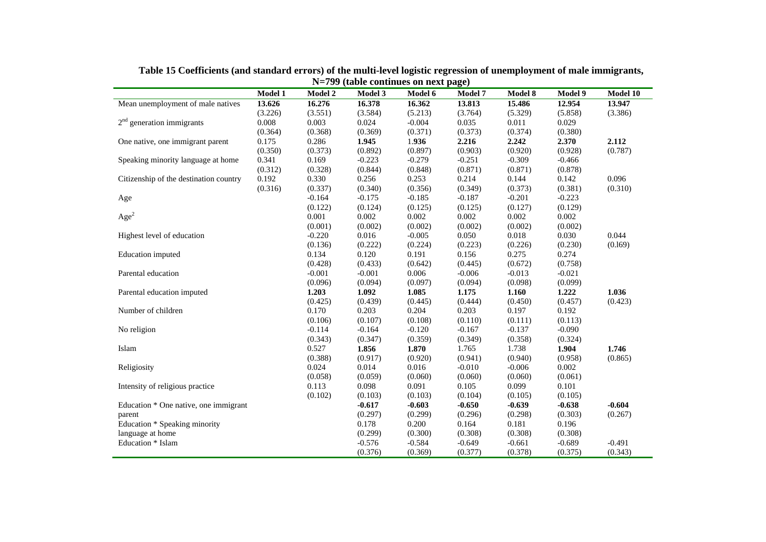|                                        | Model 1 | <b>Model 2</b> | Model 3  | Model 6  | Model 7  | Model 8  | Model 9  | Model 10 |
|----------------------------------------|---------|----------------|----------|----------|----------|----------|----------|----------|
| Mean unemployment of male natives      | 13.626  | 16.276         | 16.378   | 16.362   | 13.813   | 15.486   | 12.954   | 13.947   |
|                                        | (3.226) | (3.551)        | (3.584)  | (5.213)  | (3.764)  | (5.329)  | (5.858)  | (3.386)  |
| $2nd$ generation immigrants            | 0.008   | 0.003          | 0.024    | $-0.004$ | 0.035    | 0.011    | 0.029    |          |
|                                        | (0.364) | (0.368)        | (0.369)  | (0.371)  | (0.373)  | (0.374)  | (0.380)  |          |
| One native, one immigrant parent       | 0.175   | 0.286          | 1.945    | 1.936    | 2.216    | 2.242    | 2.370    | 2.112    |
|                                        | (0.350) | (0.373)        | (0.892)  | (0.897)  | (0.903)  | (0.920)  | (0.928)  | (0.787)  |
| Speaking minority language at home     | 0.341   | 0.169          | $-0.223$ | $-0.279$ | $-0.251$ | $-0.309$ | $-0.466$ |          |
|                                        | (0.312) | (0.328)        | (0.844)  | (0.848)  | (0.871)  | (0.871)  | (0.878)  |          |
| Citizenship of the destination country | 0.192   | 0.330          | 0.256    | 0.253    | 0.214    | 0.144    | 0.142    | 0.096    |
|                                        | (0.316) | (0.337)        | (0.340)  | (0.356)  | (0.349)  | (0.373)  | (0.381)  | (0.310)  |
| Age                                    |         | $-0.164$       | $-0.175$ | $-0.185$ | $-0.187$ | $-0.201$ | $-0.223$ |          |
|                                        |         | (0.122)        | (0.124)  | (0.125)  | (0.125)  | (0.127)  | (0.129)  |          |
| Age <sup>2</sup>                       |         | 0.001          | 0.002    | 0.002    | 0.002    | 0.002    | 0.002    |          |
|                                        |         | (0.001)        | (0.002)  | (0.002)  | (0.002)  | (0.002)  | (0.002)  |          |
| Highest level of education             |         | $-0.220$       | 0.016    | $-0.005$ | 0.050    | 0.018    | 0.030    | 0.044    |
|                                        |         | (0.136)        | (0.222)  | (0.224)  | (0.223)  | (0.226)  | (0.230)  | (0.169)  |
| Education imputed                      |         | 0.134          | 0.120    | 0.191    | 0.156    | 0.275    | 0.274    |          |
|                                        |         | (0.428)        | (0.433)  | (0.642)  | (0.445)  | (0.672)  | (0.758)  |          |
| Parental education                     |         | $-0.001$       | $-0.001$ | 0.006    | $-0.006$ | $-0.013$ | $-0.021$ |          |
|                                        |         | (0.096)        | (0.094)  | (0.097)  | (0.094)  | (0.098)  | (0.099)  |          |
| Parental education imputed             |         | 1.203          | 1.092    | 1.085    | 1.175    | 1.160    | 1.222    | 1.036    |
|                                        |         | (0.425)        | (0.439)  | (0.445)  | (0.444)  | (0.450)  | (0.457)  | (0.423)  |
| Number of children                     |         | 0.170          | 0.203    | 0.204    | 0.203    | 0.197    | 0.192    |          |
|                                        |         | (0.106)        | (0.107)  | (0.108)  | (0.110)  | (0.111)  | (0.113)  |          |
| No religion                            |         | $-0.114$       | $-0.164$ | $-0.120$ | $-0.167$ | $-0.137$ | $-0.090$ |          |
|                                        |         | (0.343)        | (0.347)  | (0.359)  | (0.349)  | (0.358)  | (0.324)  |          |
| Islam                                  |         | 0.527          | 1.856    | 1.870    | 1.765    | 1.738    | 1.904    | 1.746    |
|                                        |         | (0.388)        | (0.917)  | (0.920)  | (0.941)  | (0.940)  | (0.958)  | (0.865)  |
| Religiosity                            |         | 0.024          | 0.014    | 0.016    | $-0.010$ | $-0.006$ | 0.002    |          |
|                                        |         | (0.058)        | (0.059)  | (0.060)  | (0.060)  | (0.060)  | (0.061)  |          |
| Intensity of religious practice        |         | 0.113          | 0.098    | 0.091    | 0.105    | 0.099    | 0.101    |          |
|                                        |         | (0.102)        | (0.103)  | (0.103)  | (0.104)  | (0.105)  | (0.105)  |          |
| Education * One native, one immigrant  |         |                | $-0.617$ | $-0.603$ | $-0.650$ | $-0.639$ | $-0.638$ | $-0.604$ |
| parent                                 |         |                | (0.297)  | (0.299)  | (0.296)  | (0.298)  | (0.303)  | (0.267)  |
| Education * Speaking minority          |         |                | 0.178    | 0.200    | 0.164    | 0.181    | 0.196    |          |
| language at home                       |         |                | (0.299)  | (0.300)  | (0.308)  | (0.308)  | (0.308)  |          |
| Education * Islam                      |         |                | $-0.576$ | $-0.584$ | $-0.649$ | $-0.661$ | $-0.689$ | $-0.491$ |
|                                        |         |                | (0.376)  | (0.369)  | (0.377)  | (0.378)  | (0.375)  | (0.343)  |

**Table 15 Coefficients (and standard errors) of the multi-level logistic regression of unemployment of male immigrants, N=799 (table continues on next page)**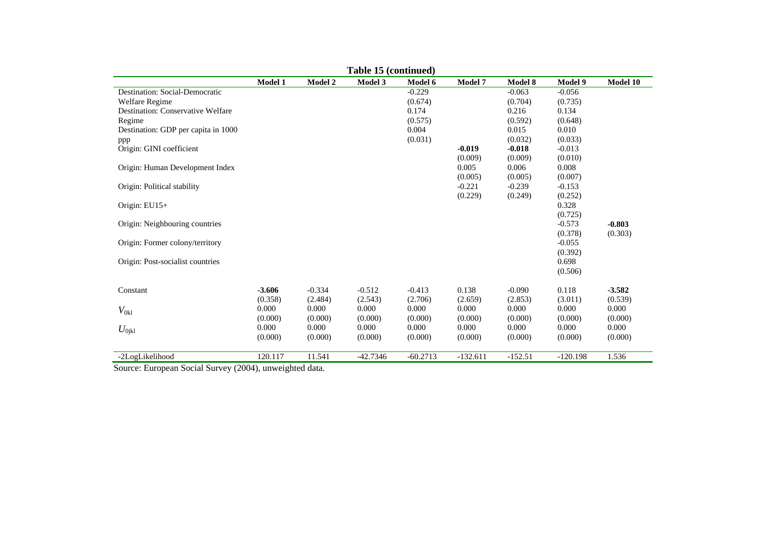|                                     |          |                | Table 15 (continued) |            |            |           |            |          |
|-------------------------------------|----------|----------------|----------------------|------------|------------|-----------|------------|----------|
|                                     | Model 1  | <b>Model 2</b> | Model 3              | Model 6    | Model 7    | Model 8   | Model 9    | Model 10 |
| Destination: Social-Democratic      |          |                |                      | $-0.229$   |            | $-0.063$  | $-0.056$   |          |
| Welfare Regime                      |          |                |                      | (0.674)    |            | (0.704)   | (0.735)    |          |
| Destination: Conservative Welfare   |          |                |                      | 0.174      |            | 0.216     | 0.134      |          |
| Regime                              |          |                |                      | (0.575)    |            | (0.592)   | (0.648)    |          |
| Destination: GDP per capita in 1000 |          |                |                      | 0.004      |            | 0.015     | 0.010      |          |
| ppp                                 |          |                |                      | (0.031)    |            | (0.032)   | (0.033)    |          |
| Origin: GINI coefficient            |          |                |                      |            | $-0.019$   | $-0.018$  | $-0.013$   |          |
|                                     |          |                |                      |            | (0.009)    | (0.009)   | (0.010)    |          |
| Origin: Human Development Index     |          |                |                      |            | 0.005      | 0.006     | 0.008      |          |
|                                     |          |                |                      |            | (0.005)    | (0.005)   | (0.007)    |          |
| Origin: Political stability         |          |                |                      |            | $-0.221$   | $-0.239$  | $-0.153$   |          |
|                                     |          |                |                      |            | (0.229)    | (0.249)   | (0.252)    |          |
| Origin: EU15+                       |          |                |                      |            |            |           | 0.328      |          |
|                                     |          |                |                      |            |            |           | (0.725)    |          |
| Origin: Neighbouring countries      |          |                |                      |            |            |           | $-0.573$   | $-0.803$ |
|                                     |          |                |                      |            |            |           | (0.378)    | (0.303)  |
| Origin: Former colony/territory     |          |                |                      |            |            |           | $-0.055$   |          |
|                                     |          |                |                      |            |            |           | (0.392)    |          |
| Origin: Post-socialist countries    |          |                |                      |            |            |           | 0.698      |          |
|                                     |          |                |                      |            |            |           | (0.506)    |          |
|                                     |          |                |                      |            |            |           |            |          |
| Constant                            | $-3.606$ | $-0.334$       | $-0.512$             | $-0.413$   | 0.138      | $-0.090$  | 0.118      | $-3.582$ |
|                                     | (0.358)  | (2.484)        | (2.543)              | (2.706)    | (2.659)    | (2.853)   | (3.011)    | (0.539)  |
| $V_{0kl}$                           | 0.000    | 0.000          | 0.000                | 0.000      | 0.000      | 0.000     | 0.000      | 0.000    |
|                                     | (0.000)  | (0.000)        | (0.000)              | (0.000)    | (0.000)    | (0.000)   | (0.000)    | (0.000)  |
| $U_{0\rm jkl}$                      | 0.000    | 0.000          | 0.000                | 0.000      | 0.000      | 0.000     | 0.000      | 0.000    |
|                                     | (0.000)  | (0.000)        | (0.000)              | (0.000)    | (0.000)    | (0.000)   | (0.000)    | (0.000)  |
| -2LogLikelihood                     | 120.117  | 11.541         | $-42.7346$           | $-60.2713$ | $-132.611$ | $-152.51$ | $-120.198$ | 1.536    |
|                                     |          |                |                      |            |            |           |            |          |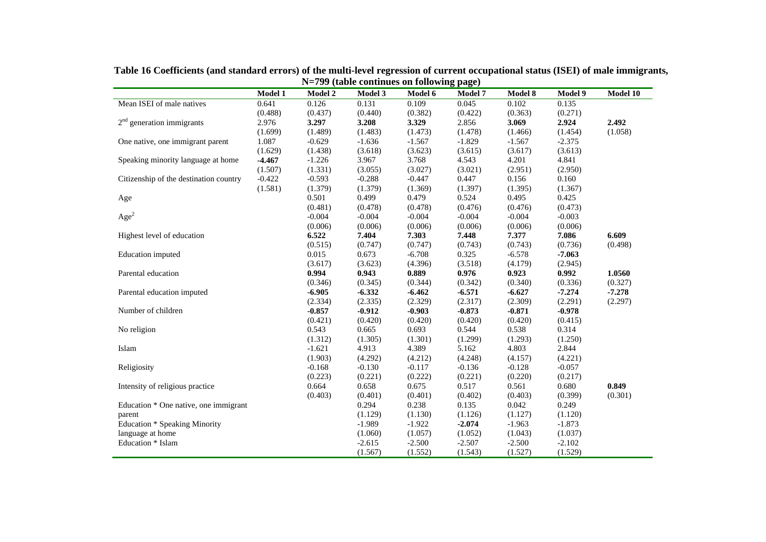|                                        |          | $\sim$ $\sim$ $\sim$ $\sim$ $\sim$ $\sim$ $\sim$ $\sim$ |                     | $\frac{1}{2}$ |                |          |                |          |
|----------------------------------------|----------|---------------------------------------------------------|---------------------|---------------|----------------|----------|----------------|----------|
|                                        | Model 1  | <b>Model 2</b>                                          | <b>Model 3</b>      | Model 6       | <b>Model 7</b> | Model 8  | <b>Model 9</b> | Model 10 |
| Mean ISEI of male natives              | 0.641    | 0.126                                                   | 0.131               | 0.109         | 0.045          | 0.102    | 0.135          |          |
|                                        | (0.488)  | (0.437)                                                 | (0.440)             | (0.382)       | (0.422)        | (0.363)  | (0.271)        |          |
| $2nd$ generation immigrants            | 2.976    | 3.297                                                   | 3.208               | 3.329         | 2.856          | 3.069    | 2.924          | 2.492    |
|                                        | (1.699)  | (1.489)                                                 | (1.483)             | (1.473)       | (1.478)        | (1.466)  | (1.454)        | (1.058)  |
| One native, one immigrant parent       | 1.087    | $-0.629$                                                | $-1.636$            | $-1.567$      | $-1.829$       | $-1.567$ | $-2.375$       |          |
|                                        | (1.629)  | (1.438)                                                 | (3.618)             | (3.623)       | (3.615)        | (3.617)  | (3.613)        |          |
| Speaking minority language at home     | $-4.467$ | $-1.226$                                                | 3.967               | 3.768         | 4.543          | 4.201    | 4.841          |          |
|                                        | (1.507)  | (1.331)                                                 | (3.055)             | (3.027)       | (3.021)        | (2.951)  | (2.950)        |          |
| Citizenship of the destination country | $-0.422$ | $-0.593$                                                | $-0.288$            | $-0.447$      | 0.447          | 0.156    | 0.160          |          |
|                                        | (1.581)  | (1.379)                                                 | (1.379)             | (1.369)       | (1.397)        | (1.395)  | (1.367)        |          |
| Age                                    |          | 0.501                                                   | 0.499               | 0.479         | 0.524          | 0.495    | 0.425          |          |
|                                        |          | (0.481)                                                 | (0.478)             | (0.478)       | (0.476)        | (0.476)  | (0.473)        |          |
| Age <sup>2</sup>                       |          | $-0.004$                                                | $-0.004$            | $-0.004$      | $-0.004$       | $-0.004$ | $-0.003$       |          |
|                                        |          | (0.006)                                                 | (0.006)             | (0.006)       | (0.006)        | (0.006)  | (0.006)        |          |
| Highest level of education             |          | 6.522                                                   | 7.404               | 7.303         | 7.448          | 7.377    | 7.086          | 6.609    |
|                                        |          | (0.515)                                                 | (0.747)             | (0.747)       | (0.743)        | (0.743)  | (0.736)        | (0.498)  |
| Education imputed                      |          | 0.015                                                   | 0.673               | $-6.708$      | 0.325          | $-6.578$ | $-7.063$       |          |
|                                        |          | (3.617)                                                 | (3.623)             | (4.396)       | (3.518)        | (4.179)  | (2.945)        |          |
| Parental education                     |          | 0.994                                                   | 0.943               | 0.889         | 0.976          | 0.923    | 0.992          | 1.0560   |
|                                        |          | (0.346)                                                 | (0.345)             | (0.344)       | (0.342)        | (0.340)  | (0.336)        | (0.327)  |
| Parental education imputed             |          | $-6.905$                                                | $-6.332$            | $-6.462$      | $-6.571$       | $-6.627$ | $-7,274$       | $-7.278$ |
|                                        |          | (2.334)                                                 | (2.335)             | (2.329)       | (2.317)        | (2.309)  | (2.291)        | (2.297)  |
| Number of children                     |          | $-0.857$                                                | $-0.912$            | $-0.903$      | $-0.873$       | $-0.871$ | $-0.978$       |          |
|                                        |          | (0.421)                                                 | (0.420)             | (0.420)       | (0.420)        | (0.420)  | (0.415)        |          |
| No religion                            |          | 0.543                                                   | 0.665               | 0.693         | 0.544          | 0.538    | 0.314          |          |
|                                        |          | (1.312)                                                 | (1.305)             | (1.301)       | (1.299)        | (1.293)  | (1.250)        |          |
| Islam                                  |          | $-1.621$                                                | 4.913               | 4.389         | 5.162          | 4.803    | 2.844          |          |
|                                        |          | (1.903)                                                 | (4.292)             | (4.212)       | (4.248)        | (4.157)  | (4.221)        |          |
| Religiosity                            |          | $-0.168$                                                | $-0.130$            | $-0.117$      | $-0.136$       | $-0.128$ | $-0.057$       |          |
|                                        |          | (0.223)                                                 | (0.221)             | (0.222)       | (0.221)        | (0.220)  | (0.217)        |          |
| Intensity of religious practice        |          | 0.664                                                   | 0.658               | 0.675         | 0.517          | 0.561    | 0.680          | 0.849    |
|                                        |          | (0.403)                                                 | (0.401)             | (0.401)       | (0.402)        | (0.403)  | (0.399)        | (0.301)  |
| Education * One native, one immigrant  |          |                                                         | 0.294               | 0.238         | 0.135          | 0.042    | 0.249          |          |
| parent                                 |          |                                                         | (1.129)             | (1.130)       | (1.126)        | (1.127)  | (1.120)        |          |
| <b>Education * Speaking Minority</b>   |          |                                                         | $-1.989$            | $-1.922$      | $-2.074$       | $-1.963$ | $-1.873$       |          |
| language at home                       |          |                                                         |                     | (1.057)       | (1.052)        | (1.043)  | (1.037)        |          |
|                                        |          |                                                         |                     |               |                |          |                |          |
| Education * Islam                      |          |                                                         | (1.060)<br>$-2.615$ | $-2.500$      | $-2.507$       | $-2.500$ | $-2.102$       |          |

**Table 16 Coefficients (and standard errors) of the multi-level regression of current occupational status (ISEI) of male immigrants, N=799 (table continues on following page)**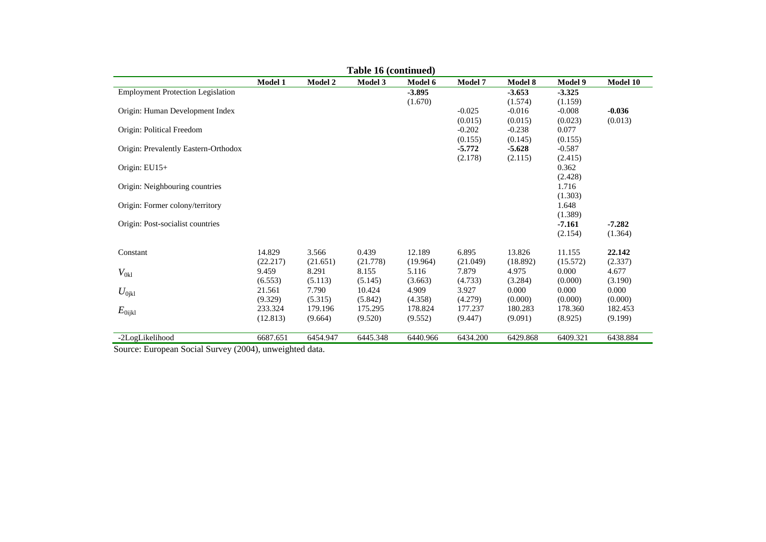| Table 16 (continued)                     |                |          |          |          |                     |                     |                     |          |  |
|------------------------------------------|----------------|----------|----------|----------|---------------------|---------------------|---------------------|----------|--|
|                                          | <b>Model 1</b> | Model 2  | Model 3  | Model 6  | <b>Model 7</b>      | <b>Model 8</b>      | Model 9             | Model 10 |  |
| <b>Employment Protection Legislation</b> |                |          |          | $-3.895$ |                     | $-3.653$            | $-3.325$            |          |  |
|                                          |                |          |          | (1.670)  |                     | (1.574)             | (1.159)             |          |  |
| Origin: Human Development Index          |                |          |          |          | $-0.025$            | $-0.016$            | $-0.008$            | $-0.036$ |  |
|                                          |                |          |          |          | (0.015)             | (0.015)             | (0.023)             | (0.013)  |  |
| Origin: Political Freedom                |                |          |          |          | $-0.202$            | $-0.238$            | 0.077               |          |  |
|                                          |                |          |          |          | (0.155)<br>$-5.772$ | (0.145)<br>$-5.628$ | (0.155)<br>$-0.587$ |          |  |
| Origin: Prevalently Eastern-Orthodox     |                |          |          |          | (2.178)             | (2.115)             | (2.415)             |          |  |
| Origin: $EU15+$                          |                |          |          |          |                     |                     | 0.362               |          |  |
|                                          |                |          |          |          |                     |                     | (2.428)             |          |  |
| Origin: Neighbouring countries           |                |          |          |          |                     |                     | 1.716               |          |  |
|                                          |                |          |          |          |                     |                     | (1.303)             |          |  |
| Origin: Former colony/territory          |                |          |          |          |                     |                     | 1.648               |          |  |
|                                          |                |          |          |          |                     |                     | (1.389)             |          |  |
| Origin: Post-socialist countries         |                |          |          |          |                     |                     | $-7.161$            | $-7.282$ |  |
|                                          |                |          |          |          |                     |                     | (2.154)             | (1.364)  |  |
| Constant                                 | 14.829         | 3.566    | 0.439    | 12.189   | 6.895               | 13.826              | 11.155              | 22.142   |  |
|                                          | (22.217)       | (21.651) | (21.778) | (19.964) | (21.049)            | (18.892)            | (15.572)            | (2.337)  |  |
| $V_{0kl}$                                | 9.459          | 8.291    | 8.155    | 5.116    | 7.879               | 4.975               | 0.000               | 4.677    |  |
|                                          | (6.553)        | (5.113)  | (5.145)  | (3.663)  | (4.733)             | (3.284)             | (0.000)             | (3.190)  |  |
| $U_{0ikl}$                               | 21.561         | 7.790    | 10.424   | 4.909    | 3.927               | 0.000               | 0.000               | 0.000    |  |
|                                          | (9.329)        | (5.315)  | (5.842)  | (4.358)  | (4.279)             | (0.000)             | (0.000)             | (0.000)  |  |
| $E_{0ijkl}$                              | 233.324        | 179.196  | 175.295  | 178.824  | 177.237             | 180.283             | 178.360             | 182.453  |  |
|                                          | (12.813)       | (9.664)  | (9.520)  | (9.552)  | (9.447)             | (9.091)             | (8.925)             | (9.199)  |  |
| -2LogLikelihood                          | 6687.651       | 6454.947 | 6445.348 | 6440.966 | 6434.200            | 6429.868            | 6409.321            | 6438.884 |  |
|                                          |                |          |          |          |                     |                     |                     |          |  |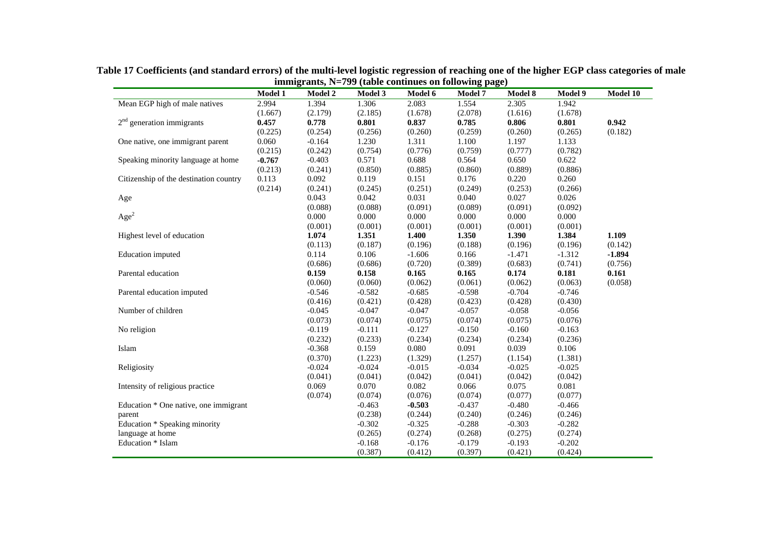|                                        | Model 1  | <b>Model 2</b>   | Model 3  | Model 6  | <u>2000) and the comments of rollowing</u> page;<br><b>Model 7</b> | Model 8  | Model 9  | Model 10            |
|----------------------------------------|----------|------------------|----------|----------|--------------------------------------------------------------------|----------|----------|---------------------|
| Mean EGP high of male natives          | 2.994    | 1.394            | 1.306    | 2.083    | 1.554                                                              | 2.305    | 1.942    |                     |
|                                        | (1.667)  | (2.179)          | (2.185)  | (1.678)  | (2.078)                                                            | (1.616)  | (1.678)  |                     |
| $2nd$ generation immigrants            | 0.457    | 0.778            | 0.801    | 0.837    | 0.785                                                              | 0.806    | 0.801    | 0.942               |
|                                        | (0.225)  | (0.254)          | (0.256)  | (0.260)  | (0.259)                                                            | (0.260)  | (0.265)  | (0.182)             |
| One native, one immigrant parent       | 0.060    | $-0.164$         | 1.230    | 1.311    | 1.100                                                              | 1.197    | 1.133    |                     |
|                                        | (0.215)  | (0.242)          | (0.754)  | (0.776)  | (0.759)                                                            | (0.777)  | (0.782)  |                     |
| Speaking minority language at home     | $-0.767$ | $-0.403$         | 0.571    | 0.688    | 0.564                                                              | 0.650    | 0.622    |                     |
|                                        | (0.213)  | (0.241)          | (0.850)  | (0.885)  | (0.860)                                                            | (0.889)  | (0.886)  |                     |
| Citizenship of the destination country | 0.113    | 0.092            | 0.119    | 0.151    | 0.176                                                              | 0.220    | 0.260    |                     |
|                                        | (0.214)  | (0.241)          | (0.245)  | (0.251)  | (0.249)                                                            | (0.253)  | (0.266)  |                     |
| Age                                    |          | 0.043            | 0.042    | 0.031    | 0.040                                                              | 0.027    | 0.026    |                     |
|                                        |          | (0.088)          | (0.088)  | (0.091)  | (0.089)                                                            | (0.091)  | (0.092)  |                     |
| Age <sup>2</sup>                       |          | 0.000            | 0.000    | 0.000    | 0.000                                                              | 0.000    | 0.000    |                     |
|                                        |          | (0.001)          | (0.001)  | (0.001)  | (0.001)                                                            | (0.001)  | (0.001)  |                     |
| Highest level of education             |          | 1.074            | 1.351    | 1.400    | 1.350                                                              | 1.390    | 1.384    | 1.109               |
|                                        |          |                  |          |          |                                                                    |          |          |                     |
|                                        |          | (0.113)<br>0.114 | (0.187)  | (0.196)  | (0.188)                                                            | (0.196)  | (0.196)  | (0.142)<br>$-1.894$ |
| Education imputed                      |          |                  | 0.106    | $-1.606$ | 0.166                                                              | $-1.471$ | $-1.312$ |                     |
|                                        |          | (0.686)          | (0.686)  | (0.720)  | (0.389)                                                            | (0.683)  | (0.741)  | (0.756)             |
| Parental education                     |          | 0.159            | 0.158    | 0.165    | 0.165                                                              | 0.174    | 0.181    | 0.161               |
|                                        |          | (0.060)          | (0.060)  | (0.062)  | (0.061)                                                            | (0.062)  | (0.063)  | (0.058)             |
| Parental education imputed             |          | $-0.546$         | $-0.582$ | $-0.685$ | $-0.598$                                                           | $-0.704$ | $-0.746$ |                     |
|                                        |          | (0.416)          | (0.421)  | (0.428)  | (0.423)                                                            | (0.428)  | (0.430)  |                     |
| Number of children                     |          | $-0.045$         | $-0.047$ | $-0.047$ | $-0.057$                                                           | $-0.058$ | $-0.056$ |                     |
|                                        |          | (0.073)          | (0.074)  | (0.075)  | (0.074)                                                            | (0.075)  | (0.076)  |                     |
| No religion                            |          | $-0.119$         | $-0.111$ | $-0.127$ | $-0.150$                                                           | $-0.160$ | $-0.163$ |                     |
|                                        |          | (0.232)          | (0.233)  | (0.234)  | (0.234)                                                            | (0.234)  | (0.236)  |                     |
| Islam                                  |          | $-0.368$         | 0.159    | 0.080    | 0.091                                                              | 0.039    | 0.106    |                     |
|                                        |          | (0.370)          | (1.223)  | (1.329)  | (1.257)                                                            | (1.154)  | (1.381)  |                     |
| Religiosity                            |          | $-0.024$         | $-0.024$ | $-0.015$ | $-0.034$                                                           | $-0.025$ | $-0.025$ |                     |
|                                        |          | (0.041)          | (0.041)  | (0.042)  | (0.041)                                                            | (0.042)  | (0.042)  |                     |
| Intensity of religious practice        |          | 0.069            | 0.070    | 0.082    | 0.066                                                              | 0.075    | 0.081    |                     |
|                                        |          | (0.074)          | (0.074)  | (0.076)  | (0.074)                                                            | (0.077)  | (0.077)  |                     |
| Education * One native, one immigrant  |          |                  | $-0.463$ | $-0.503$ | $-0.437$                                                           | $-0.480$ | $-0.466$ |                     |
| parent                                 |          |                  | (0.238)  | (0.244)  | (0.240)                                                            | (0.246)  | (0.246)  |                     |
| Education * Speaking minority          |          |                  | $-0.302$ | $-0.325$ | $-0.288$                                                           | $-0.303$ | $-0.282$ |                     |
| language at home                       |          |                  | (0.265)  | (0.274)  | (0.268)                                                            | (0.275)  | (0.274)  |                     |
| Education * Islam                      |          |                  | $-0.168$ | $-0.176$ | $-0.179$                                                           | $-0.193$ | $-0.202$ |                     |
|                                        |          |                  | (0.387)  | (0.412)  | (0.397)                                                            | (0.421)  | (0.424)  |                     |

**Table 17 Coefficients (and standard errors) of the multi-level logistic regression of reaching one of the higher EGP class categories of male immigrants, N=799 (table continues on following page)**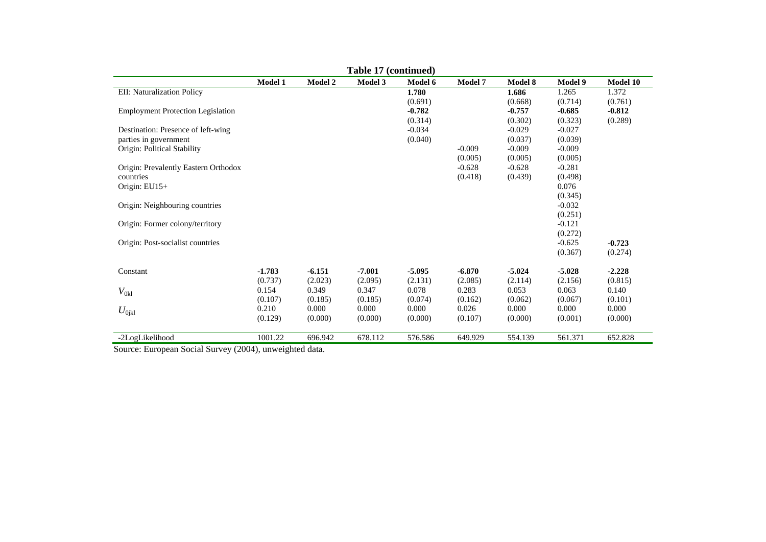| Table 17 (continued) |                                                             |                                                             |                                                             |                                                             |                                                             |                                                             |                                                                                                                                             |  |  |
|----------------------|-------------------------------------------------------------|-------------------------------------------------------------|-------------------------------------------------------------|-------------------------------------------------------------|-------------------------------------------------------------|-------------------------------------------------------------|---------------------------------------------------------------------------------------------------------------------------------------------|--|--|
| <b>Model 1</b>       | <b>Model 2</b>                                              | Model 3                                                     | Model 6                                                     | <b>Model 7</b>                                              | <b>Model 8</b>                                              | Model 9                                                     | Model 10                                                                                                                                    |  |  |
|                      |                                                             |                                                             | 1.780                                                       |                                                             | 1.686                                                       | 1.265                                                       | 1.372                                                                                                                                       |  |  |
|                      |                                                             |                                                             | (0.691)                                                     |                                                             | (0.668)                                                     | (0.714)                                                     | (0.761)                                                                                                                                     |  |  |
|                      |                                                             |                                                             | $-0.782$                                                    |                                                             | $-0.757$                                                    | $-0.685$                                                    | $-0.812$                                                                                                                                    |  |  |
|                      |                                                             |                                                             | (0.314)                                                     |                                                             | (0.302)                                                     | (0.323)                                                     | (0.289)                                                                                                                                     |  |  |
|                      |                                                             |                                                             | $-0.034$                                                    |                                                             | $-0.029$                                                    | $-0.027$                                                    |                                                                                                                                             |  |  |
|                      |                                                             |                                                             | (0.040)                                                     |                                                             | (0.037)                                                     | (0.039)                                                     |                                                                                                                                             |  |  |
|                      |                                                             |                                                             |                                                             | $-0.009$                                                    | $-0.009$                                                    | $-0.009$                                                    |                                                                                                                                             |  |  |
|                      |                                                             |                                                             |                                                             | (0.005)                                                     | (0.005)                                                     | (0.005)                                                     |                                                                                                                                             |  |  |
|                      |                                                             |                                                             |                                                             | $-0.628$                                                    | $-0.628$                                                    | $-0.281$                                                    |                                                                                                                                             |  |  |
|                      |                                                             |                                                             |                                                             | (0.418)                                                     | (0.439)                                                     | (0.498)                                                     |                                                                                                                                             |  |  |
|                      |                                                             |                                                             |                                                             |                                                             |                                                             | 0.076                                                       |                                                                                                                                             |  |  |
|                      |                                                             |                                                             |                                                             |                                                             |                                                             |                                                             |                                                                                                                                             |  |  |
|                      |                                                             |                                                             |                                                             |                                                             |                                                             |                                                             |                                                                                                                                             |  |  |
|                      |                                                             |                                                             |                                                             |                                                             |                                                             |                                                             |                                                                                                                                             |  |  |
|                      |                                                             |                                                             |                                                             |                                                             |                                                             |                                                             |                                                                                                                                             |  |  |
|                      |                                                             |                                                             |                                                             |                                                             |                                                             |                                                             |                                                                                                                                             |  |  |
|                      |                                                             |                                                             |                                                             |                                                             |                                                             |                                                             | $-0.723$                                                                                                                                    |  |  |
|                      |                                                             |                                                             |                                                             |                                                             |                                                             |                                                             | (0.274)                                                                                                                                     |  |  |
|                      |                                                             |                                                             |                                                             |                                                             |                                                             |                                                             | $-2.228$                                                                                                                                    |  |  |
|                      |                                                             |                                                             |                                                             |                                                             |                                                             |                                                             | (0.815)                                                                                                                                     |  |  |
|                      |                                                             |                                                             |                                                             |                                                             |                                                             |                                                             | 0.140                                                                                                                                       |  |  |
|                      |                                                             |                                                             |                                                             |                                                             |                                                             |                                                             | (0.101)                                                                                                                                     |  |  |
|                      |                                                             |                                                             |                                                             |                                                             |                                                             |                                                             | 0.000                                                                                                                                       |  |  |
|                      |                                                             |                                                             |                                                             |                                                             |                                                             |                                                             | (0.000)                                                                                                                                     |  |  |
|                      |                                                             |                                                             |                                                             |                                                             |                                                             |                                                             |                                                                                                                                             |  |  |
| 1001.22              | 696.942                                                     | 678.112                                                     | 576.586                                                     | 649.929                                                     | 554.139                                                     | 561.371                                                     | 652.828                                                                                                                                     |  |  |
|                      | $-1.783$<br>(0.737)<br>0.154<br>(0.107)<br>0.210<br>(0.129) | $-6.151$<br>(2.023)<br>0.349<br>(0.185)<br>0.000<br>(0.000) | $-7.001$<br>(2.095)<br>0.347<br>(0.185)<br>0.000<br>(0.000) | $-5.095$<br>(2.131)<br>0.078<br>(0.074)<br>0.000<br>(0.000) | $-6.870$<br>(2.085)<br>0.283<br>(0.162)<br>0.026<br>(0.107) | $-5.024$<br>(2.114)<br>0.053<br>(0.062)<br>0.000<br>(0.000) | (0.345)<br>$-0.032$<br>(0.251)<br>$-0.121$<br>(0.272)<br>$-0.625$<br>(0.367)<br>$-5.028$<br>(2.156)<br>0.063<br>(0.067)<br>0.000<br>(0.001) |  |  |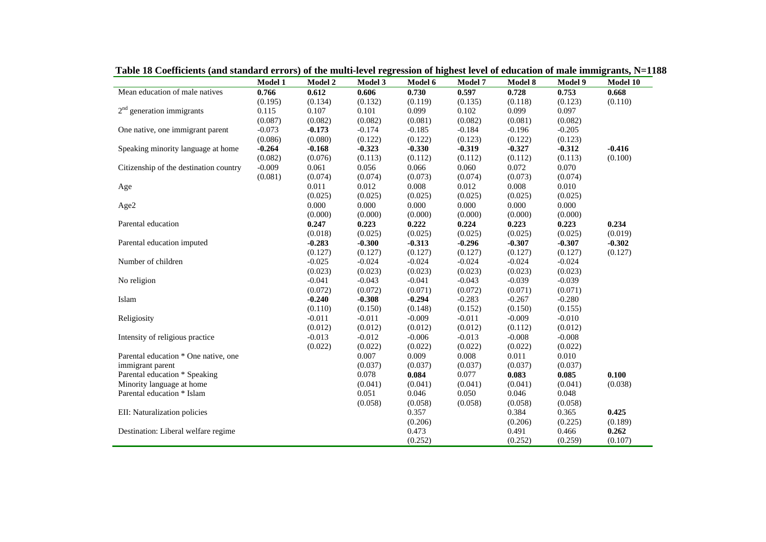|                                        | Model 1  | Model 2  | Model 3  | Model 6  | Model 7  | Model 8  | Model 9  | Model 10 |
|----------------------------------------|----------|----------|----------|----------|----------|----------|----------|----------|
| Mean education of male natives         | 0.766    | 0.612    | 0.606    | 0.730    | 0.597    | 0.728    | 0.753    | 0.668    |
|                                        | (0.195)  | (0.134)  | (0.132)  | (0.119)  | (0.135)  | (0.118)  | (0.123)  | (0.110)  |
| $2nd$ generation immigrants            | 0.115    | 0.107    | 0.101    | 0.099    | 0.102    | 0.099    | 0.097    |          |
|                                        | (0.087)  | (0.082)  | (0.082)  | (0.081)  | (0.082)  | (0.081)  | (0.082)  |          |
| One native, one immigrant parent       | $-0.073$ | $-0.173$ | $-0.174$ | $-0.185$ | $-0.184$ | $-0.196$ | $-0.205$ |          |
|                                        | (0.086)  | (0.080)  | (0.122)  | (0.122)  | (0.123)  | (0.122)  | (0.123)  |          |
| Speaking minority language at home     | $-0.264$ | $-0.168$ | $-0.323$ | $-0.330$ | $-0.319$ | $-0.327$ | $-0.312$ | $-0.416$ |
|                                        | (0.082)  | (0.076)  | (0.113)  | (0.112)  | (0.112)  | (0.112)  | (0.113)  | (0.100)  |
| Citizenship of the destination country | $-0.009$ | 0.061    | 0.056    | 0.066    | 0.060    | 0.072    | 0.070    |          |
|                                        | (0.081)  | (0.074)  | (0.074)  | (0.073)  | (0.074)  | (0.073)  | (0.074)  |          |
| Age                                    |          | 0.011    | 0.012    | 0.008    | 0.012    | 0.008    | 0.010    |          |
|                                        |          | (0.025)  | (0.025)  | (0.025)  | (0.025)  | (0.025)  | (0.025)  |          |
| Age2                                   |          | 0.000    | 0.000    | 0.000    | 0.000    | 0.000    | 0.000    |          |
|                                        |          | (0.000)  | (0.000)  | (0.000)  | (0.000)  | (0.000)  | (0.000)  |          |
| Parental education                     |          | 0.247    | 0.223    | 0.222    | 0.224    | 0.223    | 0.223    | 0.234    |
|                                        |          | (0.018)  | (0.025)  | (0.025)  | (0.025)  | (0.025)  | (0.025)  | (0.019)  |
| Parental education imputed             |          | $-0.283$ | $-0.300$ | $-0.313$ | $-0.296$ | $-0.307$ | $-0.307$ | $-0.302$ |
|                                        |          | (0.127)  | (0.127)  | (0.127)  | (0.127)  | (0.127)  | (0.127)  | (0.127)  |
| Number of children                     |          | $-0.025$ | $-0.024$ | $-0.024$ | $-0.024$ | $-0.024$ | $-0.024$ |          |
|                                        |          | (0.023)  | (0.023)  | (0.023)  | (0.023)  | (0.023)  | (0.023)  |          |
| No religion                            |          | $-0.041$ | $-0.043$ | $-0.041$ | $-0.043$ | $-0.039$ | $-0.039$ |          |
|                                        |          | (0.072)  | (0.072)  | (0.071)  | (0.072)  | (0.071)  | (0.071)  |          |
| Islam                                  |          | $-0.240$ | $-0.308$ | $-0.294$ | $-0.283$ | $-0.267$ | $-0.280$ |          |
|                                        |          | (0.110)  | (0.150)  | (0.148)  | (0.152)  | (0.150)  | (0.155)  |          |
| Religiosity                            |          | $-0.011$ | $-0.011$ | $-0.009$ | $-0.011$ | $-0.009$ | $-0.010$ |          |
|                                        |          | (0.012)  | (0.012)  | (0.012)  | (0.012)  | (0.112)  | (0.012)  |          |
| Intensity of religious practice        |          | $-0.013$ | $-0.012$ | $-0.006$ | $-0.013$ | $-0.008$ | $-0.008$ |          |
|                                        |          | (0.022)  | (0.022)  | (0.022)  | (0.022)  | (0.022)  | (0.022)  |          |
| Parental education * One native, one   |          |          | 0.007    | 0.009    | 0.008    | 0.011    | 0.010    |          |
| immigrant parent                       |          |          | (0.037)  | (0.037)  | (0.037)  | (0.037)  | (0.037)  |          |
| Parental education * Speaking          |          |          | 0.078    | 0.084    | 0.077    | 0.083    | 0.085    | 0.100    |
|                                        |          |          | (0.041)  | (0.041)  | (0.041)  | (0.041)  |          |          |
| Minority language at home              |          |          |          |          |          |          | (0.041)  | (0.038)  |
| Parental education * Islam             |          |          | 0.051    | 0.046    | 0.050    | 0.046    | 0.048    |          |
|                                        |          |          | (0.058)  | (0.058)  | (0.058)  | (0.058)  | (0.058)  |          |
| EII: Naturalization policies           |          |          |          | 0.357    |          | 0.384    | 0.365    | 0.425    |
|                                        |          |          |          | (0.206)  |          | (0.206)  | (0.225)  | (0.189)  |
| Destination: Liberal welfare regime    |          |          |          | 0.473    |          | 0.491    | 0.466    | 0.262    |
|                                        |          |          |          | (0.252)  |          | (0.252)  | (0.259)  | (0.107)  |

**Table 18 Coefficients (and standard errors) of the multi-level regression of highest level of education of male immigrants, N=1188**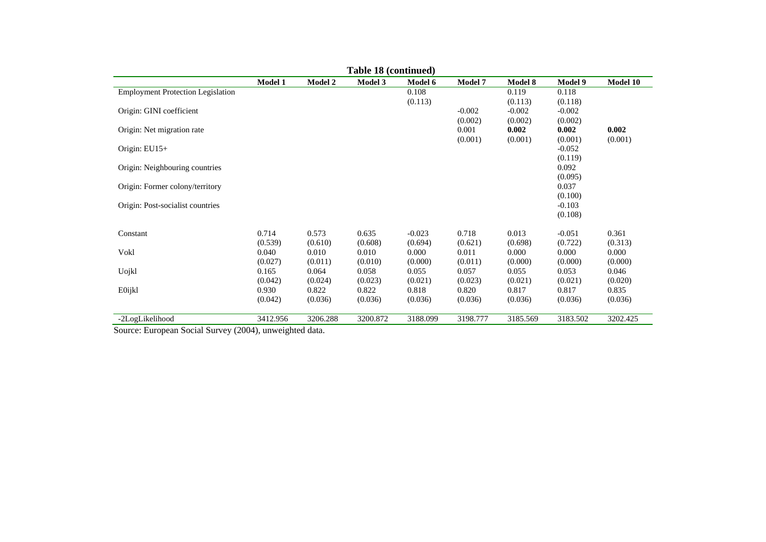|                                                    | Table 18 (continued) |                |                |          |                |                |                     |          |  |  |
|----------------------------------------------------|----------------------|----------------|----------------|----------|----------------|----------------|---------------------|----------|--|--|
|                                                    | <b>Model 1</b>       | <b>Model 2</b> | <b>Model 3</b> | Model 6  | <b>Model 7</b> | <b>Model 8</b> | Model 9             | Model 10 |  |  |
| <b>Employment Protection Legislation</b>           |                      |                |                | 0.108    |                | 0.119          | 0.118               |          |  |  |
|                                                    |                      |                |                | (0.113)  |                | (0.113)        | (0.118)             |          |  |  |
| Origin: GINI coefficient                           |                      |                |                |          | $-0.002$       | $-0.002$       | $-0.002$            |          |  |  |
|                                                    |                      |                |                |          | (0.002)        | (0.002)        | (0.002)             |          |  |  |
| Origin: Net migration rate                         |                      |                |                |          | 0.001          | 0.002          | 0.002               | 0.002    |  |  |
| Origin: $EU15+$                                    |                      |                |                |          | (0.001)        | (0.001)        | (0.001)<br>$-0.052$ | (0.001)  |  |  |
|                                                    |                      |                |                |          |                |                | (0.119)             |          |  |  |
| Origin: Neighbouring countries                     |                      |                |                |          |                |                | 0.092               |          |  |  |
|                                                    |                      |                |                |          |                |                | (0.095)             |          |  |  |
| Origin: Former colony/territory                    |                      |                |                |          |                |                | 0.037               |          |  |  |
|                                                    |                      |                |                |          |                |                | (0.100)             |          |  |  |
| Origin: Post-socialist countries                   |                      |                |                |          |                |                | $-0.103$            |          |  |  |
|                                                    |                      |                |                |          |                |                | (0.108)             |          |  |  |
| Constant                                           | 0.714                | 0.573          | 0.635          | $-0.023$ | 0.718          | 0.013          | $-0.051$            | 0.361    |  |  |
|                                                    | (0.539)              | (0.610)        | (0.608)        | (0.694)  | (0.621)        | (0.698)        | (0.722)             | (0.313)  |  |  |
| Vokl                                               | 0.040                | 0.010          | 0.010          | 0.000    | 0.011          | 0.000          | 0.000               | 0.000    |  |  |
|                                                    | (0.027)              | (0.011)        | (0.010)        | (0.000)  | (0.011)        | (0.000)        | (0.000)             | (0.000)  |  |  |
| Uojkl                                              | 0.165                | 0.064          | 0.058          | 0.055    | 0.057          | 0.055          | 0.053               | 0.046    |  |  |
|                                                    | (0.042)              | (0.024)        | (0.023)        | (0.021)  | (0.023)        | (0.021)        | (0.021)             | (0.020)  |  |  |
| E0ijkl                                             | 0.930                | 0.822          | 0.822          | 0.818    | 0.820          | 0.817          | 0.817               | 0.835    |  |  |
|                                                    | (0.042)              | (0.036)        | (0.036)        | (0.036)  | (0.036)        | (0.036)        | (0.036)             | (0.036)  |  |  |
| -2LogLikelihood                                    | 3412.956             | 3206.288       | 3200.872       | 3188.099 | 3198.777       | 3185.569       | 3183.502            | 3202.425 |  |  |
| $\sim$ $\sim$ $\sim$ $\sim$<br>(0.001)<br><b>D</b> |                      | .              |                |          |                |                |                     |          |  |  |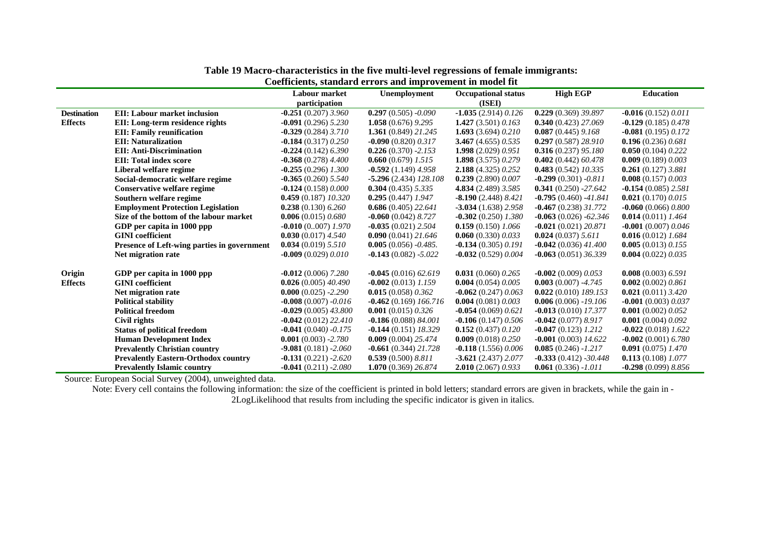|                    |                                             | Labour market          | Unemployment              | <b>Occupational status</b> | <b>High EGP</b>         | <b>Education</b>       |
|--------------------|---------------------------------------------|------------------------|---------------------------|----------------------------|-------------------------|------------------------|
|                    |                                             | participation          |                           | (ISEI)                     |                         |                        |
| <b>Destination</b> | <b>EII:</b> Labour market inclusion         | $-0.251(0.207)3.960$   | $0.297(0.505) -0.090$     | $-1.035(2.914)0.126$       | 0.229(0.369)39.897      | $-0.016(0.152)0.011$   |
| <b>Effects</b>     | EII: Long-term residence rights             | $-0.091(0.296)$ 5.230  | 1.058 $(0.676)$ 9.295     | 1.427 $(3.501)$ 0.163      | $0.340(0.423)$ 27.069   | $-0.129(0.185)0.478$   |
|                    | <b>EII:</b> Family reunification            | $-0.329(0.284)3.710$   | 1.361 $(0.849)$ 21.245    | 1.693 $(3.694)$ 0.210      | $0.087(0.445)$ 9.168    | $-0.081(0.195)0.172$   |
|                    | <b>EII: Naturalization</b>                  | $-0.184(0.317)0.250$   | $-0.090$ (0.820) 0.317    | 3.467(4.655)0.535          | 0.297(0.587)28.910      | 0.196(0.236)0.681      |
|                    | <b>EII: Anti-Discrimination</b>             | $-0.224(0.142)$ 6.390  | $0.226(0.370) -2.153$     | 1.998 $(2.029)$ 0.951      | $0.316(0.237)$ 95.180   | 0.050(0.104)0.222      |
|                    | <b>EII: Total index score</b>               | $-0.368(0.278)4.400$   | $0.660(0.679)$ 1.515      | 1.898 $(3.575)$ 0.279      | 0.402(0.442)60.478      | 0.009(0.189)0.003      |
|                    | Liberal welfare regime                      | $-0.255(0.296)$ 1.300  | $-0.592(1.149)4.958$      | <b>2.188</b> (4.325) 0.252 | 0.483(0.542)10.335      | $0.261(0.127)$ 3.881   |
|                    | Social-democratic welfare regime            | $-0.365(0.260)$ 5.540  | $-5.296(2.434)$ $128.108$ | 0.239(2.890)0.007          | $-0.299(0.301) -0.811$  | 0.008(0.157)0.003      |
|                    | Conservative welfare regime                 | $-0.124(0.158)0.000$   | $0.304(0.435)$ 5.335      | 4.834 (2.489) 3.585        | $0.341(0.250) -27.642$  | $-0.154(0.085)$ 2.581  |
|                    | Southern welfare regime                     | $0.459(0.187)$ 10.320  | $0.295(0.447)$ 1.947      | $-8.190(2.448)8.421$       | $-0.795(0.460) -41.841$ | 0.021(0.170)0.015      |
|                    | <b>Employment Protection Legislation</b>    | $0.238(0.130)$ 6.260   | $0.686(0.405)$ 22.641     | $-3.034(1.638)2.958$       | $-0.467(0.238)31.772$   | $-0.060$ (0.066) 0.800 |
|                    | Size of the bottom of the labour market     | 0.006(0.015)0.680      | $-0.060$ (0.042) 8.727    | $-0.302(0.250)$ 1.380      | $-0.063(0.026) -62.346$ | 0.014 $(0.011)$ 1.464  |
|                    | GDP per capita in 1000 ppp                  | $-0.010$ (0007) 1.970  | $-0.035(0.021)$ 2.504     | $0.159(0.150)$ 1.066       | $-0.021(0.021)20.871$   | $-0.001(0.007)0.046$   |
|                    | <b>GINI</b> coefficient                     | 0.030(0.017)4.540      | $0.090(0.041)$ 21.646     | 0.060(0.330)0.033          | 0.024(0.037) 5.611      | $0.016(0.012)$ 1.684   |
|                    | Presence of Left-wing parties in government | 0.034(0.019) 5.510     | $0.005(0.056) -0.485.$    | $-0.134(0.305)0.191$       | $-0.042(0.036)$ 41.400  | 0.005(0.013) 0.155     |
|                    | Net migration rate                          | $-0.009(0.029)0.010$   | $-0.143(0.082) - 5.022$   | $-0.032(0.529)0.004$       | $-0.063(0.051)36.339$   | 0.004(0.022)0.035      |
|                    |                                             |                        |                           |                            |                         |                        |
| Origin             | GDP per capita in 1000 ppp                  | $-0.012(0.006)$ 7.280  | $-0.045(0.016)62.619$     | 0.031(0.060) 0.265         | $-0.002(0.009)0.053$    | $0.008(0.003)$ 6.591   |
| <b>Effects</b>     | <b>GINI</b> coefficient                     | 0.026(0.005)40.490     | $-0.002(0.013)$ 1.159     | 0.004 $(0.054)$ $0.005$    | $0.003(0.007) -4.745$   | 0.002(0.002)0.861      |
|                    | Net migration rate                          | $0.000(0.025) -2.290$  | 0.015(0.058)0.362         | $-0.062$ (0.247) 0.063     | $0.022(0.010)$ 189.153  | 0.021 $(0.011)$ 3.420  |
|                    | <b>Political stability</b>                  | $-0.008(0.007) -0.016$ | $-0.462(0.169)166.716$    | 0.004(0.081)0.003          | $0.006(0.006) - 19.106$ | $-0.001(0.003) 0.037$  |
|                    | <b>Political freedom</b>                    | $-0.029(0.005)43.800$  | 0.001 $(0.015)$ 0.326     | $-0.054(0.069)0.621$       | $-0.013(0.010)$ 17.377  | 0.001(0.002)0.052      |
|                    | Civil rights                                | $-0.042(0.012)$ 22.410 | $-0.186(0.088)84.001$     | $-0.106(0.147)0.506$       | $-0.042(0.077)8.917$    | 0.001(0.004)0.092      |
|                    | <b>Status of political freedom</b>          | $-0.041(0.040) -0.175$ | $-0.144(0.151)$ 18.329    | 0.152(0.437)0.120          | $-0.047(0.123)$ 1.212   | $-0.022(0.018)$ 1.622  |
|                    | <b>Human Development Index</b>              | $0.001(0.003) -2.780$  | $0.009(0.004)$ 25.474     | 0.009 $(0.018)$ $0.250$    | $-0.001(0.003)$ 14.622  | $-0.002(0.001)$ 6.780  |
|                    | <b>Prevalently Christian country</b>        | $-9.081(0.181) -2.060$ | $-0.661(0.344)$ 21.728    | $-0.118(1.556)0.006$       | $0.085(0.246) - 1.217$  | $0.091(0.075)$ 1.470   |
|                    | <b>Prevalently Eastern-Orthodox country</b> | $-0.131(0.221) -2.620$ | 0.539(0.500) 8.811        | $-3.621(2.437)2.077$       | $-0.333(0.412) -30.448$ | $0.113(0.108)$ 1.077   |
|                    | <b>Prevalently Islamic country</b>          | $-0.041(0.211) -2.080$ | 1.070 (0.369) 26.874      | 2.010(2.067)0.933          | $0.061(0.336) - 1.011$  | $-0.298(0.099)8.856$   |

## **Table 19 Macro-characteristics in the five multi-level regressions of female immigrants:**

**Coefficients, standard errors and improvement in model fit** 

Source: European Social Survey (2004), unweighted data.

Note: Every cell contains the following information: the size of the coefficient is printed in bold letters; standard errors are given in brackets, while the gain in - 2LogLikelihood that results from including the specific indicator is given in italics.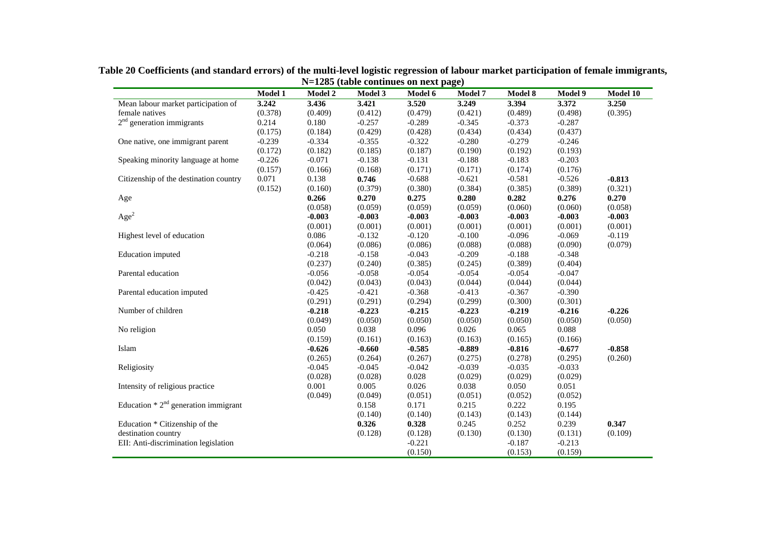|                                        | <b>Model 1</b> | <b>Model 2</b> | Model 3  | Model 6  | <b>Model 7</b> | Model 8  | Model 9  | Model 10 |
|----------------------------------------|----------------|----------------|----------|----------|----------------|----------|----------|----------|
| Mean labour market participation of    | 3.242          | 3.436          | 3.421    | 3.520    | 3.249          | 3.394    | 3.372    | 3.250    |
| female natives                         | (0.378)        | (0.409)        | (0.412)  | (0.479)  | (0.421)        | (0.489)  | (0.498)  | (0.395)  |
| $2nd$ generation immigrants            | 0.214          | 0.180          | $-0.257$ | $-0.289$ | $-0.345$       | $-0.373$ | $-0.287$ |          |
|                                        | (0.175)        | (0.184)        | (0.429)  | (0.428)  | (0.434)        | (0.434)  | (0.437)  |          |
| One native, one immigrant parent       | $-0.239$       | $-0.334$       | $-0.355$ | $-0.322$ | $-0.280$       | $-0.279$ | $-0.246$ |          |
|                                        | (0.172)        | (0.182)        | (0.185)  | (0.187)  | (0.190)        | (0.192)  | (0.193)  |          |
| Speaking minority language at home     | $-0.226$       | $-0.071$       | $-0.138$ | $-0.131$ | $-0.188$       | $-0.183$ | $-0.203$ |          |
|                                        | (0.157)        | (0.166)        | (0.168)  | (0.171)  | (0.171)        | (0.174)  | (0.176)  |          |
| Citizenship of the destination country | 0.071          | 0.138          | 0.746    | $-0.688$ | $-0.621$       | $-0.581$ | $-0.526$ | $-0.813$ |
|                                        | (0.152)        | (0.160)        | (0.379)  | (0.380)  | (0.384)        | (0.385)  | (0.389)  | (0.321)  |
| Age                                    |                | 0.266          | 0.270    | 0.275    | 0.280          | 0.282    | 0.276    | 0.270    |
|                                        |                | (0.058)        | (0.059)  | (0.059)  | (0.059)        | (0.060)  | (0.060)  | (0.058)  |
| Age <sup>2</sup>                       |                | $-0.003$       | $-0.003$ | $-0.003$ | $-0.003$       | $-0.003$ | $-0.003$ | $-0.003$ |
|                                        |                | (0.001)        | (0.001)  | (0.001)  | (0.001)        | (0.001)  | (0.001)  | (0.001)  |
| Highest level of education             |                | 0.086          | $-0.132$ | $-0.120$ | $-0.100$       | $-0.096$ | $-0.069$ | $-0.119$ |
|                                        |                | (0.064)        | (0.086)  | (0.086)  | (0.088)        | (0.088)  | (0.090)  | (0.079)  |
| Education imputed                      |                | $-0.218$       | $-0.158$ | $-0.043$ | $-0.209$       | $-0.188$ | $-0.348$ |          |
|                                        |                | (0.237)        | (0.240)  | (0.385)  | (0.245)        | (0.389)  | (0.404)  |          |
| Parental education                     |                | $-0.056$       | $-0.058$ | $-0.054$ | $-0.054$       | $-0.054$ | $-0.047$ |          |
|                                        |                | (0.042)        | (0.043)  | (0.043)  | (0.044)        | (0.044)  | (0.044)  |          |
| Parental education imputed             |                | $-0.425$       | $-0.421$ | $-0.368$ | $-0.413$       | $-0.367$ | $-0.390$ |          |
|                                        |                | (0.291)        | (0.291)  | (0.294)  | (0.299)        | (0.300)  | (0.301)  |          |
| Number of children                     |                | $-0.218$       | $-0.223$ | $-0.215$ | $-0.223$       | $-0.219$ | $-0.216$ | $-0.226$ |
|                                        |                | (0.049)        | (0.050)  | (0.050)  | (0.050)        | (0.050)  | (0.050)  | (0.050)  |
| No religion                            |                | 0.050          | 0.038    | 0.096    | 0.026          | 0.065    | 0.088    |          |
|                                        |                | (0.159)        | (0.161)  | (0.163)  | (0.163)        | (0.165)  | (0.166)  |          |
| Islam                                  |                | $-0.626$       | $-0.660$ | $-0.585$ | $-0.889$       | $-0.816$ | $-0.677$ | $-0.858$ |
|                                        |                | (0.265)        | (0.264)  | (0.267)  | (0.275)        | (0.278)  | (0.295)  | (0.260)  |
| Religiosity                            |                | $-0.045$       | $-0.045$ | $-0.042$ | $-0.039$       | $-0.035$ | $-0.033$ |          |
|                                        |                | (0.028)        | (0.028)  | 0.028    | (0.029)        | (0.029)  | (0.029)  |          |
| Intensity of religious practice        |                | 0.001          | 0.005    | 0.026    | 0.038          | 0.050    | 0.051    |          |
|                                        |                | (0.049)        | (0.049)  | (0.051)  | (0.051)        | (0.052)  | (0.052)  |          |
| Education $* 2nd$ generation immigrant |                |                | 0.158    | 0.171    | 0.215          | 0.222    | 0.195    |          |
|                                        |                |                | (0.140)  | (0.140)  | (0.143)        | (0.143)  | (0.144)  |          |
| Education * Citizenship of the         |                |                | 0.326    | 0.328    | 0.245          | 0.252    | 0.239    | 0.347    |
| destination country                    |                |                | (0.128)  | (0.128)  | (0.130)        | (0.130)  | (0.131)  | (0.109)  |
| EII: Anti-discrimination legislation   |                |                |          | $-0.221$ |                | $-0.187$ | $-0.213$ |          |
|                                        |                |                |          | (0.150)  |                | (0.153)  | (0.159)  |          |

**Table 20 Coefficients (and standard errors) of the multi-level logistic regression of labour market participation of female immigrants, N=1285 (table continues on next page)**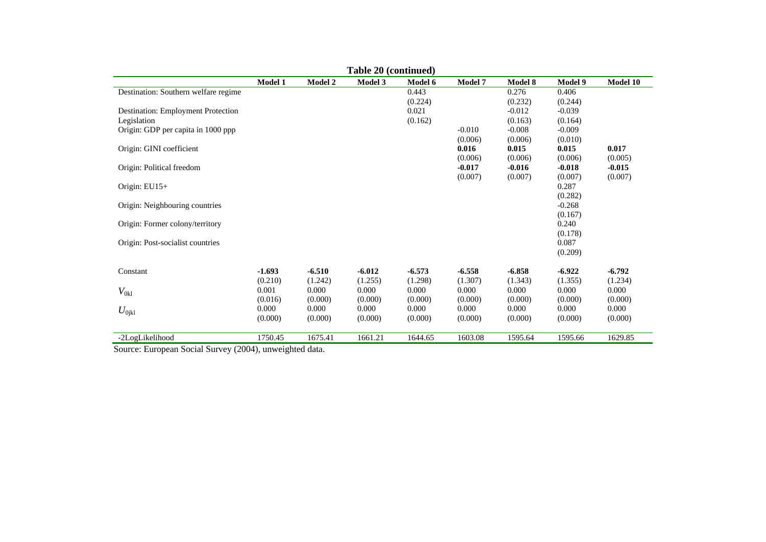| Table 20 (continued)                 |                |                |          |          |                |                |                     |          |  |  |
|--------------------------------------|----------------|----------------|----------|----------|----------------|----------------|---------------------|----------|--|--|
|                                      | <b>Model 1</b> | <b>Model 2</b> | Model 3  | Model 6  | <b>Model 7</b> | <b>Model 8</b> | <b>Model 9</b>      | Model 10 |  |  |
| Destination: Southern welfare regime |                |                |          | 0.443    |                | 0.276          | 0.406               |          |  |  |
|                                      |                |                |          | (0.224)  |                | (0.232)        | (0.244)             |          |  |  |
| Destination: Employment Protection   |                |                |          | 0.021    |                | $-0.012$       | $-0.039$            |          |  |  |
| Legislation                          |                |                |          | (0.162)  |                | (0.163)        | (0.164)             |          |  |  |
| Origin: GDP per capita in 1000 ppp   |                |                |          |          | $-0.010$       | $-0.008$       | $-0.009$            |          |  |  |
|                                      |                |                |          |          | (0.006)        | (0.006)        | (0.010)             |          |  |  |
| Origin: GINI coefficient             |                |                |          |          | 0.016          | 0.015          | 0.015               | 0.017    |  |  |
|                                      |                |                |          |          | (0.006)        | (0.006)        | (0.006)             | (0.005)  |  |  |
| Origin: Political freedom            |                |                |          |          | $-0.017$       | $-0.016$       | $-0.018$            | $-0.015$ |  |  |
|                                      |                |                |          |          | (0.007)        | (0.007)        | (0.007)             | (0.007)  |  |  |
| Origin: $EU15+$                      |                |                |          |          |                |                | 0.287               |          |  |  |
| Origin: Neighbouring countries       |                |                |          |          |                |                | (0.282)<br>$-0.268$ |          |  |  |
|                                      |                |                |          |          |                |                | (0.167)             |          |  |  |
| Origin: Former colony/territory      |                |                |          |          |                |                | 0.240               |          |  |  |
|                                      |                |                |          |          |                |                | (0.178)             |          |  |  |
| Origin: Post-socialist countries     |                |                |          |          |                |                | 0.087               |          |  |  |
|                                      |                |                |          |          |                |                | (0.209)             |          |  |  |
|                                      |                |                |          |          |                |                |                     |          |  |  |
| Constant                             | $-1.693$       | $-6.510$       | $-6.012$ | $-6.573$ | $-6.558$       | $-6.858$       | $-6.922$            | $-6.792$ |  |  |
|                                      | (0.210)        | (1.242)        | (1.255)  | (1.298)  | (1.307)        | (1.343)        | (1.355)             | (1.234)  |  |  |
| $V_{0kl}$                            | 0.001          | 0.000          | 0.000    | 0.000    | 0.000          | 0.000          | 0.000               | 0.000    |  |  |
|                                      | (0.016)        | (0.000)        | (0.000)  | (0.000)  | (0.000)        | (0.000)        | (0.000)             | (0.000)  |  |  |
| $U_{0\rm jkl}$                       | 0.000          | 0.000          | 0.000    | 0.000    | 0.000          | 0.000          | 0.000               | 0.000    |  |  |
|                                      | (0.000)        | (0.000)        | (0.000)  | (0.000)  | (0.000)        | (0.000)        | (0.000)             | (0.000)  |  |  |
|                                      | 1750.45        |                | 1661.21  |          | 1603.08        | 1595.64        | 1595.66             |          |  |  |
| -2LogLikelihood                      |                | 1675.41        |          | 1644.65  |                |                |                     | 1629.85  |  |  |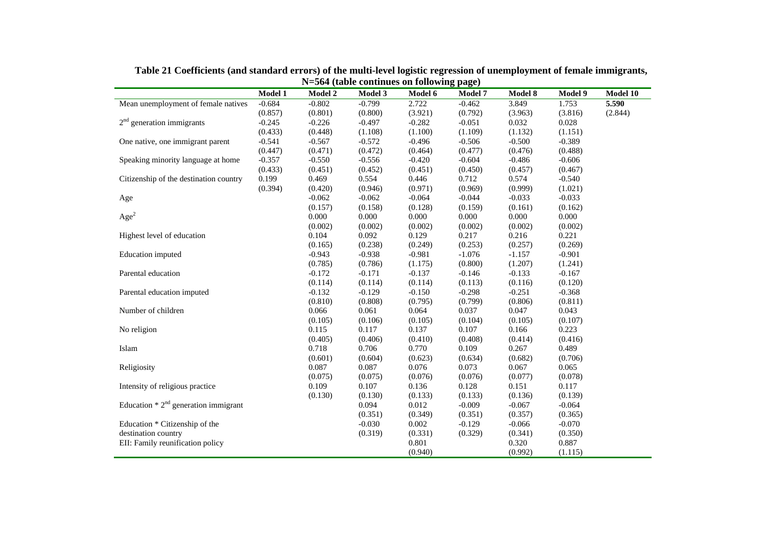|                                        | Model 1  | <b>Model 2</b> | Model 3  | $11 - 20 + (a \omega)$ continues on following $\mu$ age)<br>Model 6 | Model 7  | Model 8  | Model 9  | Model 10 |
|----------------------------------------|----------|----------------|----------|---------------------------------------------------------------------|----------|----------|----------|----------|
| Mean unemployment of female natives    | $-0.684$ | $-0.802$       | $-0.799$ | 2.722                                                               | $-0.462$ | 3.849    | 1.753    | 5.590    |
|                                        | (0.857)  | (0.801)        | (0.800)  | (3.921)                                                             | (0.792)  | (3.963)  | (3.816)  | (2.844)  |
| $2nd$ generation immigrants            | $-0.245$ | $-0.226$       | $-0.497$ | $-0.282$                                                            | $-0.051$ | 0.032    | 0.028    |          |
|                                        | (0.433)  | (0.448)        | (1.108)  | (1.100)                                                             | (1.109)  | (1.132)  | (1.151)  |          |
| One native, one immigrant parent       | $-0.541$ | $-0.567$       | $-0.572$ | $-0.496$                                                            | $-0.506$ | $-0.500$ | $-0.389$ |          |
|                                        | (0.447)  | (0.471)        | (0.472)  | (0.464)                                                             | (0.477)  | (0.476)  | (0.488)  |          |
| Speaking minority language at home     | $-0.357$ | $-0.550$       | $-0.556$ | $-0.420$                                                            | $-0.604$ | $-0.486$ | $-0.606$ |          |
|                                        | (0.433)  | (0.451)        | (0.452)  | (0.451)                                                             | (0.450)  | (0.457)  | (0.467)  |          |
| Citizenship of the destination country | 0.199    | 0.469          | 0.554    | 0.446                                                               | 0.712    | 0.574    | $-0.540$ |          |
|                                        | (0.394)  | (0.420)        | (0.946)  | (0.971)                                                             | (0.969)  | (0.999)  | (1.021)  |          |
| Age                                    |          | $-0.062$       | $-0.062$ | $-0.064$                                                            | $-0.044$ | $-0.033$ | $-0.033$ |          |
|                                        |          | (0.157)        | (0.158)  | (0.128)                                                             | (0.159)  | (0.161)  | (0.162)  |          |
| Age <sup>2</sup>                       |          | 0.000          | 0.000    | 0.000                                                               | 0.000    | 0.000    | 0.000    |          |
|                                        |          | (0.002)        | (0.002)  | (0.002)                                                             | (0.002)  | (0.002)  | (0.002)  |          |
| Highest level of education             |          | 0.104          | 0.092    | 0.129                                                               | 0.217    | 0.216    | 0.221    |          |
|                                        |          | (0.165)        | (0.238)  | (0.249)                                                             | (0.253)  | (0.257)  | (0.269)  |          |
| <b>Education</b> imputed               |          | $-0.943$       | $-0.938$ | $-0.981$                                                            | $-1.076$ | $-1.157$ | $-0.901$ |          |
|                                        |          | (0.785)        | (0.786)  | (1.175)                                                             | (0.800)  | (1.207)  | (1.241)  |          |
| Parental education                     |          | $-0.172$       | $-0.171$ | $-0.137$                                                            | $-0.146$ | $-0.133$ | $-0.167$ |          |
|                                        |          | (0.114)        | (0.114)  | (0.114)                                                             | (0.113)  | (0.116)  | (0.120)  |          |
| Parental education imputed             |          | $-0.132$       | $-0.129$ | $-0.150$                                                            | $-0.298$ | $-0.251$ | $-0.368$ |          |
|                                        |          | (0.810)        | (0.808)  | (0.795)                                                             | (0.799)  | (0.806)  | (0.811)  |          |
| Number of children                     |          | 0.066          | 0.061    | 0.064                                                               | 0.037    | 0.047    | 0.043    |          |
|                                        |          | (0.105)        | (0.106)  | (0.105)                                                             | (0.104)  | (0.105)  | (0.107)  |          |
| No religion                            |          | 0.115          | 0.117    | 0.137                                                               | 0.107    | 0.166    | 0.223    |          |
|                                        |          | (0.405)        | (0.406)  | (0.410)                                                             | (0.408)  | (0.414)  | (0.416)  |          |
| Islam                                  |          | 0.718          | 0.706    | 0.770                                                               | 0.109    | 0.267    | 0.489    |          |
|                                        |          | (0.601)        | (0.604)  | (0.623)                                                             | (0.634)  | (0.682)  | (0.706)  |          |
| Religiosity                            |          | 0.087          | 0.087    | 0.076                                                               | 0.073    | 0.067    | 0.065    |          |
|                                        |          | (0.075)        | (0.075)  | (0.076)                                                             | (0.076)  | (0.077)  | (0.078)  |          |
| Intensity of religious practice        |          | 0.109          | 0.107    | 0.136                                                               | 0.128    | 0.151    | 0.117    |          |
|                                        |          | (0.130)        | (0.130)  | (0.133)                                                             | (0.133)  | (0.136)  | (0.139)  |          |
| Education $* 2nd$ generation immigrant |          |                | 0.094    | 0.012                                                               | $-0.009$ | $-0.067$ | $-0.064$ |          |
|                                        |          |                | (0.351)  | (0.349)                                                             | (0.351)  | (0.357)  | (0.365)  |          |
| Education * Citizenship of the         |          |                | $-0.030$ | 0.002                                                               | $-0.129$ | $-0.066$ | $-0.070$ |          |
| destination country                    |          |                | (0.319)  | (0.331)                                                             | (0.329)  | (0.341)  | (0.350)  |          |
| EII: Family reunification policy       |          |                |          | 0.801                                                               |          | 0.320    | 0.887    |          |
|                                        |          |                |          | (0.940)                                                             |          | (0.992)  | (1.115)  |          |

**Table 21 Coefficients (and standard errors) of the multi-level logistic regression of unemployment of female immigrants, N=564 (table continues on following page)**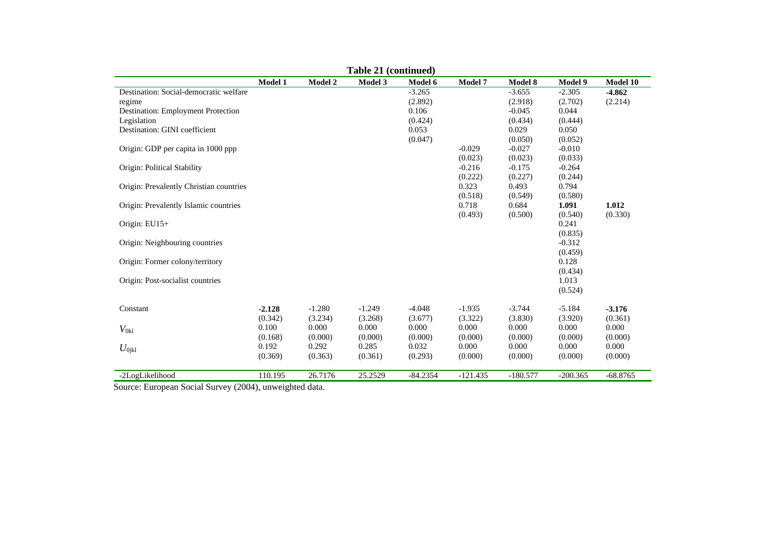| Table 21 (continued) |                                                             |                                                                        |                                                             |                                                                        |                                                                                                                 |                                                                                          |                                                                                                                                                                                        |  |  |  |
|----------------------|-------------------------------------------------------------|------------------------------------------------------------------------|-------------------------------------------------------------|------------------------------------------------------------------------|-----------------------------------------------------------------------------------------------------------------|------------------------------------------------------------------------------------------|----------------------------------------------------------------------------------------------------------------------------------------------------------------------------------------|--|--|--|
| Model 1              | Model 2                                                     | Model 3                                                                | Model 6                                                     | Model 7                                                                | <b>Model 8</b>                                                                                                  | Model 9                                                                                  | Model 10                                                                                                                                                                               |  |  |  |
|                      |                                                             |                                                                        | $-3.265$                                                    |                                                                        | $-3.655$                                                                                                        | $-2.305$                                                                                 | $-4.862$                                                                                                                                                                               |  |  |  |
|                      |                                                             |                                                                        | (2.892)                                                     |                                                                        | (2.918)                                                                                                         | (2.702)                                                                                  | (2.214)                                                                                                                                                                                |  |  |  |
|                      |                                                             |                                                                        | 0.106                                                       |                                                                        | $-0.045$                                                                                                        | 0.044                                                                                    |                                                                                                                                                                                        |  |  |  |
|                      |                                                             |                                                                        | (0.424)                                                     |                                                                        | (0.434)                                                                                                         | (0.444)                                                                                  |                                                                                                                                                                                        |  |  |  |
|                      |                                                             |                                                                        | 0.053                                                       |                                                                        | 0.029                                                                                                           | 0.050                                                                                    |                                                                                                                                                                                        |  |  |  |
|                      |                                                             |                                                                        |                                                             |                                                                        | (0.050)                                                                                                         | (0.052)                                                                                  |                                                                                                                                                                                        |  |  |  |
|                      |                                                             |                                                                        |                                                             | $-0.029$                                                               | $-0.027$                                                                                                        | $-0.010$                                                                                 |                                                                                                                                                                                        |  |  |  |
|                      |                                                             |                                                                        |                                                             | (0.023)                                                                | (0.023)                                                                                                         | (0.033)                                                                                  |                                                                                                                                                                                        |  |  |  |
|                      |                                                             |                                                                        |                                                             |                                                                        | $-0.175$                                                                                                        | $-0.264$                                                                                 |                                                                                                                                                                                        |  |  |  |
|                      |                                                             |                                                                        |                                                             | (0.222)                                                                | (0.227)                                                                                                         | (0.244)                                                                                  |                                                                                                                                                                                        |  |  |  |
|                      |                                                             |                                                                        |                                                             |                                                                        |                                                                                                                 |                                                                                          |                                                                                                                                                                                        |  |  |  |
|                      |                                                             |                                                                        |                                                             |                                                                        | (0.549)                                                                                                         |                                                                                          |                                                                                                                                                                                        |  |  |  |
|                      |                                                             |                                                                        |                                                             |                                                                        |                                                                                                                 |                                                                                          | 1.012                                                                                                                                                                                  |  |  |  |
|                      |                                                             |                                                                        |                                                             |                                                                        |                                                                                                                 |                                                                                          | (0.330)                                                                                                                                                                                |  |  |  |
|                      |                                                             |                                                                        |                                                             |                                                                        |                                                                                                                 |                                                                                          |                                                                                                                                                                                        |  |  |  |
|                      |                                                             |                                                                        |                                                             |                                                                        |                                                                                                                 |                                                                                          |                                                                                                                                                                                        |  |  |  |
|                      |                                                             |                                                                        |                                                             |                                                                        |                                                                                                                 |                                                                                          |                                                                                                                                                                                        |  |  |  |
|                      |                                                             |                                                                        |                                                             |                                                                        |                                                                                                                 |                                                                                          |                                                                                                                                                                                        |  |  |  |
|                      |                                                             |                                                                        |                                                             |                                                                        |                                                                                                                 |                                                                                          |                                                                                                                                                                                        |  |  |  |
|                      |                                                             |                                                                        |                                                             |                                                                        |                                                                                                                 |                                                                                          |                                                                                                                                                                                        |  |  |  |
|                      |                                                             |                                                                        |                                                             |                                                                        |                                                                                                                 |                                                                                          |                                                                                                                                                                                        |  |  |  |
|                      |                                                             |                                                                        |                                                             |                                                                        |                                                                                                                 |                                                                                          |                                                                                                                                                                                        |  |  |  |
|                      |                                                             |                                                                        |                                                             |                                                                        |                                                                                                                 |                                                                                          | $-3.176$                                                                                                                                                                               |  |  |  |
|                      |                                                             |                                                                        |                                                             |                                                                        |                                                                                                                 |                                                                                          | (0.361)                                                                                                                                                                                |  |  |  |
|                      |                                                             |                                                                        |                                                             |                                                                        |                                                                                                                 |                                                                                          | 0.000                                                                                                                                                                                  |  |  |  |
|                      |                                                             |                                                                        |                                                             |                                                                        |                                                                                                                 |                                                                                          | (0.000)                                                                                                                                                                                |  |  |  |
|                      |                                                             |                                                                        |                                                             |                                                                        |                                                                                                                 |                                                                                          | 0.000                                                                                                                                                                                  |  |  |  |
|                      |                                                             |                                                                        |                                                             |                                                                        |                                                                                                                 |                                                                                          | (0.000)                                                                                                                                                                                |  |  |  |
|                      |                                                             |                                                                        |                                                             |                                                                        |                                                                                                                 |                                                                                          |                                                                                                                                                                                        |  |  |  |
| 110.195              |                                                             | 25.2529                                                                | $-84.2354$                                                  | $-121.435$                                                             | $-180.577$                                                                                                      | $-200.365$                                                                               | $-68.8765$                                                                                                                                                                             |  |  |  |
|                      | $-2.128$<br>(0.342)<br>0.100<br>(0.168)<br>0.192<br>(0.369) | $-1.280$<br>(3.234)<br>0.000<br>(0.000)<br>0.292<br>(0.363)<br>26.7176 | $-1.249$<br>(3.268)<br>0.000<br>(0.000)<br>0.285<br>(0.361) | (0.047)<br>$-4.048$<br>(3.677)<br>0.000<br>(0.000)<br>0.032<br>(0.293) | $-0.216$<br>0.323<br>(0.518)<br>0.718<br>(0.493)<br>$-1.935$<br>(3.322)<br>0.000<br>(0.000)<br>0.000<br>(0.000) | 0.493<br>0.684<br>(0.500)<br>$-3.744$<br>(3.830)<br>0.000<br>(0.000)<br>0.000<br>(0.000) | 0.794<br>(0.580)<br>1.091<br>(0.540)<br>0.241<br>(0.835)<br>$-0.312$<br>(0.459)<br>0.128<br>(0.434)<br>1.013<br>(0.524)<br>$-5.184$<br>(3.920)<br>0.000<br>(0.000)<br>0.000<br>(0.000) |  |  |  |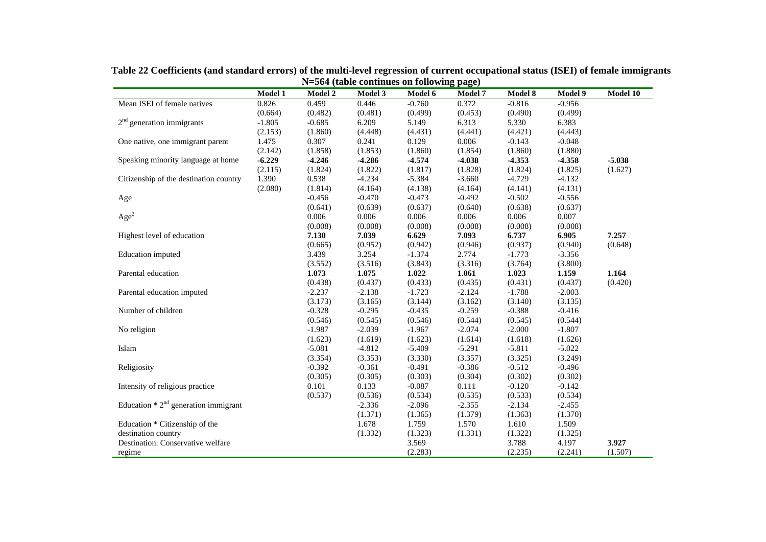|                                                                                                                                                                                                  |                |                                                    |                                                                                               | $\cdots$ corrected continues on rono $\cdots$ page)                                                                  |                                                                                               |                                                                                                                      |                                                                                                                      | Model 10         |
|--------------------------------------------------------------------------------------------------------------------------------------------------------------------------------------------------|----------------|----------------------------------------------------|-----------------------------------------------------------------------------------------------|----------------------------------------------------------------------------------------------------------------------|-----------------------------------------------------------------------------------------------|----------------------------------------------------------------------------------------------------------------------|----------------------------------------------------------------------------------------------------------------------|------------------|
|                                                                                                                                                                                                  | <b>Model 1</b> | <b>Model 2</b>                                     | <b>Model 3</b>                                                                                | Model 6                                                                                                              | <b>Model 7</b>                                                                                | Model 8                                                                                                              | Model 9                                                                                                              |                  |
| Mean ISEI of female natives                                                                                                                                                                      | 0.826          | 0.459                                              | 0.446                                                                                         | $-0.760$                                                                                                             | 0.372                                                                                         | $-0.816$                                                                                                             | $-0.956$                                                                                                             |                  |
|                                                                                                                                                                                                  | (0.664)        | (0.482)                                            | (0.481)                                                                                       | (0.499)                                                                                                              | (0.453)                                                                                       | (0.490)                                                                                                              | (0.499)                                                                                                              |                  |
| $2nd$ generation immigrants                                                                                                                                                                      | $-1.805$       | $-0.685$                                           | 6.209                                                                                         | 5.149                                                                                                                | 6.313                                                                                         | 5.330                                                                                                                | 6.383                                                                                                                |                  |
|                                                                                                                                                                                                  | (2.153)        | (1.860)                                            | (4.448)                                                                                       | (4.431)                                                                                                              | (4.441)                                                                                       | (4.421)                                                                                                              | (4.443)                                                                                                              |                  |
| One native, one immigrant parent                                                                                                                                                                 | 1.475          | 0.307                                              | 0.241                                                                                         | 0.129                                                                                                                | 0.006                                                                                         | $-0.143$                                                                                                             | $-0.048$                                                                                                             |                  |
|                                                                                                                                                                                                  | (2.142)        | (1.858)                                            | (1.853)                                                                                       | (1.860)                                                                                                              | (1.854)                                                                                       | (1.860)                                                                                                              | (1.880)                                                                                                              |                  |
| Speaking minority language at home                                                                                                                                                               | $-6.229$       | $-4.246$                                           | $-4.286$                                                                                      | $-4.574$                                                                                                             | $-4.038$                                                                                      | $-4.353$                                                                                                             | $-4.358$                                                                                                             | $-5.038$         |
|                                                                                                                                                                                                  | (2.115)        | (1.824)                                            | (1.822)                                                                                       | (1.817)                                                                                                              | (1.828)                                                                                       | (1.824)                                                                                                              | (1.825)                                                                                                              | (1.627)          |
| Citizenship of the destination country                                                                                                                                                           | 1.390          | 0.538                                              | $-4.234$                                                                                      | $-5.384$                                                                                                             | $-3.660$                                                                                      | $-4.729$                                                                                                             | $-4.132$                                                                                                             |                  |
|                                                                                                                                                                                                  | (2.080)        | (1.814)                                            | (4.164)                                                                                       | (4.138)                                                                                                              | (4.164)                                                                                       | (4.141)                                                                                                              | (4.131)                                                                                                              |                  |
| Age                                                                                                                                                                                              |                | $-0.456$                                           | $-0.470$                                                                                      | $-0.473$                                                                                                             | $-0.492$                                                                                      | $-0.502$                                                                                                             | $-0.556$                                                                                                             |                  |
|                                                                                                                                                                                                  |                | (0.641)                                            | (0.639)                                                                                       | (0.637)                                                                                                              | (0.640)                                                                                       | (0.638)                                                                                                              | (0.637)                                                                                                              |                  |
| Age <sup>2</sup>                                                                                                                                                                                 |                | 0.006                                              | 0.006                                                                                         | 0.006                                                                                                                | 0.006                                                                                         | 0.006                                                                                                                | 0.007                                                                                                                |                  |
|                                                                                                                                                                                                  |                | (0.008)                                            | (0.008)                                                                                       | (0.008)                                                                                                              | (0.008)                                                                                       | (0.008)                                                                                                              | (0.008)                                                                                                              |                  |
| Highest level of education                                                                                                                                                                       |                | 7.130                                              | 7.039                                                                                         | 6.629                                                                                                                | 7.093                                                                                         | 6.737                                                                                                                | 6.905                                                                                                                | 7.257            |
|                                                                                                                                                                                                  |                | (0.665)                                            | (0.952)                                                                                       | (0.942)                                                                                                              | (0.946)                                                                                       | (0.937)                                                                                                              | (0.940)                                                                                                              | (0.648)          |
| Education imputed                                                                                                                                                                                |                | 3.439                                              | 3.254                                                                                         | $-1.374$                                                                                                             | 2.774                                                                                         | $-1.773$                                                                                                             | $-3.356$                                                                                                             |                  |
|                                                                                                                                                                                                  |                | (3.552)                                            | (3.516)                                                                                       | (3.843)                                                                                                              | (3.316)                                                                                       | (3.764)                                                                                                              | (3.800)                                                                                                              |                  |
| Parental education                                                                                                                                                                               |                | 1.073                                              | 1.075                                                                                         | 1.022                                                                                                                | 1.061                                                                                         | 1.023                                                                                                                | 1.159                                                                                                                | 1.164            |
|                                                                                                                                                                                                  |                | (0.438)                                            | (0.437)                                                                                       | (0.433)                                                                                                              | (0.435)                                                                                       | (0.431)                                                                                                              | (0.437)                                                                                                              | (0.420)          |
| Parental education imputed                                                                                                                                                                       |                | $-2.237$                                           | $-2.138$                                                                                      | $-1.723$                                                                                                             | $-2.124$                                                                                      | $-1.788$                                                                                                             | $-2.003$                                                                                                             |                  |
|                                                                                                                                                                                                  |                | (3.173)                                            | (3.165)                                                                                       | (3.144)                                                                                                              | (3.162)                                                                                       | (3.140)                                                                                                              | (3.135)                                                                                                              |                  |
| Number of children                                                                                                                                                                               |                | $-0.328$                                           | $-0.295$                                                                                      | $-0.435$                                                                                                             | $-0.259$                                                                                      | $-0.388$                                                                                                             | $-0.416$                                                                                                             |                  |
|                                                                                                                                                                                                  |                | (0.546)                                            | (0.545)                                                                                       | (0.546)                                                                                                              | (0.544)                                                                                       | (0.545)                                                                                                              | (0.544)                                                                                                              |                  |
| No religion                                                                                                                                                                                      |                | $-1.987$                                           | $-2.039$                                                                                      | $-1.967$                                                                                                             | $-2.074$                                                                                      | $-2.000$                                                                                                             | $-1.807$                                                                                                             |                  |
|                                                                                                                                                                                                  |                | (1.623)                                            | (1.619)                                                                                       | (1.623)                                                                                                              | (1.614)                                                                                       | (1.618)                                                                                                              | (1.626)                                                                                                              |                  |
| Islam                                                                                                                                                                                            |                | $-5.081$                                           | $-4.812$                                                                                      | $-5.409$                                                                                                             | $-5.291$                                                                                      | $-5.811$                                                                                                             | $-5.022$                                                                                                             |                  |
|                                                                                                                                                                                                  |                |                                                    |                                                                                               |                                                                                                                      |                                                                                               |                                                                                                                      |                                                                                                                      |                  |
|                                                                                                                                                                                                  |                |                                                    |                                                                                               |                                                                                                                      |                                                                                               |                                                                                                                      |                                                                                                                      |                  |
|                                                                                                                                                                                                  |                |                                                    |                                                                                               |                                                                                                                      |                                                                                               |                                                                                                                      |                                                                                                                      |                  |
|                                                                                                                                                                                                  |                |                                                    |                                                                                               |                                                                                                                      |                                                                                               |                                                                                                                      |                                                                                                                      |                  |
|                                                                                                                                                                                                  |                |                                                    |                                                                                               |                                                                                                                      |                                                                                               |                                                                                                                      |                                                                                                                      |                  |
|                                                                                                                                                                                                  |                |                                                    |                                                                                               |                                                                                                                      |                                                                                               |                                                                                                                      |                                                                                                                      |                  |
|                                                                                                                                                                                                  |                |                                                    |                                                                                               |                                                                                                                      |                                                                                               |                                                                                                                      |                                                                                                                      |                  |
|                                                                                                                                                                                                  |                |                                                    |                                                                                               |                                                                                                                      |                                                                                               |                                                                                                                      |                                                                                                                      |                  |
|                                                                                                                                                                                                  |                |                                                    |                                                                                               |                                                                                                                      |                                                                                               |                                                                                                                      |                                                                                                                      |                  |
|                                                                                                                                                                                                  |                |                                                    |                                                                                               |                                                                                                                      |                                                                                               |                                                                                                                      |                                                                                                                      |                  |
|                                                                                                                                                                                                  |                |                                                    |                                                                                               |                                                                                                                      |                                                                                               |                                                                                                                      |                                                                                                                      |                  |
| Religiosity<br>Intensity of religious practice<br>Education $* 2nd$ generation immigrant<br>Education * Citizenship of the<br>destination country<br>Destination: Conservative welfare<br>regime |                | (3.354)<br>$-0.392$<br>(0.305)<br>0.101<br>(0.537) | (3.353)<br>$-0.361$<br>(0.305)<br>0.133<br>(0.536)<br>$-2.336$<br>(1.371)<br>1.678<br>(1.332) | (3.330)<br>$-0.491$<br>(0.303)<br>$-0.087$<br>(0.534)<br>$-2.096$<br>(1.365)<br>1.759<br>(1.323)<br>3.569<br>(2.283) | (3.357)<br>$-0.386$<br>(0.304)<br>0.111<br>(0.535)<br>$-2.355$<br>(1.379)<br>1.570<br>(1.331) | (3.325)<br>$-0.512$<br>(0.302)<br>$-0.120$<br>(0.533)<br>$-2.134$<br>(1.363)<br>1.610<br>(1.322)<br>3.788<br>(2.235) | (3.249)<br>$-0.496$<br>(0.302)<br>$-0.142$<br>(0.534)<br>$-2.455$<br>(1.370)<br>1.509<br>(1.325)<br>4.197<br>(2.241) | 3.927<br>(1.507) |

**Table 22 Coefficients (and standard errors) of the multi-level regression of current occupational status (ISEI) of female immigrants N=564 (table continues on following page)**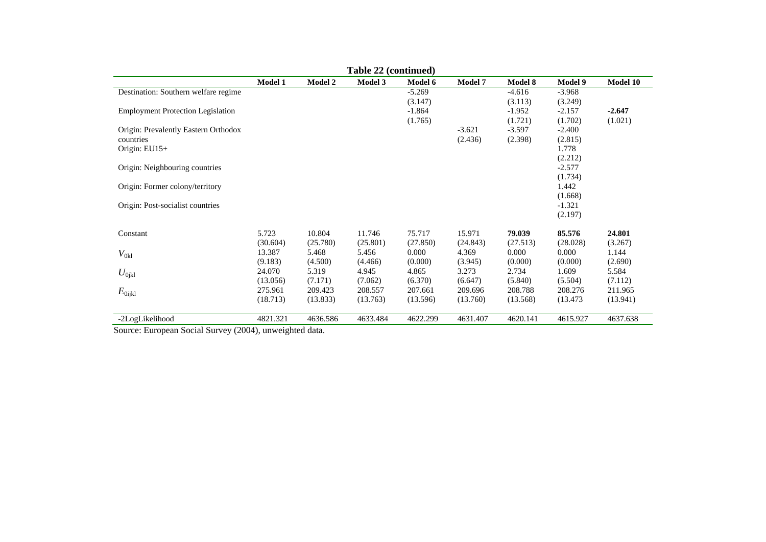|                                                                                    |                     |                | Table 22 (continued) |                |                |          |                |          |
|------------------------------------------------------------------------------------|---------------------|----------------|----------------------|----------------|----------------|----------|----------------|----------|
|                                                                                    | Model 1             | <b>Model 2</b> | Model 3              | <b>Model 6</b> | <b>Model 7</b> | Model 8  | <b>Model 9</b> | Model 10 |
| Destination: Southern welfare regime                                               |                     |                |                      | $-5.269$       |                | $-4.616$ | $-3.968$       |          |
|                                                                                    |                     |                |                      | (3.147)        |                | (3.113)  | (3.249)        |          |
| <b>Employment Protection Legislation</b>                                           |                     |                |                      | $-1.864$       |                | $-1.952$ | $-2.157$       | $-2.647$ |
|                                                                                    |                     |                |                      | (1.765)        |                | (1.721)  | (1.702)        | (1.021)  |
| Origin: Prevalently Eastern Orthodox                                               |                     |                |                      |                | $-3.621$       | $-3.597$ | $-2.400$       |          |
| countries                                                                          |                     |                |                      |                | (2.436)        | (2.398)  | (2.815)        |          |
| Origin: EU15+                                                                      |                     |                |                      |                |                |          | 1.778          |          |
|                                                                                    |                     |                |                      |                |                |          | (2.212)        |          |
| Origin: Neighbouring countries                                                     |                     |                |                      |                |                |          | $-2.577$       |          |
|                                                                                    |                     |                |                      |                |                |          | (1.734)        |          |
| Origin: Former colony/territory                                                    |                     |                |                      |                |                |          | 1.442          |          |
|                                                                                    |                     |                |                      |                |                |          | (1.668)        |          |
| Origin: Post-socialist countries                                                   |                     |                |                      |                |                |          | $-1.321$       |          |
|                                                                                    |                     |                |                      |                |                |          | (2.197)        |          |
| Constant                                                                           | 5.723               | 10.804         | 11.746               | 75.717         | 15.971         | 79.039   | 85.576         | 24.801   |
|                                                                                    | (30.604)            | (25.780)       | (25.801)             | (27.850)       | (24.843)       | (27.513) | (28.028)       | (3.267)  |
| $V_{0kl}$                                                                          | 13.387              | 5.468          | 5.456                | 0.000          | 4.369          | 0.000    | 0.000          | 1.144    |
|                                                                                    | (9.183)             | (4.500)        | (4.466)              | (0.000)        | (3.945)        | (0.000)  | (0.000)        | (2.690)  |
| $U_{0\rm jkl}$                                                                     | 24.070              | 5.319          | 4.945                | 4.865          | 3.273          | 2.734    | 1.609          | 5.584    |
|                                                                                    | (13.056)            | (7.171)        | (7.062)              | (6.370)        | (6.647)        | (5.840)  | (5.504)        | (7.112)  |
| $E_{\rm 0ijkl}$                                                                    | 275.961             | 209.423        | 208.557              | 207.661        | 209.696        | 208.788  | 208.276        | 211.965  |
|                                                                                    | (18.713)            | (13.833)       | (13.763)             | (13.596)       | (13.760)       | (13.568) | (13.473)       | (13.941) |
|                                                                                    |                     |                |                      |                |                |          |                |          |
| -2LogLikelihood<br>$\Omega$ . $\Gamma$ . $\Omega$ . $\Omega$ . $\Omega$ . $\Omega$ | 4821.321<br>(0.004) | 4636.586<br>.  | 4633.484             | 4622.299       | 4631.407       | 4620.141 | 4615.927       | 4637.638 |

Source: European Social Survey (2004), unweighted data.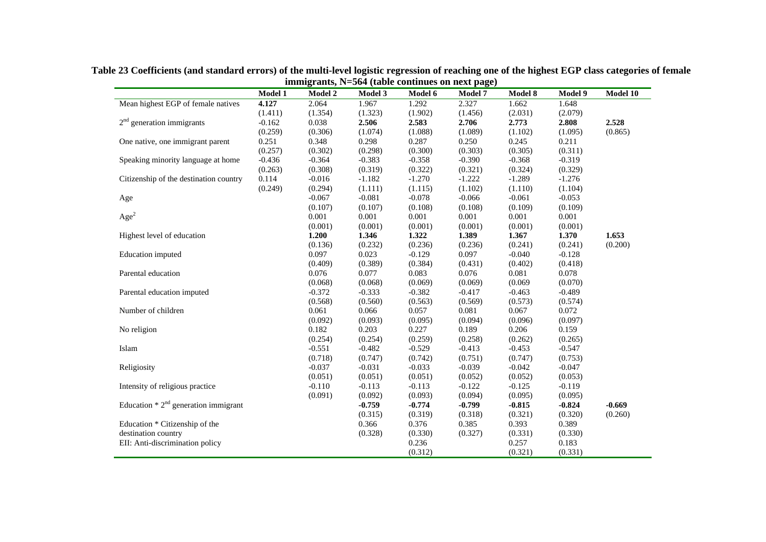|                                        | Model 1  | <b>Model 2</b> | <b>Model 3</b> | $\frac{1}{2}$ and $\frac{1}{2}$ and $\frac{1}{2}$ contributed on heave page)<br>Model 6 | <b>Model 7</b> | Model 8  | Model 9  | Model 10 |
|----------------------------------------|----------|----------------|----------------|-----------------------------------------------------------------------------------------|----------------|----------|----------|----------|
| Mean highest EGP of female natives     | 4.127    | 2.064          | 1.967          | 1.292                                                                                   | 2.327          | 1.662    | 1.648    |          |
|                                        | (1.411)  | (1.354)        | (1.323)        | (1.902)                                                                                 | (1.456)        | (2.031)  | (2.079)  |          |
| $2nd$ generation immigrants            | $-0.162$ | 0.038          | 2.506          | 2.583                                                                                   | 2.706          | 2.773    | 2.808    | 2.528    |
|                                        | (0.259)  | (0.306)        | (1.074)        | (1.088)                                                                                 | (1.089)        | (1.102)  | (1.095)  | (0.865)  |
| One native, one immigrant parent       | 0.251    | 0.348          | 0.298          | 0.287                                                                                   | 0.250          | 0.245    | 0.211    |          |
|                                        | (0.257)  | (0.302)        | (0.298)        | (0.300)                                                                                 | (0.303)        | (0.305)  | (0.311)  |          |
| Speaking minority language at home     | $-0.436$ | $-0.364$       | $-0.383$       | $-0.358$                                                                                | $-0.390$       | $-0.368$ | $-0.319$ |          |
|                                        | (0.263)  | (0.308)        | (0.319)        | (0.322)                                                                                 | (0.321)        | (0.324)  | (0.329)  |          |
| Citizenship of the destination country | 0.114    | $-0.016$       | $-1.182$       | $-1.270$                                                                                | $-1.222$       | $-1.289$ | $-1.276$ |          |
|                                        | (0.249)  | (0.294)        | (1.111)        | (1.115)                                                                                 | (1.102)        | (1.110)  | (1.104)  |          |
| Age                                    |          | $-0.067$       | $-0.081$       | $-0.078$                                                                                | $-0.066$       | $-0.061$ | $-0.053$ |          |
|                                        |          | (0.107)        | (0.107)        | (0.108)                                                                                 | (0.108)        | (0.109)  | (0.109)  |          |
| Age <sup>2</sup>                       |          | 0.001          | 0.001          | 0.001                                                                                   | 0.001          | 0.001    | 0.001    |          |
|                                        |          | (0.001)        | (0.001)        | (0.001)                                                                                 | (0.001)        | (0.001)  | (0.001)  |          |
| Highest level of education             |          | 1.200          | 1.346          | 1.322                                                                                   | 1.389          | 1.367    | 1.370    | 1.653    |
|                                        |          | (0.136)        | (0.232)        | (0.236)                                                                                 | (0.236)        | (0.241)  | (0.241)  | (0.200)  |
| <b>Education</b> imputed               |          | 0.097          | 0.023          | $-0.129$                                                                                | 0.097          | $-0.040$ | $-0.128$ |          |
|                                        |          | (0.409)        | (0.389)        | (0.384)                                                                                 | (0.431)        | (0.402)  | (0.418)  |          |
| Parental education                     |          | 0.076          | 0.077          | 0.083                                                                                   | 0.076          | 0.081    | 0.078    |          |
|                                        |          | (0.068)        | (0.068)        | (0.069)                                                                                 | (0.069)        | (0.069)  | (0.070)  |          |
| Parental education imputed             |          | $-0.372$       | $-0.333$       | $-0.382$                                                                                | $-0.417$       | $-0.463$ | $-0.489$ |          |
|                                        |          | (0.568)        | (0.560)        | (0.563)                                                                                 | (0.569)        | (0.573)  | (0.574)  |          |
| Number of children                     |          | 0.061          | 0.066          | 0.057                                                                                   | 0.081          | 0.067    | 0.072    |          |
|                                        |          | (0.092)        | (0.093)        | (0.095)                                                                                 | (0.094)        | (0.096)  | (0.097)  |          |
| No religion                            |          | 0.182          | 0.203          | 0.227                                                                                   | 0.189          | 0.206    | 0.159    |          |
|                                        |          | (0.254)        | (0.254)        | (0.259)                                                                                 | (0.258)        | (0.262)  | (0.265)  |          |
| Islam                                  |          | $-0.551$       | $-0.482$       | $-0.529$                                                                                | $-0.413$       | $-0.453$ | $-0.547$ |          |
|                                        |          | (0.718)        | (0.747)        | (0.742)                                                                                 | (0.751)        | (0.747)  | (0.753)  |          |
| Religiosity                            |          | $-0.037$       | $-0.031$       | $-0.033$                                                                                | $-0.039$       | $-0.042$ | $-0.047$ |          |
|                                        |          | (0.051)        | (0.051)        | (0.051)                                                                                 | (0.052)        | (0.052)  | (0.053)  |          |
| Intensity of religious practice        |          | $-0.110$       | $-0.113$       | $-0.113$                                                                                | $-0.122$       | $-0.125$ | $-0.119$ |          |
|                                        |          | (0.091)        | (0.092)        | (0.093)                                                                                 | (0.094)        | (0.095)  | (0.095)  |          |
| Education $* 2nd$ generation immigrant |          |                | $-0.759$       | $-0.774$                                                                                | $-0.799$       | $-0.815$ | $-0.824$ | $-0.669$ |
|                                        |          |                | (0.315)        | (0.319)                                                                                 | (0.318)        | (0.321)  | (0.320)  | (0.260)  |
| Education * Citizenship of the         |          |                | 0.366          | 0.376                                                                                   | 0.385          | 0.393    | 0.389    |          |
| destination country                    |          |                | (0.328)        | (0.330)                                                                                 | (0.327)        | (0.331)  | (0.330)  |          |
| EII: Anti-discrimination policy        |          |                |                | 0.236                                                                                   |                | 0.257    | 0.183    |          |
|                                        |          |                |                | (0.312)                                                                                 |                | (0.321)  | (0.331)  |          |

**Table 23 Coefficients (and standard errors) of the multi-level logistic regression of reaching one of the highest EGP class categories of female immigrants, N=564 (table continues on next page)**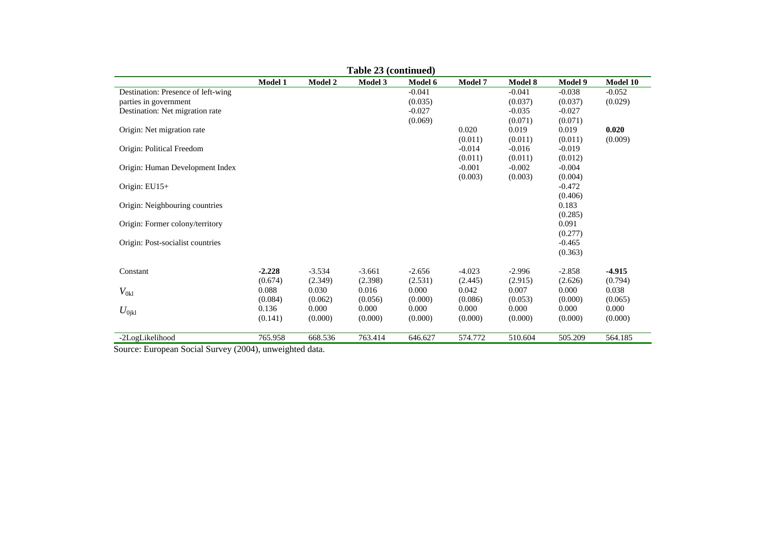|                                    |                |                | Table 23 (continued) |          |                |          |                  |          |
|------------------------------------|----------------|----------------|----------------------|----------|----------------|----------|------------------|----------|
|                                    | <b>Model 1</b> | <b>Model 2</b> | Model 3              | Model 6  | <b>Model 7</b> | Model 8  | Model 9          | Model 10 |
| Destination: Presence of left-wing |                |                |                      | $-0.041$ |                | $-0.041$ | $-0.038$         | $-0.052$ |
| parties in government              |                |                |                      | (0.035)  |                | (0.037)  | (0.037)          | (0.029)  |
| Destination: Net migration rate    |                |                |                      | $-0.027$ |                | $-0.035$ | $-0.027$         |          |
|                                    |                |                |                      | (0.069)  |                | (0.071)  | (0.071)          |          |
| Origin: Net migration rate         |                |                |                      |          | 0.020          | 0.019    | 0.019            | 0.020    |
|                                    |                |                |                      |          | (0.011)        | (0.011)  | (0.011)          | (0.009)  |
| Origin: Political Freedom          |                |                |                      |          | $-0.014$       | $-0.016$ | $-0.019$         |          |
|                                    |                |                |                      |          | (0.011)        | (0.011)  | (0.012)          |          |
| Origin: Human Development Index    |                |                |                      |          | $-0.001$       | $-0.002$ | $-0.004$         |          |
|                                    |                |                |                      |          | (0.003)        | (0.003)  | (0.004)          |          |
| Origin: $EU15+$                    |                |                |                      |          |                |          | $-0.472$         |          |
|                                    |                |                |                      |          |                |          | (0.406)          |          |
| Origin: Neighbouring countries     |                |                |                      |          |                |          | 0.183            |          |
|                                    |                |                |                      |          |                |          | (0.285)          |          |
| Origin: Former colony/territory    |                |                |                      |          |                |          | 0.091<br>(0.277) |          |
| Origin: Post-socialist countries   |                |                |                      |          |                |          | $-0.465$         |          |
|                                    |                |                |                      |          |                |          | (0.363)          |          |
|                                    |                |                |                      |          |                |          |                  |          |
| Constant                           | $-2.228$       | $-3.534$       | $-3.661$             | $-2.656$ | $-4.023$       | $-2.996$ | $-2.858$         | $-4.915$ |
|                                    | (0.674)        | (2.349)        | (2.398)              | (2.531)  | (2.445)        | (2.915)  | (2.626)          | (0.794)  |
| $V_{0\mathrm{kl}}$                 | 0.088          | 0.030          | 0.016                | 0.000    | 0.042          | 0.007    | 0.000            | 0.038    |
|                                    | (0.084)        | (0.062)        | (0.056)              | (0.000)  | (0.086)        | (0.053)  | (0.000)          | (0.065)  |
| $U_{0\rm jkl}$                     | 0.136          | 0.000          | 0.000                | 0.000    | 0.000          | 0.000    | 0.000            | 0.000    |
|                                    | (0.141)        | (0.000)        | (0.000)              | (0.000)  | (0.000)        | (0.000)  | (0.000)          | (0.000)  |
|                                    |                |                |                      |          |                |          |                  |          |
| -2LogLikelihood                    | 765.958        | 668.536        | 763.414              | 646.627  | 574.772        | 510.604  | 505.209          | 564.185  |

Source: European Social Survey (2004), unweighted data.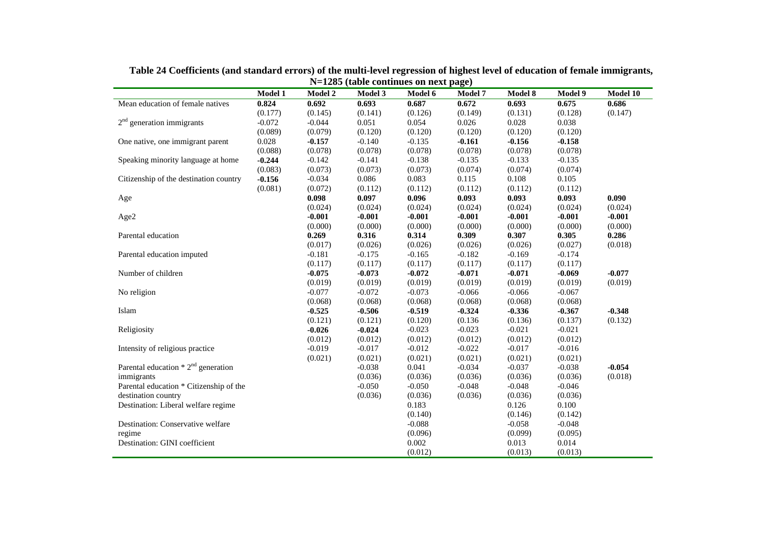|                                         | Model 1  | <b>Model 2</b> | Model 3  | Model 6  | Model 7  | Model 8  | Model 9  | Model 10 |
|-----------------------------------------|----------|----------------|----------|----------|----------|----------|----------|----------|
| Mean education of female natives        | 0.824    | 0.692          | 0.693    | 0.687    | 0.672    | 0.693    | 0.675    | 0.686    |
|                                         | (0.177)  | (0.145)        | (0.141)  | (0.126)  | (0.149)  | (0.131)  | (0.128)  | (0.147)  |
| $2nd$ generation immigrants             | $-0.072$ | $-0.044$       | 0.051    | 0.054    | 0.026    | 0.028    | 0.038    |          |
|                                         | (0.089)  | (0.079)        | (0.120)  | (0.120)  | (0.120)  | (0.120)  | (0.120)  |          |
| One native, one immigrant parent        | 0.028    | $-0.157$       | $-0.140$ | $-0.135$ | $-0.161$ | $-0.156$ | $-0.158$ |          |
|                                         | (0.088)  | (0.078)        | (0.078)  | (0.078)  | (0.078)  | (0.078)  | (0.078)  |          |
| Speaking minority language at home      | $-0.244$ | $-0.142$       | $-0.141$ | $-0.138$ | $-0.135$ | $-0.133$ | $-0.135$ |          |
|                                         | (0.083)  | (0.073)        | (0.073)  | (0.073)  | (0.074)  | (0.074)  | (0.074)  |          |
| Citizenship of the destination country  | $-0.156$ | $-0.034$       | 0.086    | 0.083    | 0.115    | 0.108    | 0.105    |          |
|                                         | (0.081)  | (0.072)        | (0.112)  | (0.112)  | (0.112)  | (0.112)  | (0.112)  |          |
| Age                                     |          | 0.098          | 0.097    | 0.096    | 0.093    | 0.093    | 0.093    | 0.090    |
|                                         |          | (0.024)        | (0.024)  | (0.024)  | (0.024)  | (0.024)  | (0.024)  | (0.024)  |
| Age2                                    |          | $-0.001$       | $-0.001$ | $-0.001$ | $-0.001$ | $-0.001$ | $-0.001$ | $-0.001$ |
|                                         |          | (0.000)        | (0.000)  | (0.000)  | (0.000)  | (0.000)  | (0.000)  | (0.000)  |
| Parental education                      |          | 0.269          | 0.316    | 0.314    | 0.309    | 0.307    | 0.305    | 0.286    |
|                                         |          | (0.017)        | (0.026)  | (0.026)  | (0.026)  | (0.026)  | (0.027)  | (0.018)  |
| Parental education imputed              |          | $-0.181$       | $-0.175$ | $-0.165$ | $-0.182$ | $-0.169$ | $-0.174$ |          |
|                                         |          | (0.117)        | (0.117)  | (0.117)  | (0.117)  | (0.117)  | (0.117)  |          |
| Number of children                      |          | $-0.075$       | $-0.073$ | $-0.072$ | $-0.071$ | $-0.071$ | $-0.069$ | $-0.077$ |
|                                         |          | (0.019)        | (0.019)  | (0.019)  | (0.019)  | (0.019)  | (0.019)  | (0.019)  |
| No religion                             |          | $-0.077$       | $-0.072$ | $-0.073$ | $-0.066$ | $-0.066$ | $-0.067$ |          |
|                                         |          | (0.068)        | (0.068)  | (0.068)  | (0.068)  | (0.068)  | (0.068)  |          |
| Islam                                   |          | $-0.525$       | $-0.506$ | $-0.519$ | $-0.324$ | $-0.336$ | $-0.367$ | $-0.348$ |
|                                         |          | (0.121)        | (0.121)  | (0.120)  | (0.136)  | (0.136)  | (0.137)  | (0.132)  |
| Religiosity                             |          | $-0.026$       | $-0.024$ | $-0.023$ | $-0.023$ | $-0.021$ | $-0.021$ |          |
|                                         |          | (0.012)        | (0.012)  | (0.012)  | (0.012)  | (0.012)  | (0.012)  |          |
| Intensity of religious practice         |          | $-0.019$       | $-0.017$ | $-0.012$ | $-0.022$ | $-0.017$ | $-0.016$ |          |
|                                         |          | (0.021)        | (0.021)  | (0.021)  | (0.021)  | (0.021)  | (0.021)  |          |
| Parental education $* 2nd$ generation   |          |                | $-0.038$ | 0.041    | $-0.034$ | $-0.037$ | $-0.038$ | $-0.054$ |
| immigrants                              |          |                | (0.036)  | (0.036)  | (0.036)  | (0.036)  | (0.036)  | (0.018)  |
| Parental education * Citizenship of the |          |                | $-0.050$ | $-0.050$ | $-0.048$ | $-0.048$ | $-0.046$ |          |
| destination country                     |          |                | (0.036)  | (0.036)  | (0.036)  | (0.036)  | (0.036)  |          |
| Destination: Liberal welfare regime     |          |                |          | 0.183    |          | 0.126    | 0.100    |          |
|                                         |          |                |          | (0.140)  |          | (0.146)  | (0.142)  |          |
| Destination: Conservative welfare       |          |                |          | $-0.088$ |          | $-0.058$ | $-0.048$ |          |
| regime                                  |          |                |          | (0.096)  |          | (0.099)  | (0.095)  |          |
| Destination: GINI coefficient           |          |                |          | 0.002    |          | 0.013    | 0.014    |          |
|                                         |          |                |          | (0.012)  |          | (0.013)  | (0.013)  |          |

**Table 24 Coefficients (and standard errors) of the multi-level regression of highest level of education of female immigrants, N=1285 (table continues on next page)**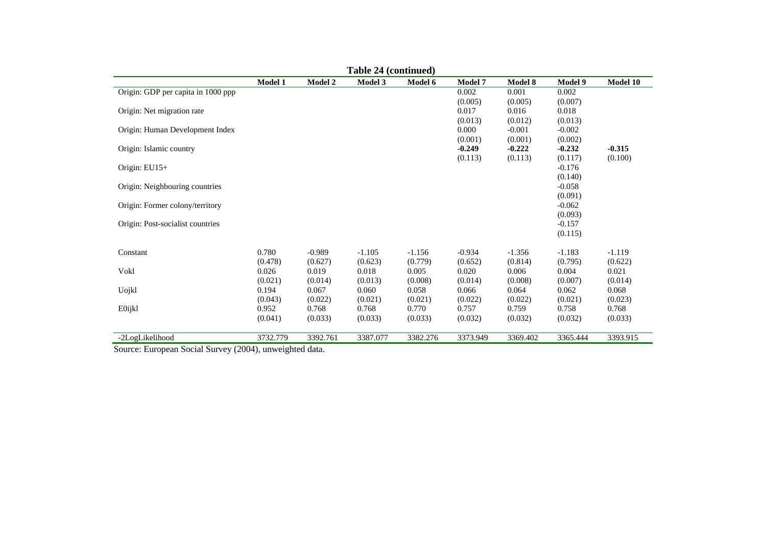|                                    |                  |                     | Table 24 (continued) |                     |                                |                                |                                |                     |
|------------------------------------|------------------|---------------------|----------------------|---------------------|--------------------------------|--------------------------------|--------------------------------|---------------------|
|                                    | Model 1          | Model 2             | Model 3              | Model 6             | Model 7                        | Model 8                        | Model 9                        | Model 10            |
| Origin: GDP per capita in 1000 ppp |                  |                     |                      |                     | 0.002<br>(0.005)               | 0.001<br>(0.005)               | 0.002<br>(0.007)               |                     |
| Origin: Net migration rate         |                  |                     |                      |                     | 0.017                          | 0.016                          | 0.018                          |                     |
| Origin: Human Development Index    |                  |                     |                      |                     | (0.013)<br>0.000               | (0.012)<br>$-0.001$            | (0.013)<br>$-0.002$            |                     |
| Origin: Islamic country            |                  |                     |                      |                     | (0.001)<br>$-0.249$<br>(0.113) | (0.001)<br>$-0.222$<br>(0.113) | (0.002)<br>$-0.232$<br>(0.117) | $-0.315$<br>(0.100) |
| Origin: $EU15+$                    |                  |                     |                      |                     |                                |                                | $-0.176$<br>(0.140)            |                     |
| Origin: Neighbouring countries     |                  |                     |                      |                     |                                |                                | $-0.058$                       |                     |
| Origin: Former colony/territory    |                  |                     |                      |                     |                                |                                | (0.091)<br>$-0.062$<br>(0.093) |                     |
| Origin: Post-socialist countries   |                  |                     |                      |                     |                                |                                | $-0.157$<br>(0.115)            |                     |
| Constant                           | 0.780<br>(0.478) | $-0.989$<br>(0.627) | $-1.105$<br>(0.623)  | $-1.156$<br>(0.779) | $-0.934$<br>(0.652)            | $-1.356$<br>(0.814)            | $-1.183$<br>(0.795)            | $-1.119$<br>(0.622) |
| Vokl                               | 0.026<br>(0.021) | 0.019<br>(0.014)    | 0.018<br>(0.013)     | 0.005<br>(0.008)    | 0.020<br>(0.014)               | 0.006<br>(0.008)               | 0.004<br>(0.007)               | 0.021<br>(0.014)    |
| Uojkl                              | 0.194<br>(0.043) | 0.067<br>(0.022)    | 0.060<br>(0.021)     | 0.058<br>(0.021)    | 0.066<br>(0.022)               | 0.064<br>(0.022)               | 0.062<br>(0.021)               | 0.068<br>(0.023)    |
| E0ijkl                             | 0.952<br>(0.041) | 0.768<br>(0.033)    | 0.768<br>(0.033)     | 0.770<br>(0.033)    | 0.757<br>(0.032)               | 0.759<br>(0.032)               | 0.758<br>(0.032)               | 0.768<br>(0.033)    |
| -2LogLikelihood                    | 3732.779         | 3392.761            | 3387.077             | 3382.276            | 3373.949                       | 3369.402                       | 3365.444                       | 3393.915            |

Source: European Social Survey (2004), unweighted data.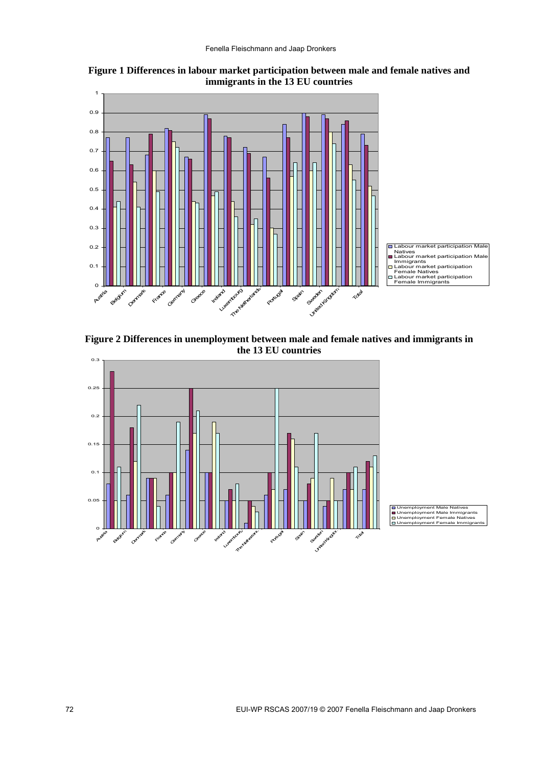

**Figure 1 Differences in labour market participation between male and female natives and immigrants in the 13 EU countries** 

**Figure 2 Differences in unemployment between male and female natives and immigrants in the 13 EU countries** 



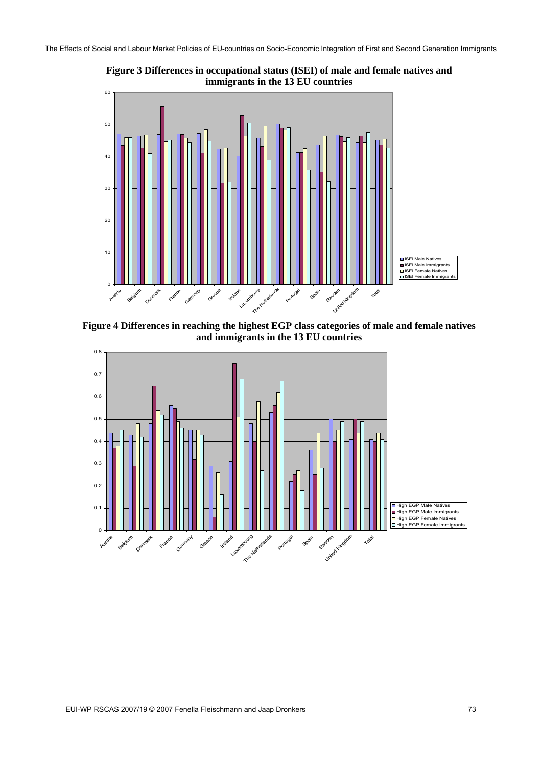The Effects of Social and Labour Market Policies of EU-countries on Socio-Economic Integration of First and Second Generation Immigrants



**Figure 3 Differences in occupational status (ISEI) of male and female natives and immigrants in the 13 EU countries** 

**Figure 4 Differences in reaching the highest EGP class categories of male and female natives and immigrants in the 13 EU countries** 

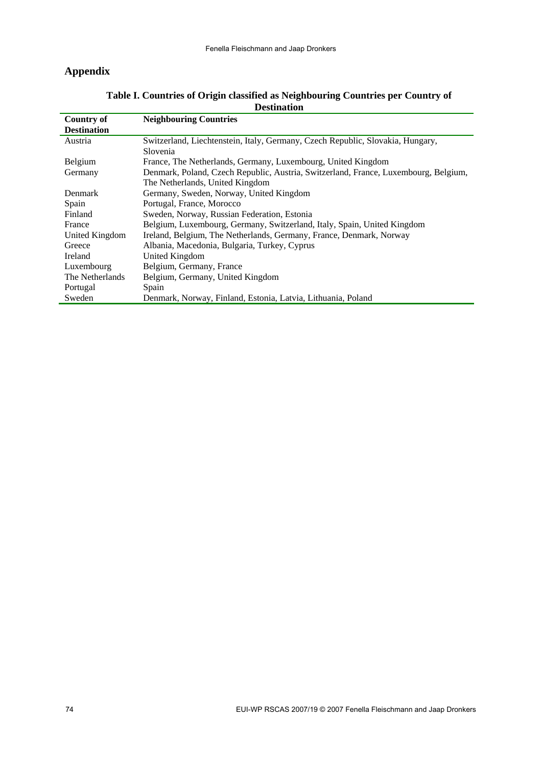## **Appendix**

| <b>Neighbouring Countries</b><br>Country of         |                                                                                     |
|-----------------------------------------------------|-------------------------------------------------------------------------------------|
| <b>Destination</b>                                  |                                                                                     |
| Austria                                             | Switzerland, Liechtenstein, Italy, Germany, Czech Republic, Slovakia, Hungary,      |
| Slovenia                                            |                                                                                     |
| Belgium                                             | France, The Netherlands, Germany, Luxembourg, United Kingdom                        |
| Germany                                             | Denmark, Poland, Czech Republic, Austria, Switzerland, France, Luxembourg, Belgium, |
| The Netherlands, United Kingdom                     |                                                                                     |
| Denmark                                             | Germany, Sweden, Norway, United Kingdom                                             |
| Portugal, France, Morocco<br>Spain                  |                                                                                     |
| Finland                                             | Sweden, Norway, Russian Federation, Estonia                                         |
| France                                              | Belgium, Luxembourg, Germany, Switzerland, Italy, Spain, United Kingdom             |
| United Kingdom                                      | Ireland, Belgium, The Netherlands, Germany, France, Denmark, Norway                 |
| Greece                                              | Albania, Macedonia, Bulgaria, Turkey, Cyprus                                        |
| Ireland<br><b>United Kingdom</b>                    |                                                                                     |
| Belgium, Germany, France<br>Luxembourg              |                                                                                     |
| Belgium, Germany, United Kingdom<br>The Netherlands |                                                                                     |
| Portugal<br>Spain                                   |                                                                                     |
| Sweden                                              | Denmark, Norway, Finland, Estonia, Latvia, Lithuania, Poland                        |

## **Table I. Countries of Origin classified as Neighbouring Countries per Country of Destination**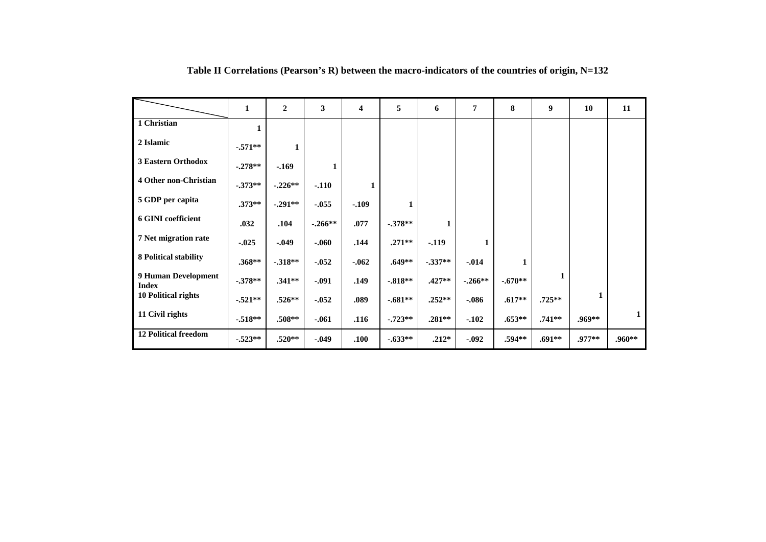|                                     | 1          | $\mathbf{2}$ | 3         | 4        | 5         | 6        | $\overline{7}$ | 8         | $\boldsymbol{9}$ | 10       | 11           |
|-------------------------------------|------------|--------------|-----------|----------|-----------|----------|----------------|-----------|------------------|----------|--------------|
| 1 Christian                         | 1          |              |           |          |           |          |                |           |                  |          |              |
| 2 Islamic                           | $-.571**$  | 1            |           |          |           |          |                |           |                  |          |              |
| 3 Eastern Orthodox                  | $-.278**$  | $-169$       | 1         |          |           |          |                |           |                  |          |              |
| 4 Other non-Christian               | $-0.373**$ | $-.226**$    | $-.110$   | 1        |           |          |                |           |                  |          |              |
| 5 GDP per capita                    | $.373**$   | $-.291**$    | $-.055$   | $-.109$  | 1         |          |                |           |                  |          |              |
| <b>6 GINI coefficient</b>           | .032       | .104         | $-.266**$ | .077     | $-.378**$ | 1        |                |           |                  |          |              |
| 7 Net migration rate                | $-0.025$   | $-0.049$     | $-.060$   | .144     | $.271**$  | $-0.119$ | 1              |           |                  |          |              |
| <b>8 Political stability</b>        | $.368**$   | $-0.318**$   | $-.052$   | $-0.062$ | $.649**$  | $-337**$ | $-0.014$       | 1         |                  |          |              |
| 9 Human Development<br><b>Index</b> | $-378**$   | $.341**$     | $-.091$   | .149     | $-.818**$ | $.427**$ | $-.266**$      | $-.670**$ |                  |          |              |
| <b>10 Political rights</b>          | $-.521**$  | $.526**$     | $-0.052$  | .089     | $-.681**$ | $.252**$ | $-0.086$       | $.617**$  | $.725**$         | 1        |              |
| 11 Civil rights                     | $-518**$   | $.508**$     | $-.061$   | .116     | $-723**$  | $.281**$ | $-.102$        | $.653**$  | $.741**$         | $.969**$ | $\mathbf{1}$ |
| <b>12 Political freedom</b>         | $-.523**$  | $.520**$     | $-0.049$  | .100     | $-.633**$ | $.212*$  | $-0.092$       | $.594**$  | $.691**$         | .977**   | $.960**$     |

**Table II Correlations (Pearson's R) between the macro-indicators of the countries of origin, N=132**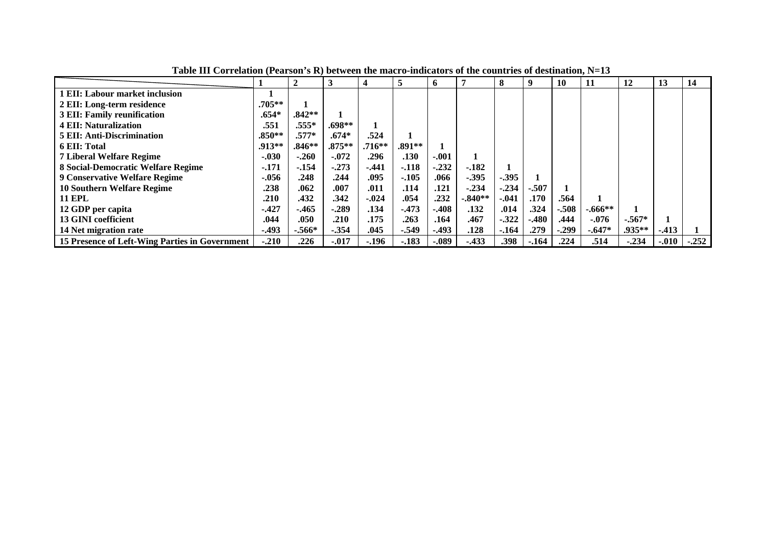|                                                |          | $\overline{2}$ | 3         | 4        | 5        | o       |           | 8       |         | 10      | 11        | 12       | 13      | 14      |
|------------------------------------------------|----------|----------------|-----------|----------|----------|---------|-----------|---------|---------|---------|-----------|----------|---------|---------|
| l EII: Labour market inclusion                 |          |                |           |          |          |         |           |         |         |         |           |          |         |         |
| 2 EII: Long-term residence                     | $.705**$ |                |           |          |          |         |           |         |         |         |           |          |         |         |
| <b>3 EII: Family reunification</b>             | $.654*$  | $.842**$       |           |          |          |         |           |         |         |         |           |          |         |         |
| <b>4 EII: Naturalization</b>                   | .551     | $.555*$        | $.698**$  |          |          |         |           |         |         |         |           |          |         |         |
| <b>5 EII: Anti-Discrimination</b>              | $.850**$ | $.577*$        | $.674*$   | .524     |          |         |           |         |         |         |           |          |         |         |
| <b>6 EII: Total</b>                            | .913**   | $.846**$       | $.875***$ | $.716**$ | $.891**$ |         |           |         |         |         |           |          |         |         |
| <b>7 Liberal Welfare Regime</b>                | $-.030$  | $-.260$        | $-.072$   | .296     | .130     | $-.001$ |           |         |         |         |           |          |         |         |
| 8 Social-Democratic Welfare Regime             | $-171$   | $-154$         | $-273$    | $-441$   | $-.118$  | $-.232$ | $-182$    |         |         |         |           |          |         |         |
| <b>9 Conservative Welfare Regime</b>           | $-0.056$ | .248           | .244      | .095     | $-.105$  | .066    | $-0.395$  | $-.395$ |         |         |           |          |         |         |
| <b>10 Southern Welfare Regime</b>              | .238     | .062           | .007      | .011     | .114     | .121    | $-.234$   | $-.234$ | $-.507$ |         |           |          |         |         |
| <b>11 EPL</b>                                  | .210     | .432           | .342      | $-.024$  | .054     | .232    | $-.840**$ | $-.041$ | .170    | .564    |           |          |         |         |
| 12 GDP per capita                              | $-.427$  | $-465$         | -.289     | .134     | $-473$   | $-.408$ | .132      | .014    | .324    | $-.508$ | $-.666**$ |          |         |         |
| 13 GINI coefficient                            | .044     | .050           | .210      | .175     | .263     | .164    | .467      | $-322$  | $-.480$ | .444    | $-.076$   | $-.567*$ |         |         |
| 14 Net migration rate                          | $-0.493$ | $-.566*$       | $-354$    | .045     | $-.549$  | $-.493$ | .128      | $-164$  | .279    | $-.299$ | $-.647*$  | .935**   | $-413$  |         |
| 15 Presence of Left-Wing Parties in Government | $-.210$  | .226           | $-0.017$  | $-.196$  | $-.183$  | $-.089$ | $-433$    | .398    | $-164$  | .224    | .514      | $-.234$  | $-.010$ | $-.252$ |

**Table III Correlation (Pearson's R) between the macro-indicators of the countries of destination, N=13**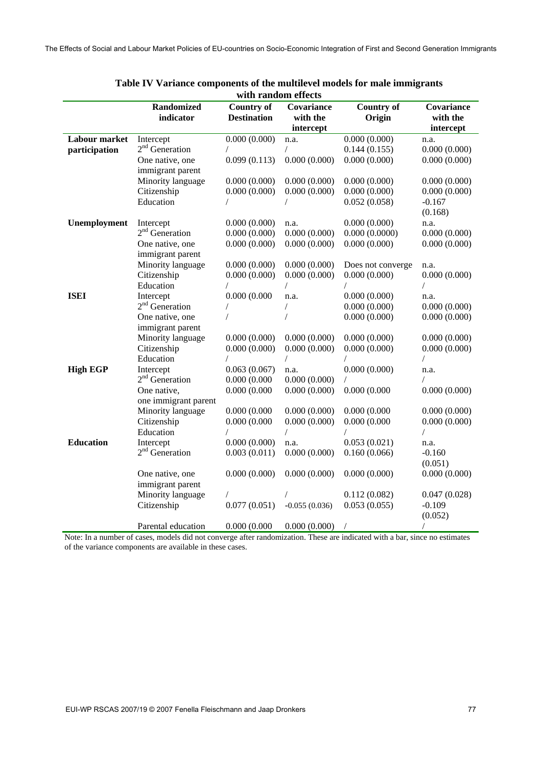|                  |                                | with Fandom enects                      |                               |                             |                        |
|------------------|--------------------------------|-----------------------------------------|-------------------------------|-----------------------------|------------------------|
|                  | <b>Randomized</b><br>indicator | <b>Country of</b><br><b>Destination</b> | <b>Covariance</b><br>with the | <b>Country of</b><br>Origin | Covariance<br>with the |
|                  |                                |                                         | intercept                     |                             | intercept              |
| Labour market    | Intercept                      | 0.000(0.000)                            | n.a.                          | 0.000(0.000)                | n.a.                   |
| participation    | $2nd$ Generation               |                                         | T                             | 0.144(0.155)                | 0.000(0.000)           |
|                  | One native, one                | 0.099(0.113)                            | 0.000(0.000)                  | 0.000(0.000)                | 0.000(0.000)           |
|                  | immigrant parent               |                                         |                               |                             |                        |
|                  | Minority language              | 0.000(0.000)                            | 0.000(0.000)                  | 0.000(0.000)                | 0.000(0.000)           |
|                  | Citizenship                    | 0.000(0.000)                            | 0.000(0.000)                  | 0.000(0.000)                | 0.000(0.000)           |
|                  | Education                      |                                         |                               | 0.052(0.058)                | $-0.167$               |
|                  |                                |                                         |                               |                             | (0.168)                |
| Unemployment     | Intercept                      | 0.000(0.000)                            | n.a.                          | 0.000(0.000)                | n.a.                   |
|                  | $2nd$ Generation               | 0.000(0.000)                            | 0.000(0.000)                  | 0.000(0.0000)               | 0.000(0.000)           |
|                  | One native, one                | 0.000(0.000)                            | 0.000(0.000)                  | 0.000(0.000)                | 0.000(0.000)           |
|                  | immigrant parent               |                                         |                               |                             |                        |
|                  | Minority language              | 0.000(0.000)                            | 0.000(0.000)                  | Does not converge           | n.a.                   |
|                  | Citizenship                    | 0.000(0.000)                            | 0.000(0.000)                  | 0.000(0.000)                | 0.000(0.000)           |
|                  | Education                      | $\sqrt{2}$                              |                               |                             |                        |
| <b>ISEI</b>      | Intercept                      | 0.000(0.000)                            | n.a.                          | 0.000(0.000)                | n.a.                   |
|                  | $2nd$ Generation               |                                         |                               | 0.000(0.000)                | 0.000(0.000)           |
|                  | One native, one                |                                         |                               | 0.000(0.000)                | 0.000(0.000)           |
|                  | immigrant parent               |                                         |                               |                             |                        |
|                  | Minority language              | 0.000(0.000)                            | 0.000(0.000)                  | 0.000(0.000)                | 0.000(0.000)           |
|                  | Citizenship                    | 0.000(0.000)                            | 0.000(0.000)                  | 0.000(0.000)                | 0.000(0.000)           |
|                  | Education                      |                                         | $\sqrt{2}$                    |                             |                        |
| <b>High EGP</b>  | Intercept                      | 0.063(0.067)                            | n.a.                          | 0.000(0.000)                | n.a.                   |
|                  | $2nd$ Generation               | 0.000(0.000)                            | 0.000(0.000)                  |                             |                        |
|                  | One native,                    | 0.000(0.000)                            | 0.000(0.000)                  | 0.000(0.000)                | 0.000(0.000)           |
|                  | one immigrant parent           |                                         |                               |                             |                        |
|                  | Minority language              | 0.000(0.000)                            | 0.000(0.000)                  | 0.000(0.000)                | 0.000(0.000)           |
|                  | Citizenship                    | 0.000(0.000)                            | 0.000(0.000)                  | 0.000(0.000)                | 0.000(0.000)           |
|                  | Education                      |                                         | $\sqrt{2}$                    | $\overline{1}$              | $\sqrt{2}$             |
| <b>Education</b> | Intercept                      | 0.000(0.000)                            | n.a.                          | 0.053(0.021)                | n.a.                   |
|                  | $2nd$ Generation               | 0.003(0.011)                            | 0.000(0.000)                  | 0.160(0.066)                | $-0.160$               |
|                  |                                |                                         |                               |                             | (0.051)                |
|                  | One native, one                | 0.000(0.000)                            | 0.000(0.000)                  | 0.000(0.000)                | 0.000(0.000)           |
|                  | immigrant parent               |                                         |                               |                             |                        |
|                  | Minority language              |                                         |                               | 0.112(0.082)                | 0.047(0.028)           |
|                  | Citizenship                    | 0.077(0.051)                            | $-0.055(0.036)$               | 0.053(0.055)                | $-0.109$               |
|                  |                                |                                         |                               |                             | (0.052)                |
|                  | Parental education             | 0.000(0.000)                            | 0.000(0.000)                  | $\sqrt{2}$                  |                        |

| Table IV Variance components of the multilevel models for male immigrants |
|---------------------------------------------------------------------------|
| with random effects                                                       |

Note: In a number of cases, models did not converge after randomization. These are indicated with a bar, since no estimates of the variance components are available in these cases.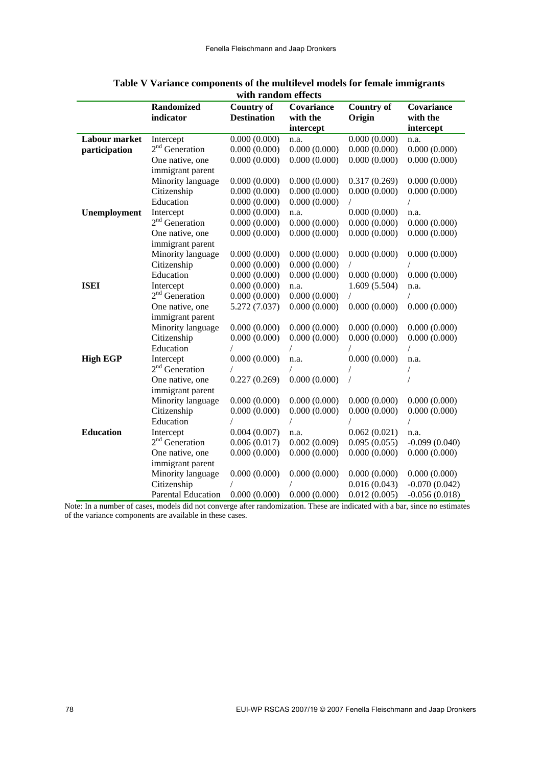|                  | <b>Randomized</b>          | <b>Country of</b>  | Covariance   | <b>Country of</b> | Covariance      |
|------------------|----------------------------|--------------------|--------------|-------------------|-----------------|
|                  | indicator                  | <b>Destination</b> | with the     | Origin            | with the        |
|                  |                            |                    | intercept    |                   | intercept       |
| Labour market    | Intercept                  | 0.000(0.000)       | n.a.         | 0.000(0.000)      | n.a.            |
| participation    | $2nd$ Generation           | 0.000(0.000)       | 0.000(0.000) | 0.000(0.000)      | 0.000(0.000)    |
|                  | One native, one            | 0.000(0.000)       | 0.000(0.000) | 0.000(0.000)      | 0.000(0.000)    |
|                  | immigrant parent           |                    |              |                   |                 |
|                  | Minority language          | 0.000(0.000)       | 0.000(0.000) | 0.317(0.269)      | 0.000(0.000)    |
|                  | Citizenship                | 0.000(0.000)       | 0.000(0.000) | 0.000(0.000)      | 0.000(0.000)    |
|                  | Education                  | 0.000(0.000)       | 0.000(0.000) |                   |                 |
| Unemployment     | Intercept                  | 0.000(0.000)       | n.a.         | 0.000(0.000)      | n.a.            |
|                  | $2nd$ Generation           | 0.000(0.000)       | 0.000(0.000) | 0.000(0.000)      | 0.000(0.000)    |
|                  | One native, one            | 0.000(0.000)       | 0.000(0.000) | 0.000(0.000)      | 0.000(0.000)    |
|                  | immigrant parent           |                    |              |                   |                 |
|                  | Minority language          | 0.000(0.000)       | 0.000(0.000) | 0.000(0.000)      | 0.000(0.000)    |
|                  | Citizenship                | 0.000(0.000)       | 0.000(0.000) | $\prime$          |                 |
|                  | Education                  | 0.000(0.000)       | 0.000(0.000) | 0.000(0.000)      | 0.000(0.000)    |
| <b>ISEI</b>      | Intercept                  | 0.000(0.000)       | n.a.         | 1.609(5.504)      | n.a.            |
|                  | $2nd$ Generation           | 0.000(0.000)       | 0.000(0.000) |                   | $\sqrt{2}$      |
|                  | One native, one            | 5.272 (7.037)      | 0.000(0.000) | 0.000(0.000)      | 0.000(0.000)    |
|                  | immigrant parent           |                    |              |                   |                 |
|                  | Minority language          | 0.000(0.000)       | 0.000(0.000) | 0.000(0.000)      | 0.000(0.000)    |
|                  | Citizenship                | 0.000(0.000)       | 0.000(0.000) | 0.000(0.000)      | 0.000(0.000)    |
|                  | Education                  |                    |              |                   |                 |
| <b>High EGP</b>  | Intercept                  | 0.000(0.000)       | n.a.         | 0.000(0.000)      | n.a.            |
|                  | 2 <sup>nd</sup> Generation |                    |              |                   |                 |
|                  | One native, one            | 0.227(0.269)       | 0.000(0.000) |                   |                 |
|                  | immigrant parent           |                    |              |                   |                 |
|                  | Minority language          | 0.000(0.000)       | 0.000(0.000) | 0.000(0.000)      | 0.000(0.000)    |
|                  | Citizenship                | 0.000(0.000)       | 0.000(0.000) | 0.000(0.000)      | 0.000(0.000)    |
|                  | Education                  |                    | $\sqrt{2}$   |                   | T               |
| <b>Education</b> | Intercept                  | 0.004(0.007)       | n.a.         | 0.062(0.021)      | n.a.            |
|                  | $2nd$ Generation           | 0.006(0.017)       | 0.002(0.009) | 0.095(0.055)      | $-0.099(0.040)$ |
|                  | One native, one            | 0.000(0.000)       | 0.000(0.000) | 0.000(0.000)      | 0.000(0.000)    |
|                  | immigrant parent           |                    |              |                   |                 |
|                  | Minority language          | 0.000(0.000)       | 0.000(0.000) | 0.000(0.000)      | 0.000(0.000)    |
|                  | Citizenship                |                    |              | 0.016(0.043)      | $-0.070(0.042)$ |
|                  | <b>Parental Education</b>  | 0.000(0.000)       | 0.000(0.000) | 0.012(0.005)      | $-0.056(0.018)$ |

| Table V Variance components of the multilevel models for female immigrants |
|----------------------------------------------------------------------------|
| with random effects                                                        |

Note: In a number of cases, models did not converge after randomization. These are indicated with a bar, since no estimates of the variance components are available in these cases.